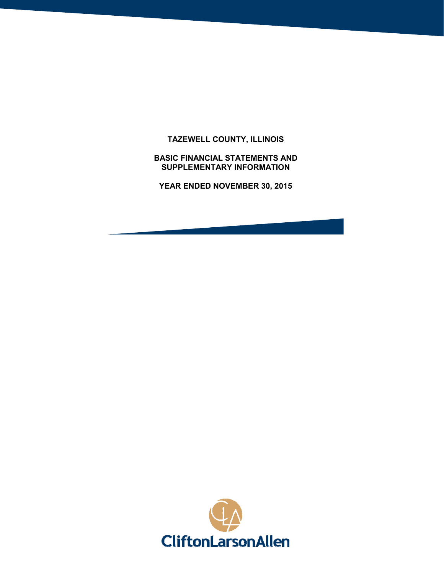# **TAZEWELL COUNTY, ILLINOIS**

## **BASIC FINANCIAL STATEMENTS AND SUPPLEMENTARY INFORMATION**

**YEAR ENDED NOVEMBER 30, 2015**

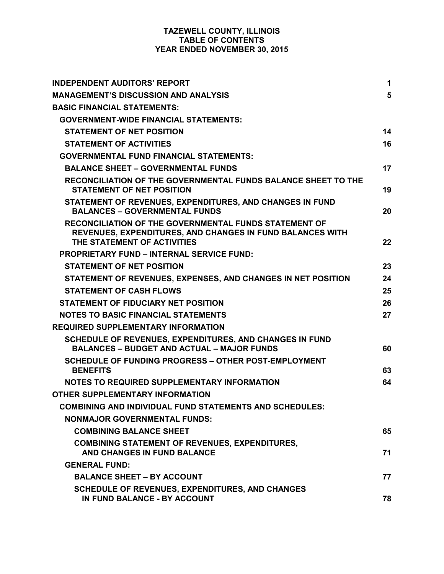# **TAZEWELL COUNTY, ILLINOIS TABLE OF CONTENTS YEAR ENDED NOVEMBER 30, 2015**

| <b>INDEPENDENT AUDITORS' REPORT</b>                                                                                                                      | 1  |
|----------------------------------------------------------------------------------------------------------------------------------------------------------|----|
| <b>MANAGEMENT'S DISCUSSION AND ANALYSIS</b>                                                                                                              | 5  |
| <b>BASIC FINANCIAL STATEMENTS:</b>                                                                                                                       |    |
| <b>GOVERNMENT-WIDE FINANCIAL STATEMENTS:</b>                                                                                                             |    |
| <b>STATEMENT OF NET POSITION</b>                                                                                                                         | 14 |
| <b>STATEMENT OF ACTIVITIES</b>                                                                                                                           | 16 |
| <b>GOVERNMENTAL FUND FINANCIAL STATEMENTS:</b>                                                                                                           |    |
| <b>BALANCE SHEET - GOVERNMENTAL FUNDS</b>                                                                                                                | 17 |
| RECONCILIATION OF THE GOVERNMENTAL FUNDS BALANCE SHEET TO THE<br><b>STATEMENT OF NET POSITION</b>                                                        | 19 |
| STATEMENT OF REVENUES, EXPENDITURES, AND CHANGES IN FUND<br><b>BALANCES - GOVERNMENTAL FUNDS</b>                                                         | 20 |
| <b>RECONCILIATION OF THE GOVERNMENTAL FUNDS STATEMENT OF</b><br>REVENUES, EXPENDITURES, AND CHANGES IN FUND BALANCES WITH<br>THE STATEMENT OF ACTIVITIES | 22 |
| <b>PROPRIETARY FUND - INTERNAL SERVICE FUND:</b>                                                                                                         |    |
| <b>STATEMENT OF NET POSITION</b>                                                                                                                         | 23 |
| STATEMENT OF REVENUES, EXPENSES, AND CHANGES IN NET POSITION                                                                                             | 24 |
| <b>STATEMENT OF CASH FLOWS</b>                                                                                                                           | 25 |
| <b>STATEMENT OF FIDUCIARY NET POSITION</b>                                                                                                               | 26 |
| <b>NOTES TO BASIC FINANCIAL STATEMENTS</b>                                                                                                               | 27 |
| <b>REQUIRED SUPPLEMENTARY INFORMATION</b>                                                                                                                |    |
| <b>SCHEDULE OF REVENUES, EXPENDITURES, AND CHANGES IN FUND</b><br><b>BALANCES - BUDGET AND ACTUAL - MAJOR FUNDS</b>                                      | 60 |
| SCHEDULE OF FUNDING PROGRESS - OTHER POST-EMPLOYMENT                                                                                                     |    |
| <b>BENEFITS</b>                                                                                                                                          | 63 |
| NOTES TO REQUIRED SUPPLEMENTARY INFORMATION                                                                                                              | 64 |
| <b>OTHER SUPPLEMENTARY INFORMATION</b>                                                                                                                   |    |
| <b>COMBINING AND INDIVIDUAL FUND STATEMENTS AND SCHEDULES:</b>                                                                                           |    |
| <b>NONMAJOR GOVERNMENTAL FUNDS:</b>                                                                                                                      |    |
| <b>COMBINING BALANCE SHEET</b>                                                                                                                           | 65 |
| <b>COMBINING STATEMENT OF REVENUES, EXPENDITURES,</b><br>AND CHANGES IN FUND BALANCE                                                                     | 71 |
| <b>GENERAL FUND:</b>                                                                                                                                     |    |
| <b>BALANCE SHEET - BY ACCOUNT</b>                                                                                                                        | 77 |
| <b>SCHEDULE OF REVENUES, EXPENDITURES, AND CHANGES</b><br>IN FUND BALANCE - BY ACCOUNT                                                                   | 78 |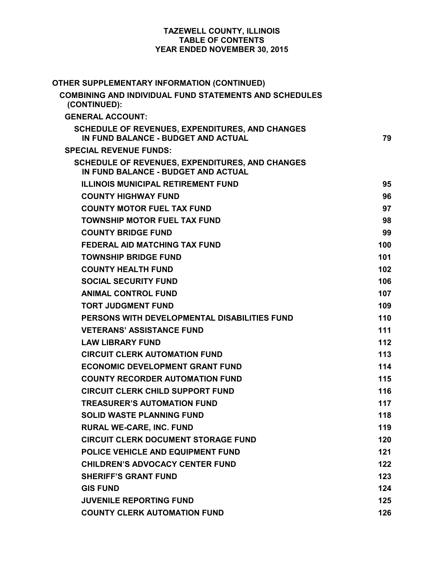## **TAZEWELL COUNTY, ILLINOIS TABLE OF CONTENTS YEAR ENDED NOVEMBER 30, 2015**

| OTHER SUPPLEMENTARY INFORMATION (CONTINUED)                                                   |     |
|-----------------------------------------------------------------------------------------------|-----|
| <b>COMBINING AND INDIVIDUAL FUND STATEMENTS AND SCHEDULES</b><br>(CONTINUED):                 |     |
| <b>GENERAL ACCOUNT:</b>                                                                       |     |
| <b>SCHEDULE OF REVENUES, EXPENDITURES, AND CHANGES</b><br>IN FUND BALANCE - BUDGET AND ACTUAL | 79  |
| <b>SPECIAL REVENUE FUNDS:</b>                                                                 |     |
| <b>SCHEDULE OF REVENUES, EXPENDITURES, AND CHANGES</b><br>IN FUND BALANCE - BUDGET AND ACTUAL |     |
| <b>ILLINOIS MUNICIPAL RETIREMENT FUND</b>                                                     | 95  |
| <b>COUNTY HIGHWAY FUND</b>                                                                    | 96  |
| <b>COUNTY MOTOR FUEL TAX FUND</b>                                                             | 97  |
| <b>TOWNSHIP MOTOR FUEL TAX FUND</b>                                                           | 98  |
| <b>COUNTY BRIDGE FUND</b>                                                                     | 99  |
| <b>FEDERAL AID MATCHING TAX FUND</b>                                                          | 100 |
| <b>TOWNSHIP BRIDGE FUND</b>                                                                   | 101 |
| <b>COUNTY HEALTH FUND</b>                                                                     | 102 |
| <b>SOCIAL SECURITY FUND</b>                                                                   | 106 |
| <b>ANIMAL CONTROL FUND</b>                                                                    | 107 |
| <b>TORT JUDGMENT FUND</b>                                                                     | 109 |
| PERSONS WITH DEVELOPMENTAL DISABILITIES FUND                                                  | 110 |
| <b>VETERANS' ASSISTANCE FUND</b>                                                              | 111 |
| <b>LAW LIBRARY FUND</b>                                                                       | 112 |
| <b>CIRCUIT CLERK AUTOMATION FUND</b>                                                          | 113 |
| <b>ECONOMIC DEVELOPMENT GRANT FUND</b>                                                        | 114 |
| <b>COUNTY RECORDER AUTOMATION FUND</b>                                                        | 115 |
| <b>CIRCUIT CLERK CHILD SUPPORT FUND</b>                                                       | 116 |
| <b>TREASURER'S AUTOMATION FUND</b>                                                            | 117 |
| <b>SOLID WASTE PLANNING FUND</b>                                                              | 118 |
| <b>RURAL WE-CARE, INC. FUND</b>                                                               | 119 |
| <b>CIRCUIT CLERK DOCUMENT STORAGE FUND</b>                                                    | 120 |
| POLICE VEHICLE AND EQUIPMENT FUND                                                             | 121 |
| <b>CHILDREN'S ADVOCACY CENTER FUND</b>                                                        | 122 |
| <b>SHERIFF'S GRANT FUND</b>                                                                   | 123 |
| <b>GIS FUND</b>                                                                               | 124 |
| <b>JUVENILE REPORTING FUND</b>                                                                | 125 |
| <b>COUNTY CLERK AUTOMATION FUND</b>                                                           | 126 |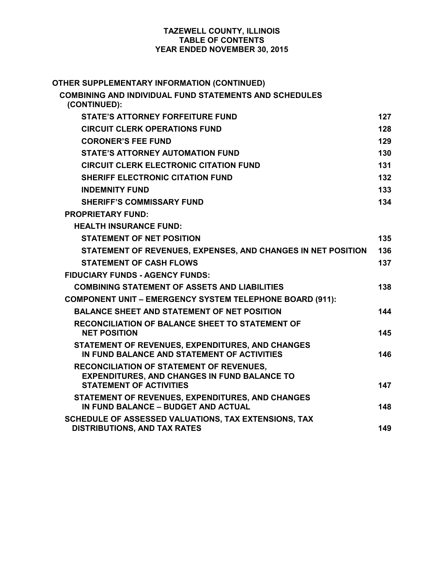## **TAZEWELL COUNTY, ILLINOIS TABLE OF CONTENTS YEAR ENDED NOVEMBER 30, 2015**

| OTHER SUPPLEMENTARY INFORMATION (CONTINUED)                                                                                              |     |
|------------------------------------------------------------------------------------------------------------------------------------------|-----|
| <b>COMBINING AND INDIVIDUAL FUND STATEMENTS AND SCHEDULES</b><br>(CONTINUED):                                                            |     |
| <b>STATE'S ATTORNEY FORFEITURE FUND</b>                                                                                                  | 127 |
| <b>CIRCUIT CLERK OPERATIONS FUND</b>                                                                                                     | 128 |
| <b>CORONER'S FEE FUND</b>                                                                                                                | 129 |
| <b>STATE'S ATTORNEY AUTOMATION FUND</b>                                                                                                  | 130 |
| <b>CIRCUIT CLERK ELECTRONIC CITATION FUND</b>                                                                                            | 131 |
| <b>SHERIFF ELECTRONIC CITATION FUND</b>                                                                                                  | 132 |
| <b>INDEMNITY FUND</b>                                                                                                                    | 133 |
| <b>SHERIFF'S COMMISSARY FUND</b>                                                                                                         | 134 |
| <b>PROPRIETARY FUND:</b>                                                                                                                 |     |
| <b>HEALTH INSURANCE FUND:</b>                                                                                                            |     |
| <b>STATEMENT OF NET POSITION</b>                                                                                                         | 135 |
| STATEMENT OF REVENUES, EXPENSES, AND CHANGES IN NET POSITION                                                                             | 136 |
| <b>STATEMENT OF CASH FLOWS</b>                                                                                                           | 137 |
| <b>FIDUCIARY FUNDS - AGENCY FUNDS:</b>                                                                                                   |     |
| <b>COMBINING STATEMENT OF ASSETS AND LIABILITIES</b>                                                                                     | 138 |
| <b>COMPONENT UNIT - EMERGENCY SYSTEM TELEPHONE BOARD (911):</b>                                                                          |     |
| <b>BALANCE SHEET AND STATEMENT OF NET POSITION</b>                                                                                       | 144 |
| RECONCILIATION OF BALANCE SHEET TO STATEMENT OF<br><b>NET POSITION</b>                                                                   | 145 |
| STATEMENT OF REVENUES, EXPENDITURES, AND CHANGES<br>IN FUND BALANCE AND STATEMENT OF ACTIVITIES                                          | 146 |
| <b>RECONCILIATION OF STATEMENT OF REVENUES.</b><br><b>EXPENDITURES, AND CHANGES IN FUND BALANCE TO</b><br><b>STATEMENT OF ACTIVITIES</b> | 147 |
| STATEMENT OF REVENUES, EXPENDITURES, AND CHANGES<br>IN FUND BALANCE - BUDGET AND ACTUAL                                                  | 148 |
| SCHEDULE OF ASSESSED VALUATIONS, TAX EXTENSIONS, TAX<br><b>DISTRIBUTIONS, AND TAX RATES</b>                                              | 149 |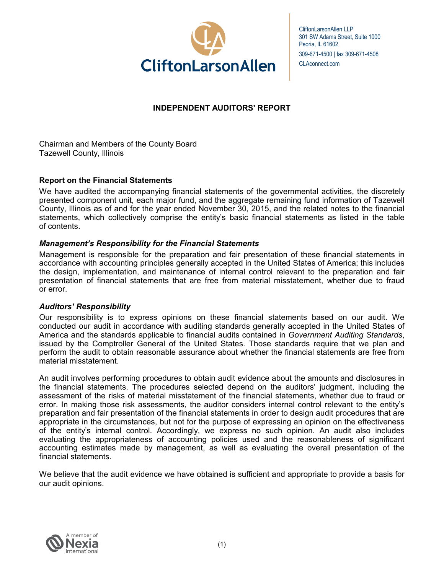

CliftonLarsonAllen LLP 301 SW Adams Street, Suite 1000 Peoria, IL 61602 309-671-4500 | fax 309-671-4508 CLAconnect.com

# **INDEPENDENT AUDITORS' REPORT**

Chairman and Members of the County Board Tazewell County, Illinois

## **Report on the Financial Statements**

We have audited the accompanying financial statements of the governmental activities, the discretely presented component unit, each major fund, and the aggregate remaining fund information of Tazewell County, Illinois as of and for the year ended November 30, 2015, and the related notes to the financial statements, which collectively comprise the entity's basic financial statements as listed in the table of contents.

## *Management's Responsibility for the Financial Statements*

Management is responsible for the preparation and fair presentation of these financial statements in accordance with accounting principles generally accepted in the United States of America; this includes the design, implementation, and maintenance of internal control relevant to the preparation and fair presentation of financial statements that are free from material misstatement, whether due to fraud or error.

#### *Auditors' Responsibility*

Our responsibility is to express opinions on these financial statements based on our audit. We conducted our audit in accordance with auditing standards generally accepted in the United States of America and the standards applicable to financial audits contained in *Government Auditing Standards*, issued by the Comptroller General of the United States. Those standards require that we plan and perform the audit to obtain reasonable assurance about whether the financial statements are free from material misstatement.

An audit involves performing procedures to obtain audit evidence about the amounts and disclosures in the financial statements. The procedures selected depend on the auditors' judgment, including the assessment of the risks of material misstatement of the financial statements, whether due to fraud or error. In making those risk assessments, the auditor considers internal control relevant to the entity's preparation and fair presentation of the financial statements in order to design audit procedures that are appropriate in the circumstances, but not for the purpose of expressing an opinion on the effectiveness of the entity's internal control. Accordingly, we express no such opinion. An audit also includes evaluating the appropriateness of accounting policies used and the reasonableness of significant accounting estimates made by management, as well as evaluating the overall presentation of the financial statements.

We believe that the audit evidence we have obtained is sufficient and appropriate to provide a basis for our audit opinions.

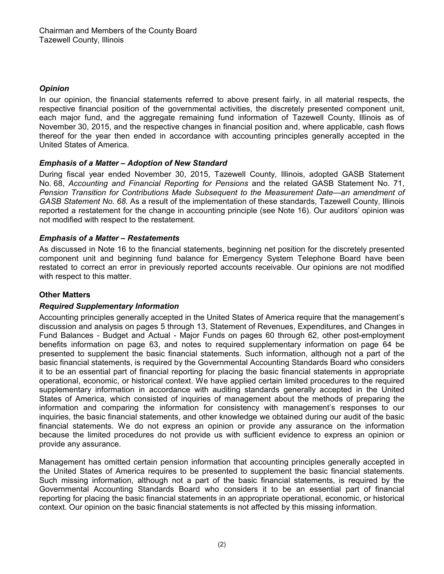# *Opinion*

In our opinion, the financial statements referred to above present fairly, in all material respects, the respective financial position of the governmental activities, the discretely presented component unit, each major fund, and the aggregate remaining fund information of Tazewell County, Illinois as of November 30, 2015, and the respective changes in financial position and, where applicable, cash flows thereof for the year then ended in accordance with accounting principles generally accepted in the United States of America.

# *Emphasis of a Matter – Adoption of New Standard*

During fiscal year ended November 30, 2015, Tazewell County, Illinois, adopted GASB Statement No. 68, *Accounting and Financial Reporting for Pensions* and the related GASB Statement No. 71, *Pension Transition for Contributions Made Subsequent to the Measurement Date—an amendment of GASB Statement No. 68*. As a result of the implementation of these standards, Tazewell County, Illinois reported a restatement for the change in accounting principle (see Note 16). Our auditors' opinion was not modified with respect to the restatement.

# *Emphasis of a Matter – Restatements*

As discussed in Note 16 to the financial statements, beginning net position for the discretely presented component unit and beginning fund balance for Emergency System Telephone Board have been restated to correct an error in previously reported accounts receivable. Our opinions are not modified with respect to this matter.

# **Other Matters**

## *Required Supplementary Information*

Accounting principles generally accepted in the United States of America require that the management's discussion and analysis on pages 5 through 13, Statement of Revenues, Expenditures, and Changes in Fund Balances - Budget and Actual - Major Funds on pages 60 through 62, other post-employment benefits information on page 63, and notes to required supplementary information on page 64 be presented to supplement the basic financial statements. Such information, although not a part of the basic financial statements, is required by the Governmental Accounting Standards Board who considers it to be an essential part of financial reporting for placing the basic financial statements in appropriate operational, economic, or historical context. We have applied certain limited procedures to the required supplementary information in accordance with auditing standards generally accepted in the United States of America, which consisted of inquiries of management about the methods of preparing the information and comparing the information for consistency with management's responses to our inquiries, the basic financial statements, and other knowledge we obtained during our audit of the basic financial statements. We do not express an opinion or provide any assurance on the information because the limited procedures do not provide us with sufficient evidence to express an opinion or provide any assurance.

Management has omitted certain pension information that accounting principles generally accepted in the United States of America requires to be presented to supplement the basic financial statements. Such missing information, although not a part of the basic financial statements, is required by the Governmental Accounting Standards Board who considers it to be an essential part of financial reporting for placing the basic financial statements in an appropriate operational, economic, or historical context. Our opinion on the basic financial statements is not affected by this missing information.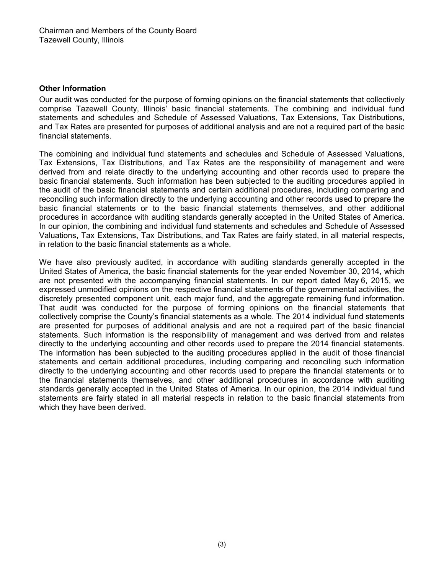#### **Other Information**

Our audit was conducted for the purpose of forming opinions on the financial statements that collectively comprise Tazewell County, Illinois' basic financial statements. The combining and individual fund statements and schedules and Schedule of Assessed Valuations, Tax Extensions, Tax Distributions, and Tax Rates are presented for purposes of additional analysis and are not a required part of the basic financial statements.

The combining and individual fund statements and schedules and Schedule of Assessed Valuations, Tax Extensions, Tax Distributions, and Tax Rates are the responsibility of management and were derived from and relate directly to the underlying accounting and other records used to prepare the basic financial statements. Such information has been subjected to the auditing procedures applied in the audit of the basic financial statements and certain additional procedures, including comparing and reconciling such information directly to the underlying accounting and other records used to prepare the basic financial statements or to the basic financial statements themselves, and other additional procedures in accordance with auditing standards generally accepted in the United States of America. In our opinion, the combining and individual fund statements and schedules and Schedule of Assessed Valuations, Tax Extensions, Tax Distributions, and Tax Rates are fairly stated, in all material respects, in relation to the basic financial statements as a whole.

We have also previously audited, in accordance with auditing standards generally accepted in the United States of America, the basic financial statements for the year ended November 30, 2014, which are not presented with the accompanying financial statements. In our report dated May 6, 2015, we expressed unmodified opinions on the respective financial statements of the governmental activities, the discretely presented component unit, each major fund, and the aggregate remaining fund information. That audit was conducted for the purpose of forming opinions on the financial statements that collectively comprise the County's financial statements as a whole. The 2014 individual fund statements are presented for purposes of additional analysis and are not a required part of the basic financial statements. Such information is the responsibility of management and was derived from and relates directly to the underlying accounting and other records used to prepare the 2014 financial statements. The information has been subjected to the auditing procedures applied in the audit of those financial statements and certain additional procedures, including comparing and reconciling such information directly to the underlying accounting and other records used to prepare the financial statements or to the financial statements themselves, and other additional procedures in accordance with auditing standards generally accepted in the United States of America. In our opinion, the 2014 individual fund statements are fairly stated in all material respects in relation to the basic financial statements from which they have been derived.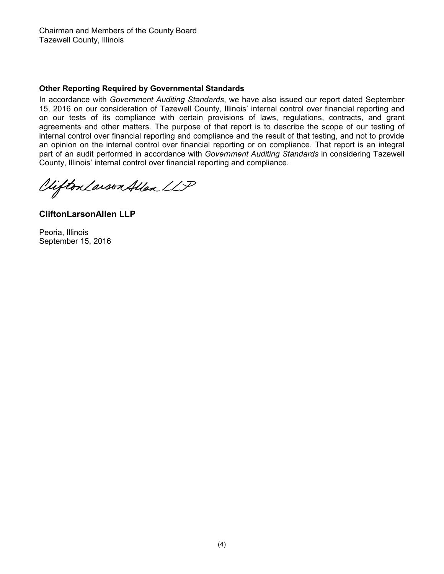## **Other Reporting Required by Governmental Standards**

In accordance with *Government Auditing Standards*, we have also issued our report dated September 15, 2016 on our consideration of Tazewell County, Illinois' internal control over financial reporting and on our tests of its compliance with certain provisions of laws, regulations, contracts, and grant agreements and other matters. The purpose of that report is to describe the scope of our testing of internal control over financial reporting and compliance and the result of that testing, and not to provide an opinion on the internal control over financial reporting or on compliance. That report is an integral part of an audit performed in accordance with *Government Auditing Standards* in considering Tazewell County , Illinois' internal control over financial reporting and compliance.

Viifton Larson Allen LLP

**CliftonLarsonAllen LLP**

Peoria, Illinois September 15, 2016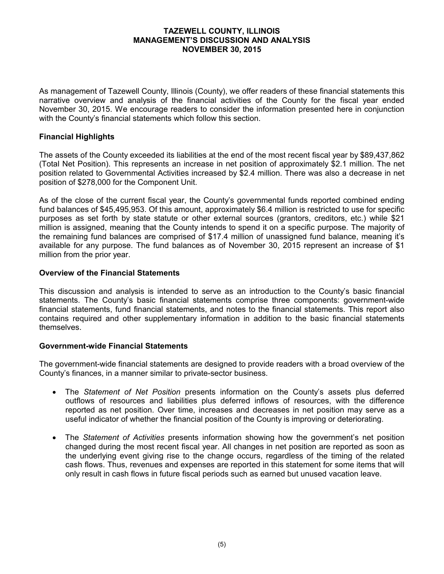As management of Tazewell County, Illinois (County), we offer readers of these financial statements this narrative overview and analysis of the financial activities of the County for the fiscal year ended November 30, 2015. We encourage readers to consider the information presented here in conjunction with the County's financial statements which follow this section.

## **Financial Highlights**

The assets of the County exceeded its liabilities at the end of the most recent fiscal year by \$89,437,862 (Total Net Position). This represents an increase in net position of approximately \$2.1 million. The net position related to Governmental Activities increased by \$2.4 million. There was also a decrease in net position of \$278,000 for the Component Unit.

As of the close of the current fiscal year, the County's governmental funds reported combined ending fund balances of \$45,495,953. Of this amount, approximately \$6.4 million is restricted to use for specific purposes as set forth by state statute or other external sources (grantors, creditors, etc.) while \$21 million is assigned, meaning that the County intends to spend it on a specific purpose. The majority of the remaining fund balances are comprised of \$17.4 million of unassigned fund balance, meaning it's available for any purpose. The fund balances as of November 30, 2015 represent an increase of \$1 million from the prior year.

## **Overview of the Financial Statements**

This discussion and analysis is intended to serve as an introduction to the County's basic financial statements. The County's basic financial statements comprise three components: government-wide financial statements, fund financial statements, and notes to the financial statements. This report also contains required and other supplementary information in addition to the basic financial statements themselves.

## **Government-wide Financial Statements**

The government-wide financial statements are designed to provide readers with a broad overview of the County's finances, in a manner similar to private-sector business.

- The *Statement of Net Position* presents information on the County's assets plus deferred outflows of resources and liabilities plus deferred inflows of resources, with the difference reported as net position. Over time, increases and decreases in net position may serve as a useful indicator of whether the financial position of the County is improving or deteriorating.
- The *Statement of Activities* presents information showing how the government's net position changed during the most recent fiscal year. All changes in net position are reported as soon as the underlying event giving rise to the change occurs, regardless of the timing of the related cash flows. Thus, revenues and expenses are reported in this statement for some items that will only result in cash flows in future fiscal periods such as earned but unused vacation leave.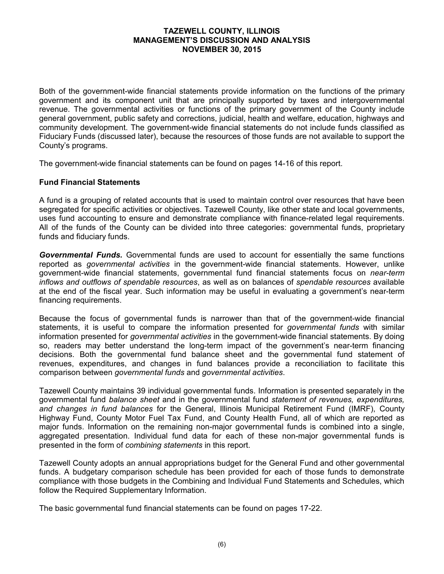Both of the government-wide financial statements provide information on the functions of the primary government and its component unit that are principally supported by taxes and intergovernmental revenue. The governmental activities or functions of the primary government of the County include general government, public safety and corrections, judicial, health and welfare, education, highways and community development. The government-wide financial statements do not include funds classified as Fiduciary Funds (discussed later), because the resources of those funds are not available to support the County's programs.

The government-wide financial statements can be found on pages 14-16 of this report.

## **Fund Financial Statements**

A fund is a grouping of related accounts that is used to maintain control over resources that have been segregated for specific activities or objectives. Tazewell County, like other state and local governments, uses fund accounting to ensure and demonstrate compliance with finance-related legal requirements. All of the funds of the County can be divided into three categories: governmental funds, proprietary funds and fiduciary funds.

*Governmental Funds.* Governmental funds are used to account for essentially the same functions reported as *governmental activities* in the government-wide financial statements. However, unlike government-wide financial statements, governmental fund financial statements focus on *near-term inflows and outflows of spendable resources*, as well as on balances of *spendable resources* available at the end of the fiscal year. Such information may be useful in evaluating a government's near-term financing requirements.

Because the focus of governmental funds is narrower than that of the government-wide financial statements, it is useful to compare the information presented for *governmental funds* with similar information presented for *governmental activities* in the government-wide financial statements. By doing so, readers may better understand the long-term impact of the government's near-term financing decisions. Both the governmental fund balance sheet and the governmental fund statement of revenues, expenditures, and changes in fund balances provide a reconciliation to facilitate this comparison between *governmental funds* and *governmental activities*.

Tazewell County maintains 39 individual governmental funds. Information is presented separately in the governmental fund *balance sheet* and in the governmental fund *statement of revenues, expenditures, and changes in fund balances* for the General, Illinois Municipal Retirement Fund (IMRF), County Highway Fund, County Motor Fuel Tax Fund, and County Health Fund, all of which are reported as major funds. Information on the remaining non-major governmental funds is combined into a single, aggregated presentation. Individual fund data for each of these non-major governmental funds is presented in the form of *combining statements* in this report.

Tazewell County adopts an annual appropriations budget for the General Fund and other governmental funds. A budgetary comparison schedule has been provided for each of those funds to demonstrate compliance with those budgets in the Combining and Individual Fund Statements and Schedules, which follow the Required Supplementary Information.

The basic governmental fund financial statements can be found on pages 17-22.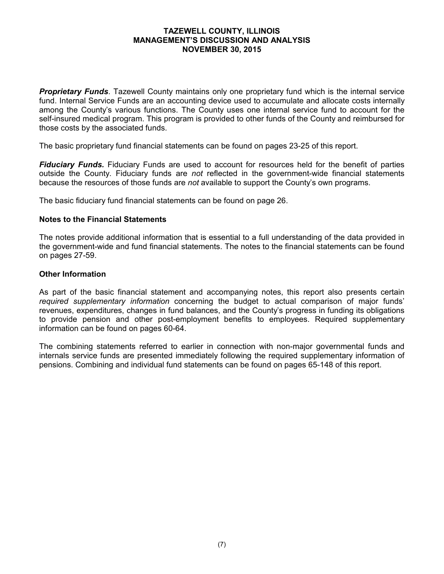*Proprietary Funds*. Tazewell County maintains only one proprietary fund which is the internal service fund. Internal Service Funds are an accounting device used to accumulate and allocate costs internally among the County's various functions. The County uses one internal service fund to account for the self-insured medical program. This program is provided to other funds of the County and reimbursed for those costs by the associated funds.

The basic proprietary fund financial statements can be found on pages 23-25 of this report.

*Fiduciary Funds.* Fiduciary Funds are used to account for resources held for the benefit of parties outside the County. Fiduciary funds are *not* reflected in the government-wide financial statements because the resources of those funds are *not* available to support the County's own programs.

The basic fiduciary fund financial statements can be found on page 26.

## **Notes to the Financial Statements**

The notes provide additional information that is essential to a full understanding of the data provided in the government-wide and fund financial statements. The notes to the financial statements can be found on pages 27-59.

## **Other Information**

As part of the basic financial statement and accompanying notes, this report also presents certain *required supplementary information* concerning the budget to actual comparison of major funds' revenues, expenditures, changes in fund balances, and the County's progress in funding its obligations to provide pension and other post-employment benefits to employees. Required supplementary information can be found on pages 60-64.

The combining statements referred to earlier in connection with non-major governmental funds and internals service funds are presented immediately following the required supplementary information of pensions. Combining and individual fund statements can be found on pages 65-148 of this report.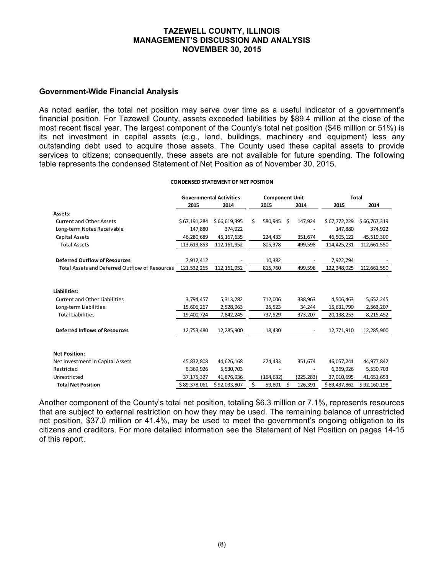#### **Government-Wide Financial Analysis**

As noted earlier, the total net position may serve over time as a useful indicator of a government's financial position. For Tazewell County, assets exceeded liabilities by \$89.4 million at the close of the most recent fiscal year. The largest component of the County's total net position (\$46 million or 51%) is its net investment in capital assets (e.g., land, buildings, machinery and equipment) less any outstanding debt used to acquire those assets. The County used these capital assets to provide services to citizens; consequently, these assets are not available for future spending. The following table represents the condensed Statement of Net Position as of November 30, 2015.

#### **CONDENSED STATEMENT OF NET POSITION**

|                                                            |              | <b>Governmental Activities</b> |    | <b>Component Unit</b> |    |            | <b>Total</b> |              |
|------------------------------------------------------------|--------------|--------------------------------|----|-----------------------|----|------------|--------------|--------------|
|                                                            | 2015         | 2014                           |    | 2015                  |    | 2014       | 2015         | 2014         |
| Assets:                                                    |              |                                |    |                       |    |            |              |              |
| <b>Current and Other Assets</b>                            | \$67,191,284 | \$66,619,395                   | \$ | 580,945               | Ŝ  | 147,924    | \$67,772,229 | \$66,767,319 |
| Long-term Notes Receivable                                 | 147.880      | 374,922                        |    |                       |    |            | 147.880      | 374,922      |
| Capital Assets                                             | 46,280,689   | 45, 167, 635                   |    | 224,433               |    | 351,674    | 46,505,122   | 45,519,309   |
| <b>Total Assets</b>                                        | 113,619,853  | 112, 161, 952                  |    | 805,378               |    | 499,598    | 114,425,231  | 112,661,550  |
| <b>Deferred Outflow of Resources</b>                       | 7,912,412    |                                |    | 10,382                |    |            | 7,922,794    |              |
| Total Assets and Deferred Outflow of Resources 121,532,265 |              | 112, 161, 952                  |    | 815,760               |    | 499,598    | 122,348,025  | 112,661,550  |
|                                                            |              |                                |    |                       |    |            |              |              |
| Liabilities:                                               |              |                                |    |                       |    |            |              |              |
| <b>Current and Other Liabilities</b>                       | 3,794,457    | 5,313,282                      |    | 712,006               |    | 338,963    | 4,506,463    | 5,652,245    |
| Long-term Liabilities                                      | 15,606,267   | 2,528,963                      |    | 25,523                |    | 34,244     | 15,631,790   | 2,563,207    |
| <b>Total Liabilities</b>                                   | 19,400,724   | 7,842,245                      |    | 737,529               |    | 373,207    | 20,138,253   | 8,215,452    |
| <b>Deferred Inflows of Resources</b>                       | 12,753,480   | 12,285,900                     |    | 18,430                |    |            | 12,771,910   | 12,285,900   |
| <b>Net Position:</b>                                       |              |                                |    |                       |    |            |              |              |
| Net Investment in Capital Assets                           | 45,832,808   | 44,626,168                     |    | 224,433               |    | 351,674    | 46,057,241   | 44,977,842   |
| Restricted                                                 | 6,369,926    | 5,530,703                      |    |                       |    |            | 6,369,926    | 5,530,703    |
| Unrestricted                                               | 37, 175, 327 | 41,876,936                     |    | (164, 632)            |    | (225, 283) | 37,010,695   | 41,651,653   |
| <b>Total Net Position</b>                                  | \$89,378,061 | \$92,033,807                   | Ś. | 59,801                | \$ | 126,391    | \$89,437,862 | \$92,160,198 |

Another component of the County's total net position, totaling \$6.3 million or 7.1%, represents resources that are subject to external restriction on how they may be used. The remaining balance of unrestricted net position, \$37.0 million or 41.4%, may be used to meet the government's ongoing obligation to its citizens and creditors. For more detailed information see the Statement of Net Position on pages 14-15 of this report.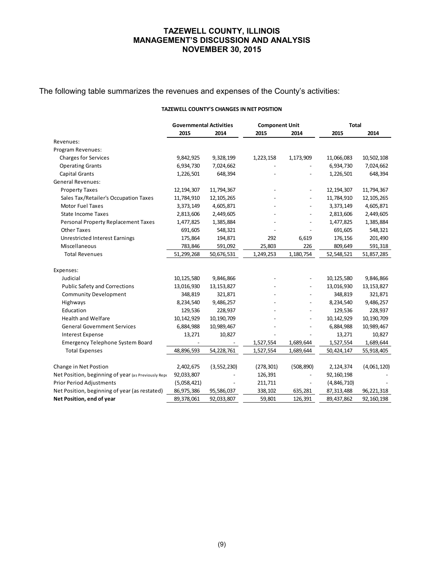# The following table summarizes the revenues and expenses of the County's activities:

#### **TAZEWELL COUNTY'S CHANGES IN NET POSITION**

|                                                     | <b>Governmental Activities</b> |               |                | <b>Component Unit</b> |              | <b>Total</b> |  |
|-----------------------------------------------------|--------------------------------|---------------|----------------|-----------------------|--------------|--------------|--|
|                                                     | 2015                           | 2014          | 2015           | 2014                  | 2015         | 2014         |  |
| Revenues:                                           |                                |               |                |                       |              |              |  |
| Program Revenues:                                   |                                |               |                |                       |              |              |  |
| <b>Charges for Services</b>                         | 9,842,925                      | 9,328,199     | 1,223,158      | 1,173,909             | 11,066,083   | 10,502,108   |  |
| <b>Operating Grants</b>                             | 6,934,730                      | 7,024,662     | $\overline{a}$ |                       | 6,934,730    | 7,024,662    |  |
| Capital Grants                                      | 1,226,501                      | 648,394       |                |                       | 1,226,501    | 648,394      |  |
| <b>General Revenues:</b>                            |                                |               |                |                       |              |              |  |
| <b>Property Taxes</b>                               | 12, 194, 307                   | 11,794,367    |                |                       | 12, 194, 307 | 11,794,367   |  |
| Sales Tax/Retailer's Occupation Taxes               | 11,784,910                     | 12, 105, 265  |                |                       | 11,784,910   | 12, 105, 265 |  |
| <b>Motor Fuel Taxes</b>                             | 3,373,149                      | 4,605,871     |                |                       | 3,373,149    | 4,605,871    |  |
| <b>State Income Taxes</b>                           | 2,813,606                      | 2,449,605     |                |                       | 2,813,606    | 2,449,605    |  |
| Personal Property Replacement Taxes                 | 1,477,825                      | 1,385,884     |                |                       | 1,477,825    | 1,385,884    |  |
| <b>Other Taxes</b>                                  | 691,605                        | 548,321       |                |                       | 691,605      | 548,321      |  |
| <b>Unrestricted Interest Earnings</b>               | 175,864                        | 194,871       | 292            | 6,619                 | 176,156      | 201,490      |  |
| Miscellaneous                                       | 783,846                        | 591,092       | 25,803         | 226                   | 809,649      | 591,318      |  |
| <b>Total Revenues</b>                               | 51,299,268                     | 50,676,531    | 1,249,253      | 1,180,754             | 52,548,521   | 51,857,285   |  |
| Expenses:                                           |                                |               |                |                       |              |              |  |
| Judicial                                            | 10,125,580                     | 9,846,866     |                |                       | 10,125,580   | 9,846,866    |  |
| <b>Public Safety and Corrections</b>                | 13,016,930                     | 13, 153, 827  |                |                       | 13,016,930   | 13, 153, 827 |  |
| <b>Community Development</b>                        | 348,819                        | 321,871       |                |                       | 348,819      | 321,871      |  |
| Highways                                            | 8,234,540                      | 9,486,257     |                |                       | 8,234,540    | 9,486,257    |  |
| Education                                           | 129,536                        | 228,937       |                |                       | 129,536      | 228,937      |  |
| <b>Health and Welfare</b>                           | 10,142,929                     | 10,190,709    |                |                       | 10,142,929   | 10,190,709   |  |
| <b>General Government Services</b>                  | 6,884,988                      | 10,989,467    |                |                       | 6,884,988    | 10,989,467   |  |
| <b>Interest Expense</b>                             | 13,271                         | 10,827        |                |                       | 13,271       | 10,827       |  |
| <b>Emergency Telephone System Board</b>             |                                |               | 1,527,554      | 1,689,644             | 1,527,554    | 1,689,644    |  |
| <b>Total Expenses</b>                               | 48,896,593                     | 54,228,761    | 1,527,554      | 1,689,644             | 50,424,147   | 55,918,405   |  |
| Change in Net Postion                               | 2,402,675                      | (3, 552, 230) | (278, 301)     | (508, 890)            | 2,124,374    | (4,061,120)  |  |
| Net Position, beginning of year (as Previously Repo | 92,033,807                     |               | 126,391        |                       | 92,160,198   |              |  |
| <b>Prior Period Adjustments</b>                     | (5,058,421)                    |               | 211,711        | $\overline{a}$        | (4,846,710)  |              |  |
| Net Position, beginning of year (as restated)       | 86,975,386                     | 95,586,037    | 338,102        | 635,281               | 87,313,488   | 96,221,318   |  |
| Net Position, end of year                           | 89,378,061                     | 92,033,807    | 59,801         | 126,391               | 89,437,862   | 92, 160, 198 |  |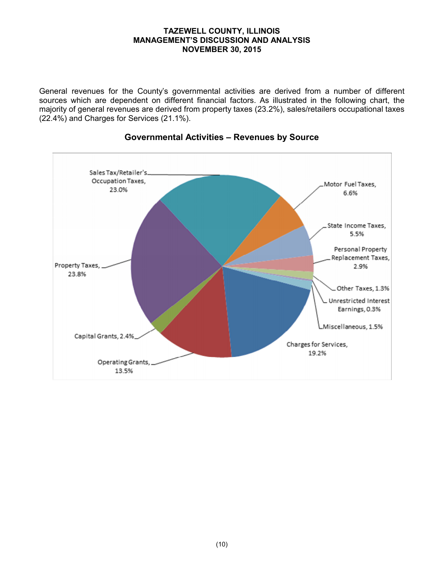General revenues for the County's governmental activities are derived from a number of different sources which are dependent on different financial factors. As illustrated in the following chart, the majority of general revenues are derived from property taxes (23.2%), sales/retailers occupational taxes (22.4%) and Charges for Services (21.1%).



# **Governmental Activities – Revenues by Source**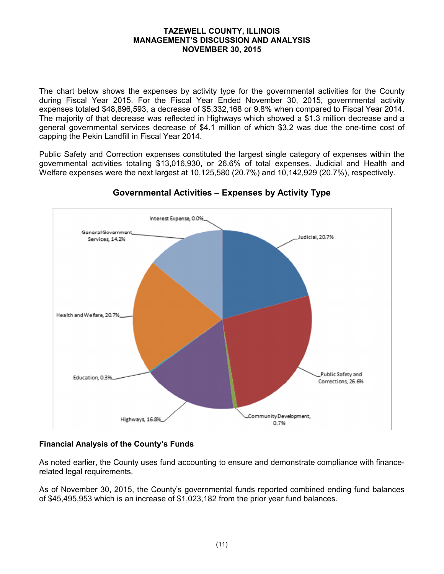The chart below shows the expenses by activity type for the governmental activities for the County during Fiscal Year 2015. For the Fiscal Year Ended November 30, 2015, governmental activity expenses totaled \$48,896,593, a decrease of \$5,332,168 or 9.8% when compared to Fiscal Year 2014. The majority of that decrease was reflected in Highways which showed a \$1.3 million decrease and a general governmental services decrease of \$4.1 million of which \$3.2 was due the one-time cost of capping the Pekin Landfill in Fiscal Year 2014.

Public Safety and Correction expenses constituted the largest single category of expenses within the governmental activities totaling \$13,016,930, or 26.6% of total expenses. Judicial and Health and Welfare expenses were the next largest at 10,125,580 (20.7%) and 10,142,929 (20.7%), respectively.



# **Governmental Activities – Expenses by Activity Type**

# **Financial Analysis of the County's Funds**

As noted earlier, the County uses fund accounting to ensure and demonstrate compliance with financerelated legal requirements.

As of November 30, 2015, the County's governmental funds reported combined ending fund balances of \$45,495,953 which is an increase of \$1,023,182 from the prior year fund balances.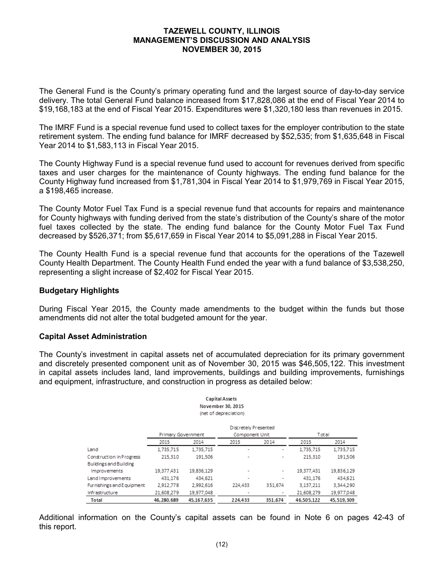The General Fund is the County's primary operating fund and the largest source of day-to-day service delivery. The total General Fund balance increased from \$17,828,086 at the end of Fiscal Year 2014 to \$19,168,183 at the end of Fiscal Year 2015. Expenditures were \$1,320,180 less than revenues in 2015.

The IMRF Fund is a special revenue fund used to collect taxes for the employer contribution to the state retirement system. The ending fund balance for IMRF decreased by \$52,535; from \$1,635,648 in Fiscal Year 2014 to \$1,583,113 in Fiscal Year 2015.

The County Highway Fund is a special revenue fund used to account for revenues derived from specific taxes and user charges for the maintenance of County highways. The ending fund balance for the County Highway fund increased from \$1,781,304 in Fiscal Year 2014 to \$1,979,769 in Fiscal Year 2015, a \$198,465 increase.

The County Motor Fuel Tax Fund is a special revenue fund that accounts for repairs and maintenance for County highways with funding derived from the state's distribution of the County's share of the motor fuel taxes collected by the state. The ending fund balance for the County Motor Fuel Tax Fund decreased by \$526,371; from \$5,617,659 in Fiscal Year 2014 to \$5,091,288 in Fiscal Year 2015.

The County Health Fund is a special revenue fund that accounts for the operations of the Tazewell County Health Department. The County Health Fund ended the year with a fund balance of \$3,538,250, representing a slight increase of \$2,402 for Fiscal Year 2015.

## **Budgetary Highlights**

During Fiscal Year 2015, the County made amendments to the budget within the funds but those amendments did not alter the total budgeted amount for the year.

#### **Capital Asset Administration**

The County's investment in capital assets net of accumulated depreciation for its primary government and discretely presented component unit as of November 30, 2015 was \$46,505,122. This investment in capital assets includes land, land improvements, buildings and building improvements, furnishings and equipment, infrastructure, and construction in progress as detailed below:

|                                                    |                    |            | <b>Capital Assets</b><br>November 30, 2015<br>(net of depreciation) |         |            |            |
|----------------------------------------------------|--------------------|------------|---------------------------------------------------------------------|---------|------------|------------|
|                                                    | Primary Government |            | Discretely Presented<br>Component Unit                              |         | Total      |            |
|                                                    | 2015               | 2014       | 2015                                                                | 2014    | 2015       | 2014       |
| Land                                               | 1,735,715          | 1,735,715  | ۰                                                                   | ۰       | 1,735,715  | 1,735,715  |
| Construction in Progress<br>Buildings and Building | 215,310            | 191,506    | ۰                                                                   | ۰       | 215.310    | 191,506    |
| Improvements                                       | 19,377,431         | 19,836,129 | ۰                                                                   | ۰       | 19,377,431 | 19,836,129 |
| Land Improvements                                  | 431,176            | 434,621    | ۰                                                                   |         | 431,176    | 434,621    |
| Fur nishings and E quipment i                      | 2,912,778          | 2,992,616  | 224,433                                                             | 351.674 | 3,137,211  | 3,344,290  |
| <b>Infrastructure</b>                              | 21,608,279         | 19.977.048 | ۰                                                                   | ۰       | 21.608.279 | 19.977.048 |
| Total                                              | 46.280.689         | 45.167.635 | 224,433                                                             | 351.674 | 46,505,122 | 45,519,309 |

Additional information on the County's capital assets can be found in Note 6 on pages 42-43 of this report.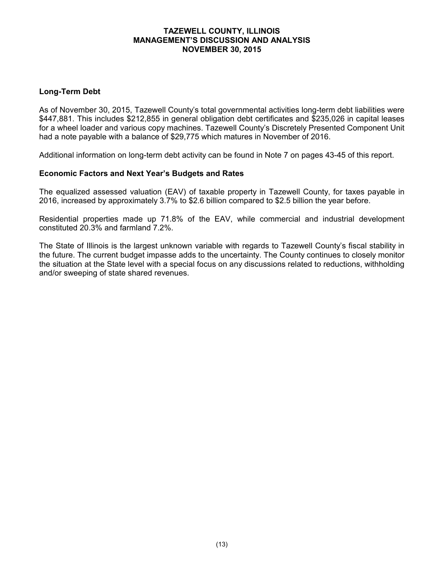## **Long-Term Debt**

As of November 30, 2015, Tazewell County's total governmental activities long-term debt liabilities were \$447,881. This includes \$212,855 in general obligation debt certificates and \$235,026 in capital leases for a wheel loader and various copy machines. Tazewell County's Discretely Presented Component Unit had a note payable with a balance of \$29,775 which matures in November of 2016.

Additional information on long-term debt activity can be found in Note 7 on pages 43-45 of this report.

#### **Economic Factors and Next Year's Budgets and Rates**

The equalized assessed valuation (EAV) of taxable property in Tazewell County, for taxes payable in 2016, increased by approximately 3.7% to \$2.6 billion compared to \$2.5 billion the year before.

Residential properties made up 71.8% of the EAV, while commercial and industrial development constituted 20.3% and farmland 7.2%.

The State of Illinois is the largest unknown variable with regards to Tazewell County's fiscal stability in the future. The current budget impasse adds to the uncertainty. The County continues to closely monitor the situation at the State level with a special focus on any discussions related to reductions, withholding and/or sweeping of state shared revenues.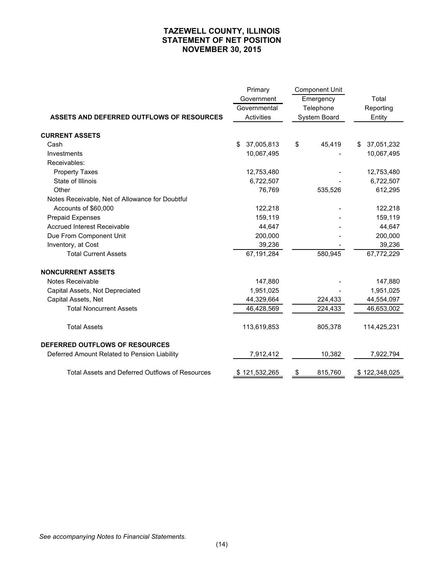# **TAZEWELL COUNTY, ILLINOIS STATEMENT OF NET POSITION NOVEMBER 30, 2015**

|                                                        | Primary          | <b>Component Unit</b> |                    |  |
|--------------------------------------------------------|------------------|-----------------------|--------------------|--|
|                                                        | Government       | Emergency             | Total<br>Reporting |  |
|                                                        | Governmental     | Telephone             |                    |  |
| ASSETS AND DEFERRED OUTFLOWS OF RESOURCES              | Activities       | System Board          | Entity             |  |
| <b>CURRENT ASSETS</b>                                  |                  |                       |                    |  |
| Cash                                                   | 37,005,813<br>\$ | \$<br>45,419          | 37,051,232<br>\$   |  |
| Investments                                            | 10,067,495       |                       | 10,067,495         |  |
| Receivables:                                           |                  |                       |                    |  |
| <b>Property Taxes</b>                                  | 12,753,480       |                       | 12,753,480         |  |
| State of Illinois                                      | 6,722,507        |                       | 6,722,507          |  |
| Other                                                  | 76,769           | 535,526               | 612,295            |  |
| Notes Receivable, Net of Allowance for Doubtful        |                  |                       |                    |  |
| Accounts of \$60,000                                   | 122,218          |                       | 122,218            |  |
| <b>Prepaid Expenses</b>                                | 159,119          |                       | 159,119            |  |
| <b>Accrued Interest Receivable</b>                     | 44,647           |                       | 44,647             |  |
| Due From Component Unit                                | 200,000          |                       | 200,000            |  |
| Inventory, at Cost                                     | 39,236           |                       | 39,236             |  |
| <b>Total Current Assets</b>                            | 67,191,284       | 580,945               | 67,772,229         |  |
| <b>NONCURRENT ASSETS</b>                               |                  |                       |                    |  |
| Notes Receivable                                       | 147,880          |                       | 147,880            |  |
| Capital Assets, Not Depreciated                        | 1,951,025        |                       | 1,951,025          |  |
| Capital Assets, Net                                    | 44,329,664       | 224,433               | 44,554,097         |  |
| <b>Total Noncurrent Assets</b>                         | 46,428,569       | 224,433               | 46,653,002         |  |
| <b>Total Assets</b>                                    | 113,619,853      | 805,378               | 114,425,231        |  |
| <b>DEFERRED OUTFLOWS OF RESOURCES</b>                  |                  |                       |                    |  |
| Deferred Amount Related to Pension Liability           | 7,912,412        | 10,382                | 7,922,794          |  |
| <b>Total Assets and Deferred Outflows of Resources</b> | \$121,532,265    | 815,760<br>\$         | \$122,348,025      |  |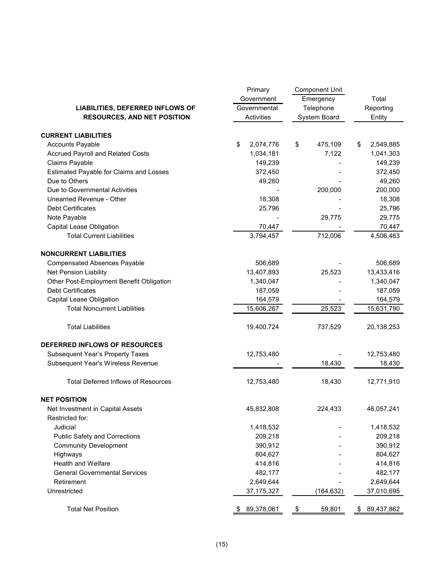|                                            | Primary          | <b>Component Unit</b> |                    |  |
|--------------------------------------------|------------------|-----------------------|--------------------|--|
|                                            | Government       | Emergency             | Total<br>Reporting |  |
| LIABILITIES, DEFERRED INFLOWS OF           | Governmental     | Telephone             |                    |  |
| <b>RESOURCES, AND NET POSITION</b>         | Activities       | System Board          | Entity             |  |
|                                            |                  |                       |                    |  |
| <b>CURRENT LIABILITIES</b>                 |                  |                       |                    |  |
| <b>Accounts Payable</b>                    | \$<br>2,074,776  | \$<br>475,109         | 2,549,885<br>\$    |  |
| Accrued Payroll and Related Costs          | 1,034,181        | 7,122                 | 1,041,303          |  |
| Claims Payable                             | 149,239          |                       | 149,239            |  |
| Estimated Payable for Claims and Losses    | 372,450          |                       | 372,450            |  |
| Due to Others                              | 49,260           |                       | 49,260             |  |
| Due to Governmental Activities             |                  | 200,000               | 200,000            |  |
| Unearned Revenue - Other                   | 18,308           |                       | 18,308             |  |
| <b>Debt Certificates</b>                   | 25,796           |                       | 25,796             |  |
| Note Payable                               |                  | 29,775                | 29,775             |  |
| Capital Lease Obligation                   | 70,447           |                       | 70,447             |  |
| <b>Total Current Liabilities</b>           | 3,794,457        | 712,006               | 4,506,463          |  |
|                                            |                  |                       |                    |  |
| <b>NONCURRENT LIABILITIES</b>              |                  |                       |                    |  |
| <b>Compensated Absences Payable</b>        | 506,689          |                       | 506,689            |  |
| Net Pension Liability                      | 13,407,893       | 25,523                | 13,433,416         |  |
| Other Post-Employment Benefit Obligation   | 1,340,047        |                       | 1,340,047          |  |
| <b>Debt Certificates</b>                   | 187,059          |                       | 187,059            |  |
| Capital Lease Obligation                   | 164,579          |                       | 164,579            |  |
| <b>Total Noncurrent Liabilities</b>        | 15,606,267       | 25,523                | 15,631,790         |  |
| <b>Total Liabilities</b>                   | 19,400,724       | 737,529               | 20,138,253         |  |
| DEFERRED INFLOWS OF RESOURCES              |                  |                       |                    |  |
| Subsequent Year's Property Taxes           | 12,753,480       |                       | 12,753,480         |  |
| Subsequent Year's Wireless Revenue         |                  | 18,430                | 18,430             |  |
| <b>Total Deferred Inflows of Resources</b> | 12,753,480       | 18,430                | 12,771,910         |  |
| <b>NET POSITION</b>                        |                  |                       |                    |  |
| Net Investment in Capital Assets           | 45,832,808       | 224,433               | 46,057,241         |  |
| Restricted for:                            |                  |                       |                    |  |
| Judicial                                   | 1,418,532        |                       | 1,418,532          |  |
| <b>Public Safety and Corrections</b>       | 209,218          |                       | 209,218            |  |
| <b>Community Development</b>               | 390,912          |                       | 390,912            |  |
|                                            |                  |                       |                    |  |
| Highways                                   | 804,627          |                       | 804,627            |  |
| <b>Health and Welfare</b>                  | 414,816          |                       | 414,816            |  |
| <b>General Governmental Services</b>       | 482,177          |                       | 482,177            |  |
| Retirement                                 | 2,649,644        |                       | 2,649,644          |  |
| Unrestricted                               | 37, 175, 327     | (164, 632)            | 37,010,695         |  |
| <b>Total Net Position</b>                  | 89,378,061<br>S. | \$<br>59,801          | \$ 89,437,862      |  |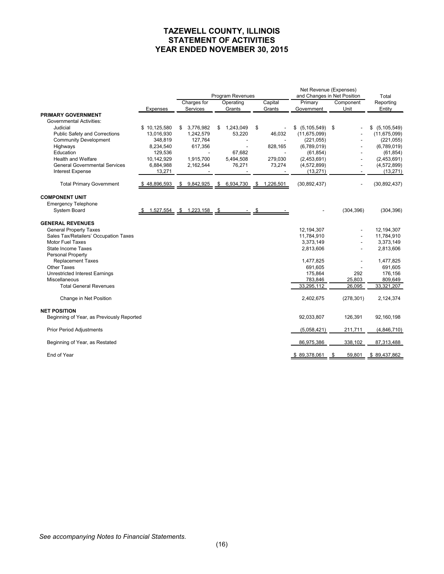# **TAZEWELL COUNTY, ILLINOIS STATEMENT OF ACTIVITIES YEAR ENDED NOVEMBER 30, 2015**

|                                                               |                       | Program Revenues             |                             | Net Revenue (Expenses)<br>and Changes in Net Position |                              | Total                           |                              |
|---------------------------------------------------------------|-----------------------|------------------------------|-----------------------------|-------------------------------------------------------|------------------------------|---------------------------------|------------------------------|
|                                                               |                       | Charges for                  | Operating                   | Capital                                               | Primary                      | Component                       | Reporting                    |
| <b>PRIMARY GOVERNMENT</b><br><b>Governmental Activities:</b>  | Expenses              | Services                     | Grants                      | Grants                                                | Government                   | Unit                            | Entity                       |
| Judicial                                                      | \$10,125,580          | 3,776,982<br>\$              | 1,243,049<br>\$             | \$                                                    | \$ (5,105,549) \$            |                                 | \$ (5, 105, 549)             |
| Public Safety and Corrections<br><b>Community Development</b> | 13,016,930<br>348,819 | 1,242,579<br>127,764         | 53,220                      | 46,032                                                | (11, 675, 099)<br>(221, 055) |                                 | (11, 675, 099)<br>(221, 055) |
| Highways                                                      | 8,234,540             | 617,356                      |                             | 828,165                                               | (6,789,019)                  |                                 | (6,789,019)                  |
| Education                                                     | 129,536               |                              | 67,682                      |                                                       | (61, 854)                    |                                 | (61, 854)                    |
| Health and Welfare                                            | 10,142,929            | 1,915,700                    | 5,494,508                   | 279,030                                               | (2,453,691)                  |                                 | (2,453,691)                  |
| <b>General Governmental Services</b>                          | 6,884,988             | 2,162,544                    | 76,271                      | 73,274                                                | (4,572,899)                  |                                 | (4, 572, 899)                |
| <b>Interest Expense</b>                                       | 13,271                |                              |                             |                                                       | (13, 271)                    |                                 | (13, 271)                    |
| <b>Total Primary Government</b>                               | \$48,896,593          | 9,842,925<br>SS.             | 6,934,730<br>$\mathfrak{F}$ | 1,226,501<br>S.                                       | (30, 892, 437)               |                                 | (30, 892, 437)               |
| <b>COMPONENT UNIT</b>                                         |                       |                              |                             |                                                       |                              |                                 |                              |
| <b>Emergency Telephone</b>                                    |                       |                              |                             |                                                       |                              |                                 |                              |
| System Board                                                  |                       | \$ 1,527,554 \$ 1,223,158 \$ |                             | $-$ \$                                                |                              | (304, 396)                      | (304, 396)                   |
| <b>GENERAL REVENUES</b>                                       |                       |                              |                             |                                                       |                              |                                 |                              |
| <b>General Property Taxes</b>                                 |                       |                              |                             |                                                       | 12,194,307                   |                                 | 12.194.307                   |
| Sales Tax/Retailers' Occupation Taxes                         |                       |                              |                             |                                                       | 11,784,910                   |                                 | 11,784,910                   |
| <b>Motor Fuel Taxes</b>                                       |                       |                              |                             |                                                       | 3,373,149                    |                                 | 3,373,149                    |
| State Income Taxes                                            |                       |                              |                             |                                                       | 2,813,606                    |                                 | 2,813,606                    |
| Personal Property<br><b>Replacement Taxes</b>                 |                       |                              |                             |                                                       | 1,477,825                    |                                 | 1,477,825                    |
| <b>Other Taxes</b>                                            |                       |                              |                             |                                                       | 691,605                      |                                 | 691,605                      |
| <b>Unrestricted Interest Earnings</b>                         |                       |                              |                             |                                                       | 175,864                      | 292                             | 176,156                      |
| Miscellaneous                                                 |                       |                              |                             |                                                       | 783,846                      | 25,803                          | 809,649                      |
| <b>Total General Revenues</b>                                 |                       |                              |                             |                                                       | 33,295,112                   | 26,095                          | 33,321,207                   |
| Change in Net Position                                        |                       |                              |                             |                                                       | 2,402,675                    | (278, 301)                      | 2,124,374                    |
| <b>NET POSITION</b>                                           |                       |                              |                             |                                                       |                              |                                 |                              |
| Beginning of Year, as Previously Reported                     |                       |                              |                             |                                                       | 92,033,807                   | 126,391                         | 92,160,198                   |
| <b>Prior Period Adjustments</b>                               |                       |                              |                             |                                                       | (5,058,421)                  | 211,711                         | (4,846,710)                  |
| Beginning of Year, as Restated                                |                       |                              |                             |                                                       | 86,975,386                   | 338,102                         | 87,313,488                   |
| End of Year                                                   |                       |                              |                             |                                                       | \$89,378,061                 | $\frac{\mathsf{s}}{\mathsf{z}}$ | 59,801 \$89,437,862          |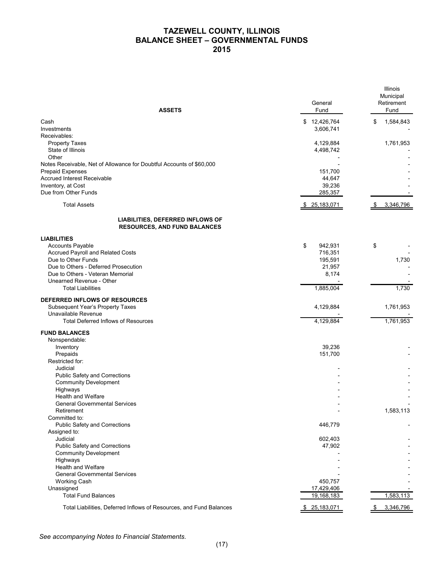# **TAZEWELL COUNTY, ILLINOIS BALANCE SHEET – GOVERNMENTAL FUNDS 2015**

| <b>ASSETS</b>                                                                  | General<br>Fund | Illinois<br>Municipal<br>Retirement<br>Fund |
|--------------------------------------------------------------------------------|-----------------|---------------------------------------------|
| Cash                                                                           | \$12,426,764    |                                             |
|                                                                                |                 | \$<br>1,584,843                             |
| Investments<br>Receivables:                                                    | 3,606,741       |                                             |
|                                                                                |                 |                                             |
| <b>Property Taxes</b>                                                          | 4,129,884       | 1,761,953                                   |
| State of Illinois                                                              | 4,498,742       |                                             |
| Other                                                                          |                 |                                             |
| Notes Receivable, Net of Allowance for Doubtful Accounts of \$60,000           |                 |                                             |
| <b>Prepaid Expenses</b>                                                        | 151.700         |                                             |
| <b>Accrued Interest Receivable</b>                                             | 44,647          |                                             |
| Inventory, at Cost                                                             | 39,236          |                                             |
| Due from Other Funds                                                           | 285,357         |                                             |
| <b>Total Assets</b>                                                            | \$25,183,071    | 3,346,796                                   |
| <b>LIABILITIES, DEFERRED INFLOWS OF</b><br><b>RESOURCES, AND FUND BALANCES</b> |                 |                                             |
| <b>LIABILITIES</b>                                                             |                 |                                             |
| <b>Accounts Payable</b>                                                        | \$<br>942,931   | \$                                          |
| Accrued Payroll and Related Costs                                              | 716,351         |                                             |
| Due to Other Funds                                                             | 195,591         | 1,730                                       |
| Due to Others - Deferred Prosecution                                           | 21,957          |                                             |
| Due to Others - Veteran Memorial                                               | 8,174           |                                             |
| Unearned Revenue - Other                                                       |                 |                                             |
| <b>Total Liabilities</b>                                                       | 1,885,004       | 1,730                                       |
| DEFERRED INFLOWS OF RESOURCES                                                  |                 |                                             |
| Subsequent Year's Property Taxes                                               | 4,129,884       | 1,761,953                                   |
| Unavailable Revenue                                                            |                 |                                             |
| <b>Total Deferred Inflows of Resources</b>                                     | 4,129,884       | 1,761,953                                   |
| <b>FUND BALANCES</b>                                                           |                 |                                             |
|                                                                                |                 |                                             |
| Nonspendable:                                                                  |                 |                                             |
| Inventory                                                                      | 39,236          |                                             |
| Prepaids                                                                       | 151,700         |                                             |
| Restricted for:                                                                |                 |                                             |
| Judicial                                                                       |                 |                                             |
| Public Safety and Corrections                                                  |                 |                                             |
| <b>Community Development</b>                                                   |                 |                                             |
| Highways                                                                       |                 |                                             |
| <b>Health and Welfare</b>                                                      |                 |                                             |
| <b>General Governmental Services</b>                                           |                 |                                             |
| Retirement                                                                     |                 | 1,583,113                                   |
| Committed to:                                                                  |                 |                                             |
| <b>Public Safety and Corrections</b>                                           | 446,779         |                                             |
| Assigned to:                                                                   |                 |                                             |
| Judicial                                                                       | 602,403         |                                             |
| <b>Public Safety and Corrections</b>                                           | 47,902          |                                             |
| <b>Community Development</b>                                                   |                 |                                             |
| Highways                                                                       |                 |                                             |
| Health and Welfare                                                             |                 |                                             |
| <b>General Governmental Services</b>                                           |                 |                                             |
| <b>Working Cash</b>                                                            | 450,757         |                                             |
| Unassigned                                                                     | 17,429,406      |                                             |
| <b>Total Fund Balances</b>                                                     | 19,168,183      | 1,583,113                                   |
|                                                                                |                 |                                             |
| Total Liabilities, Deferred Inflows of Resources, and Fund Balances            | \$25,183,071    | 3,346,796<br>\$                             |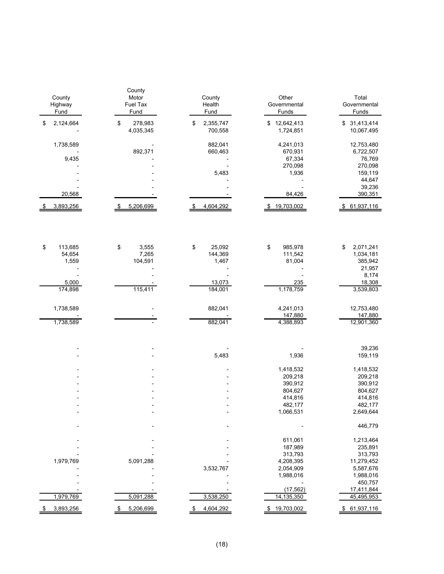| County<br>Highway<br>Fund | County<br>Motor<br>Fuel Tax<br>Fund | County<br>Health<br>Fund   | Other<br>Governmental<br>Funds | Total<br>Governmental<br>Funds |
|---------------------------|-------------------------------------|----------------------------|--------------------------------|--------------------------------|
| \$<br>2,124,664           | 278,983<br>\$<br>4,035,345          | 2,355,747<br>\$<br>700,558 | \$12,642,413<br>1,724,851      | \$31,413,414<br>10,067,495     |
| 1,738,589                 |                                     | 882,041                    | 4,241,013                      | 12,753,480                     |
|                           | 892,371                             | 660,463                    | 670,931                        | 6,722,507                      |
| 9,435                     |                                     |                            | 67,334                         | 76,769                         |
|                           |                                     |                            | 270,098                        | 270,098                        |
|                           |                                     | 5,483                      | 1,936                          | 159,119<br>44,647              |
|                           |                                     |                            |                                | 39,236                         |
| 20,568                    |                                     |                            | 84,426                         | 390,351                        |
| 3,893,256<br>\$           | 5,206,699<br>\$                     | 4,604,292<br>\$            | \$19,703,002                   | \$61,937,116                   |
|                           |                                     |                            |                                |                                |
| \$<br>113,685             | \$<br>3,555                         | \$<br>25,092               | \$<br>985,978                  | \$<br>2,071,241                |
| 54,654                    | 7,265                               | 144,369                    | 111,542                        | 1,034,181                      |
| 1,559                     | 104,591                             | 1,467                      | 81,004                         | 385,942                        |
|                           |                                     |                            |                                | 21,957                         |
|                           |                                     |                            |                                | 8,174                          |
| 5,000                     |                                     | 13,073                     | 235                            | 18,308                         |
| 174,898                   | 115,411                             | 184,001                    | 1,178,759                      | 3,539,803                      |
| 1,738,589                 |                                     | 882,041                    | 4,241,013                      | 12,753,480                     |
|                           |                                     |                            | 147,880                        | 147,880                        |
| 1,738,589                 |                                     | 882,041                    | 4,388,893                      | 12,901,360                     |
|                           |                                     |                            |                                |                                |
|                           |                                     |                            |                                | 39,236                         |
|                           |                                     | 5,483                      | 1,936                          | 159,119                        |
|                           |                                     |                            | 1,418,532                      | 1,418,532                      |
|                           |                                     |                            | 209,218                        | 209,218                        |
|                           |                                     |                            | 390,912                        | 390,912                        |
|                           |                                     |                            | 804,627                        | 804,627                        |
|                           |                                     |                            | 414,816                        | 414,816                        |
|                           |                                     |                            | 482,177                        | 482,177                        |
|                           |                                     |                            | 1,066,531                      | 2,649,644                      |
|                           |                                     |                            |                                | 446,779                        |
|                           |                                     |                            | 611,061                        | 1,213,464                      |
|                           |                                     |                            | 187,989                        | 235,891                        |
|                           |                                     |                            | 313,793                        | 313,793                        |
| 1,979,769                 | 5,091,288                           |                            | 4,208,395                      | 11,279,452                     |
|                           |                                     | 3,532,767                  | 2,054,909                      | 5,587,676                      |
|                           |                                     |                            | 1,988,016                      | 1,988,016<br>450,757           |
|                           |                                     |                            | (17, 562)                      | 17,411,844                     |
| 1,979,769                 | 5,091,288                           | 3,538,250                  | 14,135,350                     | 45,495,953                     |
| 3,893,256<br>\$           | 5,206,699<br>\$                     | 4,604,292<br>\$            | \$19,703,002                   | \$61,937,116                   |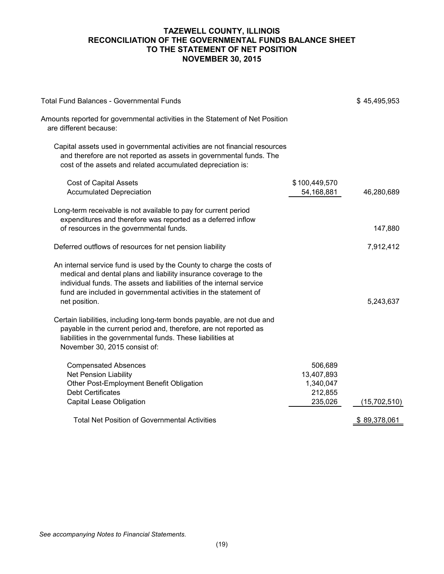# **TAZEWELL COUNTY, ILLINOIS RECONCILIATION OF THE GOVERNMENTAL FUNDS BALANCE SHEET TO THE STATEMENT OF NET POSITION NOVEMBER 30, 2015**

| <b>Total Fund Balances - Governmental Funds</b>                                                                                                                                                                                                                                                        |                                                          | \$45,495,953 |
|--------------------------------------------------------------------------------------------------------------------------------------------------------------------------------------------------------------------------------------------------------------------------------------------------------|----------------------------------------------------------|--------------|
| Amounts reported for governmental activities in the Statement of Net Position<br>are different because:                                                                                                                                                                                                |                                                          |              |
| Capital assets used in governmental activities are not financial resources<br>and therefore are not reported as assets in governmental funds. The<br>cost of the assets and related accumulated depreciation is:                                                                                       |                                                          |              |
| <b>Cost of Capital Assets</b><br><b>Accumulated Depreciation</b>                                                                                                                                                                                                                                       | \$100,449,570<br>54,168,881                              | 46,280,689   |
| Long-term receivable is not available to pay for current period<br>expenditures and therefore was reported as a deferred inflow<br>of resources in the governmental funds.                                                                                                                             |                                                          | 147,880      |
| Deferred outflows of resources for net pension liability                                                                                                                                                                                                                                               |                                                          | 7,912,412    |
| An internal service fund is used by the County to charge the costs of<br>medical and dental plans and liability insurance coverage to the<br>individual funds. The assets and liabilities of the internal service<br>fund are included in governmental activities in the statement of<br>net position. |                                                          | 5,243,637    |
| Certain liabilities, including long-term bonds payable, are not due and<br>payable in the current period and, therefore, are not reported as<br>liabilities in the governmental funds. These liabilities at<br>November 30, 2015 consist of:                                                           |                                                          |              |
| <b>Compensated Absences</b><br><b>Net Pension Liability</b><br>Other Post-Employment Benefit Obligation<br><b>Debt Certificates</b><br><b>Capital Lease Obligation</b>                                                                                                                                 | 506,689<br>13,407,893<br>1,340,047<br>212,855<br>235,026 | (15,702,510) |
| <b>Total Net Position of Governmental Activities</b>                                                                                                                                                                                                                                                   |                                                          | \$89,378,061 |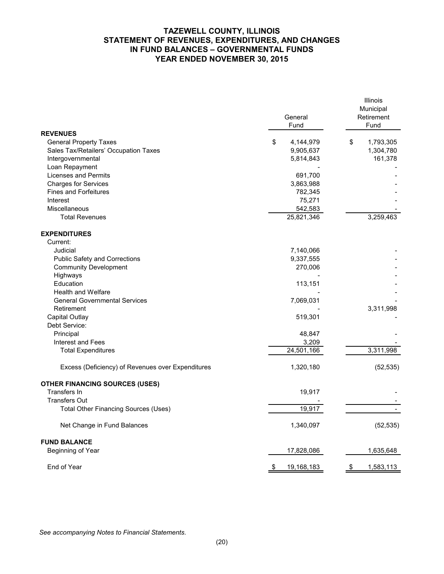# **TAZEWELL COUNTY, ILLINOIS STATEMENT OF REVENUES, EXPENDITURES, AND CHANGES IN FUND BALANCES – GOVERNMENTAL FUNDS YEAR ENDED NOVEMBER 30, 2015**

|                                                   | General<br>Fund        | Illinois<br>Municipal<br>Retirement<br>Fund |
|---------------------------------------------------|------------------------|---------------------------------------------|
| <b>REVENUES</b><br><b>General Property Taxes</b>  | \$                     | \$<br>1,793,305                             |
| Sales Tax/Retailers' Occupation Taxes             | 4,144,979<br>9,905,637 | 1,304,780                                   |
| Intergovernmental                                 | 5,814,843              | 161,378                                     |
| Loan Repayment                                    |                        |                                             |
| <b>Licenses and Permits</b>                       | 691,700                |                                             |
| <b>Charges for Services</b>                       | 3,863,988              |                                             |
| <b>Fines and Forfeitures</b>                      | 782,345                |                                             |
| Interest                                          | 75,271                 |                                             |
| Miscellaneous                                     | 542,583                |                                             |
| <b>Total Revenues</b>                             | 25,821,346             | 3,259,463                                   |
| <b>EXPENDITURES</b>                               |                        |                                             |
| Current:                                          |                        |                                             |
| Judicial                                          | 7,140,066              |                                             |
| <b>Public Safety and Corrections</b>              | 9,337,555              |                                             |
| <b>Community Development</b>                      | 270,006                |                                             |
| Highways                                          |                        |                                             |
| Education                                         | 113,151                |                                             |
| <b>Health and Welfare</b>                         |                        |                                             |
| <b>General Governmental Services</b>              | 7,069,031              |                                             |
| Retirement                                        |                        | 3,311,998                                   |
| Capital Outlay                                    | 519,301                |                                             |
| Debt Service:                                     |                        |                                             |
| Principal                                         | 48,847                 |                                             |
| Interest and Fees                                 | 3,209                  |                                             |
| <b>Total Expenditures</b>                         | 24,501,166             | 3,311,998                                   |
| Excess (Deficiency) of Revenues over Expenditures | 1,320,180              | (52, 535)                                   |
| <b>OTHER FINANCING SOURCES (USES)</b>             |                        |                                             |
| <b>Transfers In</b>                               | 19,917                 |                                             |
| <b>Transfers Out</b>                              |                        |                                             |
| <b>Total Other Financing Sources (Uses)</b>       | 19,917                 |                                             |
| Net Change in Fund Balances                       | 1,340,097              | (52, 535)                                   |
| <b>FUND BALANCE</b>                               |                        |                                             |
| Beginning of Year                                 | 17,828,086             | 1,635,648                                   |
| End of Year                                       | 19,168,183<br>\$       | 1,583,113<br>\$                             |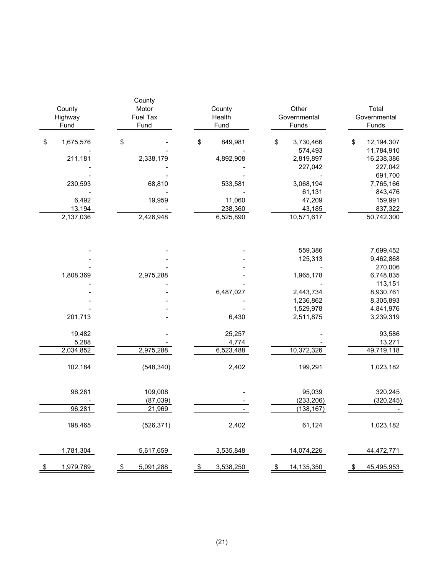| County<br>Highway<br>Fund | County<br>Motor<br>Fuel Tax<br>Fund | County<br>Health<br>Fund | Other<br>Governmental<br>Funds | Total<br>Governmental<br>Funds |
|---------------------------|-------------------------------------|--------------------------|--------------------------------|--------------------------------|
| \$<br>1,675,576           | \$                                  | \$<br>849,981            | \$<br>3,730,466                | \$<br>12,194,307               |
|                           |                                     |                          | 574,493                        | 11,784,910                     |
| 211,181                   | 2,338,179                           | 4,892,908                | 2,819,897                      | 16,238,386                     |
|                           |                                     |                          | 227,042                        | 227,042                        |
| 230,593                   | 68,810                              | 533,581                  | 3,068,194                      | 691,700<br>7,765,166           |
|                           |                                     |                          | 61,131                         | 843,476                        |
| 6,492                     | 19,959                              | 11,060                   | 47,209                         | 159,991                        |
| 13,194                    |                                     | 238,360                  | 43,185                         | 837,322                        |
| 2,137,036                 | 2,426,948                           | 6,525,890                | 10,571,617                     | 50,742,300                     |
|                           |                                     |                          |                                |                                |
|                           |                                     |                          | 559,386                        | 7,699,452                      |
|                           |                                     |                          | 125,313                        | 9,462,868                      |
|                           |                                     |                          |                                | 270,006                        |
| 1,808,369                 | 2,975,288                           |                          | 1,965,178                      | 6,748,835                      |
|                           |                                     |                          |                                | 113,151                        |
|                           |                                     | 6,487,027                | 2,443,734                      | 8,930,761                      |
|                           |                                     |                          | 1,236,862                      | 8,305,893                      |
|                           |                                     |                          | 1,529,978                      | 4,841,976                      |
| 201,713                   |                                     | 6,430                    | 2,511,875                      | 3,239,319                      |
| 19,482                    |                                     | 25,257                   |                                | 93,586                         |
| 5,288                     |                                     | 4,774                    |                                | 13,271                         |
| 2,034,852                 | 2,975,288                           | 6,523,488                | 10,372,326                     | 49,719,118                     |
| 102,184                   | (548, 340)                          | 2,402                    | 199,291                        | 1,023,182                      |
| 96,281                    | 109,008                             |                          | 95,039                         | 320,245                        |
|                           | (87,039)                            |                          | (233, 206)                     | (320, 245)                     |
| 96,281                    | 21,969                              |                          | (138, 167)                     |                                |
|                           |                                     |                          |                                |                                |
| 198,465                   | (526, 371)                          | 2,402                    | 61,124                         | 1,023,182                      |
| 1,781,304                 | 5,617,659                           | 3,535,848                | 14,074,226                     | 44,472,771                     |
| \$<br>1,979,769           | 5,091,288<br>\$                     | 3,538,250<br>\$          | 14,135,350<br>\$               | 45,495,953<br>\$               |
|                           |                                     |                          |                                |                                |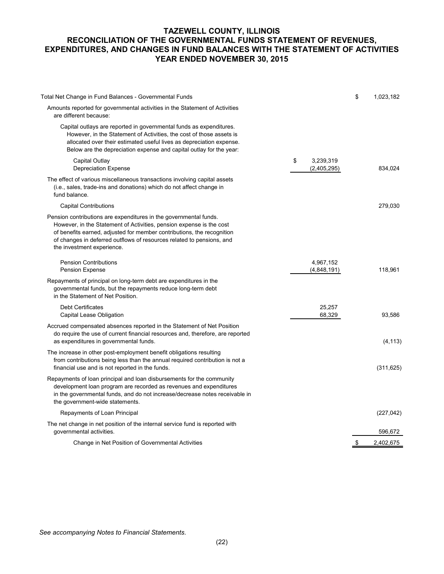## **TAZEWELL COUNTY, ILLINOIS RECONCILIATION OF THE GOVERNMENTAL FUNDS STATEMENT OF REVENUES, EXPENDITURES, AND CHANGES IN FUND BALANCES WITH THE STATEMENT OF ACTIVITIES YEAR ENDED NOVEMBER 30, 2015**

| Total Net Change in Fund Balances - Governmental Funds                                                                                                                                                                                                                                                                     |                                | \$<br>1,023,182 |
|----------------------------------------------------------------------------------------------------------------------------------------------------------------------------------------------------------------------------------------------------------------------------------------------------------------------------|--------------------------------|-----------------|
| Amounts reported for governmental activities in the Statement of Activities<br>are different because:                                                                                                                                                                                                                      |                                |                 |
| Capital outlays are reported in governmental funds as expenditures.<br>However, in the Statement of Activities, the cost of those assets is<br>allocated over their estimated useful lives as depreciation expense.<br>Below are the depreciation expense and capital outlay for the year:                                 |                                |                 |
| Capital Outlay<br><b>Depreciation Expense</b>                                                                                                                                                                                                                                                                              | \$<br>3,239,319<br>(2,405,295) | 834,024         |
| The effect of various miscellaneous transactions involving capital assets<br>(i.e., sales, trade-ins and donations) which do not affect change in<br>fund balance.                                                                                                                                                         |                                |                 |
| <b>Capital Contributions</b>                                                                                                                                                                                                                                                                                               |                                | 279,030         |
| Pension contributions are expenditures in the governmental funds.<br>However, in the Statement of Activities, pension expense is the cost<br>of benefits earned, adjusted for member contributions, the recognition<br>of changes in deferred outflows of resources related to pensions, and<br>the investment experience. |                                |                 |
| <b>Pension Contributions</b><br><b>Pension Expense</b>                                                                                                                                                                                                                                                                     | 4,967,152<br>(4,848,191)       | 118,961         |
| Repayments of principal on long-term debt are expenditures in the<br>governmental funds, but the repayments reduce long-term debt<br>in the Statement of Net Position.                                                                                                                                                     |                                |                 |
| <b>Debt Certificates</b><br>Capital Lease Obligation                                                                                                                                                                                                                                                                       | 25,257<br>68,329               | 93,586          |
| Accrued compensated absences reported in the Statement of Net Position<br>do require the use of current financial resources and, therefore, are reported<br>as expenditures in governmental funds.                                                                                                                         |                                | (4, 113)        |
| The increase in other post-employment benefit obligations resulting<br>from contributions being less than the annual required contribution is not a<br>financial use and is not reported in the funds.                                                                                                                     |                                | (311, 625)      |
| Repayments of loan principal and loan disbursements for the community<br>development loan program are recorded as revenues and expenditures<br>in the governmental funds, and do not increase/decrease notes receivable in<br>the government-wide statements.                                                              |                                |                 |
| Repayments of Loan Principal                                                                                                                                                                                                                                                                                               |                                | (227, 042)      |
| The net change in net position of the internal service fund is reported with<br>governmental activities.                                                                                                                                                                                                                   |                                | 596,672         |
| Change in Net Position of Governmental Activities                                                                                                                                                                                                                                                                          |                                | \$<br>2,402,675 |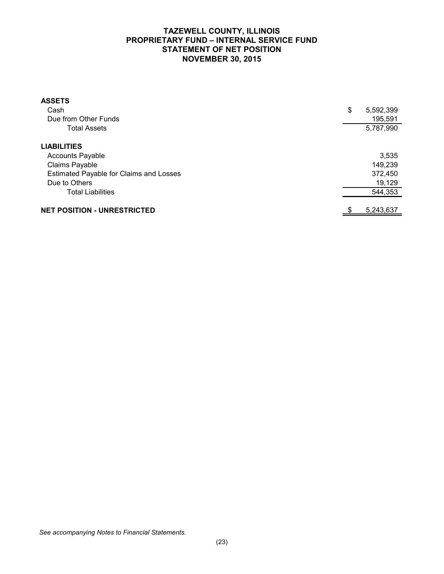# **TAZEWELL COUNTY, ILLINOIS PROPRIETARY FUND – INTERNAL SERVICE FUND STATEMENT OF NET POSITION NOVEMBER 30, 2015**

| <b>ASSETS</b>                           |                 |
|-----------------------------------------|-----------------|
| Cash                                    | \$<br>5,592,399 |
| Due from Other Funds                    | 195,591         |
| <b>Total Assets</b>                     | 5,787,990       |
| <b>LIABILITIES</b>                      |                 |
| <b>Accounts Payable</b>                 | 3,535           |
| Claims Payable                          | 149,239         |
| Estimated Payable for Claims and Losses | 372,450         |
| Due to Others                           | 19,129          |
| <b>Total Liabilities</b>                | 544,353         |
| <b>NET POSITION - UNRESTRICTED</b>      | 5,243,637       |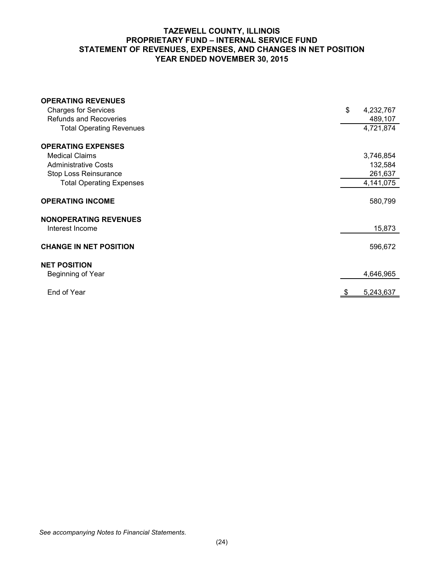## **TAZEWELL COUNTY, ILLINOIS PROPRIETARY FUND – INTERNAL SERVICE FUND STATEMENT OF REVENUES, EXPENSES, AND CHANGES IN NET POSITION YEAR ENDED NOVEMBER 30, 2015**

| <b>OPERATING REVENUES</b>       |                 |
|---------------------------------|-----------------|
| <b>Charges for Services</b>     | \$<br>4,232,767 |
| <b>Refunds and Recoveries</b>   | 489,107         |
| <b>Total Operating Revenues</b> | 4,721,874       |
| <b>OPERATING EXPENSES</b>       |                 |
| <b>Medical Claims</b>           | 3,746,854       |
| <b>Administrative Costs</b>     | 132,584         |
| Stop Loss Reinsurance           | 261,637         |
| <b>Total Operating Expenses</b> | 4,141,075       |
|                                 |                 |
| <b>OPERATING INCOME</b>         | 580,799         |
| <b>NONOPERATING REVENUES</b>    |                 |
| Interest Income                 | 15,873          |
| <b>CHANGE IN NET POSITION</b>   | 596,672         |
| <b>NET POSITION</b>             |                 |
| Beginning of Year               | 4,646,965       |
| End of Year                     | 5,243,637       |
|                                 |                 |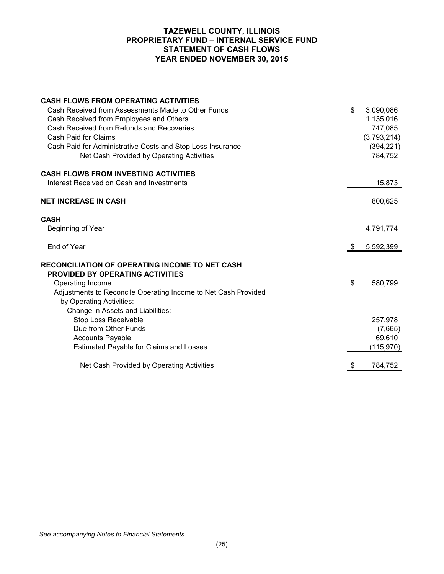## **TAZEWELL COUNTY, ILLINOIS PROPRIETARY FUND – INTERNAL SERVICE FUND STATEMENT OF CASH FLOWS YEAR ENDED NOVEMBER 30, 2015**

| <b>CASH FLOWS FROM OPERATING ACTIVITIES</b>                                                      |                 |
|--------------------------------------------------------------------------------------------------|-----------------|
| Cash Received from Assessments Made to Other Funds                                               | \$<br>3,090,086 |
| Cash Received from Employees and Others                                                          | 1,135,016       |
| Cash Received from Refunds and Recoveries                                                        | 747,085         |
| Cash Paid for Claims                                                                             | (3,793,214)     |
| Cash Paid for Administrative Costs and Stop Loss Insurance                                       | (394, 221)      |
| Net Cash Provided by Operating Activities                                                        | 784,752         |
| <b>CASH FLOWS FROM INVESTING ACTIVITIES</b>                                                      |                 |
| Interest Received on Cash and Investments                                                        | 15,873          |
| <b>NET INCREASE IN CASH</b>                                                                      | 800,625         |
| <b>CASH</b>                                                                                      |                 |
| Beginning of Year                                                                                | 4,791,774       |
| End of Year                                                                                      | 5,592,399       |
| <b>RECONCILIATION OF OPERATING INCOME TO NET CASH</b><br><b>PROVIDED BY OPERATING ACTIVITIES</b> |                 |
| Operating Income                                                                                 | \$<br>580,799   |
| Adjustments to Reconcile Operating Income to Net Cash Provided                                   |                 |
| by Operating Activities:                                                                         |                 |
| Change in Assets and Liabilities:                                                                |                 |
| Stop Loss Receivable                                                                             | 257,978         |
| Due from Other Funds                                                                             | (7,665)         |
| <b>Accounts Payable</b>                                                                          | 69,610          |
| <b>Estimated Payable for Claims and Losses</b>                                                   | (115, 970)      |
| Net Cash Provided by Operating Activities                                                        | \$<br>784.752   |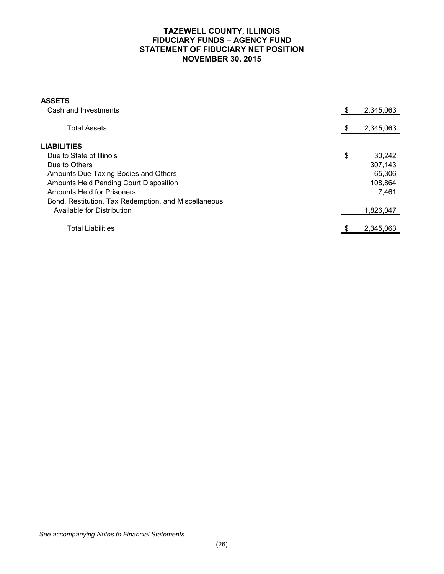# **TAZEWELL COUNTY, ILLINOIS FIDUCIARY FUNDS – AGENCY FUND STATEMENT OF FIDUCIARY NET POSITION NOVEMBER 30, 2015**

| <b>ASSETS</b><br>Cash and Investments                | \$ | 2,345,063 |
|------------------------------------------------------|----|-----------|
| <b>Total Assets</b>                                  |    | 2,345,063 |
|                                                      |    |           |
| <b>LIABILITIES</b>                                   |    |           |
| Due to State of Illinois                             | \$ | 30,242    |
| Due to Others                                        |    | 307,143   |
| Amounts Due Taxing Bodies and Others                 |    | 65,306    |
| <b>Amounts Held Pending Court Disposition</b>        |    | 108,864   |
| <b>Amounts Held for Prisoners</b>                    |    | 7,461     |
| Bond, Restitution, Tax Redemption, and Miscellaneous |    |           |
| Available for Distribution                           |    | 1,826,047 |
| <b>Total Liabilities</b>                             | S  | 2,345,063 |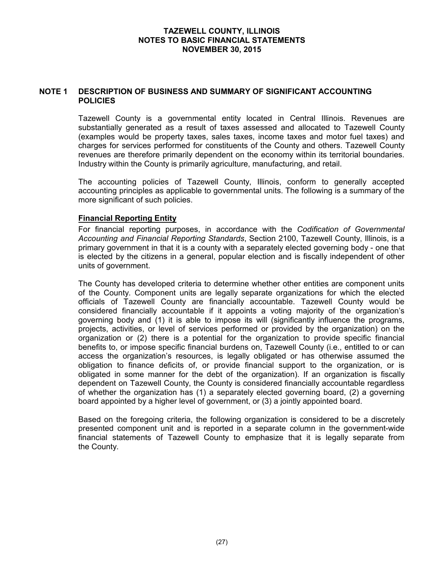### **NOTE 1 DESCRIPTION OF BUSINESS AND SUMMARY OF SIGNIFICANT ACCOUNTING POLICIES**

Tazewell County is a governmental entity located in Central Illinois. Revenues are substantially generated as a result of taxes assessed and allocated to Tazewell County (examples would be property taxes, sales taxes, income taxes and motor fuel taxes) and charges for services performed for constituents of the County and others. Tazewell County revenues are therefore primarily dependent on the economy within its territorial boundaries. Industry within the County is primarily agriculture, manufacturing, and retail.

The accounting policies of Tazewell County, Illinois, conform to generally accepted accounting principles as applicable to governmental units. The following is a summary of the more significant of such policies.

## **Financial Reporting Entity**

For financial reporting purposes, in accordance with the *Codification of Governmental Accounting and Financial Reporting Standards*, Section 2100, Tazewell County, Illinois, is a primary government in that it is a county with a separately elected governing body - one that is elected by the citizens in a general, popular election and is fiscally independent of other units of government.

The County has developed criteria to determine whether other entities are component units of the County. Component units are legally separate organizations for which the elected officials of Tazewell County are financially accountable. Tazewell County would be considered financially accountable if it appoints a voting majority of the organization's governing body and (1) it is able to impose its will (significantly influence the programs, projects, activities, or level of services performed or provided by the organization) on the organization or (2) there is a potential for the organization to provide specific financial benefits to, or impose specific financial burdens on, Tazewell County (i.e., entitled to or can access the organization's resources, is legally obligated or has otherwise assumed the obligation to finance deficits of, or provide financial support to the organization, or is obligated in some manner for the debt of the organization). If an organization is fiscally dependent on Tazewell County, the County is considered financially accountable regardless of whether the organization has (1) a separately elected governing board, (2) a governing board appointed by a higher level of government, or (3) a jointly appointed board.

Based on the foregoing criteria, the following organization is considered to be a discretely presented component unit and is reported in a separate column in the government-wide financial statements of Tazewell County to emphasize that it is legally separate from the County.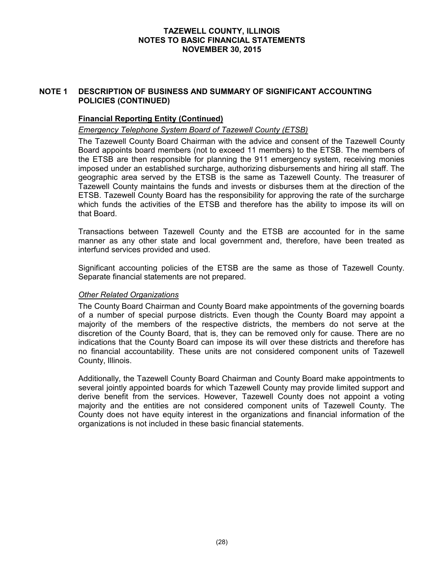## **NOTE 1 DESCRIPTION OF BUSINESS AND SUMMARY OF SIGNIFICANT ACCOUNTING POLICIES (CONTINUED)**

## **Financial Reporting Entity (Continued)**

#### *Emergency Telephone System Board of Tazewell County (ETSB)*

The Tazewell County Board Chairman with the advice and consent of the Tazewell County Board appoints board members (not to exceed 11 members) to the ETSB. The members of the ETSB are then responsible for planning the 911 emergency system, receiving monies imposed under an established surcharge, authorizing disbursements and hiring all staff. The geographic area served by the ETSB is the same as Tazewell County. The treasurer of Tazewell County maintains the funds and invests or disburses them at the direction of the ETSB. Tazewell County Board has the responsibility for approving the rate of the surcharge which funds the activities of the ETSB and therefore has the ability to impose its will on that Board.

Transactions between Tazewell County and the ETSB are accounted for in the same manner as any other state and local government and, therefore, have been treated as interfund services provided and used.

Significant accounting policies of the ETSB are the same as those of Tazewell County. Separate financial statements are not prepared.

#### *Other Related Organizations*

The County Board Chairman and County Board make appointments of the governing boards of a number of special purpose districts. Even though the County Board may appoint a majority of the members of the respective districts, the members do not serve at the discretion of the County Board, that is, they can be removed only for cause. There are no indications that the County Board can impose its will over these districts and therefore has no financial accountability. These units are not considered component units of Tazewell County, Illinois.

Additionally, the Tazewell County Board Chairman and County Board make appointments to several jointly appointed boards for which Tazewell County may provide limited support and derive benefit from the services. However, Tazewell County does not appoint a voting majority and the entities are not considered component units of Tazewell County. The County does not have equity interest in the organizations and financial information of the organizations is not included in these basic financial statements.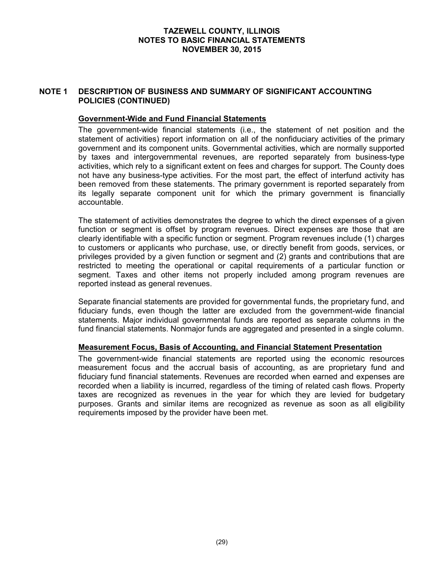## **NOTE 1 DESCRIPTION OF BUSINESS AND SUMMARY OF SIGNIFICANT ACCOUNTING POLICIES (CONTINUED)**

## **Government-Wide and Fund Financial Statements**

The government-wide financial statements (i.e., the statement of net position and the statement of activities) report information on all of the nonfiduciary activities of the primary government and its component units. Governmental activities, which are normally supported by taxes and intergovernmental revenues, are reported separately from business-type activities, which rely to a significant extent on fees and charges for support. The County does not have any business-type activities. For the most part, the effect of interfund activity has been removed from these statements. The primary government is reported separately from its legally separate component unit for which the primary government is financially accountable.

The statement of activities demonstrates the degree to which the direct expenses of a given function or segment is offset by program revenues. Direct expenses are those that are clearly identifiable with a specific function or segment. Program revenues include (1) charges to customers or applicants who purchase, use, or directly benefit from goods, services, or privileges provided by a given function or segment and (2) grants and contributions that are restricted to meeting the operational or capital requirements of a particular function or segment. Taxes and other items not properly included among program revenues are reported instead as general revenues.

Separate financial statements are provided for governmental funds, the proprietary fund, and fiduciary funds, even though the latter are excluded from the government-wide financial statements. Major individual governmental funds are reported as separate columns in the fund financial statements. Nonmajor funds are aggregated and presented in a single column.

## **Measurement Focus, Basis of Accounting, and Financial Statement Presentation**

The government-wide financial statements are reported using the economic resources measurement focus and the accrual basis of accounting, as are proprietary fund and fiduciary fund financial statements. Revenues are recorded when earned and expenses are recorded when a liability is incurred, regardless of the timing of related cash flows. Property taxes are recognized as revenues in the year for which they are levied for budgetary purposes. Grants and similar items are recognized as revenue as soon as all eligibility requirements imposed by the provider have been met.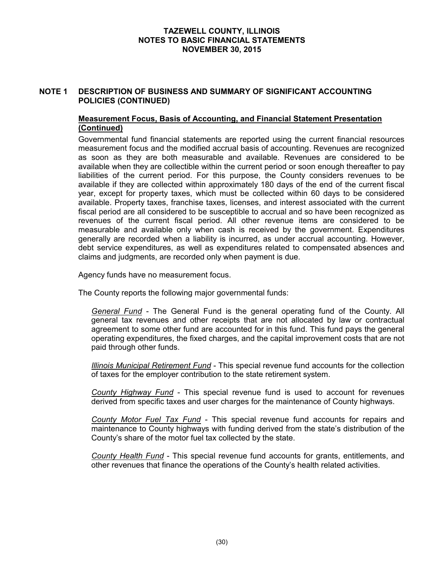## **NOTE 1 DESCRIPTION OF BUSINESS AND SUMMARY OF SIGNIFICANT ACCOUNTING POLICIES (CONTINUED)**

## **Measurement Focus, Basis of Accounting, and Financial Statement Presentation (Continued)**

Governmental fund financial statements are reported using the current financial resources measurement focus and the modified accrual basis of accounting. Revenues are recognized as soon as they are both measurable and available. Revenues are considered to be available when they are collectible within the current period or soon enough thereafter to pay liabilities of the current period. For this purpose, the County considers revenues to be available if they are collected within approximately 180 days of the end of the current fiscal year, except for property taxes, which must be collected within 60 days to be considered available. Property taxes, franchise taxes, licenses, and interest associated with the current fiscal period are all considered to be susceptible to accrual and so have been recognized as revenues of the current fiscal period. All other revenue items are considered to be measurable and available only when cash is received by the government. Expenditures generally are recorded when a liability is incurred, as under accrual accounting. However, debt service expenditures, as well as expenditures related to compensated absences and claims and judgments, are recorded only when payment is due.

Agency funds have no measurement focus.

The County reports the following major governmental funds:

*General Fund* - The General Fund is the general operating fund of the County. All general tax revenues and other receipts that are not allocated by law or contractual agreement to some other fund are accounted for in this fund. This fund pays the general operating expenditures, the fixed charges, and the capital improvement costs that are not paid through other funds.

*Illinois Municipal Retirement Fund* - This special revenue fund accounts for the collection of taxes for the employer contribution to the state retirement system.

*County Highway Fund* - This special revenue fund is used to account for revenues derived from specific taxes and user charges for the maintenance of County highways.

*County Motor Fuel Tax Fund* - This special revenue fund accounts for repairs and maintenance to County highways with funding derived from the state's distribution of the County's share of the motor fuel tax collected by the state.

*County Health Fund* - This special revenue fund accounts for grants, entitlements, and other revenues that finance the operations of the County's health related activities.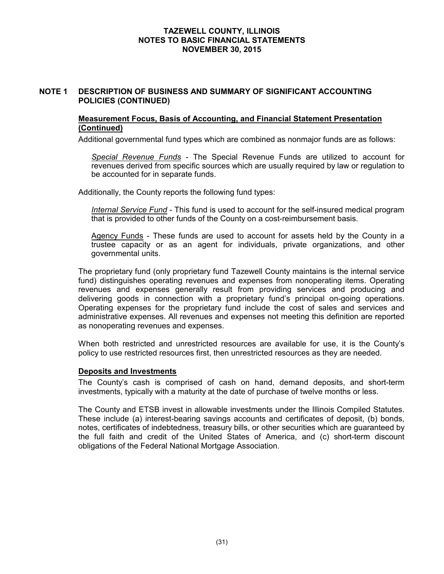## **NOTE 1 DESCRIPTION OF BUSINESS AND SUMMARY OF SIGNIFICANT ACCOUNTING POLICIES (CONTINUED)**

# **Measurement Focus, Basis of Accounting, and Financial Statement Presentation (Continued)**

Additional governmental fund types which are combined as nonmajor funds are as follows:

*Special Revenue Funds* - The Special Revenue Funds are utilized to account for revenues derived from specific sources which are usually required by law or regulation to be accounted for in separate funds.

Additionally, the County reports the following fund types:

*Internal Service Fund* - This fund is used to account for the self-insured medical program that is provided to other funds of the County on a cost-reimbursement basis.

Agency Funds - These funds are used to account for assets held by the County in a trustee capacity or as an agent for individuals, private organizations, and other governmental units.

The proprietary fund (only proprietary fund Tazewell County maintains is the internal service fund) distinguishes operating revenues and expenses from nonoperating items. Operating revenues and expenses generally result from providing services and producing and delivering goods in connection with a proprietary fund's principal on-going operations. Operating expenses for the proprietary fund include the cost of sales and services and administrative expenses. All revenues and expenses not meeting this definition are reported as nonoperating revenues and expenses.

When both restricted and unrestricted resources are available for use, it is the County's policy to use restricted resources first, then unrestricted resources as they are needed.

#### **Deposits and Investments**

The County's cash is comprised of cash on hand, demand deposits, and short-term investments, typically with a maturity at the date of purchase of twelve months or less.

The County and ETSB invest in allowable investments under the Illinois Compiled Statutes. These include (a) interest-bearing savings accounts and certificates of deposit, (b) bonds, notes, certificates of indebtedness, treasury bills, or other securities which are guaranteed by the full faith and credit of the United States of America, and (c) short-term discount obligations of the Federal National Mortgage Association.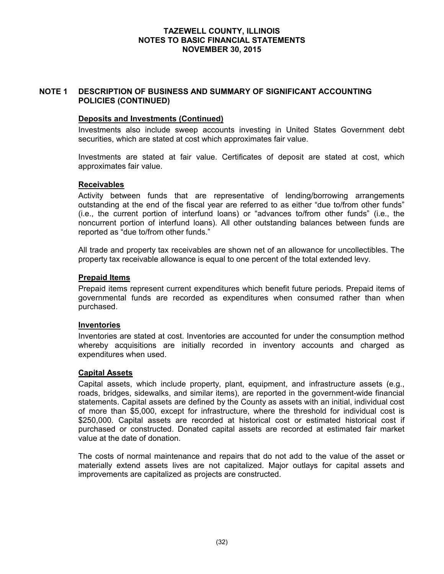## **NOTE 1 DESCRIPTION OF BUSINESS AND SUMMARY OF SIGNIFICANT ACCOUNTING POLICIES (CONTINUED)**

## **Deposits and Investments (Continued)**

Investments also include sweep accounts investing in United States Government debt securities, which are stated at cost which approximates fair value.

Investments are stated at fair value. Certificates of deposit are stated at cost, which approximates fair value.

#### **Receivables**

Activity between funds that are representative of lending/borrowing arrangements outstanding at the end of the fiscal year are referred to as either "due to/from other funds" (i.e., the current portion of interfund loans) or "advances to/from other funds" (i.e., the noncurrent portion of interfund loans). All other outstanding balances between funds are reported as "due to/from other funds."

All trade and property tax receivables are shown net of an allowance for uncollectibles. The property tax receivable allowance is equal to one percent of the total extended levy.

#### **Prepaid Items**

Prepaid items represent current expenditures which benefit future periods. Prepaid items of governmental funds are recorded as expenditures when consumed rather than when purchased.

#### **Inventories**

Inventories are stated at cost. Inventories are accounted for under the consumption method whereby acquisitions are initially recorded in inventory accounts and charged as expenditures when used.

#### **Capital Assets**

Capital assets, which include property, plant, equipment, and infrastructure assets (e.g., roads, bridges, sidewalks, and similar items), are reported in the government-wide financial statements. Capital assets are defined by the County as assets with an initial, individual cost of more than \$5,000, except for infrastructure, where the threshold for individual cost is \$250,000. Capital assets are recorded at historical cost or estimated historical cost if purchased or constructed. Donated capital assets are recorded at estimated fair market value at the date of donation.

The costs of normal maintenance and repairs that do not add to the value of the asset or materially extend assets lives are not capitalized. Major outlays for capital assets and improvements are capitalized as projects are constructed.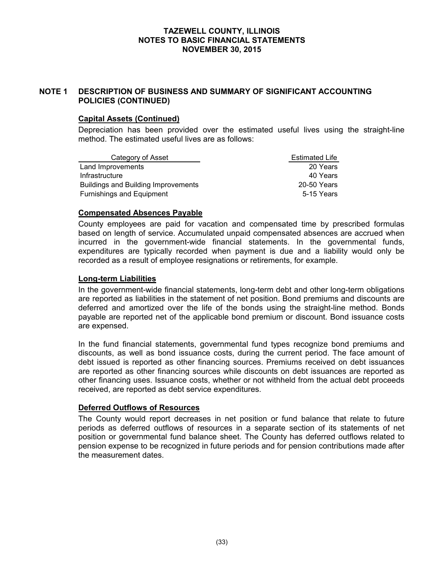# **NOTE 1 DESCRIPTION OF BUSINESS AND SUMMARY OF SIGNIFICANT ACCOUNTING POLICIES (CONTINUED)**

# **Capital Assets (Continued)**

Depreciation has been provided over the estimated useful lives using the straight-line method. The estimated useful lives are as follows:

| Category of Asset                          | <b>Estimated Life</b> |
|--------------------------------------------|-----------------------|
| Land Improvements                          | 20 Years              |
| Infrastructure                             | 40 Years              |
| <b>Buildings and Building Improvements</b> | 20-50 Years           |
| <b>Furnishings and Equipment</b>           | 5-15 Years            |

### **Compensated Absences Payable**

County employees are paid for vacation and compensated time by prescribed formulas based on length of service. Accumulated unpaid compensated absences are accrued when incurred in the government-wide financial statements. In the governmental funds, expenditures are typically recorded when payment is due and a liability would only be recorded as a result of employee resignations or retirements, for example.

#### **Long-term Liabilities**

In the government-wide financial statements, long-term debt and other long-term obligations are reported as liabilities in the statement of net position. Bond premiums and discounts are deferred and amortized over the life of the bonds using the straight-line method. Bonds payable are reported net of the applicable bond premium or discount. Bond issuance costs are expensed.

In the fund financial statements, governmental fund types recognize bond premiums and discounts, as well as bond issuance costs, during the current period. The face amount of debt issued is reported as other financing sources. Premiums received on debt issuances are reported as other financing sources while discounts on debt issuances are reported as other financing uses. Issuance costs, whether or not withheld from the actual debt proceeds received, are reported as debt service expenditures.

#### **Deferred Outflows of Resources**

The County would report decreases in net position or fund balance that relate to future periods as deferred outflows of resources in a separate section of its statements of net position or governmental fund balance sheet. The County has deferred outflows related to pension expense to be recognized in future periods and for pension contributions made after the measurement dates.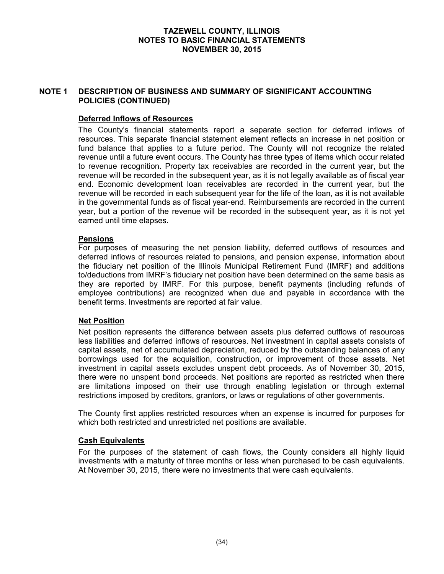# **NOTE 1 DESCRIPTION OF BUSINESS AND SUMMARY OF SIGNIFICANT ACCOUNTING POLICIES (CONTINUED)**

### **Deferred Inflows of Resources**

The County's financial statements report a separate section for deferred inflows of resources. This separate financial statement element reflects an increase in net position or fund balance that applies to a future period. The County will not recognize the related revenue until a future event occurs. The County has three types of items which occur related to revenue recognition. Property tax receivables are recorded in the current year, but the revenue will be recorded in the subsequent year, as it is not legally available as of fiscal year end. Economic development loan receivables are recorded in the current year, but the revenue will be recorded in each subsequent year for the life of the loan, as it is not available in the governmental funds as of fiscal year-end. Reimbursements are recorded in the current year, but a portion of the revenue will be recorded in the subsequent year, as it is not yet earned until time elapses.

### **Pensions**

For purposes of measuring the net pension liability, deferred outflows of resources and deferred inflows of resources related to pensions, and pension expense, information about the fiduciary net position of the Illinois Municipal Retirement Fund (IMRF) and additions to/deductions from IMRF's fiduciary net position have been determined on the same basis as they are reported by IMRF. For this purpose, benefit payments (including refunds of employee contributions) are recognized when due and payable in accordance with the benefit terms. Investments are reported at fair value.

# **Net Position**

Net position represents the difference between assets plus deferred outflows of resources less liabilities and deferred inflows of resources. Net investment in capital assets consists of capital assets, net of accumulated depreciation, reduced by the outstanding balances of any borrowings used for the acquisition, construction, or improvement of those assets. Net investment in capital assets excludes unspent debt proceeds. As of November 30, 2015, there were no unspent bond proceeds. Net positions are reported as restricted when there are limitations imposed on their use through enabling legislation or through external restrictions imposed by creditors, grantors, or laws or regulations of other governments.

The County first applies restricted resources when an expense is incurred for purposes for which both restricted and unrestricted net positions are available.

#### **Cash Equivalents**

For the purposes of the statement of cash flows, the County considers all highly liquid investments with a maturity of three months or less when purchased to be cash equivalents. At November 30, 2015, there were no investments that were cash equivalents.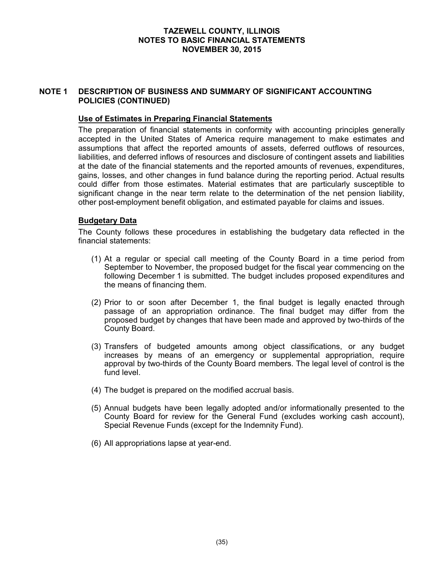## **NOTE 1 DESCRIPTION OF BUSINESS AND SUMMARY OF SIGNIFICANT ACCOUNTING POLICIES (CONTINUED)**

## **Use of Estimates in Preparing Financial Statements**

The preparation of financial statements in conformity with accounting principles generally accepted in the United States of America require management to make estimates and assumptions that affect the reported amounts of assets, deferred outflows of resources, liabilities, and deferred inflows of resources and disclosure of contingent assets and liabilities at the date of the financial statements and the reported amounts of revenues, expenditures, gains, losses, and other changes in fund balance during the reporting period. Actual results could differ from those estimates. Material estimates that are particularly susceptible to significant change in the near term relate to the determination of the net pension liability, other post-employment benefit obligation, and estimated payable for claims and issues.

### **Budgetary Data**

The County follows these procedures in establishing the budgetary data reflected in the financial statements:

- (1) At a regular or special call meeting of the County Board in a time period from September to November, the proposed budget for the fiscal year commencing on the following December 1 is submitted. The budget includes proposed expenditures and the means of financing them.
- (2) Prior to or soon after December 1, the final budget is legally enacted through passage of an appropriation ordinance. The final budget may differ from the proposed budget by changes that have been made and approved by two-thirds of the County Board.
- (3) Transfers of budgeted amounts among object classifications, or any budget increases by means of an emergency or supplemental appropriation, require approval by two-thirds of the County Board members. The legal level of control is the fund level.
- (4) The budget is prepared on the modified accrual basis.
- (5) Annual budgets have been legally adopted and/or informationally presented to the County Board for review for the General Fund (excludes working cash account), Special Revenue Funds (except for the Indemnity Fund).
- (6) All appropriations lapse at year-end.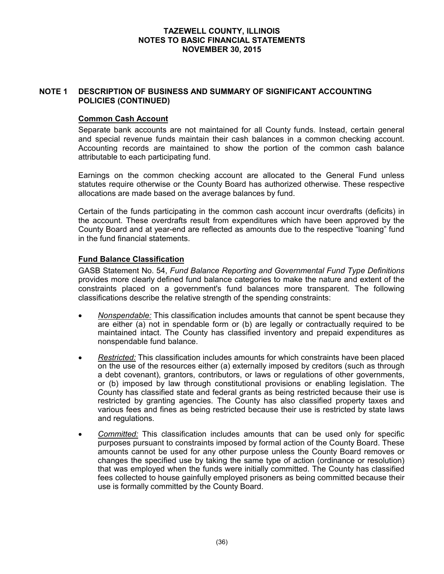## **NOTE 1 DESCRIPTION OF BUSINESS AND SUMMARY OF SIGNIFICANT ACCOUNTING POLICIES (CONTINUED)**

# **Common Cash Account**

Separate bank accounts are not maintained for all County funds. Instead, certain general and special revenue funds maintain their cash balances in a common checking account. Accounting records are maintained to show the portion of the common cash balance attributable to each participating fund.

Earnings on the common checking account are allocated to the General Fund unless statutes require otherwise or the County Board has authorized otherwise. These respective allocations are made based on the average balances by fund.

Certain of the funds participating in the common cash account incur overdrafts (deficits) in the account. These overdrafts result from expenditures which have been approved by the County Board and at year-end are reflected as amounts due to the respective "loaning" fund in the fund financial statements.

# **Fund Balance Classification**

GASB Statement No. 54, *Fund Balance Reporting and Governmental Fund Type Definitions*  provides more clearly defined fund balance categories to make the nature and extent of the constraints placed on a government's fund balances more transparent. The following classifications describe the relative strength of the spending constraints:

- *Nonspendable:* This classification includes amounts that cannot be spent because they are either (a) not in spendable form or (b) are legally or contractually required to be maintained intact. The County has classified inventory and prepaid expenditures as nonspendable fund balance.
- *Restricted:* This classification includes amounts for which constraints have been placed on the use of the resources either (a) externally imposed by creditors (such as through a debt covenant), grantors, contributors, or laws or regulations of other governments, or (b) imposed by law through constitutional provisions or enabling legislation. The County has classified state and federal grants as being restricted because their use is restricted by granting agencies. The County has also classified property taxes and various fees and fines as being restricted because their use is restricted by state laws and regulations.
- *Committed:* This classification includes amounts that can be used only for specific purposes pursuant to constraints imposed by formal action of the County Board. These amounts cannot be used for any other purpose unless the County Board removes or changes the specified use by taking the same type of action (ordinance or resolution) that was employed when the funds were initially committed. The County has classified fees collected to house gainfully employed prisoners as being committed because their use is formally committed by the County Board.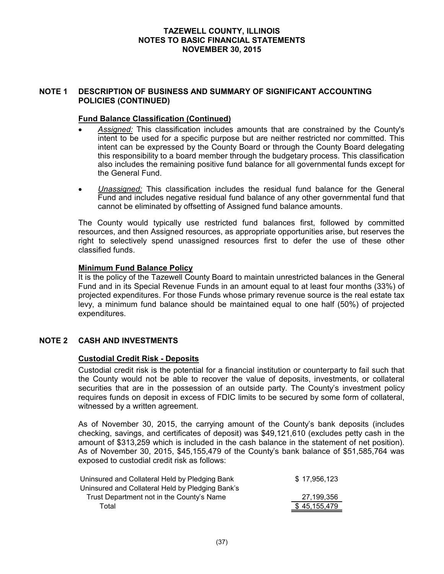#### **NOTE 1 DESCRIPTION OF BUSINESS AND SUMMARY OF SIGNIFICANT ACCOUNTING POLICIES (CONTINUED)**

### **Fund Balance Classification (Continued)**

- *Assigned:* This classification includes amounts that are constrained by the County's intent to be used for a specific purpose but are neither restricted nor committed. This intent can be expressed by the County Board or through the County Board delegating this responsibility to a board member through the budgetary process. This classification also includes the remaining positive fund balance for all governmental funds except for the General Fund.
- *Unassigned:* This classification includes the residual fund balance for the General Fund and includes negative residual fund balance of any other governmental fund that cannot be eliminated by offsetting of Assigned fund balance amounts.

The County would typically use restricted fund balances first, followed by committed resources, and then Assigned resources, as appropriate opportunities arise, but reserves the right to selectively spend unassigned resources first to defer the use of these other classified funds.

#### **Minimum Fund Balance Policy**

It is the policy of the Tazewell County Board to maintain unrestricted balances in the General Fund and in its Special Revenue Funds in an amount equal to at least four months (33%) of projected expenditures. For those Funds whose primary revenue source is the real estate tax levy, a minimum fund balance should be maintained equal to one half (50%) of projected expenditures.

# **NOTE 2 CASH AND INVESTMENTS**

#### **Custodial Credit Risk - Deposits**

Custodial credit risk is the potential for a financial institution or counterparty to fail such that the County would not be able to recover the value of deposits, investments, or collateral securities that are in the possession of an outside party. The County's investment policy requires funds on deposit in excess of FDIC limits to be secured by some form of collateral, witnessed by a written agreement.

As of November 30, 2015, the carrying amount of the County's bank deposits (includes checking, savings, and certificates of deposit) was \$49,121,610 (excludes petty cash in the amount of \$313,259 which is included in the cash balance in the statement of net position). As of November 30, 2015, \$45,155,479 of the County's bank balance of \$51,585,764 was exposed to custodial credit risk as follows:

| Uninsured and Collateral Held by Pledging Bank   | \$17.956.123 |
|--------------------------------------------------|--------------|
| Uninsured and Collateral Held by Pledging Bank's |              |
| Trust Department not in the County's Name        | 27,199,356   |
| Total                                            | \$45,155,479 |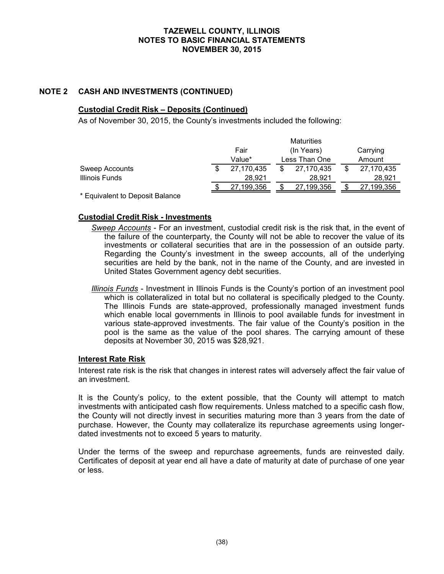# **NOTE 2 CASH AND INVESTMENTS (CONTINUED)**

### **Custodial Credit Risk – Deposits (Continued)**

As of November 30, 2015, the County's investments included the following:

|                |        |            |  | <b>Maturities</b> |        |            |  |
|----------------|--------|------------|--|-------------------|--------|------------|--|
|                |        | Fair       |  | (In Years)        |        | Carrying   |  |
|                | Value* |            |  | Less Than One     | Amount |            |  |
| Sweep Accounts |        | 27,170,435 |  | 27,170,435        |        | 27,170,435 |  |
| Illinois Funds |        | 28.921     |  | 28.921            |        | 28.921     |  |
|                |        | 27,199,356 |  | 199.356.'<br>27   |        | 27,199,356 |  |
|                |        |            |  |                   |        |            |  |

**Equivalent to Deposit Balance** 

# **Custodial Credit Risk - Investments**

- *Sweep Accounts* For an investment, custodial credit risk is the risk that, in the event of the failure of the counterparty, the County will not be able to recover the value of its investments or collateral securities that are in the possession of an outside party. Regarding the County's investment in the sweep accounts, all of the underlying securities are held by the bank, not in the name of the County, and are invested in United States Government agency debt securities.
- *Illinois Funds* Investment in Illinois Funds is the County's portion of an investment pool which is collateralized in total but no collateral is specifically pledged to the County. The Illinois Funds are state-approved, professionally managed investment funds which enable local governments in Illinois to pool available funds for investment in various state-approved investments. The fair value of the County's position in the pool is the same as the value of the pool shares. The carrying amount of these deposits at November 30, 2015 was \$28,921.

#### **Interest Rate Risk**

Interest rate risk is the risk that changes in interest rates will adversely affect the fair value of an investment.

It is the County's policy, to the extent possible, that the County will attempt to match investments with anticipated cash flow requirements. Unless matched to a specific cash flow, the County will not directly invest in securities maturing more than 3 years from the date of purchase. However, the County may collateralize its repurchase agreements using longerdated investments not to exceed 5 years to maturity.

Under the terms of the sweep and repurchase agreements, funds are reinvested daily. Certificates of deposit at year end all have a date of maturity at date of purchase of one year or less.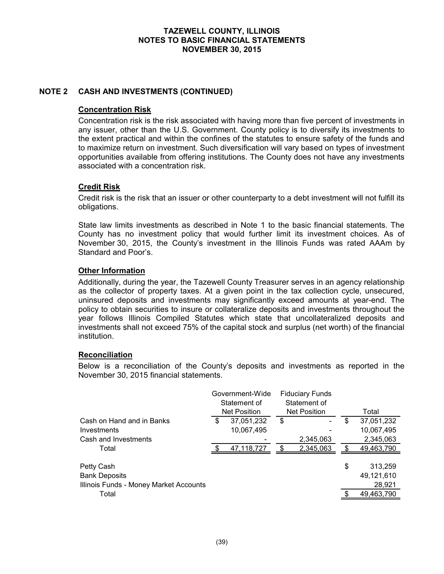# **NOTE 2 CASH AND INVESTMENTS (CONTINUED)**

#### **Concentration Risk**

Concentration risk is the risk associated with having more than five percent of investments in any issuer, other than the U.S. Government. County policy is to diversify its investments to the extent practical and within the confines of the statutes to ensure safety of the funds and to maximize return on investment. Such diversification will vary based on types of investment opportunities available from offering institutions. The County does not have any investments associated with a concentration risk.

### **Credit Risk**

Credit risk is the risk that an issuer or other counterparty to a debt investment will not fulfill its obligations.

State law limits investments as described in Note 1 to the basic financial statements. The County has no investment policy that would further limit its investment choices. As of November 30, 2015, the County's investment in the Illinois Funds was rated AAAm by Standard and Poor's.

### **Other Information**

Additionally, during the year, the Tazewell County Treasurer serves in an agency relationship as the collector of property taxes. At a given point in the tax collection cycle, unsecured, uninsured deposits and investments may significantly exceed amounts at year-end. The policy to obtain securities to insure or collateralize deposits and investments throughout the year follows Illinois Compiled Statutes which state that uncollateralized deposits and investments shall not exceed 75% of the capital stock and surplus (net worth) of the financial institution.

# **Reconciliation**

Below is a reconciliation of the County's deposits and investments as reported in the November 30, 2015 financial statements.

|                                        | Government-Wide<br>Statement of<br><b>Net Position</b> |            |    |           | <b>Fiduciary Funds</b><br>Statement of<br><b>Net Position</b> |  | Total |
|----------------------------------------|--------------------------------------------------------|------------|----|-----------|---------------------------------------------------------------|--|-------|
| Cash on Hand and in Banks              | \$                                                     | 37,051,232 | \$ |           | \$<br>37,051,232                                              |  |       |
| Investments                            |                                                        | 10,067,495 |    |           | 10,067,495                                                    |  |       |
| Cash and Investments                   |                                                        |            |    | 2,345,063 | 2,345,063                                                     |  |       |
| Total                                  |                                                        | 47,118,727 |    | 2,345,063 | 49,463,790                                                    |  |       |
| Petty Cash<br><b>Bank Deposits</b>     |                                                        |            |    |           | \$<br>313,259<br>49,121,610                                   |  |       |
| Illinois Funds - Money Market Accounts |                                                        |            |    |           | 28,921                                                        |  |       |
| Total                                  |                                                        |            |    |           | 49,463,790                                                    |  |       |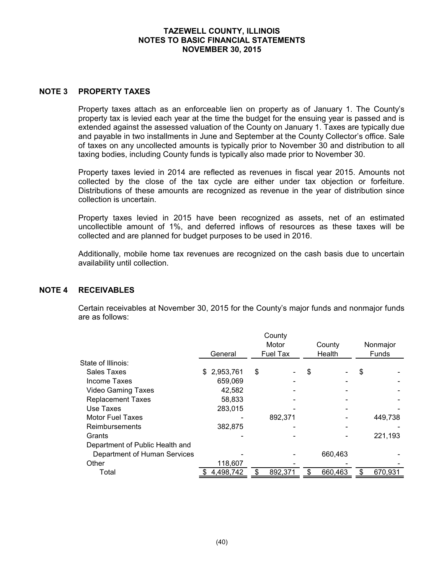#### **NOTE 3 PROPERTY TAXES**

Property taxes attach as an enforceable lien on property as of January 1. The County's property tax is levied each year at the time the budget for the ensuing year is passed and is extended against the assessed valuation of the County on January 1. Taxes are typically due and payable in two installments in June and September at the County Collector's office. Sale of taxes on any uncollected amounts is typically prior to November 30 and distribution to all taxing bodies, including County funds is typically also made prior to November 30.

Property taxes levied in 2014 are reflected as revenues in fiscal year 2015. Amounts not collected by the close of the tax cycle are either under tax objection or forfeiture. Distributions of these amounts are recognized as revenue in the year of distribution since collection is uncertain.

Property taxes levied in 2015 have been recognized as assets, net of an estimated uncollectible amount of 1%, and deferred inflows of resources as these taxes will be collected and are planned for budget purposes to be used in 2016.

Additionally, mobile home tax revenues are recognized on the cash basis due to uncertain availability until collection.

#### **NOTE 4 RECEIVABLES**

Certain receivables at November 30, 2015 for the County's major funds and nonmajor funds are as follows:

|                                 |    |           | County   |         |              |          |
|---------------------------------|----|-----------|----------|---------|--------------|----------|
|                                 |    |           | Motor    | County  |              | Nonmajor |
|                                 |    | General   | Fuel Tax | Health  | <b>Funds</b> |          |
| State of Illinois:              |    |           |          |         |              |          |
| Sales Taxes                     | S. | 2,953,761 | \$       | \$      | \$           |          |
| Income Taxes                    |    | 659,069   |          |         |              |          |
| <b>Video Gaming Taxes</b>       |    | 42,582    |          |         |              |          |
| <b>Replacement Taxes</b>        |    | 58,833    |          |         |              |          |
| Use Taxes                       |    | 283,015   |          |         |              |          |
| <b>Motor Fuel Taxes</b>         |    |           | 892.371  |         |              | 449,738  |
| Reimbursements                  |    | 382,875   |          |         |              |          |
| Grants                          |    |           |          |         |              | 221,193  |
| Department of Public Health and |    |           |          |         |              |          |
| Department of Human Services    |    |           |          | 660.463 |              |          |
| Other                           |    | 118,607   |          |         |              |          |
| Total                           |    | 4,498,742 | 892.371  | 660,463 |              | 670.931  |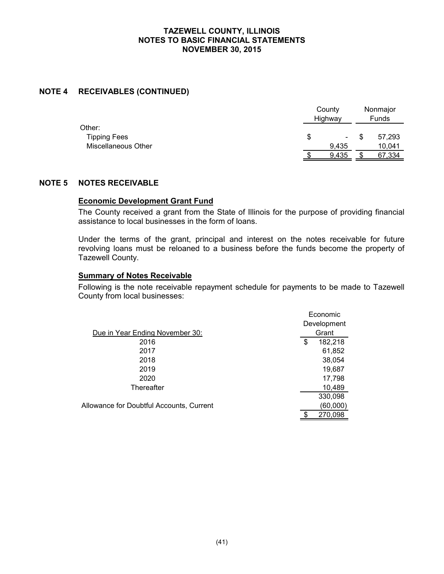# **NOTE 4 RECEIVABLES (CONTINUED)**

|                     |   | County<br>Highway | Nonmajor<br>Funds |        |  |
|---------------------|---|-------------------|-------------------|--------|--|
| Other:              |   |                   |                   |        |  |
| <b>Tipping Fees</b> | S | -                 |                   | 57,293 |  |
| Miscellaneous Other |   | 9.435             |                   | 10.041 |  |
|                     |   | 9.435             |                   | 67,334 |  |

#### **NOTE 5 NOTES RECEIVABLE**

### **Economic Development Grant Fund**

The County received a grant from the State of Illinois for the purpose of providing financial assistance to local businesses in the form of loans.

Under the terms of the grant, principal and interest on the notes receivable for future revolving loans must be reloaned to a business before the funds become the property of Tazewell County.

#### **Summary of Notes Receivable**

Following is the note receivable repayment schedule for payments to be made to Tazewell County from local businesses:

|                                          |   | Economic    |
|------------------------------------------|---|-------------|
|                                          |   | Development |
| Due in Year Ending November 30:          |   | Grant       |
| 2016                                     | S | 182,218     |
| 2017                                     |   | 61,852      |
| 2018                                     |   | 38,054      |
| 2019                                     |   | 19,687      |
| 2020                                     |   | 17,798      |
| Thereafter                               |   | 10,489      |
|                                          |   | 330,098     |
| Allowance for Doubtful Accounts, Current |   | (60,000)    |
|                                          |   | 270,098     |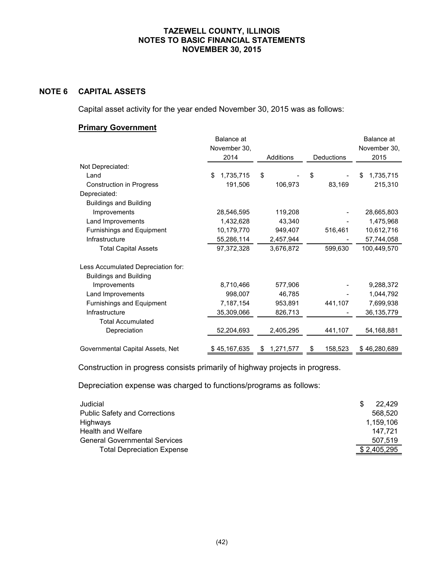# **NOTE 6 CAPITAL ASSETS**

Capital asset activity for the year ended November 30, 2015 was as follows:

# **Primary Government**

|                                    | Balance at      |                 |               | Balance at      |
|------------------------------------|-----------------|-----------------|---------------|-----------------|
|                                    | November 30,    |                 |               | November 30,    |
|                                    | 2014            | Additions       | Deductions    | 2015            |
| Not Depreciated:                   |                 |                 |               |                 |
| Land                               | \$<br>1,735,715 | \$              | \$            | 1,735,715<br>\$ |
| <b>Construction in Progress</b>    | 191,506         | 106,973         | 83,169        | 215,310         |
| Depreciated:                       |                 |                 |               |                 |
| <b>Buildings and Building</b>      |                 |                 |               |                 |
| Improvements                       | 28,546,595      | 119,208         |               | 28,665,803      |
| Land Improvements                  | 1,432,628       | 43,340          |               | 1,475,968       |
| Furnishings and Equipment          | 10,179,770      | 949,407         | 516,461       | 10,612,716      |
| Infrastructure                     | 55,286,114      | 2,457,944       |               | 57,744,058      |
| <b>Total Capital Assets</b>        | 97,372,328      | 3,676,872       | 599,630       | 100,449,570     |
| Less Accumulated Depreciation for: |                 |                 |               |                 |
| <b>Buildings and Building</b>      |                 |                 |               |                 |
| Improvements                       | 8,710,466       | 577,906         |               | 9,288,372       |
| Land Improvements                  | 998,007         | 46,785          |               | 1,044,792       |
| <b>Furnishings and Equipment</b>   | 7,187,154       | 953,891         | 441,107       | 7,699,938       |
| Infrastructure                     | 35,309,066      | 826,713         |               | 36,135,779      |
| <b>Total Accumulated</b>           |                 |                 |               |                 |
| Depreciation                       | 52,204,693      | 2,405,295       | 441,107       | 54,168,881      |
| Governmental Capital Assets, Net   | \$45,167,635    | \$<br>1,271,577 | 158,523<br>\$ | \$46,280,689    |

Construction in progress consists primarily of highway projects in progress.

Depreciation expense was charged to functions/programs as follows:

| Judicial                             | 22.429      |
|--------------------------------------|-------------|
| <b>Public Safety and Corrections</b> | 568.520     |
| Highways                             | 1.159.106   |
| Health and Welfare                   | 147.721     |
| <b>General Governmental Services</b> | 507.519     |
| <b>Total Depreciation Expense</b>    | \$2,405,295 |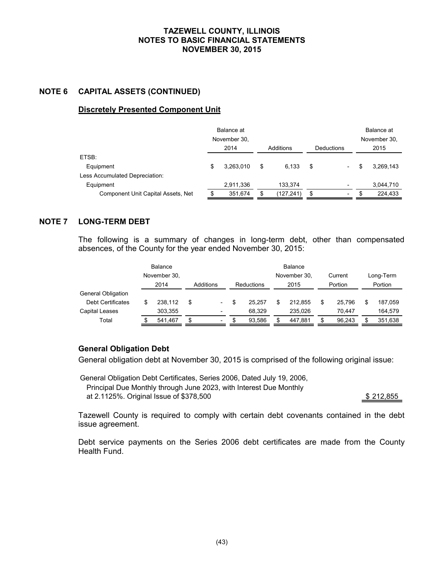### **NOTE 6 CAPITAL ASSETS (CONTINUED)**

### **Discretely Presented Component Unit**

|                                    |   | Balance at<br>November 30,<br>2014 |    | Additions<br>Deductions |    |                          | Balance at<br>November 30,<br>2015 |           |  |
|------------------------------------|---|------------------------------------|----|-------------------------|----|--------------------------|------------------------------------|-----------|--|
| ETSB:                              |   |                                    |    |                         |    |                          |                                    |           |  |
| Equipment                          | S | 3,263,010                          | \$ | 6.133                   | \$ | $\overline{\phantom{0}}$ | S                                  | 3,269,143 |  |
| Less Accumulated Depreciation:     |   |                                    |    |                         |    |                          |                                    |           |  |
| Equipment                          |   | 2,911,336                          |    | 133.374                 |    |                          |                                    | 3,044,710 |  |
| Component Unit Capital Assets, Net |   | 351,674                            | £. | (127,241)               | \$ | $\overline{\phantom{0}}$ |                                    | 224,433   |  |

# **NOTE 7 LONG-TERM DEBT**

The following is a summary of changes in long-term debt, other than compensated absences, of the County for the year ended November 30, 2015:

|                          | Balance      | Balance                        |            |        |                 |              |         |         |   |           |
|--------------------------|--------------|--------------------------------|------------|--------|-----------------|--------------|---------|---------|---|-----------|
|                          | November 30, |                                |            |        |                 | November 30, |         | Current |   | Long-Term |
|                          | 2014         | Additions                      | Reductions |        | 2015<br>Portion |              | Portion |         |   |           |
| General Obligation       |              |                                |            |        |                 |              |         |         |   |           |
| <b>Debt Certificates</b> | 238.112      | \$<br>$\overline{\phantom{a}}$ | \$         | 25.257 | \$              | 212.855      | \$      | 25.796  | S | 187,059   |
| Capital Leases           | 303.355      |                                |            | 68.329 |                 | 235.026      |         | 70.447  |   | 164.579   |
| Total                    | 541.467      | $\overline{\phantom{0}}$       |            | 93.586 | \$              | 447.881      | \$      | 96.243  | S | 351,638   |

# **General Obligation Debt**

General obligation debt at November 30, 2015 is comprised of the following original issue:

Principal Due Monthly through June 2023, with Interest Due Monthly at 2.1125%. Original Issue of \$378,500  $\frac{1}{2}$  312,855 General Obligation Debt Certificates, Series 2006, Dated July 19, 2006,

Tazewell County is required to comply with certain debt covenants contained in the debt issue agreement.

Debt service payments on the Series 2006 debt certificates are made from the County Health Fund.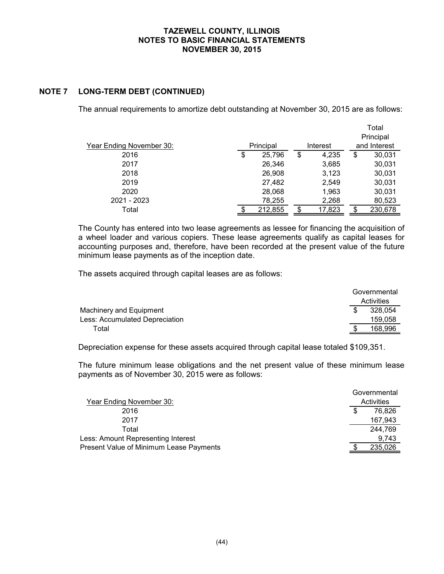# **NOTE 7 LONG-TERM DEBT (CONTINUED)**

The annual requirements to amortize debt outstanding at November 30, 2015 are as follows:

|                          |              |    |          | Total        |
|--------------------------|--------------|----|----------|--------------|
|                          |              |    |          | Principal    |
| Year Ending November 30: | Principal    |    | Interest | and Interest |
| 2016                     | \$<br>25,796 | \$ | 4,235    | \$<br>30,031 |
| 2017                     | 26,346       |    | 3,685    | 30,031       |
| 2018                     | 26,908       |    | 3,123    | 30,031       |
| 2019                     | 27,482       |    | 2,549    | 30,031       |
| 2020                     | 28,068       |    | 1,963    | 30,031       |
| 2021 - 2023              | 78,255       |    | 2,268    | 80,523       |
| Total                    | 212,855      | c  | 17,823   | 230,678      |

The County has entered into two lease agreements as lessee for financing the acquisition of a wheel loader and various copiers. These lease agreements qualify as capital leases for accounting purposes and, therefore, have been recorded at the present value of the future minimum lease payments as of the inception date.

The assets acquired through capital leases are as follows:

|                                | Governmental |  |  |
|--------------------------------|--------------|--|--|
|                                | Activities   |  |  |
| Machinery and Equipment        | 328.054      |  |  |
| Less: Accumulated Depreciation | 159.058      |  |  |
| Total                          | 168,996      |  |  |

Depreciation expense for these assets acquired through capital lease totaled \$109,351.

The future minimum lease obligations and the net present value of these minimum lease payments as of November 30, 2015 were as follows:

|                                         | Governmental |
|-----------------------------------------|--------------|
| Year Ending November 30:                | Activities   |
| 2016                                    | 76.826<br>S  |
| 2017                                    | 167.943      |
| Total                                   | 244.769      |
| Less: Amount Representing Interest      | 9.743        |
| Present Value of Minimum Lease Payments | 235.026      |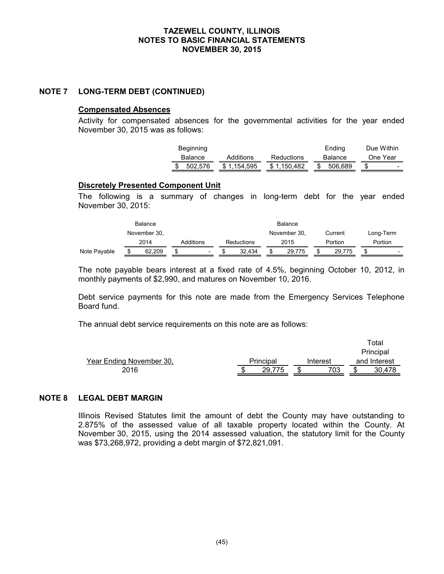### **NOTE 7 LONG-TERM DEBT (CONTINUED)**

#### **Compensated Absences**

Activity for compensated absences for the governmental activities for the year ended November 30, 2015 was as follows:

| <b>Beginning</b>     |             |                   | Ending         | Due Within |
|----------------------|-------------|-------------------|----------------|------------|
| Additions<br>Balance |             | <b>Reductions</b> | <b>Balance</b> | One Year   |
| 502.576              | \$1.154.595 | \$1.150.482       | 506.689        | -          |

#### **Discretely Presented Component Unit**

The following is a summary of changes in long-term debt for the year ended November 30, 2015:

| <b>Balance</b> |                   |              |   | <b>Balance</b>           |  |        |    |              |  |         |         |                          |
|----------------|-------------------|--------------|---|--------------------------|--|--------|----|--------------|--|---------|---------|--------------------------|
|                |                   | November 30, |   |                          |  |        |    | November 30, |  | Current |         | Long-Term                |
|                | 2014<br>Additions |              |   | Reductions               |  | 2015   |    | Portion      |  |         | Portion |                          |
| Note Payable   |                   | 62.209       | S | $\overline{\phantom{0}}$ |  | 32.434 | \$ | 29.775       |  | 29.775  | \$      | $\overline{\phantom{0}}$ |

The note payable bears interest at a fixed rate of 4.5%, beginning October 10, 2012, in monthly payments of \$2,990, and matures on November 10, 2016.

Debt service payments for this note are made from the Emergency Services Telephone Board fund.

The annual debt service requirements on this note are as follows:

|                          |           |        |          | Total        |
|--------------------------|-----------|--------|----------|--------------|
|                          |           |        |          | Principal    |
| Year Ending November 30, | Principal |        | Interest | and Interest |
| 2016                     |           | 29.775 | 703      | 30.478       |

#### **NOTE 8 LEGAL DEBT MARGIN**

Illinois Revised Statutes limit the amount of debt the County may have outstanding to 2.875% of the assessed value of all taxable property located within the County. At November 30, 2015, using the 2014 assessed valuation, the statutory limit for the County was \$73,268,972, providing a debt margin of \$72,821,091.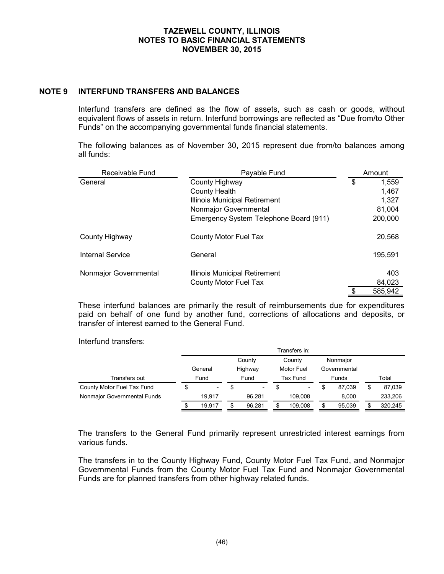### **NOTE 9 INTERFUND TRANSFERS AND BALANCES**

Interfund transfers are defined as the flow of assets, such as cash or goods, without equivalent flows of assets in return. Interfund borrowings are reflected as "Due from/to Other Funds" on the accompanying governmental funds financial statements.

The following balances as of November 30, 2015 represent due from/to balances among all funds:

| Receivable Fund         | Payable Fund                           |    | Amount  |
|-------------------------|----------------------------------------|----|---------|
| General                 | County Highway                         | \$ | 1,559   |
|                         | County Health                          |    | 1,467   |
|                         | Illinois Municipal Retirement          |    | 1,327   |
|                         | Nonmajor Governmental                  |    | 81,004  |
|                         | Emergency System Telephone Board (911) |    | 200,000 |
| County Highway          | County Motor Fuel Tax                  |    | 20,568  |
| <b>Internal Service</b> | General                                |    | 195.591 |
| Nonmajor Governmental   | Illinois Municipal Retirement          |    | 403     |
|                         | County Motor Fuel Tax                  |    | 84,023  |
|                         |                                        |    | 585,942 |

These interfund balances are primarily the result of reimbursements due for expenditures paid on behalf of one fund by another fund, corrections of allocations and deposits, or transfer of interest earned to the General Fund.

Interfund transfers:

|                             | Transfers in:            |   |                          |   |                          |    |              |    |         |
|-----------------------------|--------------------------|---|--------------------------|---|--------------------------|----|--------------|----|---------|
|                             |                          |   | County                   |   | County                   |    | Nonmajor     |    |         |
|                             | General                  |   | Highway                  |   | <b>Motor Fuel</b>        |    | Governmental |    |         |
| Transfers out               | Fund                     |   | Fund                     |   | Tax Fund                 |    | Funds        |    | Total   |
| County Motor Fuel Tax Fund  | $\overline{\phantom{0}}$ | S | $\overline{\phantom{0}}$ | S | $\overline{\phantom{a}}$ | S  | 87.039       | \$ | 87,039  |
| Nonmajor Governmental Funds | 19.917                   |   | 96.281                   |   | 109.008                  |    | 8.000        |    | 233.206 |
|                             | 19.917                   |   | 96.281                   |   | 109,008                  | \$ | 95,039       | \$ | 320,245 |

The transfers to the General Fund primarily represent unrestricted interest earnings from various funds.

The transfers in to the County Highway Fund, County Motor Fuel Tax Fund, and Nonmajor Governmental Funds from the County Motor Fuel Tax Fund and Nonmajor Governmental Funds are for planned transfers from other highway related funds.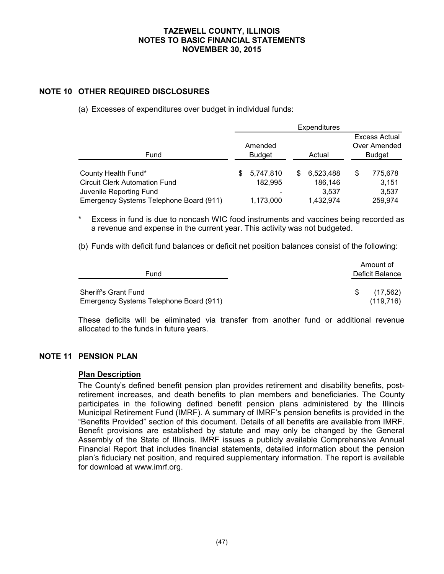# **NOTE 10 OTHER REQUIRED DISCLOSURES**

(a) Excesses of expenditures over budget in individual funds:

|                                                                                                                                   | <b>Expenditures</b>                    |                                                 |                                            |  |  |  |  |  |  |
|-----------------------------------------------------------------------------------------------------------------------------------|----------------------------------------|-------------------------------------------------|--------------------------------------------|--|--|--|--|--|--|
|                                                                                                                                   | Amended                                |                                                 | Excess Actual<br>Over Amended              |  |  |  |  |  |  |
| Fund                                                                                                                              | <b>Budget</b>                          | Actual                                          | <b>Budget</b>                              |  |  |  |  |  |  |
| County Health Fund*<br><b>Circuit Clerk Automation Fund</b><br>Juvenile Reporting Fund<br>Emergency Systems Telephone Board (911) | 5,747,810<br>S<br>182,995<br>1,173,000 | 6,523,488<br>S<br>186,146<br>3.537<br>1,432,974 | \$<br>775,678<br>3,151<br>3,537<br>259.974 |  |  |  |  |  |  |

- Excess in fund is due to noncash WIC food instruments and vaccines being recorded as a revenue and expense in the current year. This activity was not budgeted.
- (b) Funds with deficit fund balances or deficit net position balances consist of the following:

|                                         | Amount of       |
|-----------------------------------------|-----------------|
| Fund                                    | Deficit Balance |
| <b>Sheriff's Grant Fund</b>             | (17,562)        |
| Emergency Systems Telephone Board (911) | (119.716)       |

These deficits will be eliminated via transfer from another fund or additional revenue allocated to the funds in future years.

# **NOTE 11 PENSION PLAN**

#### **Plan Description**

The County's defined benefit pension plan provides retirement and disability benefits, postretirement increases, and death benefits to plan members and beneficiaries. The County participates in the following defined benefit pension plans administered by the Illinois Municipal Retirement Fund (IMRF). A summary of IMRF's pension benefits is provided in the "Benefits Provided" section of this document. Details of all benefits are available from IMRF. Benefit provisions are established by statute and may only be changed by the General Assembly of the State of Illinois. IMRF issues a publicly available Comprehensive Annual Financial Report that includes financial statements, detailed information about the pension plan's fiduciary net position, and required supplementary information. The report is available for download at www.imrf.org.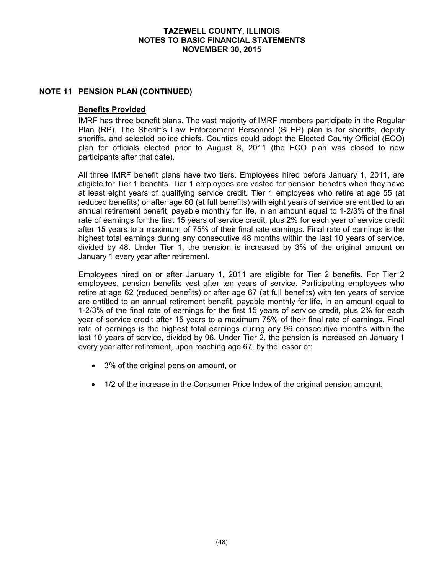# **NOTE 11 PENSION PLAN (CONTINUED)**

#### **Benefits Provided**

IMRF has three benefit plans. The vast majority of IMRF members participate in the Regular Plan (RP). The Sheriff's Law Enforcement Personnel (SLEP) plan is for sheriffs, deputy sheriffs, and selected police chiefs. Counties could adopt the Elected County Official (ECO) plan for officials elected prior to August 8, 2011 (the ECO plan was closed to new participants after that date).

All three IMRF benefit plans have two tiers. Employees hired before January 1, 2011, are eligible for Tier 1 benefits. Tier 1 employees are vested for pension benefits when they have at least eight years of qualifying service credit. Tier 1 employees who retire at age 55 (at reduced benefits) or after age 60 (at full benefits) with eight years of service are entitled to an annual retirement benefit, payable monthly for life, in an amount equal to 1-2/3% of the final rate of earnings for the first 15 years of service credit, plus 2% for each year of service credit after 15 years to a maximum of 75% of their final rate earnings. Final rate of earnings is the highest total earnings during any consecutive 48 months within the last 10 years of service, divided by 48. Under Tier 1, the pension is increased by 3% of the original amount on January 1 every year after retirement.

Employees hired on or after January 1, 2011 are eligible for Tier 2 benefits. For Tier 2 employees, pension benefits vest after ten years of service. Participating employees who retire at age 62 (reduced benefits) or after age 67 (at full benefits) with ten years of service are entitled to an annual retirement benefit, payable monthly for life, in an amount equal to 1-2/3% of the final rate of earnings for the first 15 years of service credit, plus 2% for each year of service credit after 15 years to a maximum 75% of their final rate of earnings. Final rate of earnings is the highest total earnings during any 96 consecutive months within the last 10 years of service, divided by 96. Under Tier 2, the pension is increased on January 1 every year after retirement, upon reaching age 67, by the lessor of:

- 3% of the original pension amount, or
- 1/2 of the increase in the Consumer Price Index of the original pension amount.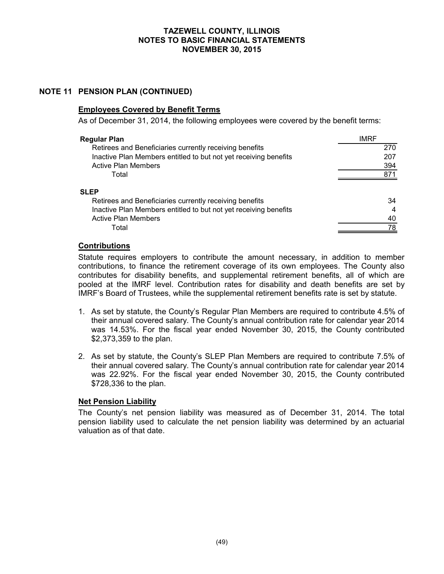# **NOTE 11 PENSION PLAN (CONTINUED)**

#### **Employees Covered by Benefit Terms**

As of December 31, 2014, the following employees were covered by the benefit terms:

| <b>Regular Plan</b>                                              | IMRF |
|------------------------------------------------------------------|------|
| Retirees and Beneficiaries currently receiving benefits          | 270  |
| Inactive Plan Members entitled to but not yet receiving benefits | 207  |
| <b>Active Plan Members</b>                                       | 394  |
| Total                                                            | 871  |
| <b>SLEP</b>                                                      |      |
| Retirees and Beneficiaries currently receiving benefits          | 34   |
| Inactive Plan Members entitled to but not yet receiving benefits |      |
| <b>Active Plan Members</b>                                       | 40   |
| Total                                                            | 78   |

#### **Contributions**

Statute requires employers to contribute the amount necessary, in addition to member contributions, to finance the retirement coverage of its own employees. The County also contributes for disability benefits, and supplemental retirement benefits, all of which are pooled at the IMRF level. Contribution rates for disability and death benefits are set by IMRF's Board of Trustees, while the supplemental retirement benefits rate is set by statute.

- 1. As set by statute, the County's Regular Plan Members are required to contribute 4.5% of their annual covered salary. The County's annual contribution rate for calendar year 2014 was 14.53%. For the fiscal year ended November 30, 2015, the County contributed \$2,373,359 to the plan.
- 2. As set by statute, the County's SLEP Plan Members are required to contribute 7.5% of their annual covered salary. The County's annual contribution rate for calendar year 2014 was 22.92%. For the fiscal year ended November 30, 2015, the County contributed \$728,336 to the plan.

#### **Net Pension Liability**

The County's net pension liability was measured as of December 31, 2014. The total pension liability used to calculate the net pension liability was determined by an actuarial valuation as of that date.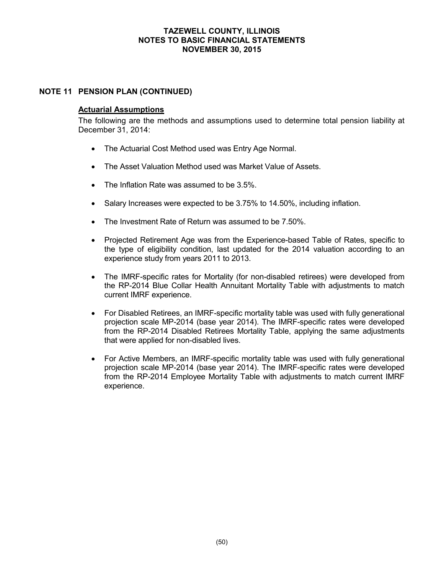# **NOTE 11 PENSION PLAN (CONTINUED)**

#### **Actuarial Assumptions**

The following are the methods and assumptions used to determine total pension liability at December 31, 2014:

- The Actuarial Cost Method used was Entry Age Normal.
- The Asset Valuation Method used was Market Value of Assets.
- The Inflation Rate was assumed to be 3.5%.
- Salary Increases were expected to be 3.75% to 14.50%, including inflation.
- The Investment Rate of Return was assumed to be 7.50%.
- Projected Retirement Age was from the Experience-based Table of Rates, specific to the type of eligibility condition, last updated for the 2014 valuation according to an experience study from years 2011 to 2013.
- The IMRF-specific rates for Mortality (for non-disabled retirees) were developed from the RP-2014 Blue Collar Health Annuitant Mortality Table with adjustments to match current IMRF experience.
- For Disabled Retirees, an IMRF-specific mortality table was used with fully generational projection scale MP-2014 (base year 2014). The IMRF-specific rates were developed from the RP-2014 Disabled Retirees Mortality Table, applying the same adjustments that were applied for non-disabled lives.
- For Active Members, an IMRF-specific mortality table was used with fully generational projection scale MP-2014 (base year 2014). The IMRF-specific rates were developed from the RP-2014 Employee Mortality Table with adjustments to match current IMRF experience.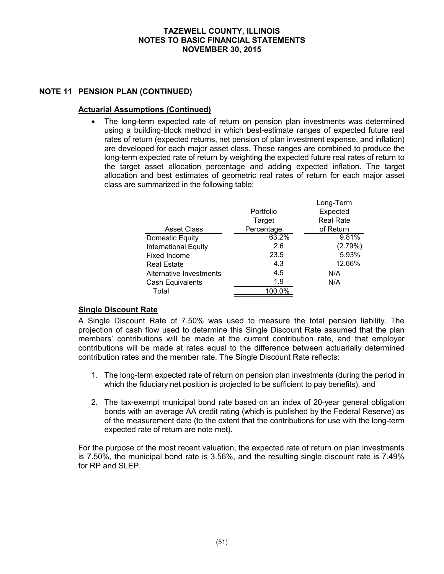# **NOTE 11 PENSION PLAN (CONTINUED)**

# **Actuarial Assumptions (Continued)**

 The long-term expected rate of return on pension plan investments was determined using a building-block method in which best-estimate ranges of expected future real rates of return (expected returns, net pension of plan investment expense, and inflation) are developed for each major asset class. These ranges are combined to produce the long-term expected rate of return by weighting the expected future real rates of return to the target asset allocation percentage and adding expected inflation. The target allocation and best estimates of geometric real rates of return for each major asset class are summarized in the following table:

|                             |            | Long-Term        |
|-----------------------------|------------|------------------|
|                             | Portfolio  | Expected         |
|                             | Target     | <b>Real Rate</b> |
| <b>Asset Class</b>          | Percentage | of Return        |
| <b>Domestic Equity</b>      | 63.2%      | 9.81%            |
| <b>International Equity</b> | 2.6        | (2.79%)          |
| Fixed Income                | 23.5       | 5.93%            |
| <b>Real Estate</b>          | 4.3        | 12.66%           |
| Alternative Investments     | 4.5        | N/A              |
| <b>Cash Equivalents</b>     | 1.9        | N/A              |
| Total                       | 100.0%     |                  |

# **Single Discount Rate**

A Single Discount Rate of 7.50% was used to measure the total pension liability. The projection of cash flow used to determine this Single Discount Rate assumed that the plan members' contributions will be made at the current contribution rate, and that employer contributions will be made at rates equal to the difference between actuarially determined contribution rates and the member rate. The Single Discount Rate reflects:

- 1. The long-term expected rate of return on pension plan investments (during the period in which the fiduciary net position is projected to be sufficient to pay benefits), and
- 2. The tax-exempt municipal bond rate based on an index of 20-year general obligation bonds with an average AA credit rating (which is published by the Federal Reserve) as of the measurement date (to the extent that the contributions for use with the long-term expected rate of return are note met).

For the purpose of the most recent valuation, the expected rate of return on plan investments is 7.50%, the municipal bond rate is 3.56%, and the resulting single discount rate is 7.49% for RP and SLEP.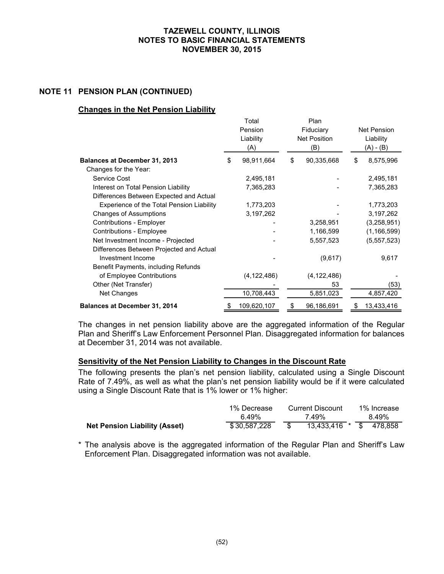# **NOTE 11 PENSION PLAN (CONTINUED)**

### **Changes in the Net Pension Liability**

|                                           |    | Total<br>Pension<br>Liability<br>(A) |    | Plan<br>Fiduciary<br><b>Net Position</b><br>(B) | Net Pension<br>Liability<br>(A) - (B) |               |  |
|-------------------------------------------|----|--------------------------------------|----|-------------------------------------------------|---------------------------------------|---------------|--|
| <b>Balances at December 31, 2013</b>      | \$ | 98,911,664                           | \$ | 90,335,668                                      | \$                                    | 8,575,996     |  |
| Changes for the Year:                     |    |                                      |    |                                                 |                                       |               |  |
| Service Cost                              |    | 2,495,181                            |    |                                                 |                                       | 2,495,181     |  |
| Interest on Total Pension Liability       |    | 7,365,283                            |    |                                                 |                                       | 7,365,283     |  |
| Differences Between Expected and Actual   |    |                                      |    |                                                 |                                       |               |  |
| Experience of the Total Pension Liability |    | 1,773,203                            |    |                                                 |                                       | 1,773,203     |  |
| <b>Changes of Assumptions</b>             |    | 3,197,262                            |    |                                                 |                                       | 3,197,262     |  |
| Contributions - Employer                  |    |                                      |    | 3,258,951                                       |                                       | (3, 258, 951) |  |
| Contributions - Employee                  |    |                                      |    | 1,166,599                                       |                                       | (1, 166, 599) |  |
| Net Investment Income - Projected         |    |                                      |    | 5,557,523                                       |                                       | (5, 557, 523) |  |
| Differences Between Projected and Actual  |    |                                      |    |                                                 |                                       |               |  |
| Investment Income                         |    |                                      |    | (9,617)                                         |                                       | 9,617         |  |
| Benefit Payments, including Refunds       |    |                                      |    |                                                 |                                       |               |  |
| of Employee Contributions                 |    | (4, 122, 486)                        |    | (4, 122, 486)                                   |                                       |               |  |
| Other (Net Transfer)                      |    |                                      |    | 53                                              |                                       | (53)          |  |
| Net Changes                               |    | 10,708,443                           |    | 5,851,023                                       |                                       | 4,857,420     |  |
| <b>Balances at December 31, 2014</b>      |    | 109,620,107                          | æ. | 96,186,691                                      | \$                                    | 13,433,416    |  |

The changes in net pension liability above are the aggregated information of the Regular Plan and Sheriff's Law Enforcement Personnel Plan. Disaggregated information for balances at December 31, 2014 was not available.

#### **Sensitivity of the Net Pension Liability to Changes in the Discount Rate**

The following presents the plan's net pension liability, calculated using a Single Discount Rate of 7.49%, as well as what the plan's net pension liability would be if it were calculated using a Single Discount Rate that is 1% lower or 1% higher:

|                                      | 1% Decrease  | Current Discount |       | 1% Increase |  |
|--------------------------------------|--------------|------------------|-------|-------------|--|
|                                      | 6.49%        | 7.49%            | 8.49% |             |  |
| <b>Net Pension Liability (Asset)</b> | \$30,587,228 | 13.433.416 *     | -SS   | 478.858     |  |

\* The analysis above is the aggregated information of the Regular Plan and Sheriff's Law Enforcement Plan. Disaggregated information was not available.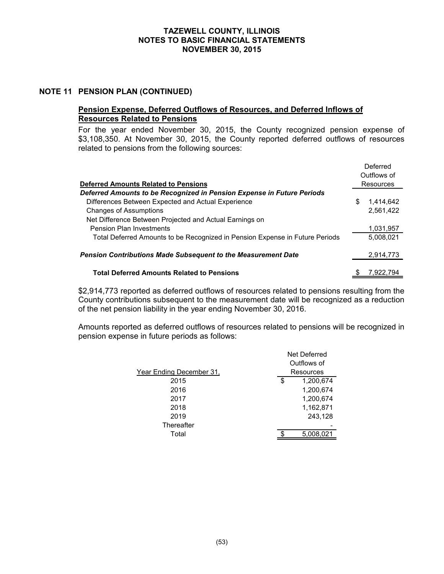#### **NOTE 11 PENSION PLAN (CONTINUED)**

# **Pension Expense, Deferred Outflows of Resources, and Deferred Inflows of Resources Related to Pensions**

For the year ended November 30, 2015, the County recognized pension expense of \$3,108,350. At November 30, 2015, the County reported deferred outflows of resources related to pensions from the following sources:

|                                                                              | Deferred |             |  |  |  |
|------------------------------------------------------------------------------|----------|-------------|--|--|--|
|                                                                              |          | Outflows of |  |  |  |
| <b>Deferred Amounts Related to Pensions</b>                                  |          | Resources   |  |  |  |
| Deferred Amounts to be Recognized in Pension Expense in Future Periods       |          |             |  |  |  |
| Differences Between Expected and Actual Experience                           | \$       | 1.414.642   |  |  |  |
| <b>Changes of Assumptions</b>                                                |          | 2.561.422   |  |  |  |
| Net Difference Between Projected and Actual Earnings on                      |          |             |  |  |  |
| <b>Pension Plan Investments</b>                                              |          | 1,031,957   |  |  |  |
| Total Deferred Amounts to be Recognized in Pension Expense in Future Periods |          | 5,008,021   |  |  |  |
|                                                                              |          |             |  |  |  |
| Pension Contributions Made Subsequent to the Measurement Date                |          | 2,914,773   |  |  |  |
|                                                                              |          |             |  |  |  |
| <b>Total Deferred Amounts Related to Pensions</b>                            |          | 7,922,794   |  |  |  |

\$2,914,773 reported as deferred outflows of resources related to pensions resulting from the County contributions subsequent to the measurement date will be recognized as a reduction of the net pension liability in the year ending November 30, 2016.

Amounts reported as deferred outflows of resources related to pensions will be recognized in pension expense in future periods as follows:

|                          |   | Net Deferred |
|--------------------------|---|--------------|
|                          |   | Outflows of  |
| Year Ending December 31, |   | Resources    |
| 2015                     | S | 1,200,674    |
| 2016                     |   | 1,200,674    |
| 2017                     |   | 1,200,674    |
| 2018                     |   | 1,162,871    |
| 2019                     |   | 243,128      |
| Thereafter               |   |              |
| Total                    |   | 5,008,021    |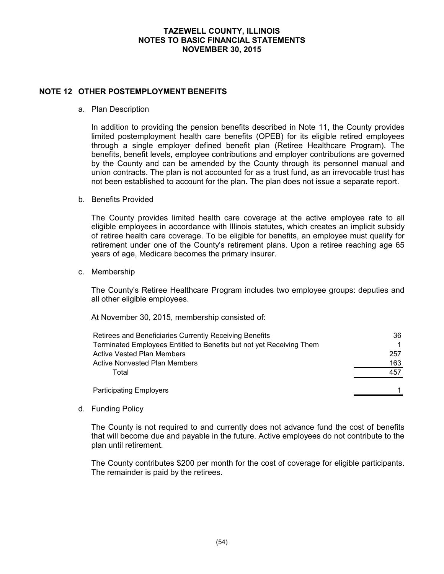### **NOTE 12 OTHER POSTEMPLOYMENT BENEFITS**

a. Plan Description

In addition to providing the pension benefits described in Note 11, the County provides limited postemployment health care benefits (OPEB) for its eligible retired employees through a single employer defined benefit plan (Retiree Healthcare Program). The benefits, benefit levels, employee contributions and employer contributions are governed by the County and can be amended by the County through its personnel manual and union contracts. The plan is not accounted for as a trust fund, as an irrevocable trust has not been established to account for the plan. The plan does not issue a separate report.

b. Benefits Provided

The County provides limited health care coverage at the active employee rate to all eligible employees in accordance with Illinois statutes, which creates an implicit subsidy of retiree health care coverage. To be eligible for benefits, an employee must qualify for retirement under one of the County's retirement plans. Upon a retiree reaching age 65 years of age, Medicare becomes the primary insurer.

c. Membership

The County's Retiree Healthcare Program includes two employee groups: deputies and all other eligible employees.

At November 30, 2015, membership consisted of:

| Retirees and Beneficiaries Currently Receiving Benefits              | 36  |
|----------------------------------------------------------------------|-----|
| Terminated Employees Entitled to Benefits but not yet Receiving Them |     |
| Active Vested Plan Members                                           | 257 |
| <b>Active Nonvested Plan Members</b>                                 | 163 |
| Total                                                                | 457 |
| <b>Participating Employers</b>                                       |     |

d. Funding Policy

The County is not required to and currently does not advance fund the cost of benefits that will become due and payable in the future. Active employees do not contribute to the plan until retirement.

The County contributes \$200 per month for the cost of coverage for eligible participants. The remainder is paid by the retirees.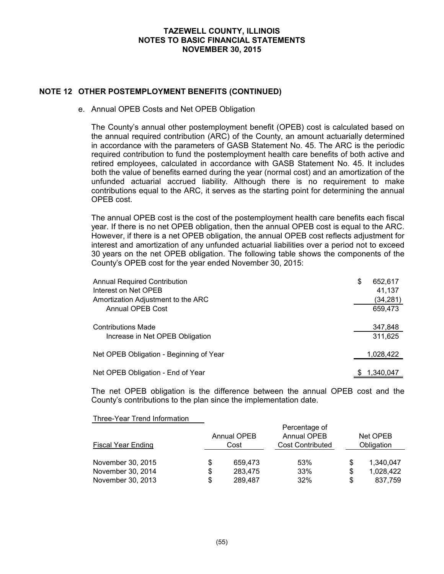### **NOTE 12 OTHER POSTEMPLOYMENT BENEFITS (CONTINUED)**

#### e. Annual OPEB Costs and Net OPEB Obligation

The County's annual other postemployment benefit (OPEB) cost is calculated based on the annual required contribution (ARC) of the County, an amount actuarially determined in accordance with the parameters of GASB Statement No. 45. The ARC is the periodic required contribution to fund the postemployment health care benefits of both active and retired employees, calculated in accordance with GASB Statement No. 45. It includes both the value of benefits earned during the year (normal cost) and an amortization of the unfunded actuarial accrued liability. Although there is no requirement to make contributions equal to the ARC, it serves as the starting point for determining the annual OPEB cost.

The annual OPEB cost is the cost of the postemployment health care benefits each fiscal year. If there is no net OPEB obligation, then the annual OPEB cost is equal to the ARC. However, if there is a net OPEB obligation, the annual OPEB cost reflects adjustment for interest and amortization of any unfunded actuarial liabilities over a period not to exceed 30 years on the net OPEB obligation. The following table shows the components of the County's OPEB cost for the year ended November 30, 2015:

| <b>Annual Required Contribution</b><br>Interest on Net OPEB<br>Amortization Adjustment to the ARC | \$<br>652,617<br>41,137<br>(34, 281) |
|---------------------------------------------------------------------------------------------------|--------------------------------------|
| <b>Annual OPEB Cost</b><br><b>Contributions Made</b>                                              | 659,473<br>347,848                   |
| Increase in Net OPEB Obligation<br>Net OPEB Obligation - Beginning of Year                        | 311,625<br>1,028,422                 |
| Net OPEB Obligation - End of Year                                                                 | 1,340,047                            |

The net OPEB obligation is the difference between the annual OPEB cost and the County's contributions to the plan since the implementation date.

Three-Year Trend Information

| <b>Fiscal Year Ending</b> | Annual OPEB<br>Cost | Percentage of<br><b>Annual OPEB</b><br><b>Cost Contributed</b> |    | Net OPEB<br>Obligation |  |  |
|---------------------------|---------------------|----------------------------------------------------------------|----|------------------------|--|--|
| November 30, 2015         | \$<br>659.473       | 53%                                                            | S  | 1.340.047              |  |  |
| November 30, 2014         | \$<br>283.475       | 33%                                                            | \$ | 1,028,422              |  |  |
| November 30, 2013         | \$<br>289.487       | 32%                                                            | \$ | 837.759                |  |  |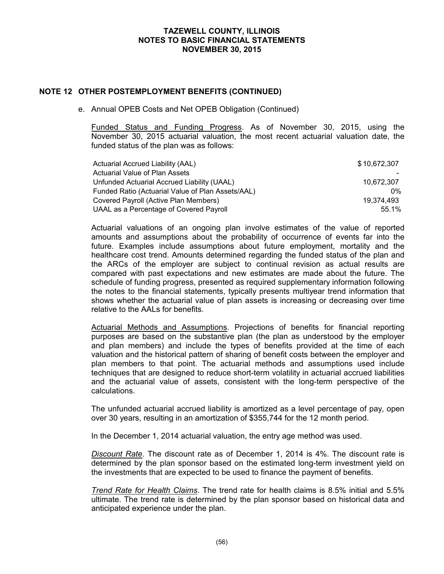# **NOTE 12 OTHER POSTEMPLOYMENT BENEFITS (CONTINUED)**

e. Annual OPEB Costs and Net OPEB Obligation (Continued)

Funded Status and Funding Progress. As of November 30, 2015, using the November 30, 2015 actuarial valuation, the most recent actuarial valuation date, the funded status of the plan was as follows:

| Actuarial Accrued Liability (AAL)                 | \$10.672.307 |
|---------------------------------------------------|--------------|
| <b>Actuarial Value of Plan Assets</b>             |              |
| Unfunded Actuarial Accrued Liability (UAAL)       | 10.672.307   |
| Funded Ratio (Actuarial Value of Plan Assets/AAL) | በ%           |
| Covered Payroll (Active Plan Members)             | 19.374.493   |
| UAAL as a Percentage of Covered Payroll           | 55.1%        |

Actuarial valuations of an ongoing plan involve estimates of the value of reported amounts and assumptions about the probability of occurrence of events far into the future. Examples include assumptions about future employment, mortality and the healthcare cost trend. Amounts determined regarding the funded status of the plan and the ARCs of the employer are subject to continual revision as actual results are compared with past expectations and new estimates are made about the future. The schedule of funding progress, presented as required supplementary information following the notes to the financial statements, typically presents multiyear trend information that shows whether the actuarial value of plan assets is increasing or decreasing over time relative to the AALs for benefits.

Actuarial Methods and Assumptions. Projections of benefits for financial reporting purposes are based on the substantive plan (the plan as understood by the employer and plan members) and include the types of benefits provided at the time of each valuation and the historical pattern of sharing of benefit costs between the employer and plan members to that point. The actuarial methods and assumptions used include techniques that are designed to reduce short-term volatility in actuarial accrued liabilities and the actuarial value of assets, consistent with the long-term perspective of the calculations.

The unfunded actuarial accrued liability is amortized as a level percentage of pay, open over 30 years, resulting in an amortization of \$355,744 for the 12 month period.

In the December 1, 2014 actuarial valuation, the entry age method was used.

*Discount Rate*. The discount rate as of December 1, 2014 is 4%. The discount rate is determined by the plan sponsor based on the estimated long-term investment yield on the investments that are expected to be used to finance the payment of benefits.

*Trend Rate for Health Claims*. The trend rate for health claims is 8.5% initial and 5.5% ultimate. The trend rate is determined by the plan sponsor based on historical data and anticipated experience under the plan.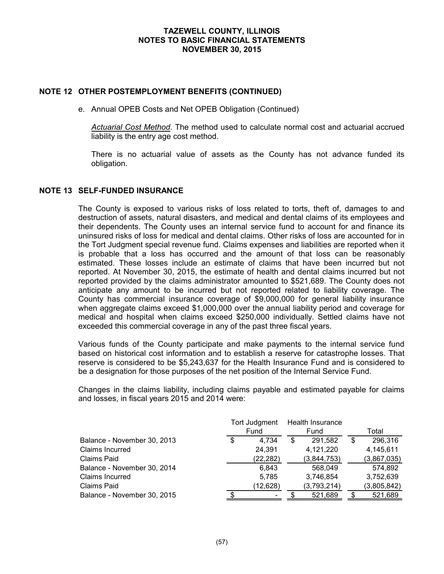# **NOTE 12 OTHER POSTEMPLOYMENT BENEFITS (CONTINUED)**

e. Annual OPEB Costs and Net OPEB Obligation (Continued)

*Actuarial Cost Method*. The method used to calculate normal cost and actuarial accrued liability is the entry age cost method.

There is no actuarial value of assets as the County has not advance funded its obligation.

### **NOTE 13 SELF-FUNDED INSURANCE**

The County is exposed to various risks of loss related to torts, theft of, damages to and destruction of assets, natural disasters, and medical and dental claims of its employees and their dependents. The County uses an internal service fund to account for and finance its uninsured risks of loss for medical and dental claims. Other risks of loss are accounted for in the Tort Judgment special revenue fund. Claims expenses and liabilities are reported when it is probable that a loss has occurred and the amount of that loss can be reasonably estimated. These losses include an estimate of claims that have been incurred but not reported. At November 30, 2015, the estimate of health and dental claims incurred but not reported provided by the claims administrator amounted to \$521,689. The County does not anticipate any amount to be incurred but not reported related to liability coverage. The County has commercial insurance coverage of \$9,000,000 for general liability insurance when aggregate claims exceed \$1,000,000 over the annual liability period and coverage for medical and hospital when claims exceed \$250,000 individually. Settled claims have not exceeded this commercial coverage in any of the past three fiscal years.

Various funds of the County participate and make payments to the internal service fund based on historical cost information and to establish a reserve for catastrophe losses. That reserve is considered to be \$5,243,637 for the Health Insurance Fund and is considered to be a designation for those purposes of the net position of the Internal Service Fund.

Changes in the claims liability, including claims payable and estimated payable for claims and losses, in fiscal years 2015 and 2014 were:

|                             | Tort Judgment<br>Fund |          |    | Health Insurance<br>Fund | Total         |
|-----------------------------|-----------------------|----------|----|--------------------------|---------------|
| Balance - November 30, 2013 | \$                    | 4.734    | \$ | 291,582                  | \$<br>296,316 |
| Claims Incurred             |                       | 24,391   |    | 4,121,220                | 4,145,611     |
| <b>Claims Paid</b>          |                       | (22,282) |    | (3,844,753)              | (3,867,035)   |
| Balance - November 30, 2014 |                       | 6,843    |    | 568,049                  | 574,892       |
| Claims Incurred             |                       | 5,785    |    | 3,746,854                | 3,752,639     |
| <b>Claims Paid</b>          |                       | (12,628) |    | (3,793,214)              | (3,805,842)   |
| Balance - November 30, 2015 |                       |          |    | 521,689                  | 521,689       |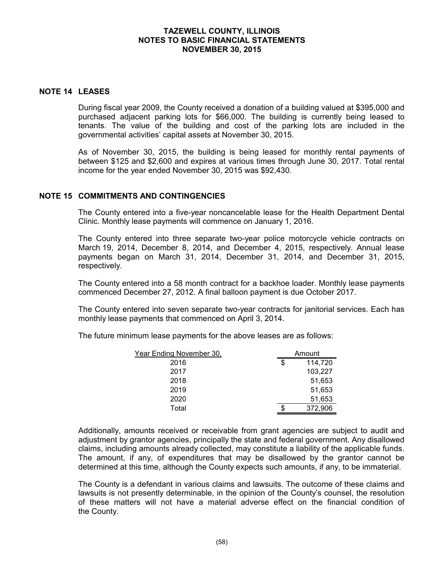### **NOTE 14 LEASES**

During fiscal year 2009, the County received a donation of a building valued at \$395,000 and purchased adjacent parking lots for \$66,000. The building is currently being leased to tenants. The value of the building and cost of the parking lots are included in the governmental activities' capital assets at November 30, 2015.

As of November 30, 2015, the building is being leased for monthly rental payments of between \$125 and \$2,600 and expires at various times through June 30, 2017. Total rental income for the year ended November 30, 2015 was \$92,430.

### **NOTE 15 COMMITMENTS AND CONTINGENCIES**

The County entered into a five-year noncancelable lease for the Health Department Dental Clinic. Monthly lease payments will commence on January 1, 2016.

The County entered into three separate two-year police motorcycle vehicle contracts on March 19, 2014, December 8, 2014, and December 4, 2015, respectively. Annual lease payments began on March 31, 2014, December 31, 2014, and December 31, 2015, respectively.

The County entered into a 58 month contract for a backhoe loader. Monthly lease payments commenced December 27, 2012. A final balloon payment is due October 2017.

The County entered into seven separate two-year contracts for janitorial services. Each has monthly lease payments that commenced on April 3, 2014.

The future minimum lease payments for the above leases are as follows:

| Year Ending November 30, |    | Amount  |
|--------------------------|----|---------|
| 2016                     | \$ | 114,720 |
| 2017                     |    | 103,227 |
| 2018                     |    | 51,653  |
| 2019                     |    | 51,653  |
| 2020                     |    | 51,653  |
| Total                    | S  | 372,906 |

Additionally, amounts received or receivable from grant agencies are subject to audit and adjustment by grantor agencies, principally the state and federal government. Any disallowed claims, including amounts already collected, may constitute a liability of the applicable funds. The amount, if any, of expenditures that may be disallowed by the grantor cannot be determined at this time, although the County expects such amounts, if any, to be immaterial.

The County is a defendant in various claims and lawsuits. The outcome of these claims and lawsuits is not presently determinable, in the opinion of the County's counsel, the resolution of these matters will not have a material adverse effect on the financial condition of the County.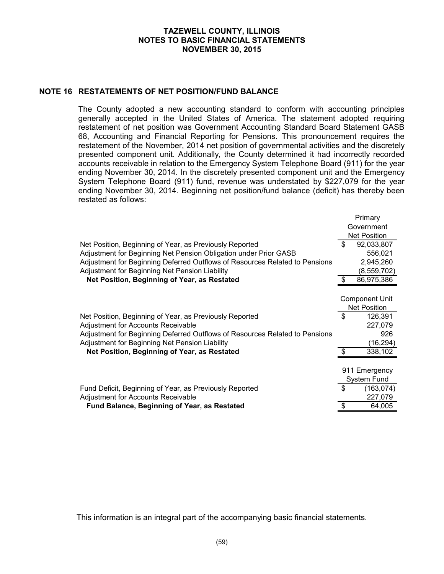#### **NOTE 16 RESTATEMENTS OF NET POSITION/FUND BALANCE**

The County adopted a new accounting standard to conform with accounting principles generally accepted in the United States of America. The statement adopted requiring restatement of net position was Government Accounting Standard Board Statement GASB 68, Accounting and Financial Reporting for Pensions. This pronouncement requires the restatement of the November, 2014 net position of governmental activities and the discretely presented component unit. Additionally, the County determined it had incorrectly recorded accounts receivable in relation to the Emergency System Telephone Board (911) for the year ending November 30, 2014. In the discretely presented component unit and the Emergency System Telephone Board (911) fund, revenue was understated by \$227,079 for the year ending November 30, 2014. Beginning net position/fund balance (deficit) has thereby been restated as follows:

|                                                                             | Primary               |
|-----------------------------------------------------------------------------|-----------------------|
|                                                                             | Government            |
|                                                                             | <b>Net Position</b>   |
| Net Position, Beginning of Year, as Previously Reported                     | \$<br>92,033,807      |
| Adjustment for Beginning Net Pension Obligation under Prior GASB            | 556,021               |
| Adjustment for Beginning Deferred Outflows of Resources Related to Pensions | 2,945,260             |
| Adjustment for Beginning Net Pension Liability                              | (8,559,702)           |
| Net Position, Beginning of Year, as Restated                                | 86,975,386            |
|                                                                             |                       |
|                                                                             | <b>Component Unit</b> |
|                                                                             | <b>Net Position</b>   |
| Net Position, Beginning of Year, as Previously Reported                     | \$<br>126,391         |
| <b>Adjustment for Accounts Receivable</b>                                   | 227,079               |
| Adjustment for Beginning Deferred Outflows of Resources Related to Pensions | 926                   |
| Adjustment for Beginning Net Pension Liability                              | (16,294)              |
| Net Position, Beginning of Year, as Restated                                | 338,102               |
|                                                                             |                       |
|                                                                             | 911 Emergency         |
|                                                                             | System Fund           |
| Fund Deficit, Beginning of Year, as Previously Reported                     | (163, 074)            |
| Adjustment for Accounts Receivable                                          | 227,079               |
| <b>Fund Balance, Beginning of Year, as Restated</b>                         | \$<br>64,005          |

This information is an integral part of the accompanying basic financial statements.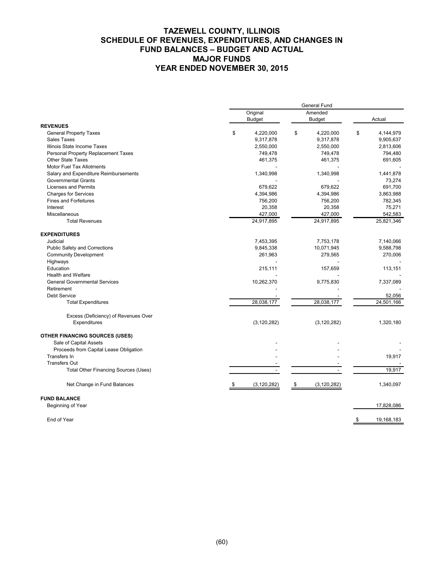# **TAZEWELL COUNTY, ILLINOIS SCHEDULE OF REVENUES, EXPENDITURES, AND CHANGES IN FUND BALANCES – BUDGET AND ACTUAL MAJOR FUNDS YEAR ENDED NOVEMBER 30, 2015**

|                                        |                 | <b>General Fund</b> |                  |
|----------------------------------------|-----------------|---------------------|------------------|
|                                        | Original        | Amended             |                  |
|                                        | <b>Budget</b>   | <b>Budget</b>       | Actual           |
| <b>REVENUES</b>                        |                 |                     |                  |
| <b>General Property Taxes</b>          | \$<br>4,220,000 | \$<br>4,220,000     | \$<br>4,144,979  |
| Sales Taxes                            | 9,317,878       | 9,317,878           | 9,905,637        |
| Illinois State Income Taxes            | 2,550,000       | 2,550,000           | 2,813,606        |
| Personal Property Replacement Taxes    | 749,478         | 749,478             | 794,480          |
| <b>Other State Taxes</b>               | 461,375         | 461,375             | 691,605          |
| Motor Fuel Tax Allotments              |                 |                     |                  |
| Salary and Expenditure Reimbursements  | 1,340,998       | 1,340,998           | 1,441,878        |
| <b>Governmental Grants</b>             |                 |                     | 73,274           |
| <b>Licenses and Permits</b>            | 679,622         | 679,622             | 691,700          |
| <b>Charges for Services</b>            | 4,394,986       | 4,394,986           | 3,863,988        |
| <b>Fines and Forfeitures</b>           | 756,200         | 756,200             | 782,345          |
| Interest                               | 20,358          | 20,358              | 75,271           |
| Miscellaneous                          | 427,000         | 427,000             | 542,583          |
| <b>Total Revenues</b>                  | 24,917,895      | 24,917,895          | 25,821,346       |
| <b>EXPENDITURES</b>                    |                 |                     |                  |
| Judicial                               | 7,453,395       | 7,753,178           | 7,140,066        |
| Public Safety and Corrections          | 9,845,338       | 10,071,945          | 9,588,798        |
| <b>Community Development</b>           | 261,963         | 279,565             | 270,006          |
| Highways                               |                 |                     |                  |
| Education                              | 215,111         | 157,659             | 113,151          |
| <b>Health and Welfare</b>              |                 |                     |                  |
| <b>General Governmental Services</b>   | 10,262,370      | 9,775,830           | 7,337,089        |
| Retirement                             |                 |                     |                  |
| <b>Debt Service</b>                    |                 |                     | 52,056           |
| <b>Total Expenditures</b>              | 28,038,177      | 28,038,177          | 24,501,166       |
| Excess (Deficiency) of Revenues Over   |                 |                     |                  |
| Expenditures                           | (3, 120, 282)   | (3, 120, 282)       | 1,320,180        |
| <b>OTHER FINANCING SOURCES (USES)</b>  |                 |                     |                  |
| Sale of Capital Assets                 |                 |                     |                  |
| Proceeds from Capital Lease Obligation |                 |                     |                  |
| Transfers In                           |                 |                     | 19,917           |
| <b>Transfers Out</b>                   |                 |                     |                  |
| Total Other Financing Sources (Uses)   |                 |                     | 19,917           |
| Net Change in Fund Balances            | (3, 120, 282)   | (3, 120, 282)<br>\$ | 1,340,097        |
| <b>FUND BALANCE</b>                    |                 |                     |                  |
| Beginning of Year                      |                 |                     | 17,828,086       |
| End of Year                            |                 |                     | \$<br>19,168,183 |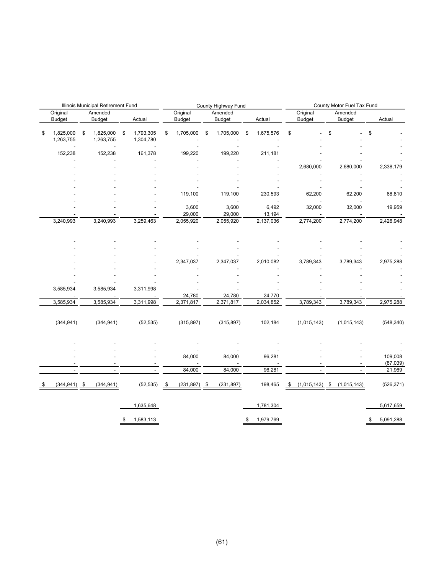|                              | Illinois Municipal Retirement Fund |                              |            |                     | County Highway Fund |                     |     | County Motor Fuel Tax Fund |    |                          |    |                     |  |  |
|------------------------------|------------------------------------|------------------------------|------------|---------------------|---------------------|---------------------|-----|----------------------------|----|--------------------------|----|---------------------|--|--|
| Original                     | Amended                            |                              |            | Original            | Amended             |                     |     | Original                   |    | Amended                  |    |                     |  |  |
| <b>Budget</b>                | <b>Budget</b>                      | Actual                       |            | <b>Budget</b>       | <b>Budget</b>       | Actual              |     | <b>Budget</b>              |    | <b>Budget</b>            |    | Actual              |  |  |
| \$<br>1,825,000<br>1,263,755 | \$<br>1,825,000<br>1,263,755       | \$<br>1,793,305<br>1,304,780 | \$         | 1,705,000           | \$<br>1,705,000     | \$<br>1,675,576     | \$  |                            | \$ |                          | \$ |                     |  |  |
| 152,238                      | 152,238                            | 161,378                      |            | 199,220             | 199,220             | 211,181             |     |                            |    |                          |    |                     |  |  |
|                              |                                    |                              |            |                     |                     |                     |     | 2,680,000                  |    | 2,680,000                |    | 2,338,179           |  |  |
|                              |                                    |                              |            |                     |                     |                     |     |                            |    |                          |    |                     |  |  |
|                              |                                    |                              |            | 119,100             | 119,100             | 230,593             |     | 62,200                     |    | 62,200                   |    | 68,810              |  |  |
|                              |                                    |                              |            | 3,600               | 3,600               | 6,492               |     | 32,000                     |    | 32,000                   |    | 19,959              |  |  |
| 3,240,993                    | 3,240,993                          | 3,259,463                    |            | 29,000<br>2,055,920 | 29,000<br>2,055,920 | 13,194<br>2,137,036 |     | 2,774,200                  |    | 2,774,200                |    | 2,426,948           |  |  |
|                              |                                    |                              |            |                     |                     |                     |     |                            |    |                          |    |                     |  |  |
|                              |                                    |                              |            |                     |                     |                     |     |                            |    |                          |    |                     |  |  |
|                              |                                    |                              |            | 2,347,037           | 2,347,037           | 2,010,082           |     | 3,789,343                  |    | 3,789,343                |    | 2,975,288           |  |  |
|                              |                                    |                              |            |                     |                     |                     |     |                            |    |                          |    |                     |  |  |
| 3,585,934                    | 3,585,934                          | 3,311,998                    |            | 24,780              | 24,780              | 24,770              |     |                            |    |                          |    |                     |  |  |
| 3,585,934                    | 3,585,934                          | 3,311,998                    |            | 2,371,817           | 2,371,817           | 2,034,852           |     | 3,789,343                  |    | 3,789,343                |    | 2,975,288           |  |  |
| (344, 941)                   | (344, 941)                         | (52, 535)                    |            | (315, 897)          | (315, 897)          | 102,184             |     | (1,015,143)                |    | (1,015,143)              |    | (548, 340)          |  |  |
|                              |                                    |                              |            |                     |                     |                     |     |                            |    |                          |    |                     |  |  |
|                              |                                    |                              |            | 84,000              | 84,000              | 96,281              |     |                            |    |                          |    | 109,008<br>(87,039) |  |  |
| $\overline{\phantom{a}}$     | ٠                                  |                              |            | 84,000              | 84,000              | 96,281              |     | $\overline{a}$             |    | $\overline{\phantom{a}}$ |    | 21,969              |  |  |
| (344, 941)                   | - \$<br>(344, 941)                 | (52, 535)                    | $\sqrt{2}$ | (231, 897)          | \$<br>(231, 897)    | 198,465             | -\$ | (1,015,143)                | \$ | (1,015,143)              |    | (526, 371)          |  |  |
|                              |                                    | 1,635,648                    |            |                     |                     | 1,781,304           |     |                            |    |                          |    | 5,617,659           |  |  |
|                              |                                    | \$<br>1,583,113              |            |                     |                     | \$<br>1,979,769     |     |                            |    |                          | \$ | 5,091,288           |  |  |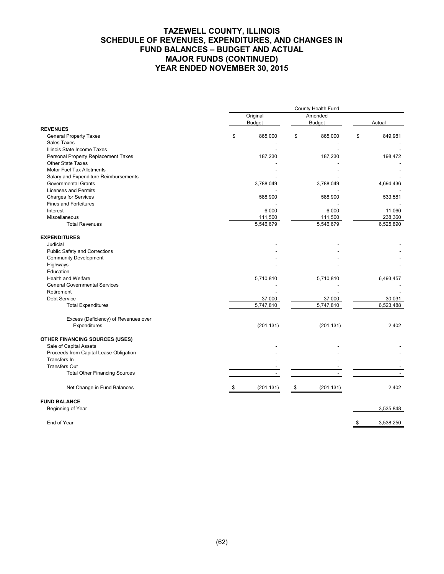# **TAZEWELL COUNTY, ILLINOIS SCHEDULE OF REVENUES, EXPENDITURES, AND CHANGES IN FUND BALANCES – BUDGET AND ACTUAL MAJOR FUNDS (CONTINUED) YEAR ENDED NOVEMBER 30, 2015**

|                                        |               | County Health Fund |                 |  |  |  |  |  |
|----------------------------------------|---------------|--------------------|-----------------|--|--|--|--|--|
|                                        | Original      | Amended            |                 |  |  |  |  |  |
|                                        | <b>Budget</b> | <b>Budget</b>      | Actual          |  |  |  |  |  |
| <b>REVENUES</b>                        |               |                    |                 |  |  |  |  |  |
| <b>General Property Taxes</b>          | \$<br>865,000 | \$<br>865,000      | \$<br>849,981   |  |  |  |  |  |
| Sales Taxes                            |               |                    |                 |  |  |  |  |  |
| Illinois State Income Taxes            |               |                    |                 |  |  |  |  |  |
| Personal Property Replacement Taxes    | 187,230       | 187,230            | 198,472         |  |  |  |  |  |
| <b>Other State Taxes</b>               |               |                    |                 |  |  |  |  |  |
| Motor Fuel Tax Allotments              |               |                    |                 |  |  |  |  |  |
| Salary and Expenditure Reimbursements  |               |                    |                 |  |  |  |  |  |
| <b>Governmental Grants</b>             | 3,788,049     | 3,788,049          | 4,694,436       |  |  |  |  |  |
| <b>Licenses and Permits</b>            |               |                    |                 |  |  |  |  |  |
| <b>Charges for Services</b>            | 588,900       | 588,900            | 533,581         |  |  |  |  |  |
| <b>Fines and Forfeitures</b>           |               |                    |                 |  |  |  |  |  |
| Interest                               | 6,000         | 6,000              | 11,060          |  |  |  |  |  |
| Miscellaneous                          | 111,500       | 111,500            | 238,360         |  |  |  |  |  |
| <b>Total Revenues</b>                  | 5,546,679     | 5,546,679          | 6,525,890       |  |  |  |  |  |
| <b>EXPENDITURES</b>                    |               |                    |                 |  |  |  |  |  |
| Judicial                               |               |                    |                 |  |  |  |  |  |
| Public Safety and Corrections          |               |                    |                 |  |  |  |  |  |
| <b>Community Development</b>           |               |                    |                 |  |  |  |  |  |
| Highways                               |               |                    |                 |  |  |  |  |  |
| Education                              |               |                    |                 |  |  |  |  |  |
| <b>Health and Welfare</b>              | 5,710,810     | 5,710,810          | 6,493,457       |  |  |  |  |  |
| <b>General Governmental Services</b>   |               |                    |                 |  |  |  |  |  |
| Retirement                             |               |                    |                 |  |  |  |  |  |
| Debt Service                           | 37,000        | 37,000             | 30,031          |  |  |  |  |  |
| <b>Total Expenditures</b>              | 5,747,810     | 5,747,810          | 6,523,488       |  |  |  |  |  |
| Excess (Deficiency) of Revenues over   |               |                    |                 |  |  |  |  |  |
| Expenditures                           | (201, 131)    | (201, 131)         | 2,402           |  |  |  |  |  |
|                                        |               |                    |                 |  |  |  |  |  |
| <b>OTHER FINANCING SOURCES (USES)</b>  |               |                    |                 |  |  |  |  |  |
| Sale of Capital Assets                 |               |                    |                 |  |  |  |  |  |
| Proceeds from Capital Lease Obligation |               |                    |                 |  |  |  |  |  |
| Transfers In                           |               |                    |                 |  |  |  |  |  |
| <b>Transfers Out</b>                   |               |                    |                 |  |  |  |  |  |
| <b>Total Other Financing Sources</b>   |               |                    |                 |  |  |  |  |  |
| Net Change in Fund Balances            | (201, 131)    | (201, 131)<br>\$   | 2,402           |  |  |  |  |  |
| <b>FUND BALANCE</b>                    |               |                    |                 |  |  |  |  |  |
| Beginning of Year                      |               |                    | 3,535,848       |  |  |  |  |  |
| End of Year                            |               |                    | \$<br>3,538,250 |  |  |  |  |  |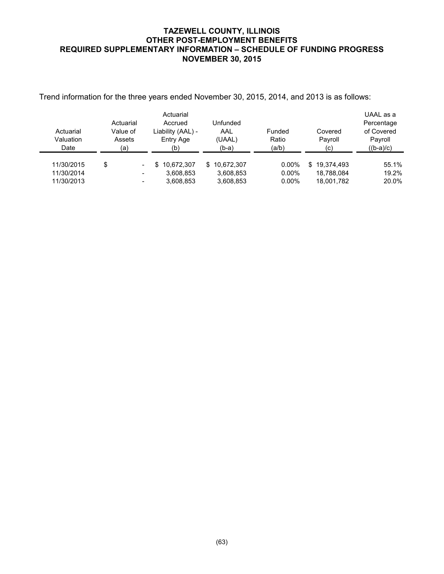# **TAZEWELL COUNTY, ILLINOIS OTHER POST-EMPLOYMENT BENEFITS REQUIRED SUPPLEMENTARY INFORMATION – SCHEDULE OF FUNDING PROGRESS NOVEMBER 30, 2015**

| Actuarial<br>Valuation<br>Date | Actuarial<br>Value of<br>Assets<br>(a) | Actuarial<br>Accrued<br>Liability (AAL) -<br>Entry Age<br>(b) | Unfunded<br>AAL<br>(UAAL)<br>(b-a) | Funded<br>Ratio<br>(a/b) | Covered<br>Payroll<br>$\left( \mathrm{c}\right)$ | UAAL as a<br>Percentage<br>of Covered<br>Payroll<br>$((b-a)/c)$ |  |  |
|--------------------------------|----------------------------------------|---------------------------------------------------------------|------------------------------------|--------------------------|--------------------------------------------------|-----------------------------------------------------------------|--|--|
| 11/30/2015                     | \$<br>$\overline{\phantom{0}}$         | 10.672.307<br>S                                               | \$10,672,307                       | $0.00\%$                 | \$19.374.493                                     | 55.1%                                                           |  |  |
| 11/30/2014                     | $\overline{\phantom{a}}$               | 3.608.853                                                     | 3.608.853                          | $0.00\%$                 | 18.788.084                                       | 19.2%                                                           |  |  |
| 11/30/2013                     | $\overline{\phantom{0}}$               | 3.608.853                                                     | 3,608,853                          | $0.00\%$                 | 18,001,782                                       | 20.0%                                                           |  |  |

Trend information for the three years ended November 30, 2015, 2014, and 2013 is as follows: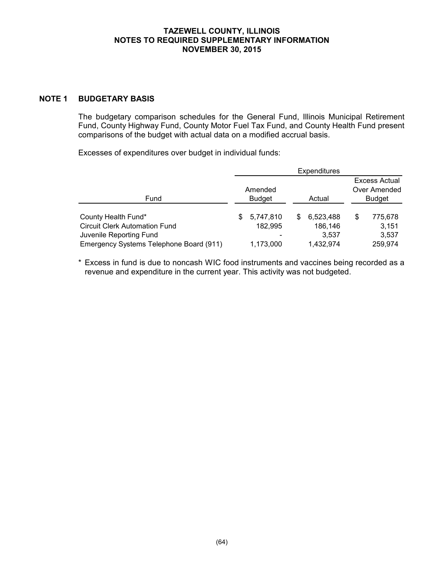#### **TAZEWELL COUNTY, ILLINOIS NOTES TO REQUIRED SUPPLEMENTARY INFORMATION NOVEMBER 30, 2015**

# **NOTE 1 BUDGETARY BASIS**

The budgetary comparison schedules for the General Fund, Illinois Municipal Retirement Fund, County Highway Fund, County Motor Fuel Tax Fund, and County Health Fund present comparisons of the budget with actual data on a modified accrual basis.

Excesses of expenditures over budget in individual funds:

|                                         |                | Expenditures    |                      |  |  |  |  |  |
|-----------------------------------------|----------------|-----------------|----------------------|--|--|--|--|--|
|                                         |                |                 | <b>Excess Actual</b> |  |  |  |  |  |
|                                         | Amended        |                 | Over Amended         |  |  |  |  |  |
| Fund                                    | <b>Budget</b>  | Actual          | <b>Budget</b>        |  |  |  |  |  |
| County Health Fund*                     | 5,747,810<br>S | 6,523,488<br>S. | \$<br>775,678        |  |  |  |  |  |
| <b>Circuit Clerk Automation Fund</b>    | 182,995        | 186,146         | 3,151                |  |  |  |  |  |
| Juvenile Reporting Fund                 |                | 3.537           | 3,537                |  |  |  |  |  |
| Emergency Systems Telephone Board (911) | 1.173.000      | 1.432.974       | 259,974              |  |  |  |  |  |

\* Excess in fund is due to noncash WIC food instruments and vaccines being recorded as a revenue and expenditure in the current year. This activity was not budgeted.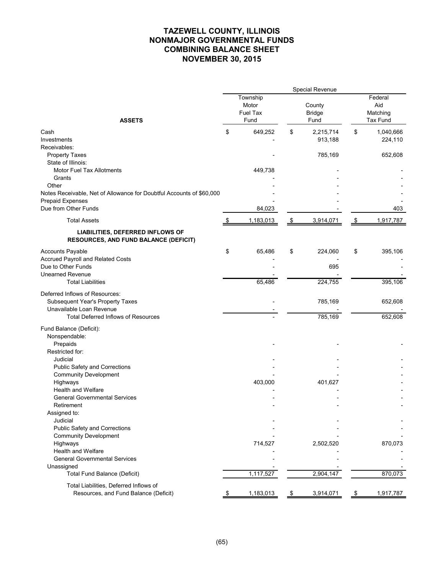# **TAZEWELL COUNTY, ILLINOIS NONMAJOR GOVERNMENTAL FUNDS COMBINING BALANCE SHEET NOVEMBER 30, 2015**

|                                                                                                | Special Revenue |                                       |    |                                 |    |                                        |  |  |  |  |  |
|------------------------------------------------------------------------------------------------|-----------------|---------------------------------------|----|---------------------------------|----|----------------------------------------|--|--|--|--|--|
| <b>ASSETS</b>                                                                                  |                 | Township<br>Motor<br>Fuel Tax<br>Fund |    | County<br><b>Bridge</b><br>Fund |    | Federal<br>Aid<br>Matching<br>Tax Fund |  |  |  |  |  |
| Cash                                                                                           | \$              | 649,252                               | \$ | 2,215,714                       | \$ |                                        |  |  |  |  |  |
| Investments                                                                                    |                 |                                       |    | 913,188                         |    | 1,040,666<br>224,110                   |  |  |  |  |  |
| Receivables:                                                                                   |                 |                                       |    |                                 |    |                                        |  |  |  |  |  |
| <b>Property Taxes</b>                                                                          |                 |                                       |    | 785,169                         |    | 652,608                                |  |  |  |  |  |
| State of Illinois:                                                                             |                 |                                       |    |                                 |    |                                        |  |  |  |  |  |
| <b>Motor Fuel Tax Allotments</b>                                                               |                 | 449,738                               |    |                                 |    |                                        |  |  |  |  |  |
| Grants                                                                                         |                 |                                       |    |                                 |    |                                        |  |  |  |  |  |
| Other                                                                                          |                 |                                       |    |                                 |    |                                        |  |  |  |  |  |
| Notes Receivable, Net of Allowance for Doubtful Accounts of \$60,000                           |                 |                                       |    |                                 |    |                                        |  |  |  |  |  |
| Prepaid Expenses                                                                               |                 |                                       |    |                                 |    |                                        |  |  |  |  |  |
| Due from Other Funds                                                                           |                 | 84,023                                |    |                                 |    | 403                                    |  |  |  |  |  |
| <b>Total Assets</b>                                                                            |                 | 1,183,013                             | \$ | 3,914,071                       | \$ | 1,917,787                              |  |  |  |  |  |
| <b>LIABILITIES, DEFERRED INFLOWS OF</b><br><b>RESOURCES, AND FUND BALANCE (DEFICIT)</b>        |                 |                                       |    |                                 |    |                                        |  |  |  |  |  |
| Accounts Payable                                                                               | \$              | 65,486                                | \$ | 224,060                         | \$ | 395,106                                |  |  |  |  |  |
| Accrued Payroll and Related Costs                                                              |                 |                                       |    |                                 |    |                                        |  |  |  |  |  |
| Due to Other Funds                                                                             |                 |                                       |    | 695                             |    |                                        |  |  |  |  |  |
| <b>Unearned Revenue</b>                                                                        |                 |                                       |    |                                 |    |                                        |  |  |  |  |  |
| <b>Total Liabilities</b>                                                                       |                 | 65,486                                |    | 224,755                         |    | 395,106                                |  |  |  |  |  |
| Deferred Inflows of Resources:<br>Subsequent Year's Property Taxes<br>Unavailable Loan Revenue |                 |                                       |    | 785,169                         |    | 652,608                                |  |  |  |  |  |
| <b>Total Deferred Inflows of Resources</b>                                                     |                 |                                       |    | 785,169                         |    | 652,608                                |  |  |  |  |  |
| Fund Balance (Deficit):<br>Nonspendable:<br>Prepaids<br>Restricted for:                        |                 |                                       |    |                                 |    |                                        |  |  |  |  |  |
| Judicial                                                                                       |                 |                                       |    |                                 |    |                                        |  |  |  |  |  |
| <b>Public Safety and Corrections</b>                                                           |                 |                                       |    |                                 |    |                                        |  |  |  |  |  |
| <b>Community Development</b>                                                                   |                 |                                       |    |                                 |    |                                        |  |  |  |  |  |
| Highways                                                                                       |                 | 403,000                               |    | 401,627                         |    |                                        |  |  |  |  |  |
| <b>Health and Welfare</b>                                                                      |                 |                                       |    |                                 |    |                                        |  |  |  |  |  |
| <b>General Governmental Services</b>                                                           |                 |                                       |    |                                 |    |                                        |  |  |  |  |  |
| Retirement                                                                                     |                 |                                       |    |                                 |    |                                        |  |  |  |  |  |
| Assigned to:                                                                                   |                 |                                       |    |                                 |    |                                        |  |  |  |  |  |
| Judicial                                                                                       |                 |                                       |    |                                 |    |                                        |  |  |  |  |  |
| <b>Public Safety and Corrections</b>                                                           |                 |                                       |    |                                 |    |                                        |  |  |  |  |  |
| <b>Community Development</b>                                                                   |                 |                                       |    |                                 |    |                                        |  |  |  |  |  |
| Highways                                                                                       |                 | 714,527                               |    | 2,502,520                       |    | 870,073                                |  |  |  |  |  |
| <b>Health and Welfare</b><br><b>General Governmental Services</b>                              |                 |                                       |    |                                 |    |                                        |  |  |  |  |  |
|                                                                                                |                 |                                       |    |                                 |    |                                        |  |  |  |  |  |
| Unassigned<br><b>Total Fund Balance (Deficit)</b>                                              |                 | 1,117,527                             |    | 2,904,147                       |    | 870,073                                |  |  |  |  |  |
| Total Liabilities, Deferred Inflows of                                                         |                 |                                       |    |                                 |    |                                        |  |  |  |  |  |
| Resources, and Fund Balance (Deficit)                                                          |                 | 1,183,013                             | P. | 3,914,071                       | S  | 1,917,787                              |  |  |  |  |  |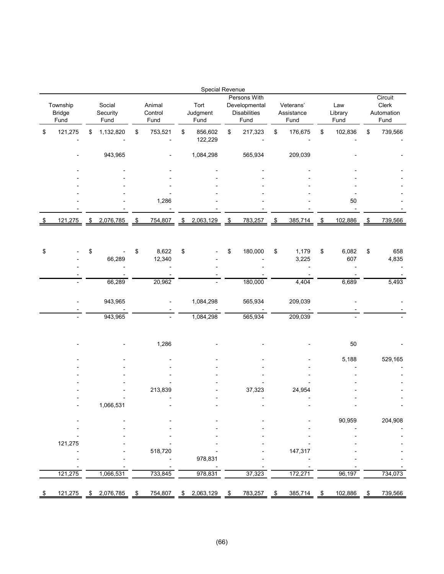|                                   |         |    |                            |                |         |    | Special Revenue |      |                           |            |                          |            |                                                              |               |                                 |  |                        |                                        |
|-----------------------------------|---------|----|----------------------------|----------------|---------|----|-----------------|------|---------------------------|------------|--------------------------|------------|--------------------------------------------------------------|---------------|---------------------------------|--|------------------------|----------------------------------------|
| Township<br><b>Bridge</b><br>Fund |         |    | Social<br>Security<br>Fund |                |         |    |                 |      | Animal<br>Control<br>Fund |            | Tort<br>Judgment<br>Fund |            | Persons With<br>Developmental<br><b>Disabilities</b><br>Fund |               | Veterans'<br>Assistance<br>Fund |  | Law<br>Library<br>Fund | Circuit<br>Clerk<br>Automation<br>Fund |
| \$                                | 121,275 | \$ | 1,132,820                  | \$             | 753,521 | \$ | 856,602         | \$   | 217,323                   | \$         | 176,675                  | \$         | 102,836                                                      | \$<br>739,566 |                                 |  |                        |                                        |
|                                   |         |    |                            |                |         |    | 122,229         |      |                           |            |                          |            |                                                              |               |                                 |  |                        |                                        |
|                                   |         |    | 943,965                    |                |         |    | 1,084,298       |      | 565,934                   |            | 209,039                  |            |                                                              |               |                                 |  |                        |                                        |
|                                   |         |    |                            |                |         |    |                 |      |                           |            |                          |            |                                                              |               |                                 |  |                        |                                        |
|                                   |         |    |                            |                |         |    |                 |      |                           |            |                          |            |                                                              |               |                                 |  |                        |                                        |
|                                   |         |    |                            |                |         |    |                 |      |                           |            |                          |            |                                                              |               |                                 |  |                        |                                        |
|                                   |         |    |                            |                | 1,286   |    |                 |      |                           |            |                          |            | 50                                                           |               |                                 |  |                        |                                        |
| \$                                | 121,275 | \$ | 2,076,785                  | $\mathfrak{s}$ | 754,807 | \$ | 2,063,129       | - \$ | 783,257                   | $\sqrt{3}$ | 385,714                  | $\sqrt{2}$ | 102,886                                                      | \$<br>739,566 |                                 |  |                        |                                        |
|                                   |         |    |                            |                |         |    |                 |      |                           |            |                          |            |                                                              |               |                                 |  |                        |                                        |
| \$                                |         | \$ |                            | \$             | 8,622   | \$ |                 | \$   | 180,000                   | \$         | 1,179                    | $\,$       | 6,082                                                        | \$<br>658     |                                 |  |                        |                                        |
|                                   |         |    | 66,289                     |                | 12,340  |    |                 |      |                           |            | 3,225                    |            | 607                                                          | 4,835         |                                 |  |                        |                                        |
|                                   |         |    |                            |                |         |    |                 |      |                           |            |                          |            |                                                              |               |                                 |  |                        |                                        |
|                                   |         |    | 66,289                     |                | 20,962  |    |                 |      | 180,000                   |            | 4,404                    |            | 6,689                                                        | 5,493         |                                 |  |                        |                                        |
|                                   |         |    | 943,965                    |                |         |    | 1,084,298       |      | 565,934                   |            | 209,039                  |            |                                                              |               |                                 |  |                        |                                        |
|                                   |         |    | 943,965                    |                |         |    | 1,084,298       |      | 565,934                   |            | 209,039                  |            |                                                              |               |                                 |  |                        |                                        |
|                                   |         |    |                            |                | 1,286   |    |                 |      |                           |            |                          |            | 50                                                           |               |                                 |  |                        |                                        |
|                                   |         |    |                            |                |         |    |                 |      |                           |            |                          |            | 5,188                                                        | 529,165       |                                 |  |                        |                                        |
|                                   |         |    |                            |                |         |    |                 |      |                           |            |                          |            |                                                              |               |                                 |  |                        |                                        |
|                                   |         |    |                            |                |         |    |                 |      |                           |            |                          |            |                                                              |               |                                 |  |                        |                                        |
|                                   |         |    |                            |                | 213,839 |    |                 |      | 37,323                    |            | 24,954                   |            |                                                              |               |                                 |  |                        |                                        |
|                                   |         |    |                            |                |         |    |                 |      |                           |            |                          |            |                                                              |               |                                 |  |                        |                                        |
|                                   |         |    | 1,066,531                  |                |         |    |                 |      |                           |            |                          |            |                                                              |               |                                 |  |                        |                                        |
|                                   |         |    |                            |                |         |    |                 |      |                           |            |                          |            | 90,959                                                       | 204,908       |                                 |  |                        |                                        |
|                                   |         |    |                            |                |         |    |                 |      |                           |            |                          |            |                                                              |               |                                 |  |                        |                                        |
|                                   | 121,275 |    |                            |                |         |    |                 |      |                           |            |                          |            |                                                              |               |                                 |  |                        |                                        |
|                                   |         |    |                            |                | 518,720 |    |                 |      |                           |            | 147,317                  |            |                                                              |               |                                 |  |                        |                                        |
|                                   |         |    |                            |                |         |    | 978,831         |      |                           |            |                          |            |                                                              |               |                                 |  |                        |                                        |
|                                   | 121,275 |    | 1,066,531                  |                | 733,845 |    | 978,831         |      | 37,323                    |            | 172,271                  |            | 96,197                                                       | 734,073       |                                 |  |                        |                                        |
|                                   |         |    |                            |                |         |    |                 |      |                           |            |                          |            |                                                              |               |                                 |  |                        |                                        |
|                                   | 121,275 | S  | 2,076,785                  | \$             | 754,807 | S  | 2,063,129       | S    | 783,257                   | \$         | 385,714                  | \$         | 102,886                                                      | \$<br>739,566 |                                 |  |                        |                                        |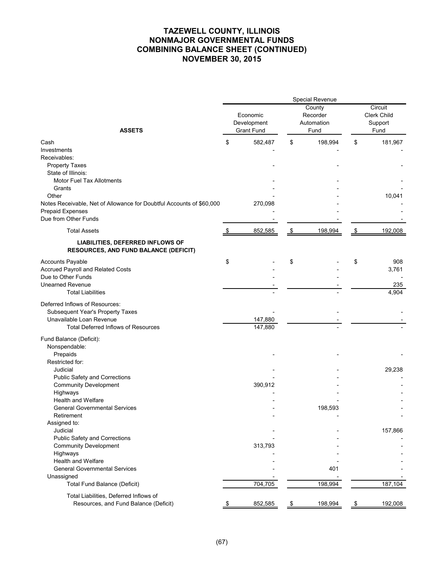# **TAZEWELL COUNTY, ILLINOIS NONMAJOR GOVERNMENTAL FUNDS COMBINING BALANCE SHEET (CONTINUED) NOVEMBER 30, 2015**

|                                                                                  | Special Revenue |                                              |    |                                          |    |                                           |  |  |  |  |
|----------------------------------------------------------------------------------|-----------------|----------------------------------------------|----|------------------------------------------|----|-------------------------------------------|--|--|--|--|
| <b>ASSETS</b>                                                                    |                 | Economic<br>Development<br><b>Grant Fund</b> |    | County<br>Recorder<br>Automation<br>Fund |    | Circuit<br>Clerk Child<br>Support<br>Fund |  |  |  |  |
| Cash                                                                             | \$              | 582,487                                      | \$ | 198,994                                  | \$ | 181,967                                   |  |  |  |  |
| Investments                                                                      |                 |                                              |    |                                          |    |                                           |  |  |  |  |
| Receivables:                                                                     |                 |                                              |    |                                          |    |                                           |  |  |  |  |
| <b>Property Taxes</b>                                                            |                 |                                              |    |                                          |    |                                           |  |  |  |  |
| State of Illinois:                                                               |                 |                                              |    |                                          |    |                                           |  |  |  |  |
| Motor Fuel Tax Allotments                                                        |                 |                                              |    |                                          |    |                                           |  |  |  |  |
| Grants                                                                           |                 |                                              |    |                                          |    |                                           |  |  |  |  |
| Other                                                                            |                 |                                              |    |                                          |    | 10,041                                    |  |  |  |  |
| Notes Receivable, Net of Allowance for Doubtful Accounts of \$60,000             |                 | 270,098                                      |    |                                          |    |                                           |  |  |  |  |
| Prepaid Expenses                                                                 |                 |                                              |    |                                          |    |                                           |  |  |  |  |
| Due from Other Funds                                                             |                 |                                              |    |                                          |    |                                           |  |  |  |  |
| <b>Total Assets</b>                                                              |                 | 852,585                                      | \$ | 198,994                                  | \$ | 192,008                                   |  |  |  |  |
| LIABILITIES, DEFERRED INFLOWS OF<br><b>RESOURCES, AND FUND BALANCE (DEFICIT)</b> |                 |                                              |    |                                          |    |                                           |  |  |  |  |
| Accounts Payable                                                                 | \$              |                                              | \$ |                                          | \$ | 908                                       |  |  |  |  |
| Accrued Payroll and Related Costs                                                |                 |                                              |    |                                          |    | 3,761                                     |  |  |  |  |
| Due to Other Funds                                                               |                 |                                              |    |                                          |    |                                           |  |  |  |  |
| <b>Unearned Revenue</b>                                                          |                 |                                              |    |                                          |    | 235                                       |  |  |  |  |
| <b>Total Liabilities</b>                                                         |                 |                                              |    |                                          |    | 4,904                                     |  |  |  |  |
| Deferred Inflows of Resources:                                                   |                 |                                              |    |                                          |    |                                           |  |  |  |  |
| Subsequent Year's Property Taxes                                                 |                 |                                              |    |                                          |    |                                           |  |  |  |  |
| Unavailable Loan Revenue                                                         |                 | 147,880                                      |    |                                          |    |                                           |  |  |  |  |
| <b>Total Deferred Inflows of Resources</b>                                       |                 | 147,880                                      |    |                                          |    |                                           |  |  |  |  |
| Fund Balance (Deficit):                                                          |                 |                                              |    |                                          |    |                                           |  |  |  |  |
| Nonspendable:                                                                    |                 |                                              |    |                                          |    |                                           |  |  |  |  |
| Prepaids                                                                         |                 |                                              |    |                                          |    |                                           |  |  |  |  |
| Restricted for:                                                                  |                 |                                              |    |                                          |    |                                           |  |  |  |  |
| Judicial                                                                         |                 |                                              |    |                                          |    | 29,238                                    |  |  |  |  |
| Public Safety and Corrections                                                    |                 |                                              |    |                                          |    |                                           |  |  |  |  |
| <b>Community Development</b>                                                     |                 | 390,912                                      |    |                                          |    |                                           |  |  |  |  |
| Highways                                                                         |                 |                                              |    |                                          |    |                                           |  |  |  |  |
| <b>Health and Welfare</b>                                                        |                 |                                              |    |                                          |    |                                           |  |  |  |  |
| <b>General Governmental Services</b><br>Retirement                               |                 |                                              |    | 198,593                                  |    |                                           |  |  |  |  |
| Assigned to:                                                                     |                 |                                              |    |                                          |    |                                           |  |  |  |  |
| Judicial                                                                         |                 |                                              |    |                                          |    | 157,866                                   |  |  |  |  |
| Public Safety and Corrections                                                    |                 |                                              |    |                                          |    |                                           |  |  |  |  |
| <b>Community Development</b>                                                     |                 | 313,793                                      |    |                                          |    |                                           |  |  |  |  |
| Highways                                                                         |                 |                                              |    |                                          |    |                                           |  |  |  |  |
| Health and Welfare                                                               |                 |                                              |    |                                          |    |                                           |  |  |  |  |
| <b>General Governmental Services</b>                                             |                 |                                              |    | 401                                      |    |                                           |  |  |  |  |
| Unassigned                                                                       |                 |                                              |    |                                          |    |                                           |  |  |  |  |
| Total Fund Balance (Deficit)                                                     |                 | 704,705                                      |    | 198,994                                  |    | 187,104                                   |  |  |  |  |
| Total Liabilities, Deferred Inflows of                                           |                 |                                              |    |                                          |    |                                           |  |  |  |  |
| Resources, and Fund Balance (Deficit)                                            |                 | 852,585                                      | \$ | 198,994                                  | \$ | 192,008                                   |  |  |  |  |
|                                                                                  |                 |                                              |    |                                          |    |                                           |  |  |  |  |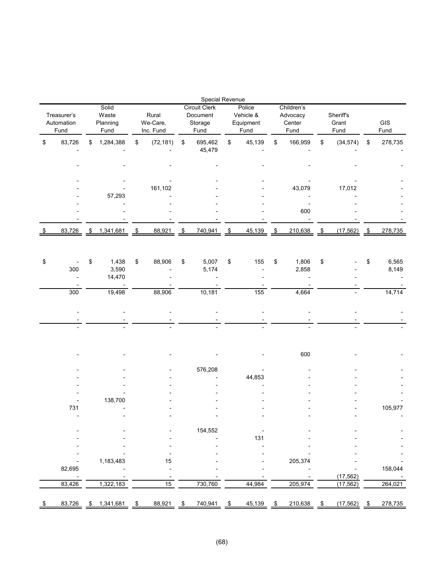|                                   |        |    |                                    |    |                                | Special Revenue                                     |                                          |      |                                          |                         |                                   |      |             |
|-----------------------------------|--------|----|------------------------------------|----|--------------------------------|-----------------------------------------------------|------------------------------------------|------|------------------------------------------|-------------------------|-----------------------------------|------|-------------|
| Treasurer's<br>Automation<br>Fund |        |    | Solid<br>Waste<br>Planning<br>Fund |    | Rural<br>We-Care,<br>Inc. Fund | <b>Circuit Clerk</b><br>Document<br>Storage<br>Fund | Police<br>Vehicle &<br>Equipment<br>Fund |      | Children's<br>Advocacy<br>Center<br>Fund |                         | <b>Sheriff's</b><br>Grant<br>Fund |      | GIS<br>Fund |
| \$                                | 83,726 | \$ | 1,284,388                          | \$ | (72, 181)                      | \$<br>695,462                                       | \$<br>45,139                             | $\,$ | 166,959                                  | \$                      | (34, 574)                         | \$   | 278,735     |
|                                   |        |    |                                    |    |                                | 45,479                                              |                                          |      |                                          |                         |                                   |      |             |
|                                   |        |    |                                    |    |                                |                                                     |                                          |      |                                          |                         |                                   |      |             |
|                                   |        |    |                                    |    |                                |                                                     |                                          |      |                                          |                         |                                   |      |             |
|                                   |        |    |                                    |    |                                |                                                     |                                          |      |                                          |                         |                                   |      |             |
|                                   |        |    |                                    |    | 161,102                        |                                                     |                                          |      | 43,079                                   |                         | 17,012                            |      |             |
|                                   |        |    | 57,293                             |    |                                |                                                     |                                          |      |                                          |                         |                                   |      |             |
|                                   |        |    |                                    |    |                                |                                                     |                                          |      | 600                                      |                         |                                   |      |             |
|                                   |        |    |                                    |    |                                |                                                     |                                          |      |                                          |                         |                                   |      |             |
| S                                 | 83,726 | \$ | 1,341,681                          | \$ | 88,921                         | \$<br>740,941                                       | \$<br>45,139                             | \$   | 210,638                                  | $\sqrt[6]{\frac{1}{2}}$ | (17, 562)                         | \$   | 278,735     |
|                                   |        |    |                                    |    |                                |                                                     |                                          |      |                                          |                         |                                   |      |             |
|                                   |        |    |                                    |    |                                |                                                     |                                          |      |                                          |                         |                                   |      |             |
| \$                                |        | \$ | 1,438                              | \$ | 88,906                         | \$<br>5,007                                         | \$<br>155                                | \$   | 1,806                                    | \$                      |                                   | \$   | 6,565       |
|                                   | 300    |    | 3,590                              |    |                                | 5,174                                               |                                          |      | 2,858                                    |                         |                                   |      | 8,149       |
|                                   |        |    | 14,470                             |    |                                |                                                     |                                          |      |                                          |                         |                                   |      |             |
|                                   | 300    |    | 19,498                             |    | 88,906                         | 10,181                                              | 155                                      |      | 4,664                                    |                         |                                   |      | 14,714      |
|                                   |        |    |                                    |    |                                |                                                     |                                          |      |                                          |                         |                                   |      |             |
|                                   |        |    |                                    |    |                                |                                                     |                                          |      |                                          |                         |                                   |      |             |
|                                   |        |    |                                    |    |                                |                                                     |                                          |      |                                          |                         |                                   |      |             |
|                                   |        |    |                                    |    |                                |                                                     |                                          |      |                                          |                         |                                   |      |             |
|                                   |        |    |                                    |    |                                |                                                     |                                          |      |                                          |                         |                                   |      |             |
|                                   |        |    |                                    |    |                                |                                                     |                                          |      | 600                                      |                         |                                   |      |             |
|                                   |        |    |                                    |    |                                |                                                     |                                          |      |                                          |                         |                                   |      |             |
|                                   |        |    |                                    |    |                                | 576,208                                             | 44,853                                   |      |                                          |                         |                                   |      |             |
|                                   |        |    |                                    |    |                                |                                                     |                                          |      |                                          |                         |                                   |      |             |
|                                   |        |    |                                    |    |                                |                                                     |                                          |      |                                          |                         |                                   |      |             |
|                                   |        |    | 138,700                            |    |                                |                                                     |                                          |      |                                          |                         |                                   |      |             |
|                                   | 731    |    |                                    |    |                                |                                                     |                                          |      |                                          |                         |                                   |      | 105,977     |
|                                   |        |    |                                    |    |                                |                                                     |                                          |      |                                          |                         |                                   |      |             |
|                                   |        |    |                                    |    |                                | 154,552                                             |                                          |      |                                          |                         |                                   |      |             |
|                                   |        |    |                                    |    |                                |                                                     | 131                                      |      |                                          |                         |                                   |      |             |
|                                   |        |    |                                    |    |                                |                                                     |                                          |      |                                          |                         |                                   |      |             |
|                                   |        |    | 1,183,483                          |    | 15                             |                                                     |                                          |      | 205,374                                  |                         |                                   |      |             |
|                                   | 82,695 |    |                                    |    |                                |                                                     |                                          |      |                                          |                         |                                   |      | 158,044     |
|                                   |        |    |                                    |    |                                |                                                     |                                          |      |                                          |                         | (17, 562)                         |      |             |
|                                   | 83,426 |    | 1,322,183                          |    | 15                             | 730,760                                             | 44,984                                   |      | 205,974                                  |                         | (17, 562)                         |      | 264,021     |
|                                   |        |    |                                    |    |                                |                                                     |                                          |      |                                          |                         |                                   |      |             |
|                                   | 83,726 | S  | 1,341,681                          | \$ | 88,921                         | \$<br>740,941                                       | \$<br>45,139                             | - \$ | 210,638                                  | \$                      | (17, 562)                         | - \$ | 278,735     |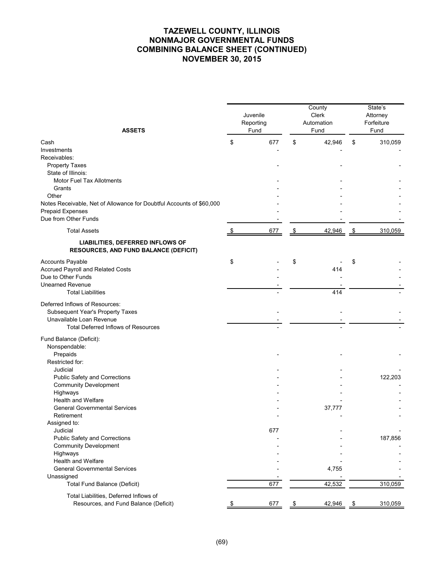# **TAZEWELL COUNTY, ILLINOIS NONMAJOR GOVERNMENTAL FUNDS COMBINING BALANCE SHEET (CONTINUED) NOVEMBER 30, 2015**

| <b>ASSETS</b>                                                                    | Juvenile<br>Reporting<br>Fund | County<br>Clerk<br>Automation<br>Fund | State's<br>Attorney<br>Forfeiture<br>Fund |         |
|----------------------------------------------------------------------------------|-------------------------------|---------------------------------------|-------------------------------------------|---------|
| Cash                                                                             | \$<br>677                     | \$<br>42,946                          | \$                                        | 310,059 |
| Investments                                                                      |                               |                                       |                                           |         |
| Receivables:                                                                     |                               |                                       |                                           |         |
| <b>Property Taxes</b>                                                            |                               |                                       |                                           |         |
| State of Illinois:                                                               |                               |                                       |                                           |         |
| <b>Motor Fuel Tax Allotments</b>                                                 |                               |                                       |                                           |         |
| Grants                                                                           |                               |                                       |                                           |         |
| Other                                                                            |                               |                                       |                                           |         |
| Notes Receivable, Net of Allowance for Doubtful Accounts of \$60,000             |                               |                                       |                                           |         |
| Prepaid Expenses                                                                 |                               |                                       |                                           |         |
| Due from Other Funds                                                             |                               |                                       |                                           |         |
| <b>Total Assets</b>                                                              | \$<br>677                     | \$<br>42,946                          | $\sqrt{3}$                                | 310,059 |
| LIABILITIES, DEFERRED INFLOWS OF<br><b>RESOURCES, AND FUND BALANCE (DEFICIT)</b> |                               |                                       |                                           |         |
| <b>Accounts Payable</b>                                                          | \$                            | \$                                    | \$                                        |         |
| Accrued Payroll and Related Costs                                                |                               | 414                                   |                                           |         |
| Due to Other Funds                                                               |                               |                                       |                                           |         |
| <b>Unearned Revenue</b>                                                          |                               |                                       |                                           |         |
| <b>Total Liabilities</b>                                                         |                               | 414                                   |                                           |         |
| Deferred Inflows of Resources:                                                   |                               |                                       |                                           |         |
| Subsequent Year's Property Taxes                                                 |                               |                                       |                                           |         |
| Unavailable Loan Revenue                                                         |                               |                                       |                                           |         |
| <b>Total Deferred Inflows of Resources</b>                                       |                               |                                       |                                           |         |
| Fund Balance (Deficit):                                                          |                               |                                       |                                           |         |
| Nonspendable:                                                                    |                               |                                       |                                           |         |
| Prepaids                                                                         |                               |                                       |                                           |         |
| Restricted for:                                                                  |                               |                                       |                                           |         |
| Judicial                                                                         |                               |                                       |                                           |         |
| Public Safety and Corrections                                                    |                               |                                       |                                           | 122,203 |
| <b>Community Development</b>                                                     |                               |                                       |                                           |         |
| Highways                                                                         |                               |                                       |                                           |         |
| Health and Welfare                                                               |                               |                                       |                                           |         |
| <b>General Governmental Services</b>                                             |                               | 37,777                                |                                           |         |
| Retirement                                                                       |                               |                                       |                                           |         |
| Assigned to:                                                                     |                               |                                       |                                           |         |
| Judicial                                                                         | 677                           |                                       |                                           |         |
| Public Safety and Corrections                                                    |                               |                                       |                                           | 187,856 |
| <b>Community Development</b>                                                     |                               |                                       |                                           |         |
| Highways                                                                         |                               |                                       |                                           |         |
| Health and Welfare<br><b>General Governmental Services</b>                       |                               |                                       |                                           |         |
| Unassigned                                                                       |                               | 4,755                                 |                                           |         |
| <b>Total Fund Balance (Deficit)</b>                                              | 677                           | 42,532                                |                                           | 310,059 |
|                                                                                  |                               |                                       |                                           |         |
| Total Liabilities, Deferred Inflows of                                           |                               |                                       |                                           |         |
| Resources, and Fund Balance (Deficit)                                            | \$<br>677                     | \$<br>42,946                          | $\sqrt{2}$                                | 310,059 |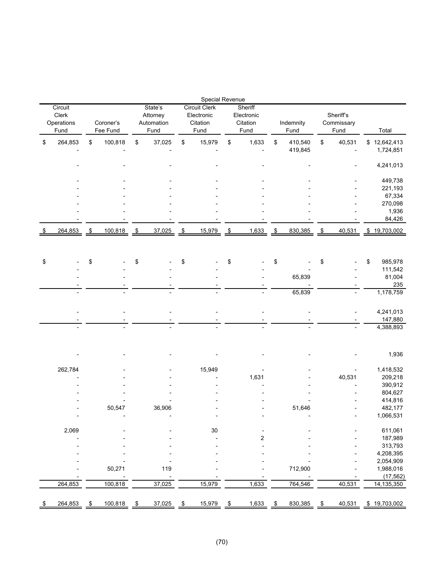|    |                                        |               |                       |               |                                           |               | Special Revenue                                        |                                           |               |                    |                           |                                 |                           |
|----|----------------------------------------|---------------|-----------------------|---------------|-------------------------------------------|---------------|--------------------------------------------------------|-------------------------------------------|---------------|--------------------|---------------------------|---------------------------------|---------------------------|
|    | Circuit<br>Clerk<br>Operations<br>Fund |               | Coroner's<br>Fee Fund |               | State's<br>Attorney<br>Automation<br>Fund |               | <b>Circuit Clerk</b><br>Electronic<br>Citation<br>Fund | Sheriff<br>Electronic<br>Citation<br>Fund |               | Indemnity<br>Fund  |                           | Sheriff's<br>Commissary<br>Fund | Total                     |
| \$ | 264,853                                | \$            | 100,818               | \$            | 37,025                                    | \$            | 15,979                                                 | \$<br>1,633                               | \$            | 410,540<br>419,845 | $\,$                      | 40,531                          | \$12,642,413<br>1,724,851 |
|    |                                        |               |                       |               |                                           |               |                                                        |                                           |               |                    |                           |                                 | 4,241,013                 |
|    |                                        |               |                       |               |                                           |               |                                                        |                                           |               |                    |                           |                                 | 449,738                   |
|    |                                        |               |                       |               |                                           |               |                                                        |                                           |               |                    |                           |                                 | 221,193                   |
|    |                                        |               |                       |               |                                           |               |                                                        |                                           |               |                    |                           |                                 | 67,334                    |
|    |                                        |               |                       |               |                                           |               |                                                        |                                           |               |                    |                           |                                 | 270,098                   |
|    |                                        |               |                       |               |                                           |               |                                                        |                                           |               |                    |                           |                                 | 1,936<br>84,426           |
| S. | 264,853                                | $\frac{1}{2}$ | 100,818               | $\sqrt[6]{3}$ | 37,025                                    | $\frac{1}{2}$ | 15,979                                                 | \$<br>1,633                               | $\sqrt[6]{3}$ | 830,385            | $\boldsymbol{\mathsf{S}}$ | 40,531                          | \$19,703,002              |
|    |                                        |               |                       |               |                                           |               |                                                        |                                           |               |                    |                           |                                 |                           |
| \$ |                                        | \$            |                       | \$            |                                           | \$            |                                                        | \$                                        | \$            |                    | \$                        |                                 | \$<br>985,978             |
|    |                                        |               |                       |               |                                           |               |                                                        |                                           |               |                    |                           |                                 | 111,542                   |
|    |                                        |               |                       |               |                                           |               |                                                        |                                           |               | 65,839             |                           |                                 | 81,004<br>235             |
|    |                                        |               |                       |               |                                           |               |                                                        |                                           |               | 65,839             |                           |                                 | 1,178,759                 |
|    |                                        |               |                       |               |                                           |               |                                                        |                                           |               |                    |                           |                                 | 4,241,013<br>147,880      |
|    |                                        |               |                       |               |                                           |               |                                                        |                                           |               |                    |                           |                                 | 4,388,893                 |
|    |                                        |               |                       |               |                                           |               |                                                        |                                           |               |                    |                           |                                 | 1,936                     |
|    |                                        |               |                       |               |                                           |               |                                                        |                                           |               |                    |                           |                                 |                           |
|    | 262,784                                |               |                       |               |                                           |               | 15,949                                                 | 1,631                                     |               |                    |                           | 40,531                          | 1,418,532<br>209,218      |
|    |                                        |               |                       |               |                                           |               |                                                        |                                           |               |                    |                           |                                 | 390,912                   |
|    |                                        |               |                       |               |                                           |               |                                                        |                                           |               |                    |                           |                                 | 804,627                   |
|    |                                        |               |                       |               |                                           |               |                                                        |                                           |               |                    |                           |                                 | 414,816                   |
|    |                                        |               | 50,547                |               | 36,906                                    |               |                                                        |                                           |               | 51,646             |                           |                                 | 482,177                   |
|    |                                        |               |                       |               |                                           |               |                                                        |                                           |               |                    |                           |                                 | 1,066,531                 |
|    | 2,069                                  |               |                       |               |                                           |               | 30                                                     |                                           |               |                    |                           |                                 | 611,061                   |
|    |                                        |               |                       |               |                                           |               |                                                        | 2                                         |               |                    |                           |                                 | 187,989                   |
|    |                                        |               |                       |               |                                           |               |                                                        |                                           |               |                    |                           |                                 | 313,793                   |
|    |                                        |               |                       |               |                                           |               |                                                        |                                           |               |                    |                           |                                 | 4,208,395                 |
|    |                                        |               |                       |               |                                           |               |                                                        |                                           |               |                    |                           |                                 | 2,054,909                 |
|    |                                        |               | 50,271                |               | 119                                       |               |                                                        |                                           |               | 712,900            |                           |                                 | 1,988,016                 |
|    |                                        |               |                       |               |                                           |               |                                                        |                                           |               |                    |                           |                                 | (17, 562)                 |
|    | 264,853                                |               | 100,818               |               | 37,025                                    |               | 15,979                                                 | 1,633                                     |               | 764,546            |                           | 40,531                          | 14, 135, 350              |
|    | 264,853                                | $\sqrt{3}$    | 100,818               | \$            | 37,025                                    | \$            | 15,979                                                 | \$<br>1,633                               | \$            | 830,385            | \$                        | 40,531                          | \$19,703,002              |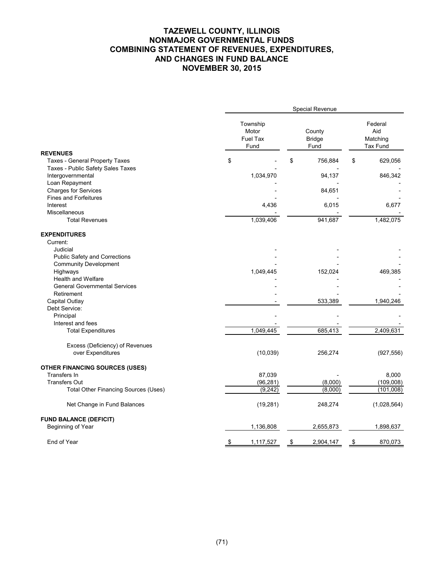# **TAZEWELL COUNTY, ILLINOIS NONMAJOR GOVERNMENTAL FUNDS COMBINING STATEMENT OF REVENUES, EXPENDITURES, AND CHANGES IN FUND BALANCE NOVEMBER 30, 2015**

|                                                   |                                       | Special Revenue |                                 |                                        |             |  |  |  |  |  |  |
|---------------------------------------------------|---------------------------------------|-----------------|---------------------------------|----------------------------------------|-------------|--|--|--|--|--|--|
|                                                   | Township<br>Motor<br>Fuel Tax<br>Fund |                 | County<br><b>Bridge</b><br>Fund | Federal<br>Aid<br>Matching<br>Tax Fund |             |  |  |  |  |  |  |
| <b>REVENUES</b><br>Taxes - General Property Taxes | \$                                    | \$              | 756,884                         | \$                                     | 629,056     |  |  |  |  |  |  |
| Taxes - Public Safety Sales Taxes                 |                                       |                 |                                 |                                        |             |  |  |  |  |  |  |
| Intergovernmental                                 | 1,034,970                             |                 | 94,137                          |                                        | 846,342     |  |  |  |  |  |  |
| Loan Repayment                                    |                                       |                 |                                 |                                        |             |  |  |  |  |  |  |
| <b>Charges for Services</b>                       |                                       |                 | 84,651                          |                                        |             |  |  |  |  |  |  |
| <b>Fines and Forfeitures</b>                      |                                       |                 |                                 |                                        |             |  |  |  |  |  |  |
| Interest                                          | 4,436                                 |                 | 6,015                           |                                        | 6,677       |  |  |  |  |  |  |
| Miscellaneous                                     |                                       |                 |                                 |                                        |             |  |  |  |  |  |  |
| <b>Total Revenues</b>                             | 1,039,406                             |                 | 941,687                         |                                        | 1,482,075   |  |  |  |  |  |  |
| <b>EXPENDITURES</b>                               |                                       |                 |                                 |                                        |             |  |  |  |  |  |  |
| Current:                                          |                                       |                 |                                 |                                        |             |  |  |  |  |  |  |
| Judicial                                          |                                       |                 |                                 |                                        |             |  |  |  |  |  |  |
| Public Safety and Corrections                     |                                       |                 |                                 |                                        |             |  |  |  |  |  |  |
| <b>Community Development</b>                      |                                       |                 |                                 |                                        |             |  |  |  |  |  |  |
| Highways                                          | 1,049,445                             |                 | 152,024                         |                                        | 469,385     |  |  |  |  |  |  |
| <b>Health and Welfare</b>                         |                                       |                 |                                 |                                        |             |  |  |  |  |  |  |
| <b>General Governmental Services</b>              |                                       |                 |                                 |                                        |             |  |  |  |  |  |  |
| Retirement                                        |                                       |                 |                                 |                                        |             |  |  |  |  |  |  |
| Capital Outlay<br>Debt Service:                   |                                       |                 | 533,389                         |                                        | 1,940,246   |  |  |  |  |  |  |
| Principal                                         |                                       |                 |                                 |                                        |             |  |  |  |  |  |  |
| Interest and fees                                 |                                       |                 |                                 |                                        |             |  |  |  |  |  |  |
| <b>Total Expenditures</b>                         | 1,049,445                             |                 | 685,413                         |                                        | 2,409,631   |  |  |  |  |  |  |
| Excess (Deficiency) of Revenues                   |                                       |                 |                                 |                                        |             |  |  |  |  |  |  |
| over Expenditures                                 | (10, 039)                             |                 | 256,274                         |                                        | (927, 556)  |  |  |  |  |  |  |
| <b>OTHER FINANCING SOURCES (USES)</b>             |                                       |                 |                                 |                                        |             |  |  |  |  |  |  |
| Transfers In                                      | 87,039                                |                 |                                 |                                        | 8,000       |  |  |  |  |  |  |
| <b>Transfers Out</b>                              | (96, 281)                             |                 | (8,000)                         |                                        | (109,008)   |  |  |  |  |  |  |
| Total Other Financing Sources (Uses)              | (9,242)                               |                 | (8,000)                         |                                        | (101,008)   |  |  |  |  |  |  |
| Net Change in Fund Balances                       | (19, 281)                             |                 | 248,274                         |                                        | (1,028,564) |  |  |  |  |  |  |
| <b>FUND BALANCE (DEFICIT)</b>                     |                                       |                 |                                 |                                        |             |  |  |  |  |  |  |
| Beginning of Year                                 | 1,136,808                             |                 | 2,655,873                       |                                        | 1,898,637   |  |  |  |  |  |  |
| End of Year                                       | \$<br>1,117,527                       | \$              | 2,904,147                       | \$                                     | 870,073     |  |  |  |  |  |  |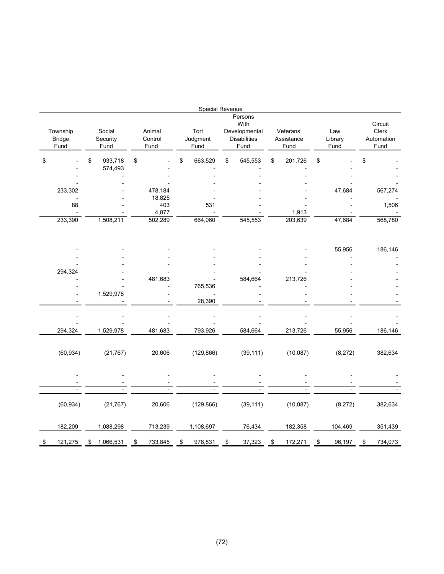|                                   |                            |                           |                          | Special Revenue                                                 |                                 |                        |                                        |  |
|-----------------------------------|----------------------------|---------------------------|--------------------------|-----------------------------------------------------------------|---------------------------------|------------------------|----------------------------------------|--|
| Township<br><b>Bridge</b><br>Fund | Social<br>Security<br>Fund | Animal<br>Control<br>Fund | Tort<br>Judgment<br>Fund | Persons<br>With<br>Developmental<br><b>Disabilities</b><br>Fund | Veterans'<br>Assistance<br>Fund | Law<br>Library<br>Fund | Circuit<br>Clerk<br>Automation<br>Fund |  |
| \$                                | \$<br>933,718<br>574,493   | \$                        | \$<br>663,529            | \$<br>545,553                                                   | \$<br>201,726                   | \$                     | \$                                     |  |
| 233,302                           |                            | 478,184<br>18,825         |                          |                                                                 |                                 | 47,684                 | 567,274                                |  |
| 88                                |                            | 403<br>4,877              | 531                      |                                                                 | 1,913                           |                        | 1,506                                  |  |
| 233,390                           | 1,508,211                  | 502,289                   | 664,060                  | 545,553                                                         | 203,639                         | 47,684                 | 568,780                                |  |
|                                   |                            |                           |                          |                                                                 |                                 | 55,956                 | 186,146                                |  |
| 294,324                           |                            |                           |                          |                                                                 |                                 |                        |                                        |  |
|                                   |                            | 481,683                   |                          | 584,664                                                         | 213,726                         |                        |                                        |  |
|                                   | 1,529,978                  |                           | 765,536<br>28,390        |                                                                 |                                 |                        |                                        |  |
|                                   |                            |                           |                          |                                                                 |                                 |                        |                                        |  |
| 294,324                           | 1,529,978                  | 481,683                   | 793,926                  | 584,664                                                         | 213,726                         | 55,956                 | 186,146                                |  |
| (60, 934)                         | (21, 767)                  | 20,606                    | (129, 866)               | (39, 111)                                                       | (10,087)                        | (8,272)                | 382,634                                |  |
|                                   |                            |                           |                          |                                                                 |                                 |                        |                                        |  |
| (60, 934)                         | (21, 767)                  | 20,606                    | (129, 866)               | (39, 111)                                                       | (10,087)                        | (8, 272)               | 382,634                                |  |
| 182,209                           | 1,088,298                  | 713,239                   | 1,108,697                | 76,434                                                          | 182,358                         | 104,469                | 351,439                                |  |
| 121,275<br>\$                     | 1,066,531<br>\$            | 733,845<br>\$             | 978,831<br>\$            | 37,323                                                          | \$<br>172,271                   | 96,197<br>\$           | 734,073<br>\$                          |  |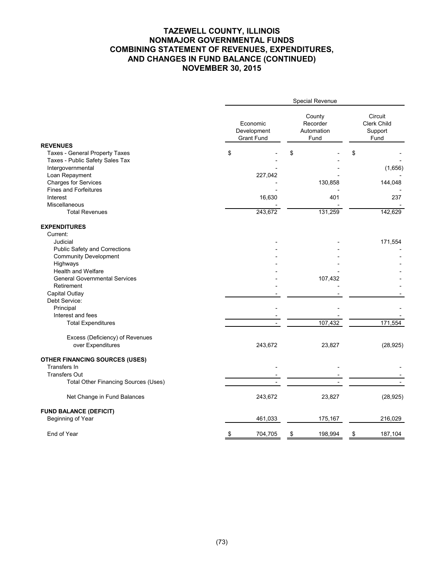# **TAZEWELL COUNTY, ILLINOIS NONMAJOR GOVERNMENTAL FUNDS COMBINING STATEMENT OF REVENUES, EXPENDITURES, AND CHANGES IN FUND BALANCE (CONTINUED) NOVEMBER 30, 2015**

|                                                                   | Special Revenue                              |                                          |                                                  |  |  |  |  |  |  |  |
|-------------------------------------------------------------------|----------------------------------------------|------------------------------------------|--------------------------------------------------|--|--|--|--|--|--|--|
|                                                                   | Economic<br>Development<br><b>Grant Fund</b> | County<br>Recorder<br>Automation<br>Fund | Circuit<br><b>Clerk Child</b><br>Support<br>Fund |  |  |  |  |  |  |  |
| <b>REVENUES</b>                                                   |                                              |                                          |                                                  |  |  |  |  |  |  |  |
| Taxes - General Property Taxes<br>Taxes - Public Safety Sales Tax | \$                                           | \$                                       | \$                                               |  |  |  |  |  |  |  |
| Intergovernmental                                                 |                                              |                                          | (1,656)                                          |  |  |  |  |  |  |  |
| Loan Repayment                                                    | 227,042                                      |                                          |                                                  |  |  |  |  |  |  |  |
| <b>Charges for Services</b>                                       |                                              | 130,858                                  | 144,048                                          |  |  |  |  |  |  |  |
| <b>Fines and Forfeitures</b>                                      |                                              |                                          |                                                  |  |  |  |  |  |  |  |
| Interest                                                          | 16,630                                       | 401                                      | 237                                              |  |  |  |  |  |  |  |
| Miscellaneous                                                     |                                              |                                          |                                                  |  |  |  |  |  |  |  |
| <b>Total Revenues</b>                                             | 243,672                                      | 131,259                                  | 142,629                                          |  |  |  |  |  |  |  |
| <b>EXPENDITURES</b>                                               |                                              |                                          |                                                  |  |  |  |  |  |  |  |
| Current:                                                          |                                              |                                          |                                                  |  |  |  |  |  |  |  |
| Judicial                                                          |                                              |                                          | 171,554                                          |  |  |  |  |  |  |  |
| Public Safety and Corrections                                     |                                              |                                          |                                                  |  |  |  |  |  |  |  |
| <b>Community Development</b>                                      |                                              |                                          |                                                  |  |  |  |  |  |  |  |
| Highways<br><b>Health and Welfare</b>                             |                                              |                                          |                                                  |  |  |  |  |  |  |  |
| <b>General Governmental Services</b>                              |                                              |                                          |                                                  |  |  |  |  |  |  |  |
| Retirement                                                        |                                              | 107,432                                  |                                                  |  |  |  |  |  |  |  |
| Capital Outlay                                                    |                                              |                                          |                                                  |  |  |  |  |  |  |  |
| Debt Service:                                                     |                                              |                                          |                                                  |  |  |  |  |  |  |  |
| Principal                                                         |                                              |                                          |                                                  |  |  |  |  |  |  |  |
| Interest and fees                                                 |                                              |                                          |                                                  |  |  |  |  |  |  |  |
| <b>Total Expenditures</b>                                         |                                              | 107,432                                  | 171,554                                          |  |  |  |  |  |  |  |
| Excess (Deficiency) of Revenues                                   |                                              |                                          |                                                  |  |  |  |  |  |  |  |
| over Expenditures                                                 | 243,672                                      | 23,827                                   | (28, 925)                                        |  |  |  |  |  |  |  |
| <b>OTHER FINANCING SOURCES (USES)</b>                             |                                              |                                          |                                                  |  |  |  |  |  |  |  |
| Transfers In                                                      |                                              |                                          |                                                  |  |  |  |  |  |  |  |
| <b>Transfers Out</b>                                              |                                              |                                          |                                                  |  |  |  |  |  |  |  |
| Total Other Financing Sources (Uses)                              |                                              |                                          |                                                  |  |  |  |  |  |  |  |
| Net Change in Fund Balances                                       | 243,672                                      | 23,827                                   | (28, 925)                                        |  |  |  |  |  |  |  |
| <b>FUND BALANCE (DEFICIT)</b>                                     |                                              |                                          |                                                  |  |  |  |  |  |  |  |
| Beginning of Year                                                 | 461,033                                      | 175,167                                  | 216,029                                          |  |  |  |  |  |  |  |
| End of Year                                                       | \$<br>704,705                                | 198,994<br>\$                            | 187,104<br>\$                                    |  |  |  |  |  |  |  |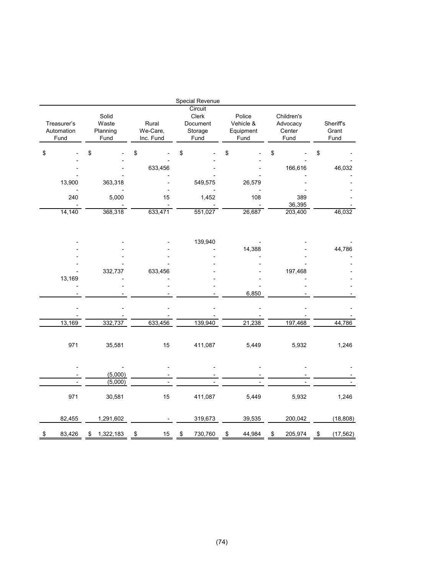|                                   |                                    |                                | Special Revenue                                 |                                          |                                          |                                   |
|-----------------------------------|------------------------------------|--------------------------------|-------------------------------------------------|------------------------------------------|------------------------------------------|-----------------------------------|
| Treasurer's<br>Automation<br>Fund | Solid<br>Waste<br>Planning<br>Fund | Rural<br>We-Care,<br>Inc. Fund | Circuit<br>Clerk<br>Document<br>Storage<br>Fund | Police<br>Vehicle &<br>Equipment<br>Fund | Children's<br>Advocacy<br>Center<br>Fund | <b>Sheriff's</b><br>Grant<br>Fund |
| \$                                | \$                                 | \$                             | \$                                              | \$                                       | \$                                       | \$                                |
|                                   |                                    | 633,456                        |                                                 |                                          | 166,616                                  | 46,032                            |
| 13,900                            | 363,318                            |                                | 549,575                                         | 26,579                                   |                                          |                                   |
| 240                               | 5,000                              | 15                             | 1,452                                           | 108                                      | 389<br>36,395                            |                                   |
| 14,140                            | 368,318                            | 633,471                        | 551,027                                         | 26,687                                   | 203,400                                  | 46,032                            |
|                                   |                                    |                                | 139,940                                         |                                          |                                          |                                   |
|                                   |                                    |                                |                                                 | 14,388                                   |                                          | 44,786                            |
|                                   |                                    |                                |                                                 |                                          |                                          |                                   |
|                                   | 332,737                            | 633,456                        |                                                 |                                          | 197,468                                  |                                   |
| 13,169                            |                                    |                                |                                                 |                                          |                                          |                                   |
|                                   |                                    |                                |                                                 | 6,850                                    |                                          |                                   |
|                                   |                                    |                                |                                                 |                                          |                                          |                                   |
|                                   |                                    |                                |                                                 |                                          |                                          |                                   |
| 13,169                            | 332,737                            | 633,456                        | 139,940                                         | 21,238                                   | 197,468                                  | 44,786                            |
|                                   |                                    |                                |                                                 |                                          |                                          |                                   |
| 971                               | 35,581                             | 15                             | 411,087                                         | 5,449                                    | 5,932                                    | 1,246                             |
|                                   |                                    |                                |                                                 |                                          |                                          |                                   |
|                                   | (5,000)<br>(5,000)                 |                                |                                                 |                                          |                                          |                                   |
|                                   |                                    |                                |                                                 |                                          |                                          |                                   |
| 971                               | 30,581                             | 15                             | 411,087                                         | 5,449                                    | 5,932                                    | 1,246                             |
| 82,455                            | 1,291,602                          |                                | 319,673                                         | 39,535                                   | 200,042                                  | (18, 808)                         |
| 83,426<br>\$                      | 1,322,183<br>\$                    | 15 <sub>15</sub><br>\$         | 730,760<br>\$                                   | 44,984<br>\$                             | 205,974<br>\$                            | (17, 562)<br>$\frac{1}{2}$        |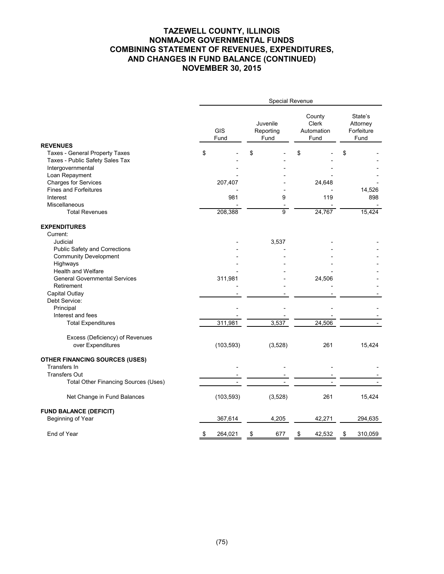# **TAZEWELL COUNTY, ILLINOIS NONMAJOR GOVERNMENTAL FUNDS COMBINING STATEMENT OF REVENUES, EXPENDITURES, AND CHANGES IN FUND BALANCE (CONTINUED) NOVEMBER 30, 2015**

|                                                             |                    |                               | Special Revenue                       |                                           |
|-------------------------------------------------------------|--------------------|-------------------------------|---------------------------------------|-------------------------------------------|
|                                                             | <b>GIS</b><br>Fund | Juvenile<br>Reporting<br>Fund | County<br>Clerk<br>Automation<br>Fund | State's<br>Attorney<br>Forfeiture<br>Fund |
| <b>REVENUES</b>                                             |                    |                               |                                       |                                           |
| Taxes - General Property Taxes                              | \$                 | \$                            | \$                                    | \$                                        |
| Taxes - Public Safety Sales Tax                             |                    |                               |                                       |                                           |
| Intergovernmental                                           |                    |                               |                                       |                                           |
| Loan Repayment                                              |                    |                               |                                       |                                           |
| <b>Charges for Services</b><br><b>Fines and Forfeitures</b> | 207,407            |                               | 24,648                                | 14,526                                    |
| Interest                                                    | 981                | 9                             | 119                                   | 898                                       |
| Miscellaneous                                               |                    |                               |                                       |                                           |
| <b>Total Revenues</b>                                       | 208,388            | 9                             | 24,767                                | 15,424                                    |
|                                                             |                    |                               |                                       |                                           |
| <b>EXPENDITURES</b>                                         |                    |                               |                                       |                                           |
| Current:                                                    |                    |                               |                                       |                                           |
| Judicial                                                    |                    | 3,537                         |                                       |                                           |
| Public Safety and Corrections                               |                    |                               |                                       |                                           |
| <b>Community Development</b>                                |                    |                               |                                       |                                           |
| Highways                                                    |                    |                               |                                       |                                           |
| Health and Welfare                                          |                    |                               |                                       |                                           |
| <b>General Governmental Services</b>                        | 311,981            |                               | 24,506                                |                                           |
| Retirement                                                  |                    |                               |                                       |                                           |
| Capital Outlay                                              |                    |                               |                                       |                                           |
| Debt Service:                                               |                    |                               |                                       |                                           |
| Principal                                                   |                    |                               |                                       |                                           |
| Interest and fees                                           |                    |                               |                                       |                                           |
| <b>Total Expenditures</b>                                   | 311,981            | 3,537                         | 24,506                                |                                           |
|                                                             |                    |                               |                                       |                                           |
| Excess (Deficiency) of Revenues                             |                    |                               |                                       |                                           |
| over Expenditures                                           | (103, 593)         | (3,528)                       | 261                                   | 15,424                                    |
|                                                             |                    |                               |                                       |                                           |
| <b>OTHER FINANCING SOURCES (USES)</b><br>Transfers In       |                    |                               |                                       |                                           |
| <b>Transfers Out</b>                                        |                    |                               |                                       |                                           |
|                                                             |                    |                               |                                       |                                           |
| Total Other Financing Sources (Uses)                        |                    |                               |                                       |                                           |
| Net Change in Fund Balances                                 | (103, 593)         | (3, 528)                      | 261                                   | 15,424                                    |
| <b>FUND BALANCE (DEFICIT)</b>                               |                    |                               |                                       |                                           |
| Beginning of Year                                           | 367,614            | 4,205                         | 42,271                                | 294,635                                   |
|                                                             |                    |                               |                                       |                                           |
| End of Year                                                 | \$<br>264,021      | $\frac{1}{2}$<br>677          | 42,532<br>\$                          | 310,059<br>\$                             |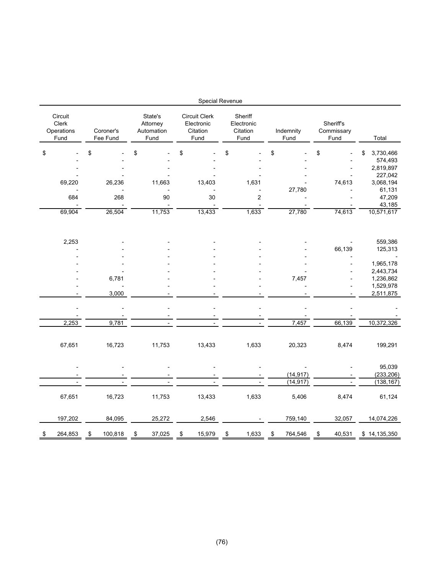|                                        |                       |                                           |                                                 | Special Revenue                           |                        |                                 |                                 |
|----------------------------------------|-----------------------|-------------------------------------------|-------------------------------------------------|-------------------------------------------|------------------------|---------------------------------|---------------------------------|
| Circuit<br>Clerk<br>Operations<br>Fund | Coroner's<br>Fee Fund | State's<br>Attorney<br>Automation<br>Fund | Circuit Clerk<br>Electronic<br>Citation<br>Fund | Sheriff<br>Electronic<br>Citation<br>Fund | Indemnity<br>Fund      | Sheriff's<br>Commissary<br>Fund | Total                           |
| \$                                     | \$                    | \$                                        | \$                                              | \$                                        | \$                     | \$                              | \$<br>3,730,466                 |
|                                        |                       |                                           |                                                 |                                           |                        |                                 | 574,493<br>2,819,897<br>227,042 |
| 69,220                                 | 26,236                | 11,663                                    | 13,403                                          | 1,631                                     |                        | 74,613                          | 3,068,194                       |
| 684                                    | 268                   | 90                                        | 30                                              | $\overline{\mathbf{c}}$                   | 27,780                 |                                 | 61,131<br>47,209<br>43,185      |
| 69,904                                 | 26,504                | 11,753                                    | 13,433                                          | 1,633                                     | 27,780                 | 74,613                          | 10,571,617                      |
| 2,253                                  |                       |                                           |                                                 |                                           |                        |                                 | 559,386                         |
|                                        |                       |                                           |                                                 |                                           |                        | 66,139                          | 125,313                         |
|                                        |                       |                                           |                                                 |                                           |                        |                                 | 1,965,178                       |
|                                        | 6,781                 |                                           |                                                 |                                           | 7,457                  |                                 | 2,443,734<br>1,236,862          |
|                                        | 3,000                 |                                           |                                                 |                                           |                        |                                 | 1,529,978<br>2,511,875          |
|                                        |                       |                                           |                                                 |                                           |                        |                                 |                                 |
| 2,253                                  | 9,781                 |                                           | $\overline{\phantom{a}}$                        |                                           | 7,457                  | 66,139                          | 10,372,326                      |
| 67,651                                 | 16,723                | 11,753                                    | 13,433                                          | 1,633                                     | 20,323                 | 8,474                           | 199,291                         |
|                                        |                       |                                           |                                                 |                                           |                        |                                 | 95,039                          |
|                                        |                       |                                           |                                                 |                                           | (14, 917)<br>(14, 917) |                                 | (233, 206)<br>(138, 167)        |
| 67,651                                 | 16,723                | 11,753                                    | 13,433                                          | 1,633                                     | 5,406                  | 8,474                           | 61,124                          |
| 197,202                                | 84,095                | 25,272                                    | 2,546                                           |                                           | 759,140                | 32,057                          | 14,074,226                      |
| 264,853<br>\$                          | 100,818<br>S          | 37,025<br>\$                              | 15,979<br>\$                                    | 1,633                                     | 764,546<br>\$          | 40,531<br>\$                    | \$14,135,350                    |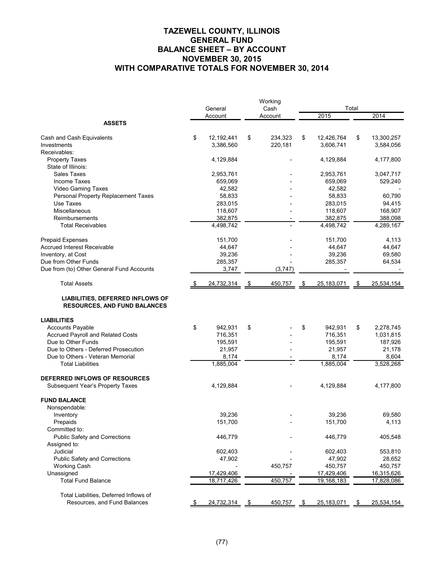# **TAZEWELL COUNTY, ILLINOIS GENERAL FUND BALANCE SHEET – BY ACCOUNT NOVEMBER 30, 2015 WITH COMPARATIVE TOTALS FOR NOVEMBER 30, 2014**

| 2015<br>2014<br>Account<br>Account<br><b>ASSETS</b><br>\$<br>\$<br>\$<br>\$<br>12,192,441<br>234,323<br>12,426,764<br>13,300,257<br>Cash and Cash Equivalents<br>Investments<br>3,386,560<br>220,181<br>3,606,741<br>3,584,056<br>Receivables:<br>4,129,884<br>4,129,884<br>4,177,800<br><b>Property Taxes</b><br>State of Illinois:<br>Sales Taxes<br>2,953,761<br>2,953,761<br>3,047,717<br>Income Taxes<br>659,069<br>659,069<br>529,240<br>42,582<br><b>Video Gaming Taxes</b><br>42,582<br>Personal Property Replacement Taxes<br>58,833<br>58,833<br>60,790<br>Use Taxes<br>283,015<br>283,015<br>94,415<br>Miscellaneous<br>118,607<br>118,607<br>168,907<br>Reimbursements<br>382,875<br>382,875<br>388,098<br><b>Total Receivables</b><br>4,498,742<br>4,498,742<br>4,289,167<br><b>Prepaid Expenses</b><br>151,700<br>151,700<br>4,113<br><b>Accrued Interest Receivable</b><br>44,647<br>44,647<br>44,647<br>Inventory, at Cost<br>39,236<br>39,236<br>69,580<br>Due from Other Funds<br>285,357<br>285,357<br>64,534<br>Due from (to) Other General Fund Accounts<br>3,747<br>(3,747)<br><b>Total Assets</b><br>24,732,314<br>450,757<br><u>25,183,071</u><br>- \$<br><u>25,534,154</u><br>- \$<br>- \$<br>- 56<br><b>LIABILITIES, DEFERRED INFLOWS OF</b><br><b>RESOURCES, AND FUND BALANCES</b><br><b>LIABILITIES</b><br>\$<br>\$<br>Accounts Payable<br>942,931<br>\$<br>942,931<br>\$<br>2,278,745<br>Accrued Payroll and Related Costs<br>716,351<br>716,351<br>1,031,815<br>Due to Other Funds<br>195,591<br>195,591<br>187,926<br>Due to Others - Deferred Prosecution<br>21,957<br>21,957<br>21,178<br>Due to Others - Veteran Memorial<br>8,174<br>8,174<br>8,604<br>1,885,004<br>1,885,004<br><b>Total Liabilities</b><br>3,528,268<br>DEFERRED INFLOWS OF RESOURCES<br>4,129,884<br>4,129,884<br>Subsequent Year's Property Taxes<br>4,177,800<br><b>FUND BALANCE</b><br>Nonspendable:<br>39,236<br>39,236<br>69,580<br>Inventory<br>151,700<br>151,700<br>4,113<br>Prepaids<br>Committed to:<br>446,779<br>446,779<br>405,548<br><b>Public Safety and Corrections</b><br>Assigned to:<br>602,403<br>602,403<br>Judicial<br>553,810<br>47,902<br>47,902<br><b>Public Safety and Corrections</b><br>28,652<br>450,757<br>450,757<br>450,757<br><b>Working Cash</b><br>Unassigned<br>17,429,406<br>17,429,406<br>16,315,626<br><b>Total Fund Balance</b><br>450,757<br>18,717,426<br>19,168,183<br>17,828,086<br>Total Liabilities, Deferred Inflows of<br>Resources, and Fund Balances<br>24,732,314<br>450,757<br>25,183,071<br>25,534,154<br>$\sqrt{5}$<br>- \$<br>_\$<br>- \$ | General |  |  | Working<br>Cash | Total |  |  |  |  |
|--------------------------------------------------------------------------------------------------------------------------------------------------------------------------------------------------------------------------------------------------------------------------------------------------------------------------------------------------------------------------------------------------------------------------------------------------------------------------------------------------------------------------------------------------------------------------------------------------------------------------------------------------------------------------------------------------------------------------------------------------------------------------------------------------------------------------------------------------------------------------------------------------------------------------------------------------------------------------------------------------------------------------------------------------------------------------------------------------------------------------------------------------------------------------------------------------------------------------------------------------------------------------------------------------------------------------------------------------------------------------------------------------------------------------------------------------------------------------------------------------------------------------------------------------------------------------------------------------------------------------------------------------------------------------------------------------------------------------------------------------------------------------------------------------------------------------------------------------------------------------------------------------------------------------------------------------------------------------------------------------------------------------------------------------------------------------------------------------------------------------------------------------------------------------------------------------------------------------------------------------------------------------------------------------------------------------------------------------------------------------------------------------------------------------------------------------------------------------------------------------------------------------------------------------------------------------------------------------------|---------|--|--|-----------------|-------|--|--|--|--|
|                                                                                                                                                                                                                                                                                                                                                                                                                                                                                                                                                                                                                                                                                                                                                                                                                                                                                                                                                                                                                                                                                                                                                                                                                                                                                                                                                                                                                                                                                                                                                                                                                                                                                                                                                                                                                                                                                                                                                                                                                                                                                                                                                                                                                                                                                                                                                                                                                                                                                                                                                                                                        |         |  |  |                 |       |  |  |  |  |
|                                                                                                                                                                                                                                                                                                                                                                                                                                                                                                                                                                                                                                                                                                                                                                                                                                                                                                                                                                                                                                                                                                                                                                                                                                                                                                                                                                                                                                                                                                                                                                                                                                                                                                                                                                                                                                                                                                                                                                                                                                                                                                                                                                                                                                                                                                                                                                                                                                                                                                                                                                                                        |         |  |  |                 |       |  |  |  |  |
|                                                                                                                                                                                                                                                                                                                                                                                                                                                                                                                                                                                                                                                                                                                                                                                                                                                                                                                                                                                                                                                                                                                                                                                                                                                                                                                                                                                                                                                                                                                                                                                                                                                                                                                                                                                                                                                                                                                                                                                                                                                                                                                                                                                                                                                                                                                                                                                                                                                                                                                                                                                                        |         |  |  |                 |       |  |  |  |  |
|                                                                                                                                                                                                                                                                                                                                                                                                                                                                                                                                                                                                                                                                                                                                                                                                                                                                                                                                                                                                                                                                                                                                                                                                                                                                                                                                                                                                                                                                                                                                                                                                                                                                                                                                                                                                                                                                                                                                                                                                                                                                                                                                                                                                                                                                                                                                                                                                                                                                                                                                                                                                        |         |  |  |                 |       |  |  |  |  |
|                                                                                                                                                                                                                                                                                                                                                                                                                                                                                                                                                                                                                                                                                                                                                                                                                                                                                                                                                                                                                                                                                                                                                                                                                                                                                                                                                                                                                                                                                                                                                                                                                                                                                                                                                                                                                                                                                                                                                                                                                                                                                                                                                                                                                                                                                                                                                                                                                                                                                                                                                                                                        |         |  |  |                 |       |  |  |  |  |
|                                                                                                                                                                                                                                                                                                                                                                                                                                                                                                                                                                                                                                                                                                                                                                                                                                                                                                                                                                                                                                                                                                                                                                                                                                                                                                                                                                                                                                                                                                                                                                                                                                                                                                                                                                                                                                                                                                                                                                                                                                                                                                                                                                                                                                                                                                                                                                                                                                                                                                                                                                                                        |         |  |  |                 |       |  |  |  |  |
|                                                                                                                                                                                                                                                                                                                                                                                                                                                                                                                                                                                                                                                                                                                                                                                                                                                                                                                                                                                                                                                                                                                                                                                                                                                                                                                                                                                                                                                                                                                                                                                                                                                                                                                                                                                                                                                                                                                                                                                                                                                                                                                                                                                                                                                                                                                                                                                                                                                                                                                                                                                                        |         |  |  |                 |       |  |  |  |  |
|                                                                                                                                                                                                                                                                                                                                                                                                                                                                                                                                                                                                                                                                                                                                                                                                                                                                                                                                                                                                                                                                                                                                                                                                                                                                                                                                                                                                                                                                                                                                                                                                                                                                                                                                                                                                                                                                                                                                                                                                                                                                                                                                                                                                                                                                                                                                                                                                                                                                                                                                                                                                        |         |  |  |                 |       |  |  |  |  |
|                                                                                                                                                                                                                                                                                                                                                                                                                                                                                                                                                                                                                                                                                                                                                                                                                                                                                                                                                                                                                                                                                                                                                                                                                                                                                                                                                                                                                                                                                                                                                                                                                                                                                                                                                                                                                                                                                                                                                                                                                                                                                                                                                                                                                                                                                                                                                                                                                                                                                                                                                                                                        |         |  |  |                 |       |  |  |  |  |
|                                                                                                                                                                                                                                                                                                                                                                                                                                                                                                                                                                                                                                                                                                                                                                                                                                                                                                                                                                                                                                                                                                                                                                                                                                                                                                                                                                                                                                                                                                                                                                                                                                                                                                                                                                                                                                                                                                                                                                                                                                                                                                                                                                                                                                                                                                                                                                                                                                                                                                                                                                                                        |         |  |  |                 |       |  |  |  |  |
|                                                                                                                                                                                                                                                                                                                                                                                                                                                                                                                                                                                                                                                                                                                                                                                                                                                                                                                                                                                                                                                                                                                                                                                                                                                                                                                                                                                                                                                                                                                                                                                                                                                                                                                                                                                                                                                                                                                                                                                                                                                                                                                                                                                                                                                                                                                                                                                                                                                                                                                                                                                                        |         |  |  |                 |       |  |  |  |  |
|                                                                                                                                                                                                                                                                                                                                                                                                                                                                                                                                                                                                                                                                                                                                                                                                                                                                                                                                                                                                                                                                                                                                                                                                                                                                                                                                                                                                                                                                                                                                                                                                                                                                                                                                                                                                                                                                                                                                                                                                                                                                                                                                                                                                                                                                                                                                                                                                                                                                                                                                                                                                        |         |  |  |                 |       |  |  |  |  |
|                                                                                                                                                                                                                                                                                                                                                                                                                                                                                                                                                                                                                                                                                                                                                                                                                                                                                                                                                                                                                                                                                                                                                                                                                                                                                                                                                                                                                                                                                                                                                                                                                                                                                                                                                                                                                                                                                                                                                                                                                                                                                                                                                                                                                                                                                                                                                                                                                                                                                                                                                                                                        |         |  |  |                 |       |  |  |  |  |
|                                                                                                                                                                                                                                                                                                                                                                                                                                                                                                                                                                                                                                                                                                                                                                                                                                                                                                                                                                                                                                                                                                                                                                                                                                                                                                                                                                                                                                                                                                                                                                                                                                                                                                                                                                                                                                                                                                                                                                                                                                                                                                                                                                                                                                                                                                                                                                                                                                                                                                                                                                                                        |         |  |  |                 |       |  |  |  |  |
|                                                                                                                                                                                                                                                                                                                                                                                                                                                                                                                                                                                                                                                                                                                                                                                                                                                                                                                                                                                                                                                                                                                                                                                                                                                                                                                                                                                                                                                                                                                                                                                                                                                                                                                                                                                                                                                                                                                                                                                                                                                                                                                                                                                                                                                                                                                                                                                                                                                                                                                                                                                                        |         |  |  |                 |       |  |  |  |  |
|                                                                                                                                                                                                                                                                                                                                                                                                                                                                                                                                                                                                                                                                                                                                                                                                                                                                                                                                                                                                                                                                                                                                                                                                                                                                                                                                                                                                                                                                                                                                                                                                                                                                                                                                                                                                                                                                                                                                                                                                                                                                                                                                                                                                                                                                                                                                                                                                                                                                                                                                                                                                        |         |  |  |                 |       |  |  |  |  |
|                                                                                                                                                                                                                                                                                                                                                                                                                                                                                                                                                                                                                                                                                                                                                                                                                                                                                                                                                                                                                                                                                                                                                                                                                                                                                                                                                                                                                                                                                                                                                                                                                                                                                                                                                                                                                                                                                                                                                                                                                                                                                                                                                                                                                                                                                                                                                                                                                                                                                                                                                                                                        |         |  |  |                 |       |  |  |  |  |
|                                                                                                                                                                                                                                                                                                                                                                                                                                                                                                                                                                                                                                                                                                                                                                                                                                                                                                                                                                                                                                                                                                                                                                                                                                                                                                                                                                                                                                                                                                                                                                                                                                                                                                                                                                                                                                                                                                                                                                                                                                                                                                                                                                                                                                                                                                                                                                                                                                                                                                                                                                                                        |         |  |  |                 |       |  |  |  |  |
|                                                                                                                                                                                                                                                                                                                                                                                                                                                                                                                                                                                                                                                                                                                                                                                                                                                                                                                                                                                                                                                                                                                                                                                                                                                                                                                                                                                                                                                                                                                                                                                                                                                                                                                                                                                                                                                                                                                                                                                                                                                                                                                                                                                                                                                                                                                                                                                                                                                                                                                                                                                                        |         |  |  |                 |       |  |  |  |  |
|                                                                                                                                                                                                                                                                                                                                                                                                                                                                                                                                                                                                                                                                                                                                                                                                                                                                                                                                                                                                                                                                                                                                                                                                                                                                                                                                                                                                                                                                                                                                                                                                                                                                                                                                                                                                                                                                                                                                                                                                                                                                                                                                                                                                                                                                                                                                                                                                                                                                                                                                                                                                        |         |  |  |                 |       |  |  |  |  |
|                                                                                                                                                                                                                                                                                                                                                                                                                                                                                                                                                                                                                                                                                                                                                                                                                                                                                                                                                                                                                                                                                                                                                                                                                                                                                                                                                                                                                                                                                                                                                                                                                                                                                                                                                                                                                                                                                                                                                                                                                                                                                                                                                                                                                                                                                                                                                                                                                                                                                                                                                                                                        |         |  |  |                 |       |  |  |  |  |
|                                                                                                                                                                                                                                                                                                                                                                                                                                                                                                                                                                                                                                                                                                                                                                                                                                                                                                                                                                                                                                                                                                                                                                                                                                                                                                                                                                                                                                                                                                                                                                                                                                                                                                                                                                                                                                                                                                                                                                                                                                                                                                                                                                                                                                                                                                                                                                                                                                                                                                                                                                                                        |         |  |  |                 |       |  |  |  |  |
|                                                                                                                                                                                                                                                                                                                                                                                                                                                                                                                                                                                                                                                                                                                                                                                                                                                                                                                                                                                                                                                                                                                                                                                                                                                                                                                                                                                                                                                                                                                                                                                                                                                                                                                                                                                                                                                                                                                                                                                                                                                                                                                                                                                                                                                                                                                                                                                                                                                                                                                                                                                                        |         |  |  |                 |       |  |  |  |  |
|                                                                                                                                                                                                                                                                                                                                                                                                                                                                                                                                                                                                                                                                                                                                                                                                                                                                                                                                                                                                                                                                                                                                                                                                                                                                                                                                                                                                                                                                                                                                                                                                                                                                                                                                                                                                                                                                                                                                                                                                                                                                                                                                                                                                                                                                                                                                                                                                                                                                                                                                                                                                        |         |  |  |                 |       |  |  |  |  |
|                                                                                                                                                                                                                                                                                                                                                                                                                                                                                                                                                                                                                                                                                                                                                                                                                                                                                                                                                                                                                                                                                                                                                                                                                                                                                                                                                                                                                                                                                                                                                                                                                                                                                                                                                                                                                                                                                                                                                                                                                                                                                                                                                                                                                                                                                                                                                                                                                                                                                                                                                                                                        |         |  |  |                 |       |  |  |  |  |
|                                                                                                                                                                                                                                                                                                                                                                                                                                                                                                                                                                                                                                                                                                                                                                                                                                                                                                                                                                                                                                                                                                                                                                                                                                                                                                                                                                                                                                                                                                                                                                                                                                                                                                                                                                                                                                                                                                                                                                                                                                                                                                                                                                                                                                                                                                                                                                                                                                                                                                                                                                                                        |         |  |  |                 |       |  |  |  |  |
|                                                                                                                                                                                                                                                                                                                                                                                                                                                                                                                                                                                                                                                                                                                                                                                                                                                                                                                                                                                                                                                                                                                                                                                                                                                                                                                                                                                                                                                                                                                                                                                                                                                                                                                                                                                                                                                                                                                                                                                                                                                                                                                                                                                                                                                                                                                                                                                                                                                                                                                                                                                                        |         |  |  |                 |       |  |  |  |  |
|                                                                                                                                                                                                                                                                                                                                                                                                                                                                                                                                                                                                                                                                                                                                                                                                                                                                                                                                                                                                                                                                                                                                                                                                                                                                                                                                                                                                                                                                                                                                                                                                                                                                                                                                                                                                                                                                                                                                                                                                                                                                                                                                                                                                                                                                                                                                                                                                                                                                                                                                                                                                        |         |  |  |                 |       |  |  |  |  |
|                                                                                                                                                                                                                                                                                                                                                                                                                                                                                                                                                                                                                                                                                                                                                                                                                                                                                                                                                                                                                                                                                                                                                                                                                                                                                                                                                                                                                                                                                                                                                                                                                                                                                                                                                                                                                                                                                                                                                                                                                                                                                                                                                                                                                                                                                                                                                                                                                                                                                                                                                                                                        |         |  |  |                 |       |  |  |  |  |
|                                                                                                                                                                                                                                                                                                                                                                                                                                                                                                                                                                                                                                                                                                                                                                                                                                                                                                                                                                                                                                                                                                                                                                                                                                                                                                                                                                                                                                                                                                                                                                                                                                                                                                                                                                                                                                                                                                                                                                                                                                                                                                                                                                                                                                                                                                                                                                                                                                                                                                                                                                                                        |         |  |  |                 |       |  |  |  |  |
|                                                                                                                                                                                                                                                                                                                                                                                                                                                                                                                                                                                                                                                                                                                                                                                                                                                                                                                                                                                                                                                                                                                                                                                                                                                                                                                                                                                                                                                                                                                                                                                                                                                                                                                                                                                                                                                                                                                                                                                                                                                                                                                                                                                                                                                                                                                                                                                                                                                                                                                                                                                                        |         |  |  |                 |       |  |  |  |  |
|                                                                                                                                                                                                                                                                                                                                                                                                                                                                                                                                                                                                                                                                                                                                                                                                                                                                                                                                                                                                                                                                                                                                                                                                                                                                                                                                                                                                                                                                                                                                                                                                                                                                                                                                                                                                                                                                                                                                                                                                                                                                                                                                                                                                                                                                                                                                                                                                                                                                                                                                                                                                        |         |  |  |                 |       |  |  |  |  |
|                                                                                                                                                                                                                                                                                                                                                                                                                                                                                                                                                                                                                                                                                                                                                                                                                                                                                                                                                                                                                                                                                                                                                                                                                                                                                                                                                                                                                                                                                                                                                                                                                                                                                                                                                                                                                                                                                                                                                                                                                                                                                                                                                                                                                                                                                                                                                                                                                                                                                                                                                                                                        |         |  |  |                 |       |  |  |  |  |
|                                                                                                                                                                                                                                                                                                                                                                                                                                                                                                                                                                                                                                                                                                                                                                                                                                                                                                                                                                                                                                                                                                                                                                                                                                                                                                                                                                                                                                                                                                                                                                                                                                                                                                                                                                                                                                                                                                                                                                                                                                                                                                                                                                                                                                                                                                                                                                                                                                                                                                                                                                                                        |         |  |  |                 |       |  |  |  |  |
|                                                                                                                                                                                                                                                                                                                                                                                                                                                                                                                                                                                                                                                                                                                                                                                                                                                                                                                                                                                                                                                                                                                                                                                                                                                                                                                                                                                                                                                                                                                                                                                                                                                                                                                                                                                                                                                                                                                                                                                                                                                                                                                                                                                                                                                                                                                                                                                                                                                                                                                                                                                                        |         |  |  |                 |       |  |  |  |  |
|                                                                                                                                                                                                                                                                                                                                                                                                                                                                                                                                                                                                                                                                                                                                                                                                                                                                                                                                                                                                                                                                                                                                                                                                                                                                                                                                                                                                                                                                                                                                                                                                                                                                                                                                                                                                                                                                                                                                                                                                                                                                                                                                                                                                                                                                                                                                                                                                                                                                                                                                                                                                        |         |  |  |                 |       |  |  |  |  |
|                                                                                                                                                                                                                                                                                                                                                                                                                                                                                                                                                                                                                                                                                                                                                                                                                                                                                                                                                                                                                                                                                                                                                                                                                                                                                                                                                                                                                                                                                                                                                                                                                                                                                                                                                                                                                                                                                                                                                                                                                                                                                                                                                                                                                                                                                                                                                                                                                                                                                                                                                                                                        |         |  |  |                 |       |  |  |  |  |
|                                                                                                                                                                                                                                                                                                                                                                                                                                                                                                                                                                                                                                                                                                                                                                                                                                                                                                                                                                                                                                                                                                                                                                                                                                                                                                                                                                                                                                                                                                                                                                                                                                                                                                                                                                                                                                                                                                                                                                                                                                                                                                                                                                                                                                                                                                                                                                                                                                                                                                                                                                                                        |         |  |  |                 |       |  |  |  |  |
|                                                                                                                                                                                                                                                                                                                                                                                                                                                                                                                                                                                                                                                                                                                                                                                                                                                                                                                                                                                                                                                                                                                                                                                                                                                                                                                                                                                                                                                                                                                                                                                                                                                                                                                                                                                                                                                                                                                                                                                                                                                                                                                                                                                                                                                                                                                                                                                                                                                                                                                                                                                                        |         |  |  |                 |       |  |  |  |  |
|                                                                                                                                                                                                                                                                                                                                                                                                                                                                                                                                                                                                                                                                                                                                                                                                                                                                                                                                                                                                                                                                                                                                                                                                                                                                                                                                                                                                                                                                                                                                                                                                                                                                                                                                                                                                                                                                                                                                                                                                                                                                                                                                                                                                                                                                                                                                                                                                                                                                                                                                                                                                        |         |  |  |                 |       |  |  |  |  |
|                                                                                                                                                                                                                                                                                                                                                                                                                                                                                                                                                                                                                                                                                                                                                                                                                                                                                                                                                                                                                                                                                                                                                                                                                                                                                                                                                                                                                                                                                                                                                                                                                                                                                                                                                                                                                                                                                                                                                                                                                                                                                                                                                                                                                                                                                                                                                                                                                                                                                                                                                                                                        |         |  |  |                 |       |  |  |  |  |
|                                                                                                                                                                                                                                                                                                                                                                                                                                                                                                                                                                                                                                                                                                                                                                                                                                                                                                                                                                                                                                                                                                                                                                                                                                                                                                                                                                                                                                                                                                                                                                                                                                                                                                                                                                                                                                                                                                                                                                                                                                                                                                                                                                                                                                                                                                                                                                                                                                                                                                                                                                                                        |         |  |  |                 |       |  |  |  |  |
|                                                                                                                                                                                                                                                                                                                                                                                                                                                                                                                                                                                                                                                                                                                                                                                                                                                                                                                                                                                                                                                                                                                                                                                                                                                                                                                                                                                                                                                                                                                                                                                                                                                                                                                                                                                                                                                                                                                                                                                                                                                                                                                                                                                                                                                                                                                                                                                                                                                                                                                                                                                                        |         |  |  |                 |       |  |  |  |  |
|                                                                                                                                                                                                                                                                                                                                                                                                                                                                                                                                                                                                                                                                                                                                                                                                                                                                                                                                                                                                                                                                                                                                                                                                                                                                                                                                                                                                                                                                                                                                                                                                                                                                                                                                                                                                                                                                                                                                                                                                                                                                                                                                                                                                                                                                                                                                                                                                                                                                                                                                                                                                        |         |  |  |                 |       |  |  |  |  |
|                                                                                                                                                                                                                                                                                                                                                                                                                                                                                                                                                                                                                                                                                                                                                                                                                                                                                                                                                                                                                                                                                                                                                                                                                                                                                                                                                                                                                                                                                                                                                                                                                                                                                                                                                                                                                                                                                                                                                                                                                                                                                                                                                                                                                                                                                                                                                                                                                                                                                                                                                                                                        |         |  |  |                 |       |  |  |  |  |
|                                                                                                                                                                                                                                                                                                                                                                                                                                                                                                                                                                                                                                                                                                                                                                                                                                                                                                                                                                                                                                                                                                                                                                                                                                                                                                                                                                                                                                                                                                                                                                                                                                                                                                                                                                                                                                                                                                                                                                                                                                                                                                                                                                                                                                                                                                                                                                                                                                                                                                                                                                                                        |         |  |  |                 |       |  |  |  |  |
|                                                                                                                                                                                                                                                                                                                                                                                                                                                                                                                                                                                                                                                                                                                                                                                                                                                                                                                                                                                                                                                                                                                                                                                                                                                                                                                                                                                                                                                                                                                                                                                                                                                                                                                                                                                                                                                                                                                                                                                                                                                                                                                                                                                                                                                                                                                                                                                                                                                                                                                                                                                                        |         |  |  |                 |       |  |  |  |  |
|                                                                                                                                                                                                                                                                                                                                                                                                                                                                                                                                                                                                                                                                                                                                                                                                                                                                                                                                                                                                                                                                                                                                                                                                                                                                                                                                                                                                                                                                                                                                                                                                                                                                                                                                                                                                                                                                                                                                                                                                                                                                                                                                                                                                                                                                                                                                                                                                                                                                                                                                                                                                        |         |  |  |                 |       |  |  |  |  |
|                                                                                                                                                                                                                                                                                                                                                                                                                                                                                                                                                                                                                                                                                                                                                                                                                                                                                                                                                                                                                                                                                                                                                                                                                                                                                                                                                                                                                                                                                                                                                                                                                                                                                                                                                                                                                                                                                                                                                                                                                                                                                                                                                                                                                                                                                                                                                                                                                                                                                                                                                                                                        |         |  |  |                 |       |  |  |  |  |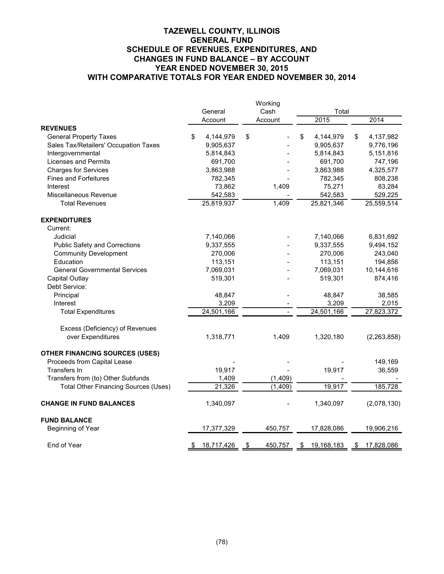|                                             |                    | Working         |                  |                  |
|---------------------------------------------|--------------------|-----------------|------------------|------------------|
|                                             | General<br>Account | Cash<br>Account | Total<br>2015    | 2014             |
| <b>REVENUES</b>                             |                    |                 |                  |                  |
| <b>General Property Taxes</b>               | \$<br>4,144,979    | \$              | \$<br>4,144,979  | \$<br>4,137,982  |
| Sales Tax/Retailers' Occupation Taxes       | 9,905,637          |                 | 9,905,637        | 9,776,196        |
| Intergovernmental                           | 5,814,843          |                 | 5,814,843        | 5,151,816        |
| <b>Licenses and Permits</b>                 | 691,700            |                 | 691,700          | 747,196          |
| <b>Charges for Services</b>                 | 3,863,988          |                 | 3,863,988        | 4,325,577        |
| <b>Fines and Forfeitures</b>                | 782,345            |                 | 782,345          | 808,238          |
| Interest                                    | 73,862             | 1,409           | 75,271           | 83,284           |
| Miscellaneous Revenue                       | 542,583            |                 | 542,583          | 529,225          |
| <b>Total Revenues</b>                       | 25,819,937         | 1,409           | 25,821,346       | 25,559,514       |
| <b>EXPENDITURES</b>                         |                    |                 |                  |                  |
| Current:                                    |                    |                 |                  |                  |
| Judicial                                    | 7,140,066          |                 | 7,140,066        | 6,831,692        |
| <b>Public Safety and Corrections</b>        | 9,337,555          |                 | 9,337,555        | 9,494,152        |
| <b>Community Development</b>                | 270,006            |                 | 270,006          | 243,040          |
| Education                                   | 113,151            |                 | 113,151          | 194,856          |
| <b>General Governmental Services</b>        | 7,069,031          |                 | 7,069,031        | 10,144,616       |
| Capital Outlay                              | 519,301            |                 | 519,301          | 874,416          |
| Debt Service:                               |                    |                 |                  |                  |
| Principal                                   | 48,847             |                 | 48,847           | 38,585           |
| Interest                                    | 3,209              |                 | 3,209            | 2,015            |
| <b>Total Expenditures</b>                   | 24,501,166         |                 | 24,501,166       | 27,823,372       |
| Excess (Deficiency) of Revenues             |                    |                 |                  |                  |
| over Expenditures                           | 1,318,771          | 1,409           | 1,320,180        | (2, 263, 858)    |
| <b>OTHER FINANCING SOURCES (USES)</b>       |                    |                 |                  |                  |
| Proceeds from Capital Lease                 |                    |                 |                  | 149,169          |
| Transfers In                                | 19,917             |                 | 19,917           | 36,559           |
| Transfers from (to) Other Subfunds          | 1,409              | (1,409)         |                  |                  |
| <b>Total Other Financing Sources (Uses)</b> | 21,326             | (1,409)         | 19,917           | 185,728          |
| <b>CHANGE IN FUND BALANCES</b>              | 1,340,097          |                 | 1,340,097        | (2,078,130)      |
| <b>FUND BALANCE</b>                         |                    |                 |                  |                  |
| Beginning of Year                           | 17,377,329         | 450,757         | 17,828,086       | 19,906,216       |
| End of Year                                 | \$<br>18,717,426   | \$<br>450,757   | \$<br>19,168,183 | \$<br>17,828,086 |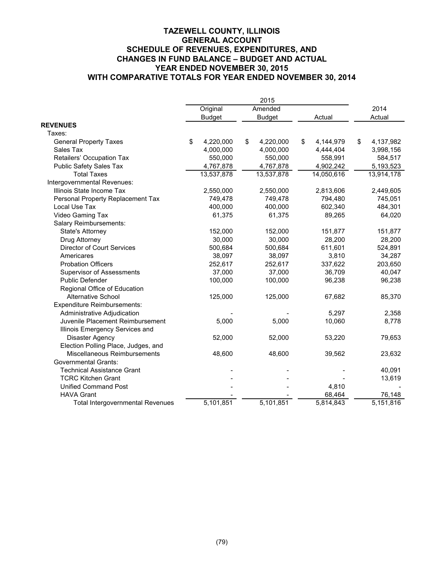|                                         |                 | 2015            |                        |                 |
|-----------------------------------------|-----------------|-----------------|------------------------|-----------------|
|                                         | Original        | Amended         |                        | 2014            |
|                                         | <b>Budget</b>   | <b>Budget</b>   | Actual                 | Actual          |
| <b>REVENUES</b>                         |                 |                 |                        |                 |
| Taxes:                                  |                 |                 |                        |                 |
| <b>General Property Taxes</b>           | \$<br>4,220,000 | \$<br>4,220,000 | \$<br>4,144,979        | \$<br>4,137,982 |
| Sales Tax                               | 4,000,000       | 4,000,000       | 4,444,404              | 3,998,156       |
| Retailers' Occupation Tax               | 550,000         | 550,000         | 558,991                | 584,517         |
| Public Safety Sales Tax                 | 4,767,878       | 4,767,878       | 4,902,242              | 5,193,523       |
| <b>Total Taxes</b>                      | 13,537,878      | 13,537,878      | 14,050,616             | 13,914,178      |
| Intergovernmental Revenues:             |                 |                 |                        |                 |
| Illinois State Income Tax               | 2,550,000       | 2,550,000       | 2,813,606              | 2,449,605       |
| Personal Property Replacement Tax       | 749,478         | 749,478         | 794,480                | 745,051         |
| Local Use Tax                           | 400,000         | 400,000         | 602,340                | 484,301         |
| Video Gaming Tax                        | 61,375          | 61,375          | 89,265                 | 64,020          |
| Salary Reimbursements:                  |                 |                 |                        |                 |
| <b>State's Attorney</b>                 | 152,000         | 152,000         | 151,877                | 151,877         |
| Drug Attorney                           | 30,000          | 30,000          | 28,200                 | 28,200          |
| <b>Director of Court Services</b>       | 500,684         | 500,684         | 611,601                | 524,891         |
| Americares                              | 38,097          | 38,097          | 3,810                  | 34,287          |
| <b>Probation Officers</b>               | 252,617         | 252,617         | 337,622                | 203,650         |
| <b>Supervisor of Assessments</b>        | 37,000          | 37,000          | 36,709                 | 40,047          |
| <b>Public Defender</b>                  | 100,000         | 100,000         | 96,238                 | 96,238          |
| Regional Office of Education            |                 |                 |                        |                 |
| <b>Alternative School</b>               | 125,000         | 125,000         | 67,682                 | 85,370          |
| <b>Expenditure Reimbursements:</b>      |                 |                 |                        |                 |
| Administrative Adjudication             |                 |                 | 5,297                  | 2,358           |
| Juvenile Placement Reimbursement        | 5,000           | 5,000           | 10,060                 | 8,778           |
| Illinois Emergency Services and         |                 |                 |                        |                 |
| Disaster Agency                         | 52,000          | 52,000          | 53,220                 | 79,653          |
| Election Polling Place, Judges, and     |                 |                 |                        |                 |
| Miscellaneous Reimbursements            | 48,600          | 48,600          | 39,562                 | 23,632          |
| <b>Governmental Grants:</b>             |                 |                 |                        |                 |
| <b>Technical Assistance Grant</b>       |                 |                 |                        | 40,091          |
| <b>TCRC Kitchen Grant</b>               |                 |                 |                        | 13,619          |
| <b>Unified Command Post</b>             |                 |                 | 4,810                  |                 |
| <b>HAVA Grant</b>                       |                 |                 | 68,464                 | 76,148          |
| <b>Total Intergovernmental Revenues</b> | 5,101,851       | 5,101,851       | $\overline{5,814,843}$ | 5,151,816       |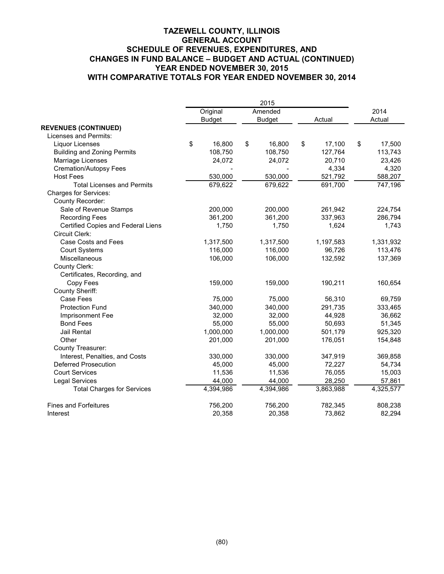|                                    |               |               | 2015      |        |           |              |
|------------------------------------|---------------|---------------|-----------|--------|-----------|--------------|
|                                    | Original      |               | Amended   |        |           | 2014         |
|                                    | <b>Budget</b> | <b>Budget</b> |           | Actual |           | Actual       |
| <b>REVENUES (CONTINUED)</b>        |               |               |           |        |           |              |
| Licenses and Permits:              |               |               |           |        |           |              |
| <b>Liquor Licenses</b>             | \$<br>16,800  | \$            | 16,800    | \$     | 17,100    | \$<br>17,500 |
| <b>Building and Zoning Permits</b> | 108,750       |               | 108,750   |        | 127,764   | 113,743      |
| Marriage Licenses                  | 24,072        |               | 24,072    |        | 20,710    | 23,426       |
| <b>Cremation/Autopsy Fees</b>      |               |               |           |        | 4,334     | 4,320        |
| <b>Host Fees</b>                   | 530,000       |               | 530,000   |        | 521,792   | 588,207      |
| <b>Total Licenses and Permits</b>  | 679,622       |               | 679,622   |        | 691,700   | 747,196      |
| <b>Charges for Services:</b>       |               |               |           |        |           |              |
| County Recorder:                   |               |               |           |        |           |              |
| Sale of Revenue Stamps             | 200,000       |               | 200,000   |        | 261,942   | 224,754      |
| <b>Recording Fees</b>              | 361,200       |               | 361,200   |        | 337,963   | 286,794      |
| Certified Copies and Federal Liens | 1,750         |               | 1,750     |        | 1,624     | 1,743        |
| Circuit Clerk:                     |               |               |           |        |           |              |
| Case Costs and Fees                | 1,317,500     |               | 1,317,500 |        | 1,197,583 | 1,331,932    |
| <b>Court Systems</b>               | 116,000       |               | 116,000   |        | 96,726    | 113,476      |
| Miscellaneous                      | 106,000       |               | 106,000   |        | 132,592   | 137,369      |
| County Clerk:                      |               |               |           |        |           |              |
| Certificates, Recording, and       |               |               |           |        |           |              |
| Copy Fees                          | 159,000       |               | 159,000   |        | 190,211   | 160,654      |
| County Sheriff:                    |               |               |           |        |           |              |
| Case Fees                          | 75,000        |               | 75,000    |        | 56,310    | 69,759       |
| <b>Protection Fund</b>             | 340,000       |               | 340,000   |        | 291,735   | 333,465      |
| Imprisonment Fee                   | 32,000        |               | 32,000    |        | 44,928    | 36,662       |
| <b>Bond Fees</b>                   | 55,000        |               | 55,000    |        | 50,693    | 51,345       |
| Jail Rental                        | 1,000,000     |               | 1,000,000 |        | 501,179   | 925,320      |
| Other                              | 201,000       |               | 201,000   |        | 176,051   | 154,848      |
| County Treasurer:                  |               |               |           |        |           |              |
| Interest, Penalties, and Costs     | 330,000       |               | 330,000   |        | 347,919   | 369,858      |
| <b>Deferred Prosecution</b>        | 45,000        |               | 45,000    |        | 72,227    | 54,734       |
| <b>Court Services</b>              | 11,536        |               | 11,536    |        | 76,055    | 15,003       |
| <b>Legal Services</b>              | 44,000        |               | 44,000    |        | 28,250    | 57,861       |
| <b>Total Charges for Services</b>  | 4,394,986     |               | 4,394,986 |        | 3,863,988 | 4,325,577    |
| <b>Fines and Forfeitures</b>       | 756,200       |               | 756,200   |        | 782,345   | 808,238      |
| Interest                           | 20,358        |               | 20,358    |        | 73,862    | 82,294       |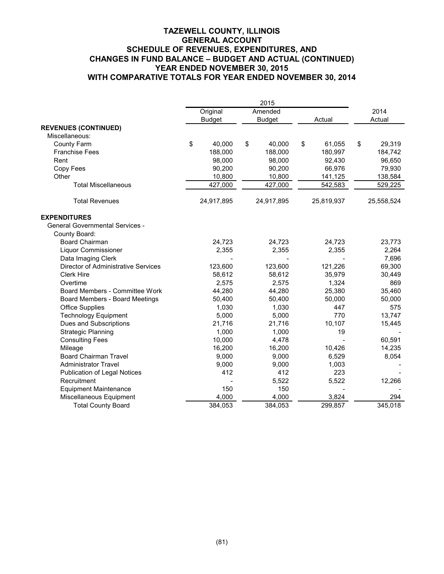|                                            |               | 2015          |              |              |
|--------------------------------------------|---------------|---------------|--------------|--------------|
|                                            | Original      | Amended       |              | 2014         |
|                                            | <b>Budget</b> | <b>Budget</b> | Actual       | Actual       |
| <b>REVENUES (CONTINUED)</b>                |               |               |              |              |
| Miscellaneous:                             |               |               |              |              |
| <b>County Farm</b>                         | \$<br>40,000  | \$<br>40,000  | \$<br>61,055 | \$<br>29,319 |
| <b>Franchise Fees</b>                      | 188,000       | 188,000       | 180,997      | 184,742      |
| Rent                                       | 98,000        | 98,000        | 92,430       | 96,650       |
| Copy Fees                                  | 90,200        | 90,200        | 66,976       | 79,930       |
| Other                                      | 10,800        | 10,800        | 141,125      | 138,584      |
| <b>Total Miscellaneous</b>                 | 427,000       | 427,000       | 542,583      | 529,225      |
| <b>Total Revenues</b>                      | 24,917,895    | 24,917,895    | 25,819,937   | 25,558,524   |
| <b>EXPENDITURES</b>                        |               |               |              |              |
| <b>General Governmental Services -</b>     |               |               |              |              |
| County Board:                              |               |               |              |              |
| <b>Board Chairman</b>                      | 24,723        | 24,723        | 24,723       | 23,773       |
| Liquor Commissioner                        | 2,355         | 2,355         | 2,355        | 2,264        |
| Data Imaging Clerk                         |               |               |              | 7,696        |
| <b>Director of Administrative Services</b> | 123,600       | 123,600       | 121,226      | 69,300       |
| <b>Clerk Hire</b>                          | 58,612        | 58,612        | 35,979       | 30,449       |
| Overtime                                   | 2,575         | 2,575         | 1,324        | 869          |
| Board Members - Committee Work             | 44,280        | 44,280        | 25,380       | 35,460       |
| Board Members - Board Meetings             | 50,400        | 50,400        | 50,000       | 50,000       |
| <b>Office Supplies</b>                     | 1,030         | 1,030         | 447          | 575          |
| <b>Technology Equipment</b>                | 5,000         | 5,000         | 770          | 13,747       |
| Dues and Subscriptions                     | 21,716        | 21,716        | 10,107       | 15,445       |
| <b>Strategic Planning</b>                  | 1,000         | 1,000         | 19           |              |
| <b>Consulting Fees</b>                     | 10,000        | 4,478         |              | 60,591       |
| Mileage                                    | 16,200        | 16,200        | 10,426       | 14,235       |
| <b>Board Chairman Travel</b>               | 9,000         | 9,000         | 6,529        | 8,054        |
| Administrator Travel                       | 9,000         | 9,000         | 1,003        |              |
| <b>Publication of Legal Notices</b>        | 412           | 412           | 223          |              |
| Recruitment                                |               | 5,522         | 5,522        | 12,266       |
| <b>Equipment Maintenance</b>               | 150           | 150           |              |              |
| Miscellaneous Equipment                    | 4,000         | 4,000         | 3,824        | 294          |
| <b>Total County Board</b>                  | 384,053       | 384,053       | 299,857      | 345,018      |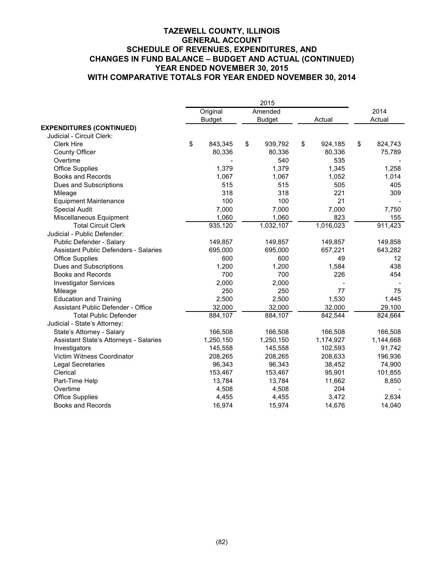|                                              |               | 2015          |               |               |
|----------------------------------------------|---------------|---------------|---------------|---------------|
|                                              | Original      | Amended       |               | 2014          |
|                                              | <b>Budget</b> | <b>Budget</b> | Actual        | Actual        |
| <b>EXPENDITURES (CONTINUED)</b>              |               |               |               |               |
| Judicial - Circuit Clerk:                    |               |               |               |               |
| <b>Clerk Hire</b>                            | \$<br>843,345 | \$<br>939,792 | \$<br>924,185 | \$<br>824,743 |
| County Officer                               | 80,336        | 80,336        | 80,336        | 75,789        |
| Overtime                                     |               | 540           | 535           |               |
| Office Supplies                              | 1,379         | 1,379         | 1,345         | 1,258         |
| Books and Records                            | 1,067         | 1,067         | 1,052         | 1,014         |
| Dues and Subscriptions                       | 515           | 515           | 505           | 405           |
| Mileage                                      | 318           | 318           | 221           | 309           |
| <b>Equipment Maintenance</b>                 | 100           | 100           | 21            |               |
| <b>Special Audit</b>                         | 7,000         | 7,000         | 7,000         | 7,750         |
| Miscellaneous Equipment                      | 1,060         | 1,060         | 823           | 155           |
| <b>Total Circuit Clerk</b>                   | 935,120       | 1,032,107     | 1,016,023     | 911,423       |
| Judicial - Public Defender:                  |               |               |               |               |
| Public Defender - Salary                     | 149,857       | 149,857       | 149,857       | 149,858       |
| <b>Assistant Public Defenders - Salaries</b> | 695,000       | 695,000       | 657,221       | 643,282       |
| <b>Office Supplies</b>                       | 600           | 600           | 49            | 12            |
| Dues and Subscriptions                       | 1,200         | 1,200         | 1,584         | 438           |
| <b>Books and Records</b>                     | 700           | 700           | 226           | 454           |
| <b>Investigator Services</b>                 | 2,000         | 2,000         |               |               |
| Mileage                                      | 250           | 250           | 77            | 75            |
| <b>Education and Training</b>                | 2,500         | 2,500         | 1,530         | 1,445         |
| Assistant Public Defender - Office           | 32,000        | 32,000        | 32,000        | 29,100        |
| <b>Total Public Defender</b>                 | 884,107       | 884,107       | 842,544       | 824,664       |
| Judicial - State's Attorney:                 |               |               |               |               |
| State's Attorney - Salary                    | 166,508       | 166,508       | 166,508       | 166,508       |
| Assistant State's Attorneys - Salaries       | 1,250,150     | 1,250,150     | 1,174,927     | 1,144,668     |
| Investigators                                | 145,558       | 145,558       | 102,593       | 91,742        |
| Victim Witness Coordinator                   | 208,265       | 208,265       | 208,633       | 196,936       |
| Legal Secretaries                            | 96,343        | 96,343        | 38,452        | 74,900        |
| Clerical                                     | 153,467       | 153,467       | 95,901        | 101,855       |
| Part-Time Help                               | 13,784        | 13,784        | 11,662        | 8,850         |
| Overtime                                     | 4,508         | 4,508         | 204           |               |
| <b>Office Supplies</b>                       | 4,455         | 4,455         | 3,472         | 2,634         |
| <b>Books and Records</b>                     | 16,974        | 15,974        | 14,676        | 14,040        |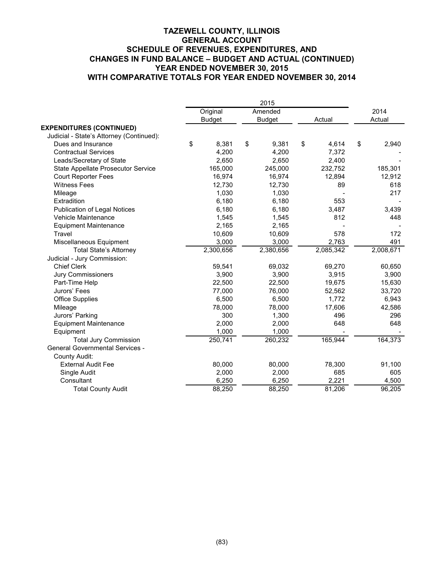|                                          |               | 2015          |             |             |
|------------------------------------------|---------------|---------------|-------------|-------------|
|                                          | Original      | Amended       |             | 2014        |
|                                          | <b>Budget</b> | <b>Budget</b> | Actual      | Actual      |
| <b>EXPENDITURES (CONTINUED)</b>          |               |               |             |             |
| Judicial - State's Attorney (Continued): |               |               |             |             |
| Dues and Insurance                       | \$<br>8,381   | \$<br>9,381   | \$<br>4,614 | \$<br>2,940 |
| <b>Contractual Services</b>              | 4,200         | 4,200         | 7,372       |             |
| Leads/Secretary of State                 | 2.650         | 2,650         | 2,400       |             |
| State Appellate Prosecutor Service       | 165,000       | 245,000       | 232,752     | 185,301     |
| <b>Court Reporter Fees</b>               | 16,974        | 16,974        | 12,894      | 12,912      |
| <b>Witness Fees</b>                      | 12,730        | 12,730        | 89          | 618         |
| Mileage                                  | 1,030         | 1,030         |             | 217         |
| Extradition                              | 6,180         | 6,180         | 553         |             |
| <b>Publication of Legal Notices</b>      | 6,180         | 6,180         | 3,487       | 3,439       |
| Vehicle Maintenance                      | 1,545         | 1,545         | 812         | 448         |
| <b>Equipment Maintenance</b>             | 2,165         | 2,165         |             |             |
| Travel                                   | 10,609        | 10,609        | 578         | 172         |
| Miscellaneous Equipment                  | 3,000         | 3,000         | 2,763       | 491         |
| <b>Total State's Attorney</b>            | 2,300,656     | 2,380,656     | 2,085,342   | 2,008,671   |
| Judicial - Jury Commission:              |               |               |             |             |
| <b>Chief Clerk</b>                       | 59,541        | 69,032        | 69,270      | 60,650      |
| <b>Jury Commissioners</b>                | 3,900         | 3,900         | 3,915       | 3,900       |
| Part-Time Help                           | 22,500        | 22,500        | 19,675      | 15,630      |
| Jurors' Fees                             | 77,000        | 76,000        | 52,562      | 33,720      |
| Office Supplies                          | 6,500         | 6,500         | 1,772       | 6,943       |
| Mileage                                  | 78,000        | 78,000        | 17,606      | 42,586      |
| Jurors' Parking                          | 300           | 1,300         | 496         | 296         |
| <b>Equipment Maintenance</b>             | 2,000         | 2,000         | 648         | 648         |
| Equipment                                | 1,000         | 1,000         |             |             |
| <b>Total Jury Commission</b>             | 250,741       | 260,232       | 165,944     | 164,373     |
| <b>General Governmental Services -</b>   |               |               |             |             |
| County Audit:                            |               |               |             |             |
| <b>External Audit Fee</b>                | 80,000        | 80,000        | 78,300      | 91,100      |
| Single Audit                             | 2,000         | 2,000         | 685         | 605         |
| Consultant                               | 6,250         | 6,250         | 2,221       | 4,500       |
| <b>Total County Audit</b>                | 88,250        | 88,250        | 81,206      | 96,205      |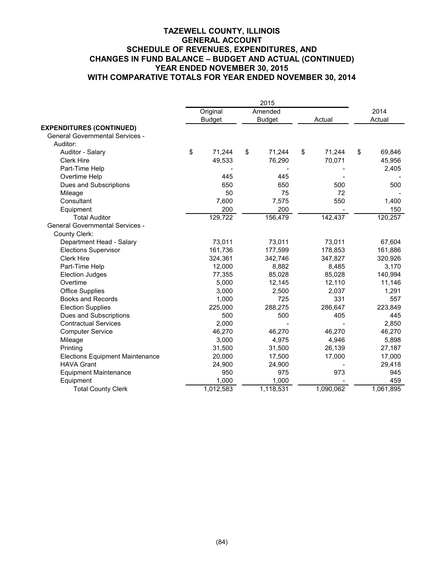|                                        |               | 2015          |    |           |    |           |
|----------------------------------------|---------------|---------------|----|-----------|----|-----------|
|                                        | Original      | Amended       |    |           |    | 2014      |
|                                        | <b>Budget</b> | <b>Budget</b> |    | Actual    |    | Actual    |
| <b>EXPENDITURES (CONTINUED)</b>        |               |               |    |           |    |           |
| <b>General Governmental Services -</b> |               |               |    |           |    |           |
| Auditor:                               |               |               |    |           |    |           |
| Auditor - Salary                       | \$<br>71,244  | \$<br>71,244  | \$ | 71,244    | \$ | 69,846    |
| <b>Clerk Hire</b>                      | 49,533        | 76,290        |    | 70,071    |    | 45,956    |
| Part-Time Help                         |               |               |    |           |    | 2,405     |
| Overtime Help                          | 445           | 445           |    |           |    |           |
| Dues and Subscriptions                 | 650           | 650           |    | 500       |    | 500       |
| Mileage                                | 50            | 75            |    | 72        |    |           |
| Consultant                             | 7,600         | 7,575         |    | 550       |    | 1,400     |
| Equipment                              | 200           | 200           |    |           |    | 150       |
| <b>Total Auditor</b>                   | 129,722       | 156,479       |    | 142,437   |    | 120,257   |
| <b>General Governmental Services -</b> |               |               |    |           |    |           |
| County Clerk:                          |               |               |    |           |    |           |
| Department Head - Salary               | 73,011        | 73,011        |    | 73,011    |    | 67,604    |
| <b>Elections Supervisor</b>            | 161,736       | 177,599       |    | 178,853   |    | 161,886   |
| <b>Clerk Hire</b>                      | 324,361       | 342,746       |    | 347,827   |    | 320,926   |
| Part-Time Help                         | 12,000        | 8,882         |    | 8,485     |    | 3,170     |
| <b>Election Judges</b>                 | 77,355        | 85,028        |    | 85,028    |    | 140,994   |
| Overtime                               | 5,000         | 12,145        |    | 12,110    |    | 11,146    |
| <b>Office Supplies</b>                 | 3,000         | 2,500         |    | 2,037     |    | 1.291     |
| <b>Books and Records</b>               | 1,000         | 725           |    | 331       |    | 557       |
| <b>Election Supplies</b>               | 225,000       | 288,275       |    | 286,647   |    | 223,849   |
| Dues and Subscriptions                 | 500           | 500           |    | 405       |    | 445       |
| <b>Contractual Services</b>            | 2,000         |               |    |           |    | 2,850     |
| <b>Computer Service</b>                | 46,270        | 46,270        |    | 46,270    |    | 46,270    |
| Mileage                                | 3,000         | 4,975         |    | 4,946     |    | 5,898     |
| Printing                               | 31,500        | 31,500        |    | 26,139    |    | 27,187    |
| <b>Elections Equipment Maintenance</b> | 20,000        | 17,500        |    | 17,000    |    | 17,000    |
| <b>HAVA Grant</b>                      | 24,900        | 24,900        |    |           |    | 29,418    |
| <b>Equipment Maintenance</b>           | 950           | 975           |    | 973       |    | 945       |
| Equipment                              | 1,000         | 1,000         |    |           |    | 459       |
| <b>Total County Clerk</b>              | 1,012,583     | 1,118,531     |    | 1,090,062 |    | 1,061,895 |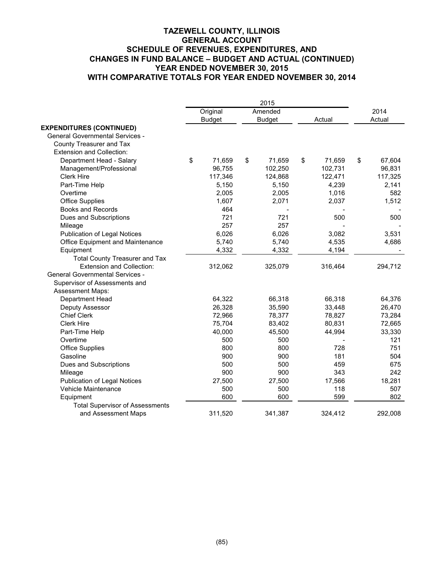|                                        |               | 2015          |              |              |
|----------------------------------------|---------------|---------------|--------------|--------------|
|                                        | Original      | Amended       |              | 2014         |
|                                        | <b>Budget</b> | <b>Budget</b> | Actual       | Actual       |
| <b>EXPENDITURES (CONTINUED)</b>        |               |               |              |              |
| <b>General Governmental Services -</b> |               |               |              |              |
| County Treasurer and Tax               |               |               |              |              |
| <b>Extension and Collection:</b>       |               |               |              |              |
| Department Head - Salary               | \$<br>71,659  | \$<br>71,659  | \$<br>71,659 | \$<br>67,604 |
| Management/Professional                | 96,755        | 102,250       | 102,731      | 96,831       |
| <b>Clerk Hire</b>                      | 117,346       | 124,868       | 122,471      | 117,325      |
| Part-Time Help                         | 5,150         | 5,150         | 4,239        | 2,141        |
| Overtime                               | 2,005         | 2,005         | 1,016        | 582          |
| <b>Office Supplies</b>                 | 1,607         | 2,071         | 2,037        | 1,512        |
| <b>Books and Records</b>               | 464           |               |              |              |
| Dues and Subscriptions                 | 721           | 721           | 500          | 500          |
| Mileage                                | 257           | 257           |              |              |
| <b>Publication of Legal Notices</b>    | 6,026         | 6,026         | 3,082        | 3,531        |
| Office Equipment and Maintenance       | 5,740         | 5,740         | 4,535        | 4,686        |
| Equipment                              | 4,332         | 4,332         | 4,194        |              |
| <b>Total County Treasurer and Tax</b>  |               |               |              |              |
| <b>Extension and Collection:</b>       | 312,062       | 325,079       | 316,464      | 294,712      |
| <b>General Governmental Services -</b> |               |               |              |              |
| Supervisor of Assessments and          |               |               |              |              |
| Assessment Maps:                       |               |               |              |              |
| Department Head                        | 64,322        | 66,318        | 66,318       | 64,376       |
| Deputy Assessor                        | 26,328        | 35,590        | 33,448       | 26,470       |
| <b>Chief Clerk</b>                     | 72,966        | 78,377        | 78,827       | 73,284       |
| <b>Clerk Hire</b>                      | 75,704        | 83,402        | 80,831       | 72,665       |
| Part-Time Help                         | 40,000        | 45,500        | 44,994       | 33,330       |
| Overtime                               | 500           | 500           |              | 121          |
| <b>Office Supplies</b>                 | 800           | 800           | 728          | 751          |
| Gasoline                               | 900           | 900           | 181          | 504          |
| Dues and Subscriptions                 | 500           | 500           | 459          | 675          |
| Mileage                                | 900           | 900           | 343          | 242          |
| <b>Publication of Legal Notices</b>    | 27,500        | 27,500        | 17,566       | 18,281       |
| Vehicle Maintenance                    | 500           | 500           | 118          | 507          |
| Equipment                              | 600           | 600           | 599          | 802          |
| <b>Total Supervisor of Assessments</b> |               |               |              |              |
| and Assessment Maps                    | 311,520       | 341,387       | 324,412      | 292,008      |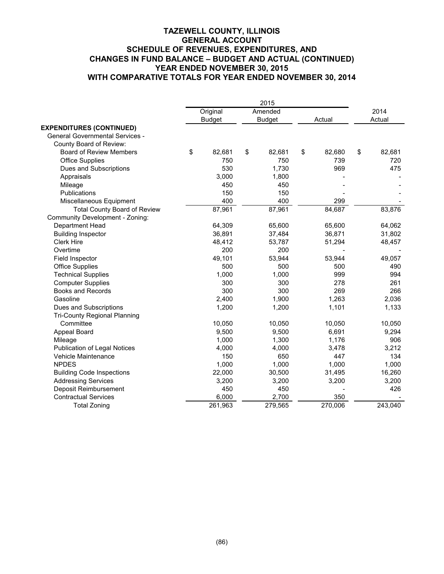|                                        |               | 2015          |              |              |
|----------------------------------------|---------------|---------------|--------------|--------------|
|                                        | Original      | Amended       |              | 2014         |
|                                        | <b>Budget</b> | <b>Budget</b> | Actual       | Actual       |
| <b>EXPENDITURES (CONTINUED)</b>        |               |               |              |              |
| <b>General Governmental Services -</b> |               |               |              |              |
| County Board of Review:                |               |               |              |              |
| <b>Board of Review Members</b>         | \$<br>82,681  | \$<br>82,681  | \$<br>82,680 | \$<br>82,681 |
| <b>Office Supplies</b>                 | 750           | 750           | 739          | 720          |
| Dues and Subscriptions                 | 530           | 1,730         | 969          | 475          |
| Appraisals                             | 3,000         | 1,800         |              |              |
| Mileage                                | 450           | 450           |              |              |
| Publications                           | 150           | 150           |              |              |
| Miscellaneous Equipment                | 400           | 400           | 299          |              |
| <b>Total County Board of Review</b>    | 87,961        | 87,961        | 84,687       | 83,876       |
| Community Development - Zoning:        |               |               |              |              |
| Department Head                        | 64,309        | 65,600        | 65,600       | 64,062       |
| <b>Building Inspector</b>              | 36,891        | 37,484        | 36,871       | 31,802       |
| <b>Clerk Hire</b>                      | 48,412        | 53,787        | 51,294       | 48,457       |
| Overtime                               | 200           | 200           |              |              |
| Field Inspector                        | 49,101        | 53,944        | 53,944       | 49,057       |
| <b>Office Supplies</b>                 | 500           | 500           | 500          | 490          |
| <b>Technical Supplies</b>              | 1,000         | 1,000         | 999          | 994          |
| <b>Computer Supplies</b>               | 300           | 300           | 278          | 261          |
| <b>Books and Records</b>               | 300           | 300           | 269          | 266          |
| Gasoline                               | 2,400         | 1,900         | 1,263        | 2,036        |
| Dues and Subscriptions                 | 1,200         | 1,200         | 1,101        | 1,133        |
| Tri-County Regional Planning           |               |               |              |              |
| Committee                              | 10,050        | 10,050        | 10,050       | 10,050       |
| Appeal Board                           | 9,500         | 9,500         | 6,691        | 9,294        |
| Mileage                                | 1,000         | 1,300         | 1,176        | 906          |
| <b>Publication of Legal Notices</b>    | 4,000         | 4,000         | 3,478        | 3,212        |
| Vehicle Maintenance                    | 150           | 650           | 447          | 134          |
| <b>NPDES</b>                           | 1,000         | 1,000         | 1,000        | 1,000        |
| <b>Building Code Inspections</b>       | 22,000        | 30,500        | 31,495       | 16,260       |
| <b>Addressing Services</b>             | 3,200         | 3,200         | 3,200        | 3,200        |
| Deposit Reimbursement                  | 450           | 450           |              | 426          |
| <b>Contractual Services</b>            | 6,000         | 2,700         | 350          |              |
| <b>Total Zoning</b>                    | 261,963       | 279,565       | 270,006      | 243,040      |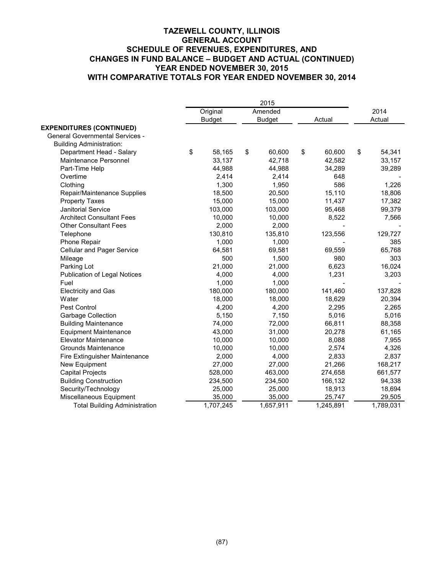|                                        |               | 2015          |              |              |
|----------------------------------------|---------------|---------------|--------------|--------------|
|                                        | Original      | Amended       |              | 2014         |
|                                        | <b>Budget</b> | <b>Budget</b> | Actual       | Actual       |
| <b>EXPENDITURES (CONTINUED)</b>        |               |               |              |              |
| <b>General Governmental Services -</b> |               |               |              |              |
| <b>Building Administration:</b>        |               |               |              |              |
| Department Head - Salary               | \$<br>58,165  | \$<br>60,600  | \$<br>60,600 | \$<br>54,341 |
| Maintenance Personnel                  | 33,137        | 42,718        | 42,582       | 33,157       |
| Part-Time Help                         | 44,988        | 44,988        | 34,289       | 39,289       |
| Overtime                               | 2,414         | 2,414         | 648          |              |
| Clothing                               | 1,300         | 1,950         | 586          | 1,226        |
| Repair/Maintenance Supplies            | 18,500        | 20,500        | 15,110       | 18,806       |
| <b>Property Taxes</b>                  | 15,000        | 15,000        | 11,437       | 17,382       |
| Janitorial Service                     | 103,000       | 103,000       | 95,468       | 99,379       |
| <b>Architect Consultant Fees</b>       | 10,000        | 10,000        | 8,522        | 7,566        |
| <b>Other Consultant Fees</b>           | 2,000         | 2,000         |              |              |
| Telephone                              | 130,810       | 135,810       | 123,556      | 129,727      |
| Phone Repair                           | 1,000         | 1,000         |              | 385          |
| <b>Cellular and Pager Service</b>      | 64,581        | 69,581        | 69,559       | 65,768       |
| Mileage                                | 500           | 1,500         | 980          | 303          |
| Parking Lot                            | 21,000        | 21,000        | 6,623        | 16,024       |
| <b>Publication of Legal Notices</b>    | 4,000         | 4,000         | 1,231        | 3,203        |
| Fuel                                   | 1,000         | 1,000         |              |              |
| <b>Electricity and Gas</b>             | 180,000       | 180,000       | 141,460      | 137,828      |
| Water                                  | 18,000        | 18,000        | 18,629       | 20,394       |
| Pest Control                           | 4,200         | 4,200         | 2,295        | 2,265        |
| Garbage Collection                     | 5,150         | 7,150         | 5,016        | 5,016        |
| <b>Building Maintenance</b>            | 74,000        | 72,000        | 66,811       | 88,358       |
| <b>Equipment Maintenance</b>           | 43,000        | 31,000        | 20,278       | 61,165       |
| <b>Elevator Maintenance</b>            | 10,000        | 10,000        | 8,088        | 7,955        |
| Grounds Maintenance                    | 10,000        | 10,000        | 2,574        | 4,326        |
| Fire Extinguisher Maintenance          | 2,000         | 4,000         | 2,833        | 2,837        |
| New Equipment                          | 27,000        | 27,000        | 21,266       | 168,217      |
| <b>Capital Projects</b>                | 528,000       | 463,000       | 274,658      | 661,577      |
| <b>Building Construction</b>           | 234,500       | 234,500       | 166,132      | 94,338       |
| Security/Technology                    | 25,000        | 25,000        | 18,913       | 18,694       |
| Miscellaneous Equipment                | 35,000        | 35,000        | 25,747       | 29,505       |
| <b>Total Building Administration</b>   | 1,707,245     | 1,657,911     | 1,245,891    | 1,789,031    |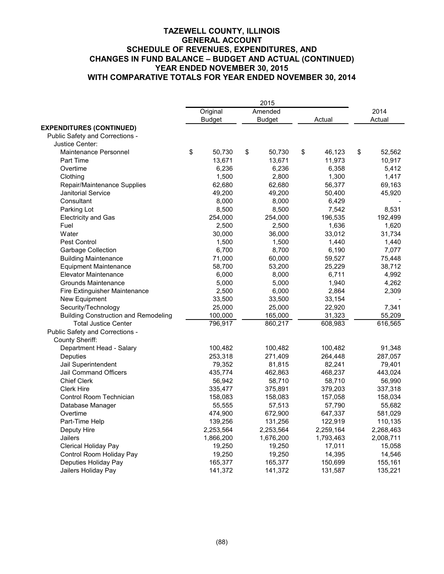|                                             |               | 2015          |              |              |
|---------------------------------------------|---------------|---------------|--------------|--------------|
|                                             | Original      | Amended       |              | 2014         |
|                                             | <b>Budget</b> | <b>Budget</b> | Actual       | Actual       |
| <b>EXPENDITURES (CONTINUED)</b>             |               |               |              |              |
| Public Safety and Corrections -             |               |               |              |              |
| Justice Center:                             |               |               |              |              |
| Maintenance Personnel                       | \$<br>50,730  | \$<br>50,730  | \$<br>46,123 | \$<br>52,562 |
| Part Time                                   | 13,671        | 13,671        | 11,973       | 10,917       |
| Overtime                                    | 6,236         | 6,236         | 6,358        | 5,412        |
| Clothing                                    | 1,500         | 2,800         | 1,300        | 1,417        |
| Repair/Maintenance Supplies                 | 62,680        | 62,680        | 56,377       | 69,163       |
| Janitorial Service                          | 49,200        | 49,200        | 50,400       | 45,920       |
| Consultant                                  | 8,000         | 8,000         | 6,429        |              |
| Parking Lot                                 | 8,500         | 8,500         | 7,542        | 8,531        |
| <b>Electricity and Gas</b>                  | 254,000       | 254,000       | 196,535      | 192,499      |
| Fuel                                        | 2,500         | 2,500         | 1,636        | 1,620        |
| Water                                       | 30,000        | 36,000        | 33,012       | 31,734       |
| Pest Control                                | 1,500         | 1,500         | 1,440        | 1,440        |
| Garbage Collection                          | 6,700         | 8,700         | 6,190        | 7,077        |
| <b>Building Maintenance</b>                 | 71,000        | 60,000        | 59,527       | 75,448       |
| <b>Equipment Maintenance</b>                | 58,700        | 53,200        | 25,229       | 38,712       |
| <b>Elevator Maintenance</b>                 | 6,000         | 8,000         | 6,711        | 4,992        |
| Grounds Maintenance                         | 5,000         | 5,000         | 1,940        | 4,262        |
| Fire Extinguisher Maintenance               | 2,500         | 6,000         | 2,864        | 2,309        |
| New Equipment                               | 33,500        | 33,500        | 33,154       |              |
| Security/Technology                         | 25,000        | 25,000        | 22,920       | 7,341        |
| <b>Building Construction and Remodeling</b> | 100,000       | 165,000       | 31,323       | 55,209       |
| <b>Total Justice Center</b>                 | 796,917       | 860,217       | 608,983      | 616,565      |
| Public Safety and Corrections -             |               |               |              |              |
| County Sheriff:                             |               |               |              |              |
| Department Head - Salary                    | 100,482       | 100,482       | 100,482      | 91,348       |
| Deputies                                    | 253,318       | 271,409       | 264,448      | 287,057      |
| Jail Superintendent                         | 79,352        | 81,815        | 82,241       | 79,401       |
| Jail Command Officers                       | 435,774       | 462,863       | 468,237      | 443,024      |
| <b>Chief Clerk</b>                          | 56,942        | 58,710        | 58,710       | 56,990       |
| <b>Clerk Hire</b>                           | 335,477       | 375,891       | 379,203      | 337,318      |
| Control Room Technician                     | 158,083       | 158,083       | 157,058      | 158,034      |
| Database Manager                            | 55,555        | 57,513        | 57,790       | 55,682       |
| Overtime                                    | 474,900       | 672,900       | 647,337      | 581,029      |
| Part-Time Help                              | 139,256       | 131,256       | 122,919      | 110,135      |
| Deputy Hire                                 | 2,253,564     | 2,253,564     | 2,259,164    | 2,268,463    |
| Jailers                                     | 1,866,200     | 1,676,200     | 1,793,463    | 2,008,711    |
| Clerical Holiday Pay                        | 19,250        | 19,250        | 17,011       | 15,058       |
| Control Room Holiday Pay                    | 19,250        | 19,250        | 14,395       | 14,546       |
| Deputies Holiday Pay                        | 165,377       | 165,377       | 150,699      | 155,161      |
| Jailers Holiday Pay                         | 141,372       | 141,372       | 131,587      | 135,221      |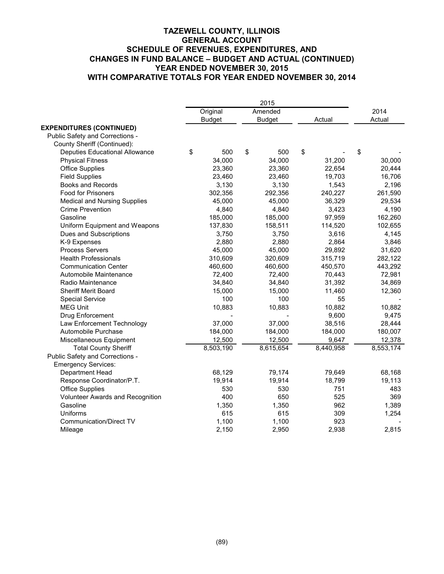|                                       |               | 2015          |           |           |
|---------------------------------------|---------------|---------------|-----------|-----------|
|                                       | Original      | Amended       |           | 2014      |
|                                       | <b>Budget</b> | <b>Budget</b> | Actual    | Actual    |
| <b>EXPENDITURES (CONTINUED)</b>       |               |               |           |           |
| Public Safety and Corrections -       |               |               |           |           |
| County Sheriff (Continued):           |               |               |           |           |
| <b>Deputies Educational Allowance</b> | \$<br>500     | \$<br>500     | \$        | \$        |
| <b>Physical Fitness</b>               | 34,000        | 34,000        | 31,200    | 30,000    |
| <b>Office Supplies</b>                | 23,360        | 23,360        | 22,654    | 20,444    |
| <b>Field Supplies</b>                 | 23,460        | 23,460        | 19,703    | 16,706    |
| Books and Records                     | 3,130         | 3,130         | 1,543     | 2,196     |
| Food for Prisoners                    | 302,356       | 292,356       | 240,227   | 261,590   |
| <b>Medical and Nursing Supplies</b>   | 45,000        | 45,000        | 36,329    | 29,534    |
| <b>Crime Prevention</b>               | 4,840         | 4,840         | 3,423     | 4,190     |
| Gasoline                              | 185,000       | 185,000       | 97,959    | 162,260   |
| Uniform Equipment and Weapons         | 137,830       | 158,511       | 114,520   | 102,655   |
| Dues and Subscriptions                | 3,750         | 3,750         | 3,616     | 4,145     |
| K-9 Expenses                          | 2,880         | 2,880         | 2,864     | 3,846     |
| <b>Process Servers</b>                | 45,000        | 45,000        | 29,892    | 31,620    |
| <b>Health Professionals</b>           | 310,609       | 320,609       | 315,719   | 282,122   |
| <b>Communication Center</b>           | 460,600       | 460,600       | 450,570   | 443,292   |
| Automobile Maintenance                | 72,400        | 72,400        | 70,443    | 72,981    |
| Radio Maintenance                     | 34,840        | 34,840        | 31,392    | 34,869    |
| <b>Sheriff Merit Board</b>            | 15,000        | 15,000        | 11,460    | 12,360    |
| <b>Special Service</b>                | 100           | 100           | 55        |           |
| <b>MEG Unit</b>                       | 10,883        | 10,883        | 10,882    | 10,882    |
| Drug Enforcement                      |               |               | 9,600     | 9,475     |
| Law Enforcement Technology            | 37,000        | 37,000        | 38,516    | 28,444    |
| Automobile Purchase                   | 184,000       | 184,000       | 184,000   | 180,007   |
| Miscellaneous Equipment               | 12,500        | 12,500        | 9,647     | 12,378    |
| <b>Total County Sheriff</b>           | 8,503,190     | 8,615,654     | 8,440,958 | 8,553,174 |
| Public Safety and Corrections -       |               |               |           |           |
| <b>Emergency Services:</b>            |               |               |           |           |
| Department Head                       | 68,129        | 79,174        | 79,649    | 68,168    |
| Response Coordinator/P.T.             | 19,914        | 19,914        | 18,799    | 19,113    |
| <b>Office Supplies</b>                | 530           | 530           | 751       | 483       |
| Volunteer Awards and Recognition      | 400           | 650           | 525       | 369       |
| Gasoline                              | 1,350         | 1,350         | 962       | 1,389     |
| Uniforms                              | 615           | 615           | 309       | 1,254     |
| <b>Communication/Direct TV</b>        | 1,100         | 1,100         | 923       |           |
| Mileage                               | 2,150         | 2,950         | 2,938     | 2,815     |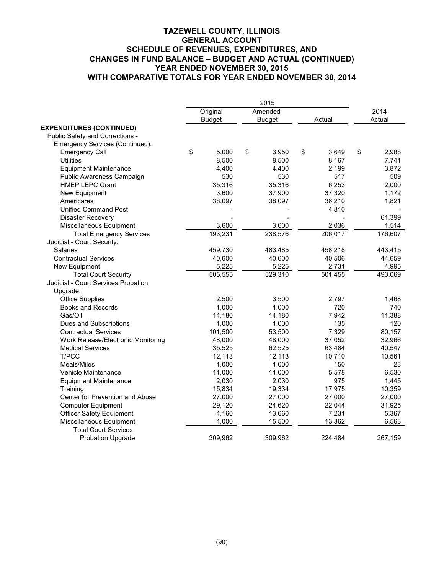|                                     |               | 2015          |             |             |
|-------------------------------------|---------------|---------------|-------------|-------------|
|                                     | Original      | Amended       |             | 2014        |
|                                     | <b>Budget</b> | <b>Budget</b> | Actual      | Actual      |
| <b>EXPENDITURES (CONTINUED)</b>     |               |               |             |             |
| Public Safety and Corrections -     |               |               |             |             |
| Emergency Services (Continued):     |               |               |             |             |
| <b>Emergency Call</b>               | \$<br>5,000   | \$<br>3,950   | \$<br>3,649 | \$<br>2,988 |
| <b>Utilities</b>                    | 8,500         | 8,500         | 8,167       | 7,741       |
| <b>Equipment Maintenance</b>        | 4,400         | 4,400         | 2,199       | 3,872       |
| Public Awareness Campaign           | 530           | 530           | 517         | 509         |
| <b>HMEP LEPC Grant</b>              | 35,316        | 35,316        | 6,253       | 2,000       |
| New Equipment                       | 3,600         | 37,900        | 37,320      | 1,172       |
| Americares                          | 38,097        | 38,097        | 36,210      | 1,821       |
| <b>Unified Command Post</b>         |               |               | 4,810       |             |
| <b>Disaster Recovery</b>            |               |               |             | 61,399      |
| Miscellaneous Equipment             | 3,600         | 3,600         | 2,036       | 1,514       |
| <b>Total Emergency Services</b>     | 193,231       | 238,576       | 206,017     | 176,607     |
| Judicial - Court Security:          |               |               |             |             |
| <b>Salaries</b>                     | 459,730       | 483,485       | 458,218     | 443,415     |
| <b>Contractual Services</b>         | 40,600        | 40,600        | 40,506      | 44,659      |
| New Equipment                       | 5,225         | 5,225         | 2,731       | 4,995       |
| <b>Total Court Security</b>         | 505,555       | 529,310       | 501,455     | 493,069     |
| Judicial - Court Services Probation |               |               |             |             |
| Upgrade:                            |               |               |             |             |
| <b>Office Supplies</b>              | 2,500         | 3,500         | 2,797       | 1,468       |
| <b>Books and Records</b>            | 1,000         | 1,000         | 720         | 740         |
| Gas/Oil                             | 14,180        | 14,180        | 7,942       | 11,388      |
| Dues and Subscriptions              | 1,000         | 1,000         | 135         | 120         |
| <b>Contractual Services</b>         | 101,500       | 53,500        | 7,329       | 80,157      |
| Work Release/Electronic Monitoring  | 48,000        | 48,000        | 37,052      | 32,966      |
| <b>Medical Services</b>             | 35,525        | 62,525        | 63,484      | 40,547      |
| T/PCC                               | 12,113        | 12,113        | 10,710      | 10,561      |
| Meals/Miles                         | 1,000         | 1,000         | 150         | 23          |
| Vehicle Maintenance                 | 11,000        | 11,000        | 5,578       | 6,530       |
| <b>Equipment Maintenance</b>        | 2,030         | 2,030         | 975         | 1,445       |
| Training                            | 15,834        | 19,334        | 17,975      | 10,359      |
| Center for Prevention and Abuse     | 27,000        | 27,000        | 27,000      | 27,000      |
| <b>Computer Equipment</b>           | 29,120        | 24,620        | 22,044      | 31,925      |
| <b>Officer Safety Equipment</b>     | 4,160         | 13,660        | 7,231       | 5,367       |
| Miscellaneous Equipment             | 4,000         | 15,500        | 13,362      | 6,563       |
| <b>Total Court Services</b>         |               |               |             |             |
| <b>Probation Upgrade</b>            | 309,962       | 309,962       | 224,484     | 267,159     |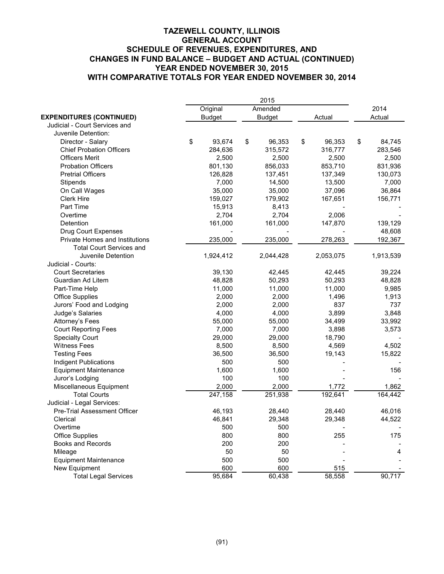|                                 |               | 2015          |        |                          |              |
|---------------------------------|---------------|---------------|--------|--------------------------|--------------|
|                                 | Original      | Amended       |        |                          | 2014         |
| <b>EXPENDITURES (CONTINUED)</b> | <b>Budget</b> | <b>Budget</b> | Actual |                          | Actual       |
| Judicial - Court Services and   |               |               |        |                          |              |
| Juvenile Detention:             |               |               |        |                          |              |
| Director - Salary               | \$<br>93,674  | \$<br>96,353  | \$     | 96,353                   | \$<br>84,745 |
| <b>Chief Probation Officers</b> | 284,636       | 315,572       |        | 316,777                  | 283,546      |
| <b>Officers Merit</b>           | 2,500         | 2,500         |        | 2,500                    | 2,500        |
| <b>Probation Officers</b>       | 801,130       | 856,033       |        | 853,710                  | 831,936      |
| <b>Pretrial Officers</b>        | 126,828       | 137,451       |        | 137,349                  | 130,073      |
| Stipends                        | 7,000         | 14,500        |        | 13,500                   | 7,000        |
| On Call Wages                   | 35,000        | 35,000        |        | 37,096                   | 36,864       |
| <b>Clerk Hire</b>               | 159,027       | 179,902       |        | 167,651                  | 156,771      |
| Part Time                       | 15,913        | 8,413         |        |                          |              |
| Overtime                        | 2,704         | 2,704         |        | 2,006                    |              |
| Detention                       | 161,000       | 161,000       |        | 147,870                  | 139,129      |
| Drug Court Expenses             |               |               |        |                          | 48,608       |
| Private Homes and Institutions  | 235,000       | 235,000       |        | 278,263                  | 192,367      |
| <b>Total Court Services and</b> |               |               |        |                          |              |
| Juvenile Detention              | 1,924,412     | 2,044,428     |        | 2,053,075                | 1,913,539    |
| Judicial - Courts:              |               |               |        |                          |              |
| <b>Court Secretaries</b>        | 39,130        | 42,445        |        | 42,445                   | 39,224       |
| Guardian Ad Litem               | 48,828        | 50,293        |        | 50,293                   | 48,828       |
| Part-Time Help                  | 11,000        | 11,000        |        | 11,000                   | 9,985        |
| <b>Office Supplies</b>          | 2,000         | 2,000         |        | 1,496                    | 1,913        |
| Jurors' Food and Lodging        | 2,000         | 2,000         |        | 837                      | 737          |
| Judge's Salaries                | 4,000         | 4,000         |        | 3,899                    | 3,848        |
| Attorney's Fees                 | 55,000        | 55,000        |        | 34,499                   | 33,992       |
| <b>Court Reporting Fees</b>     | 7,000         | 7,000         |        | 3,898                    | 3,573        |
| <b>Specialty Court</b>          | 29,000        | 29,000        |        | 18,790                   |              |
| <b>Witness Fees</b>             | 8,500         | 8,500         |        | 4,569                    | 4,502        |
| <b>Testing Fees</b>             | 36,500        | 36,500        |        | 19,143                   | 15,822       |
| Indigent Publications           | 500           | 500           |        |                          |              |
| <b>Equipment Maintenance</b>    | 1,600         | 1,600         |        |                          | 156          |
| Juror's Lodging                 | 100           | 100           |        |                          |              |
| Miscellaneous Equipment         | 2,000         | 2,000         |        | 1,772                    | 1,862        |
| <b>Total Courts</b>             | 247,158       | 251,938       |        | 192,641                  | 164,442      |
| Judicial - Legal Services:      |               |               |        |                          |              |
| Pre-Trial Assessment Officer    | 46,193        | 28,440        |        | 28,440                   | 46,016       |
| Clerical                        | 46,841        | 29,348        |        | 29,348                   | 44,522       |
| Overtime                        | 500           | 500           |        | $\overline{\phantom{0}}$ |              |
| Office Supplies                 | 800           | 800           |        | 255                      | 175          |
| Books and Records               | 200           | 200           |        |                          |              |
| Mileage                         | 50            | 50            |        |                          | 4            |
| <b>Equipment Maintenance</b>    | 500           | 500           |        |                          |              |
| New Equipment                   | 600           | 600           |        | 515                      |              |
| <b>Total Legal Services</b>     | 95,684        | 60,438        |        | 58,558                   | 90,717       |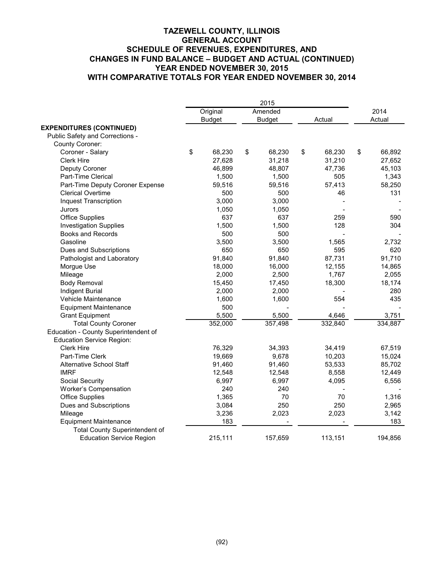|                                       |               | 2015          |              |              |
|---------------------------------------|---------------|---------------|--------------|--------------|
|                                       | Original      | Amended       |              | 2014         |
|                                       | <b>Budget</b> | <b>Budget</b> | Actual       | Actual       |
| <b>EXPENDITURES (CONTINUED)</b>       |               |               |              |              |
| Public Safety and Corrections -       |               |               |              |              |
| County Coroner:                       |               |               |              |              |
| Coroner - Salary                      | \$<br>68,230  | \$<br>68,230  | \$<br>68,230 | \$<br>66,892 |
| <b>Clerk Hire</b>                     | 27,628        | 31,218        | 31,210       | 27,652       |
| Deputy Coroner                        | 46,899        | 48,807        | 47,736       | 45,103       |
| Part-Time Clerical                    | 1,500         | 1,500         | 505          | 1,343        |
| Part-Time Deputy Coroner Expense      | 59,516        | 59,516        | 57,413       | 58,250       |
| <b>Clerical Overtime</b>              | 500           | 500           | 46           | 131          |
| <b>Inquest Transcription</b>          | 3,000         | 3,000         |              |              |
| Jurors                                | 1,050         | 1,050         |              |              |
| <b>Office Supplies</b>                | 637           | 637           | 259          | 590          |
| <b>Investigation Supplies</b>         | 1,500         | 1,500         | 128          | 304          |
| <b>Books and Records</b>              | 500           | 500           |              |              |
| Gasoline                              | 3,500         | 3,500         | 1,565        | 2,732        |
| Dues and Subscriptions                | 650           | 650           | 595          | 620          |
| Pathologist and Laboratory            | 91,840        | 91,840        | 87,731       | 91,710       |
| Morgue Use                            | 18,000        | 16,000        | 12,155       | 14,865       |
| Mileage                               | 2,000         | 2,500         | 1,767        | 2,055        |
| <b>Body Removal</b>                   | 15,450        | 17,450        | 18,300       | 18,174       |
| <b>Indigent Burial</b>                | 2,000         | 2,000         |              | 280          |
| Vehicle Maintenance                   | 1,600         | 1,600         | 554          | 435          |
| <b>Equipment Maintenance</b>          | 500           |               |              |              |
| <b>Grant Equipment</b>                | 5,500         | 5,500         | 4,646        | 3,751        |
| <b>Total County Coroner</b>           | 352,000       | 357,498       | 332,840      | 334,887      |
| Education - County Superintendent of  |               |               |              |              |
| <b>Education Service Region:</b>      |               |               |              |              |
| <b>Clerk Hire</b>                     | 76,329        | 34,393        | 34,419       | 67,519       |
| Part-Time Clerk                       | 19,669        | 9,678         | 10,203       | 15,024       |
| Alternative School Staff              | 91,460        | 91,460        | 53,533       | 85,702       |
| <b>IMRF</b>                           | 12,548        | 12,548        | 8,558        | 12,449       |
| Social Security                       | 6,997         | 6,997         | 4,095        | 6,556        |
| Worker's Compensation                 | 240           | 240           |              |              |
| <b>Office Supplies</b>                | 1,365         | 70            | 70           | 1,316        |
| Dues and Subscriptions                | 3,084         | 250           | 250          | 2,965        |
| Mileage                               | 3,236         | 2,023         | 2,023        | 3,142        |
| <b>Equipment Maintenance</b>          | 183           |               |              | 183          |
| <b>Total County Superintendent of</b> |               |               |              |              |
| <b>Education Service Region</b>       | 215,111       | 157,659       | 113,151      | 194,856      |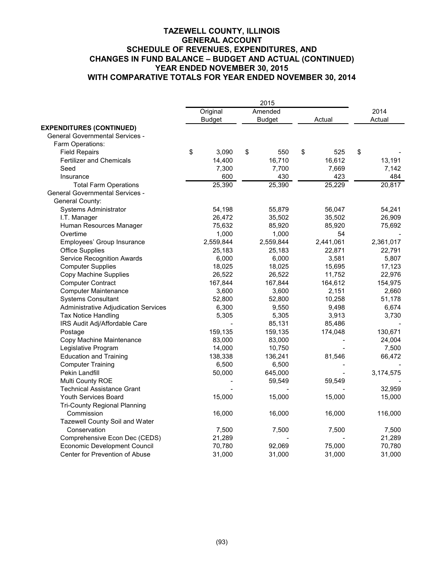|                                        |               | 2015          |    |           |           |
|----------------------------------------|---------------|---------------|----|-----------|-----------|
|                                        | Original      | Amended       |    |           | 2014      |
|                                        | <b>Budget</b> | <b>Budget</b> |    | Actual    | Actual    |
| <b>EXPENDITURES (CONTINUED)</b>        |               |               |    |           |           |
| <b>General Governmental Services -</b> |               |               |    |           |           |
| Farm Operations:                       |               |               |    |           |           |
| <b>Field Repairs</b>                   | \$<br>3,090   | \$<br>550     | \$ | 525       | \$        |
| <b>Fertilizer and Chemicals</b>        | 14,400        | 16,710        |    | 16,612    | 13,191    |
| Seed                                   | 7,300         | 7,700         |    | 7,669     | 7,142     |
| Insurance                              | 600           | 430           |    | 423       | 484       |
| <b>Total Farm Operations</b>           | 25,390        | 25,390        |    | 25,229    | 20,817    |
| <b>General Governmental Services -</b> |               |               |    |           |           |
| General County:                        |               |               |    |           |           |
| Systems Administrator                  | 54,198        | 55,879        |    | 56,047    | 54,241    |
| I.T. Manager                           | 26,472        | 35,502        |    | 35,502    | 26,909    |
| Human Resources Manager                | 75,632        | 85,920        |    | 85,920    | 75,692    |
| Overtime                               | 1,000         | 1,000         |    | 54        |           |
| Employees' Group Insurance             | 2,559,844     | 2,559,844     |    | 2,441,061 | 2,361,017 |
| <b>Office Supplies</b>                 | 25,183        | 25,183        |    | 22,871    | 22,791    |
| <b>Service Recognition Awards</b>      | 6,000         | 6,000         |    | 3,581     | 5,807     |
| <b>Computer Supplies</b>               | 18,025        | 18,025        |    | 15,695    | 17,123    |
| Copy Machine Supplies                  | 26,522        | 26,522        |    | 11,752    | 22,976    |
| <b>Computer Contract</b>               | 167,844       | 167,844       |    | 164,612   | 154,975   |
| <b>Computer Maintenance</b>            | 3,600         | 3,600         |    | 2,151     | 2,660     |
| <b>Systems Consultant</b>              | 52,800        | 52,800        |    | 10,258    | 51,178    |
| Administrative Adjudication Services   | 6,300         | 9,550         |    | 9,498     | 6,674     |
| <b>Tax Notice Handling</b>             | 5,305         | 5,305         |    | 3,913     | 3,730     |
| IRS Audit Adj/Affordable Care          |               | 85,131        |    | 85,486    |           |
| Postage                                | 159,135       | 159,135       |    | 174,048   | 130,671   |
| Copy Machine Maintenance               | 83,000        | 83,000        |    |           | 24,004    |
| Legislative Program                    | 14,000        | 10,750        |    |           | 7,500     |
| <b>Education and Training</b>          | 138,338       | 136,241       |    | 81,546    | 66,472    |
| <b>Computer Training</b>               | 6,500         | 6,500         |    |           |           |
| Pekin Landfill                         | 50,000        | 645,000       |    |           | 3,174,575 |
| Multi County ROE                       |               | 59,549        |    | 59,549    |           |
| <b>Technical Assistance Grant</b>      |               |               |    |           | 32,959    |
| Youth Services Board                   | 15,000        | 15,000        |    | 15,000    | 15,000    |
| <b>Tri-County Regional Planning</b>    |               |               |    |           |           |
| Commission                             | 16,000        | 16,000        |    | 16,000    | 116,000   |
| Tazewell County Soil and Water         |               |               |    |           |           |
| Conservation                           | 7,500         | 7,500         |    | 7,500     | 7,500     |
| Comprehensive Econ Dec (CEDS)          | 21,289        |               |    |           | 21,289    |
| Economic Development Council           | 70,780        | 92,069        |    | 75,000    | 70,780    |
| Center for Prevention of Abuse         | 31,000        | 31,000        |    | 31,000    | 31,000    |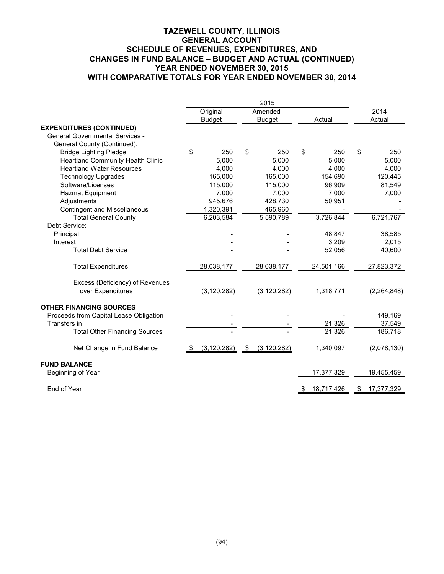|                                          |                      | 2015                           |                    |                  |
|------------------------------------------|----------------------|--------------------------------|--------------------|------------------|
|                                          | Original             | Amended                        |                    | 2014             |
|                                          | <b>Budget</b>        | <b>Budget</b>                  | Actual             | Actual           |
| <b>EXPENDITURES (CONTINUED)</b>          |                      |                                |                    |                  |
| <b>General Governmental Services -</b>   |                      |                                |                    |                  |
| General County (Continued):              |                      |                                |                    |                  |
| <b>Bridge Lighting Pledge</b>            | \$<br>250            | \$<br>250                      | \$<br>250          | 250<br>\$        |
| <b>Heartland Community Health Clinic</b> | 5,000                | 5,000                          | 5,000              | 5,000            |
| <b>Heartland Water Resources</b>         | 4,000                | 4,000                          | 4,000              | 4,000            |
| <b>Technology Upgrades</b>               | 165,000              | 165,000                        | 154,690            | 120,445          |
| Software/Licenses                        | 115,000              | 115,000                        | 96,909             | 81,549           |
| Hazmat Equipment                         | 7,000                | 7,000                          | 7,000              | 7,000            |
| Adjustments                              | 945,676              | 428,730                        | 50,951             |                  |
| <b>Contingent and Miscellaneous</b>      | 1,320,391            | 465,960                        |                    |                  |
| <b>Total General County</b>              | 6,203,584            | 5,590,789                      | 3,726,844          | 6,721,767        |
| Debt Service:                            |                      |                                |                    |                  |
| Principal                                |                      |                                | 48,847             | 38,585           |
| Interest                                 |                      |                                | 3,209              | 2,015            |
| <b>Total Debt Service</b>                |                      |                                | 52,056             | 40,600           |
| <b>Total Expenditures</b>                | 28,038,177           | 28,038,177                     | 24,501,166         | 27,823,372       |
| Excess (Deficiency) of Revenues          |                      |                                |                    |                  |
| over Expenditures                        | (3, 120, 282)        | (3, 120, 282)                  | 1,318,771          | (2,264,848)      |
| <b>OTHER FINANCING SOURCES</b>           |                      |                                |                    |                  |
| Proceeds from Capital Lease Obligation   |                      |                                |                    | 149,169          |
| Transfers in                             |                      |                                | 21,326             | 37,549           |
| <b>Total Other Financing Sources</b>     |                      |                                | 21,326             | 186,718          |
| Net Change in Fund Balance               | (3, 120, 282)<br>- 5 | (3, 120, 282)<br>$\mathcal{S}$ | 1,340,097          | (2,078,130)      |
| <b>FUND BALANCE</b>                      |                      |                                |                    |                  |
| Beginning of Year                        |                      |                                | 17,377,329         | 19,455,459       |
| End of Year                              |                      |                                | 18,717,426<br>- \$ | 17,377,329<br>\$ |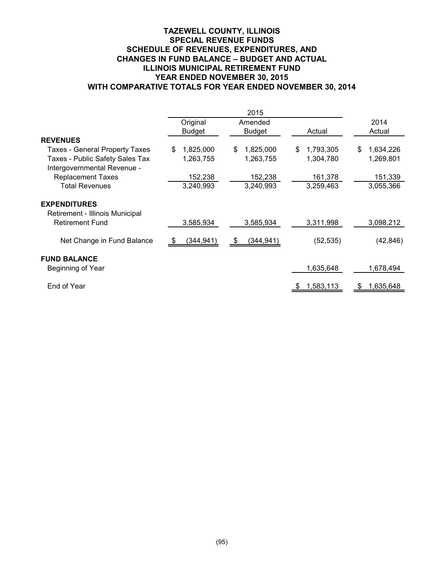#### **TAZEWELL COUNTY, ILLINOIS SPECIAL REVENUE FUNDS SCHEDULE OF REVENUES, EXPENDITURES, AND CHANGES IN FUND BALANCE – BUDGET AND ACTUAL ILLINOIS MUNICIPAL RETIREMENT FUND YEAR ENDED NOVEMBER 30, 2015 WITH COMPARATIVE TOTALS FOR YEAR ENDED NOVEMBER 30, 2014**

|                                                                |                | 2015               |                 |                 |
|----------------------------------------------------------------|----------------|--------------------|-----------------|-----------------|
|                                                                | Original       | Amended            |                 | 2014            |
|                                                                | <b>Budget</b>  | <b>Budget</b>      | Actual          | Actual          |
| <b>REVENUES</b>                                                |                |                    |                 |                 |
| <b>Taxes - General Property Taxes</b>                          | 1,825,000<br>S | 1,825,000<br>S     | 1,793,305<br>\$ | \$<br>1,634,226 |
| Taxes - Public Safety Sales Tax<br>Intergovernmental Revenue - | 1,263,755      | 1,263,755          | 1,304,780       | 1,269,801       |
| <b>Replacement Taxes</b>                                       | 152,238        | 152,238            | 161,378         | 151,339         |
| <b>Total Revenues</b>                                          | 3,240,993      | 3,240,993          | 3,259,463       | 3,055,366       |
| <b>EXPENDITURES</b>                                            |                |                    |                 |                 |
| Retirement - Illinois Municipal                                |                |                    |                 |                 |
| <b>Retirement Fund</b>                                         | 3,585,934      | 3,585,934          | 3,311,998       | 3,098,212       |
| Net Change in Fund Balance                                     | (344,941)      | (344, 941)<br>- \$ | (52, 535)       | (42, 846)       |
| <b>FUND BALANCE</b>                                            |                |                    |                 |                 |
| Beginning of Year                                              |                |                    | 1,635,648       | 1,678,494       |
| End of Year                                                    |                |                    | 1,583,113       | 1,635,648       |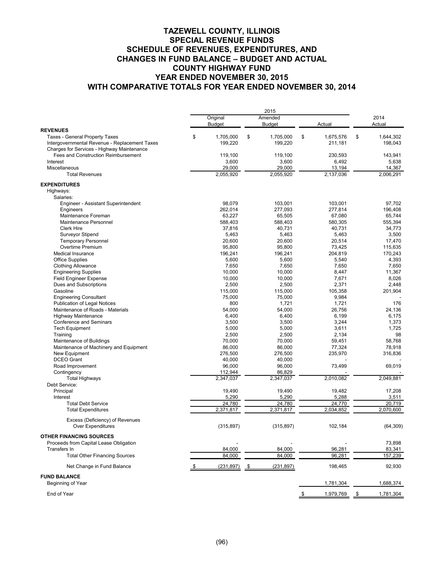|                                               |                 | 2015             |                 |                 |
|-----------------------------------------------|-----------------|------------------|-----------------|-----------------|
|                                               | Original        | Amended          |                 | 2014            |
|                                               | <b>Budget</b>   | <b>Budget</b>    | Actual          | Actual          |
| <b>REVENUES</b>                               |                 |                  |                 |                 |
| <b>Taxes - General Property Taxes</b>         | \$<br>1,705,000 | \$<br>1,705,000  | \$<br>1,675,576 | \$<br>1,644,302 |
| Intergovernmental Revenue - Replacement Taxes | 199,220         | 199,220          | 211,181         | 198,043         |
| Charges for Services - Highway Maintenance    |                 |                  |                 |                 |
| Fees and Construction Reimbursement           | 119,100         | 119,100          | 230,593         | 143,941         |
| Interest                                      | 3,600           | 3,600            | 6,492           | 5,638           |
| Miscellaneous                                 | 29,000          | 29.000           | 13,194          | 14,367          |
| <b>Total Revenues</b>                         | 2,055,920       | 2,055,920        | 2,137,036       | 2,006,291       |
| <b>EXPENDITURES</b>                           |                 |                  |                 |                 |
| Highways:                                     |                 |                  |                 |                 |
| Salaries:                                     |                 |                  |                 |                 |
| Engineer - Assistant Superintendent           | 98.079          | 103,001          | 103,001         | 97,702          |
| Engineers                                     | 262.014         | 277,093          | 277,814         | 196,408         |
| Maintenance Foreman                           | 63,227          | 65,505           | 67,080          | 65,744          |
| Maintenance Personnel                         | 588,403         | 588,403          | 580,305         | 555,394         |
| <b>Clerk Hire</b>                             | 37,816          | 40,731           | 40,731          | 34,773          |
| Surveyor Stipend                              | 5,463           | 5,463            | 5,463           | 3,500           |
| <b>Temporary Personnel</b>                    | 20,600          | 20,600           | 20,514          | 17,470          |
| Overtime Premium                              | 95,800          | 95,800           | 73,425          | 115,635         |
| <b>Medical Insurance</b>                      | 196,241         | 196,241          | 204.819         | 170,243         |
| <b>Office Supplies</b>                        | 5,600           | 5,600            | 5,540           | 4,393           |
|                                               | 7,650           | 7,650            | 7,650           | 7,650           |
| <b>Clothing Allowance</b>                     |                 |                  |                 |                 |
| <b>Engineering Supplies</b>                   | 10,000          | 10,000           | 8,447           | 11,367          |
| <b>Field Engineer Expense</b>                 | 10,000          | 10,000           | 7,671           | 8,026           |
| Dues and Subscriptions                        | 2,500           | 2,500            | 2,371           | 2,448           |
| Gasoline                                      | 115,000         | 115,000          | 105,358         | 201,904         |
| <b>Engineering Consultant</b>                 | 75,000          | 75,000           | 9,984           |                 |
| Publication of Legal Notices                  | 800             | 1,721            | 1,721           | 176             |
| Maintenance of Roads - Materials              | 54,000          | 54,000           | 26.756          | 24.136          |
| <b>Highway Maintenance</b>                    | 6,400           | 6,400            | 6,199           | 6,175           |
| <b>Conference and Seminars</b>                | 3,500           | 3,500            | 3,244           | 1,373           |
| <b>Tech Equipment</b>                         | 5,000           | 5,000            | 3,611           | 1,725           |
| Training                                      | 2,500           | 2,500            | 2,134           | 98              |
| Maintenance of Buildings                      | 70,000          | 70,000           | 59,451          | 58,768          |
| Maintenance of Machinery and Equipment        | 86,000          | 86,000           | 77,324          | 78,918          |
| New Equipment                                 | 276,500         | 276,500          | 235,970         | 316,836         |
| <b>DCEO</b> Grant                             | 40,000          | 40,000           |                 |                 |
| Road Improvement                              | 96,000          | 96,000           | 73,499          | 69,019          |
| Contingency                                   | 112,944         | 86,829           |                 |                 |
| <b>Total Highways</b>                         | 2,347,037       | 2,347,037        | 2,010,082       | 2,049,881       |
| Debt Service:                                 |                 |                  |                 |                 |
| Principal                                     | 19,490          | 19,490           | 19,482          | 17,208          |
| Interest                                      | 5,290           | 5,290            | 5,288           | 3,511           |
| <b>Total Debt Service</b>                     | 24,780          | 24,780           | 24,770          | 20,719          |
| <b>Total Expenditures</b>                     | 2,371,817       | 2,371,817        | 2,034,852       | 2,070,600       |
|                                               |                 |                  |                 |                 |
| Excess (Deficiency) of Revenues               |                 |                  |                 |                 |
| Over Expenditures                             | (315, 897)      | (315, 897)       | 102,184         | (64, 309)       |
| <b>OTHER FINANCING SOURCES</b>                |                 |                  |                 |                 |
| Proceeds from Capital Lease Obligation        |                 |                  |                 | 73,898          |
| <b>Transfers In</b>                           | 84,000          | 84,000           | 96,281          | 83,341          |
| <b>Total Other Financing Sources</b>          | 84,000          | 84,000           | 96,281          | 157,239         |
| Net Change in Fund Balance                    | (231, 897)      | (231, 897)<br>\$ | 198,465         | 92,930          |
| <b>FUND BALANCE</b>                           |                 |                  |                 |                 |
| Beginning of Year                             |                 |                  | 1,781,304       | 1,688,374       |
| End of Year                                   |                 |                  | 1,979,769       | 1,781,304       |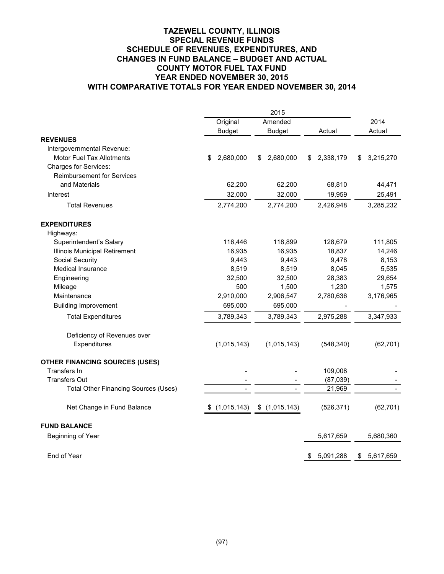#### **TAZEWELL COUNTY, ILLINOIS SPECIAL REVENUE FUNDS SCHEDULE OF REVENUES, EXPENDITURES, AND CHANGES IN FUND BALANCE – BUDGET AND ACTUAL COUNTY MOTOR FUEL TAX FUND YEAR ENDED NOVEMBER 30, 2015 WITH COMPARATIVE TOTALS FOR YEAR ENDED NOVEMBER 30, 2014**

|                                             | Original        | Amended         |                 | 2014            |
|---------------------------------------------|-----------------|-----------------|-----------------|-----------------|
|                                             | <b>Budget</b>   | <b>Budget</b>   | Actual          | Actual          |
| <b>REVENUES</b>                             |                 |                 |                 |                 |
| Intergovernmental Revenue:                  |                 |                 |                 |                 |
| Motor Fuel Tax Allotments                   | 2,680,000<br>\$ | 2,680,000<br>\$ | 2,338,179<br>\$ | 3,215,270<br>\$ |
| <b>Charges for Services:</b>                |                 |                 |                 |                 |
| <b>Reimbursement for Services</b>           |                 |                 |                 |                 |
| and Materials                               | 62,200          | 62,200          | 68,810          | 44,471          |
| Interest                                    | 32,000          | 32,000          | 19,959          | 25,491          |
| <b>Total Revenues</b>                       | 2,774,200       | 2,774,200       | 2,426,948       | 3,285,232       |
| <b>EXPENDITURES</b>                         |                 |                 |                 |                 |
| Highways:                                   |                 |                 |                 |                 |
| Superintendent's Salary                     | 116,446         | 118,899         | 128,679         | 111,805         |
| Illinois Municipal Retirement               | 16,935          | 16,935          | 18,837          | 14,246          |
| Social Security                             | 9,443           | 9,443           | 9,478           | 8,153           |
| Medical Insurance                           | 8,519           | 8,519           | 8,045           | 5,535           |
| Engineering                                 | 32,500          | 32,500          | 28,383          | 29,654          |
| Mileage                                     | 500             | 1,500           | 1,230           | 1,575           |
| Maintenance                                 | 2,910,000       | 2,906,547       | 2,780,636       | 3,176,965       |
| <b>Building Improvement</b>                 | 695,000         | 695,000         |                 |                 |
| <b>Total Expenditures</b>                   | 3,789,343       | 3,789,343       | 2,975,288       | 3,347,933       |
| Deficiency of Revenues over                 |                 |                 |                 |                 |
| Expenditures                                | (1,015,143)     | (1,015,143)     | (548, 340)      | (62, 701)       |
| <b>OTHER FINANCING SOURCES (USES)</b>       |                 |                 |                 |                 |
| Transfers In                                |                 |                 | 109,008         |                 |
| <b>Transfers Out</b>                        |                 |                 | (87,039)        |                 |
| <b>Total Other Financing Sources (Uses)</b> |                 |                 | 21,969          |                 |
| Net Change in Fund Balance                  | \$(1,015,143)   | \$(1,015,143)   | (526, 371)      | (62, 701)       |
| <b>FUND BALANCE</b>                         |                 |                 |                 |                 |
| Beginning of Year                           |                 |                 | 5,617,659       | 5,680,360       |
| End of Year                                 |                 |                 | 5,091,288<br>\$ | 5,617,659<br>\$ |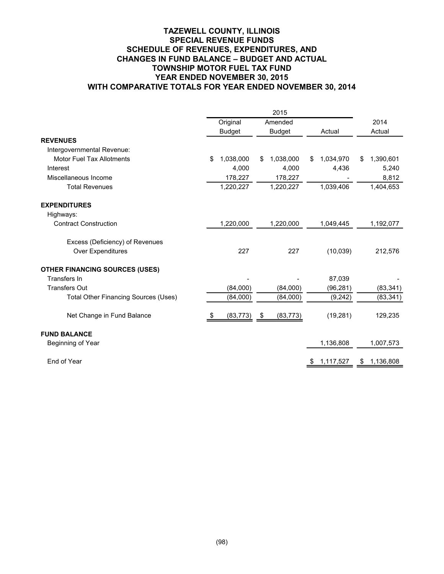#### **TAZEWELL COUNTY, ILLINOIS SPECIAL REVENUE FUNDS SCHEDULE OF REVENUES, EXPENDITURES, AND CHANGES IN FUND BALANCE – BUDGET AND ACTUAL TOWNSHIP MOTOR FUEL TAX FUND YEAR ENDED NOVEMBER 30, 2015 WITH COMPARATIVE TOTALS FOR YEAR ENDED NOVEMBER 30, 2014**

|                                             | 2015 |               |      |               |        |           |    |           |
|---------------------------------------------|------|---------------|------|---------------|--------|-----------|----|-----------|
|                                             |      | Original      |      | Amended       |        |           |    | 2014      |
|                                             |      | <b>Budget</b> |      | <b>Budget</b> | Actual |           |    | Actual    |
| <b>REVENUES</b>                             |      |               |      |               |        |           |    |           |
| Intergovernmental Revenue:                  |      |               |      |               |        |           |    |           |
| <b>Motor Fuel Tax Allotments</b>            | \$   | 1,038,000     | \$   | 1,038,000     | \$     | 1,034,970 | \$ | 1,390,601 |
| Interest                                    |      | 4,000         |      | 4,000         |        | 4,436     |    | 5,240     |
| Miscellaneous Income                        |      | 178,227       |      | 178,227       |        |           |    | 8,812     |
| <b>Total Revenues</b>                       |      | 1,220,227     |      | 1,220,227     |        | 1,039,406 |    | 1,404,653 |
| <b>EXPENDITURES</b>                         |      |               |      |               |        |           |    |           |
| Highways:                                   |      |               |      |               |        |           |    |           |
| <b>Contract Construction</b>                |      | 1,220,000     |      | 1,220,000     |        | 1,049,445 |    | 1,192,077 |
| Excess (Deficiency) of Revenues             |      |               |      |               |        |           |    |           |
| <b>Over Expenditures</b>                    |      | 227           |      | 227           |        | (10,039)  |    | 212,576   |
| <b>OTHER FINANCING SOURCES (USES)</b>       |      |               |      |               |        |           |    |           |
| Transfers In                                |      |               |      |               |        | 87,039    |    |           |
| <b>Transfers Out</b>                        |      | (84,000)      |      | (84,000)      |        | (96, 281) |    | (83, 341) |
| <b>Total Other Financing Sources (Uses)</b> |      | (84,000)      |      | (84,000)      |        | (9, 242)  |    | (83, 341) |
| Net Change in Fund Balance                  | - \$ | (83, 773)     | - \$ | (83, 773)     |        | (19, 281) |    | 129,235   |
| <b>FUND BALANCE</b>                         |      |               |      |               |        |           |    |           |
| Beginning of Year                           |      |               |      |               |        | 1,136,808 |    | 1,007,573 |
| End of Year                                 |      |               |      |               |        | 1,117,527 | S. | 1,136,808 |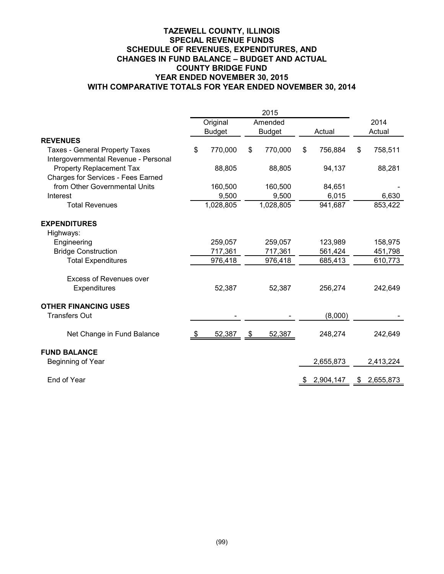|                                       |      |               | 2015          |    |             |    |             |
|---------------------------------------|------|---------------|---------------|----|-------------|----|-------------|
|                                       |      | Original      | Amended       |    |             |    | 2014        |
|                                       |      | <b>Budget</b> | <b>Budget</b> |    | Actual      |    | Actual      |
| <b>REVENUES</b>                       |      |               |               |    |             |    |             |
| <b>Taxes - General Property Taxes</b> | \$   | 770,000       | \$<br>770,000 | \$ | 756,884     | \$ | 758,511     |
| Intergovernmental Revenue - Personal  |      |               |               |    |             |    |             |
| <b>Property Replacement Tax</b>       |      | 88,805        | 88,805        |    | 94,137      |    | 88,281      |
| Charges for Services - Fees Earned    |      |               |               |    |             |    |             |
| from Other Governmental Units         |      | 160,500       | 160,500       |    | 84,651      |    |             |
| Interest                              |      | 9,500         | 9,500         |    | 6,015       |    | 6,630       |
| <b>Total Revenues</b>                 |      | 1,028,805     | 1,028,805     |    | 941,687     |    | 853,422     |
| <b>EXPENDITURES</b>                   |      |               |               |    |             |    |             |
| Highways:                             |      |               |               |    |             |    |             |
| Engineering                           |      | 259,057       | 259,057       |    | 123,989     |    | 158,975     |
| <b>Bridge Construction</b>            |      | 717,361       | 717,361       |    | 561,424     |    | 451,798     |
| <b>Total Expenditures</b>             |      | 976,418       | 976,418       |    | 685,413     |    | 610,773     |
| <b>Excess of Revenues over</b>        |      |               |               |    |             |    |             |
| Expenditures                          |      | 52,387        | 52,387        |    | 256,274     |    | 242,649     |
| <b>OTHER FINANCING USES</b>           |      |               |               |    |             |    |             |
| <b>Transfers Out</b>                  |      |               |               |    | (8,000)     |    |             |
| Net Change in Fund Balance            | - \$ | 52,387        | \$<br>52,387  |    | 248,274     |    | 242,649     |
| <b>FUND BALANCE</b>                   |      |               |               |    |             |    |             |
| Beginning of Year                     |      |               |               |    | 2,655,873   |    | 2,413,224   |
| End of Year                           |      |               |               |    | \$2,904,147 |    | \$2,655,873 |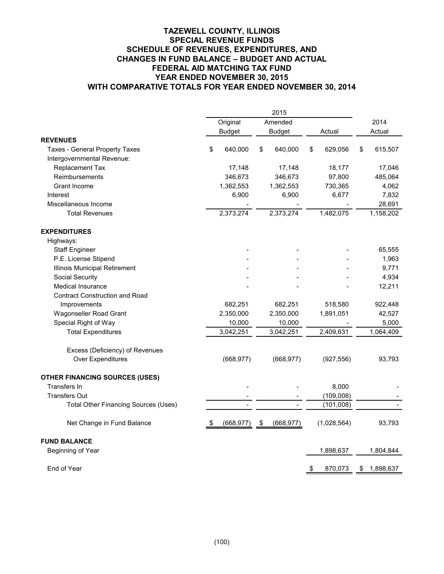#### **TAZEWELL COUNTY, ILLINOIS SPECIAL REVENUE FUNDS SCHEDULE OF REVENUES, EXPENDITURES, AND CHANGES IN FUND BALANCE – BUDGET AND ACTUAL FEDERAL AID MATCHING TAX FUND YEAR ENDED NOVEMBER 30, 2015 WITH COMPARATIVE TOTALS FOR YEAR ENDED NOVEMBER 30, 2014**

|                                       |               | 2015             |               |                 |
|---------------------------------------|---------------|------------------|---------------|-----------------|
|                                       | Original      | Amended          |               | 2014            |
|                                       | <b>Budget</b> | <b>Budget</b>    | Actual        | Actual          |
| <b>REVENUES</b>                       |               |                  |               |                 |
| Taxes - General Property Taxes        | \$<br>640,000 | \$<br>640,000    | \$<br>629,056 | \$<br>615,507   |
| Intergovernmental Revenue:            |               |                  |               |                 |
| Replacement Tax                       | 17,148        | 17,148           | 18,177        | 17,046          |
| Reimbursements                        | 346,673       | 346,673          | 97,800        | 485,064         |
| Grant Income                          | 1,362,553     | 1,362,553        | 730,365       | 4,062           |
| Interest                              | 6,900         | 6,900            | 6,677         | 7,832           |
| Miscellaneous Income                  |               |                  |               | 28,691          |
| <b>Total Revenues</b>                 | 2,373,274     | 2,373,274        | 1,482,075     | 1,158,202       |
| <b>EXPENDITURES</b>                   |               |                  |               |                 |
| Highways:                             |               |                  |               |                 |
| <b>Staff Engineer</b>                 |               |                  |               | 65,555          |
| P.E. License Stipend                  |               |                  |               | 1,963           |
| Illinois Municipal Retirement         |               |                  |               | 9,771           |
| Social Security                       |               |                  |               | 4,934           |
| <b>Medical Insurance</b>              |               |                  |               | 12,211          |
| <b>Contract Construction and Road</b> |               |                  |               |                 |
| Improvements                          | 682,251       | 682,251          | 518,580       | 922,448         |
| Wagonseller Road Grant                | 2,350,000     | 2,350,000        | 1,891,051     | 42,527          |
| Special Right of Way                  | 10,000        | 10,000           |               | 5,000           |
| <b>Total Expenditures</b>             | 3,042,251     | 3,042,251        | 2,409,631     | 1,064,409       |
| Excess (Deficiency) of Revenues       |               |                  |               |                 |
| Over Expenditures                     | (668, 977)    | (668, 977)       | (927, 556)    | 93,793          |
| <b>OTHER FINANCING SOURCES (USES)</b> |               |                  |               |                 |
| Transfers In                          |               |                  | 8,000         |                 |
| <b>Transfers Out</b>                  |               |                  | (109,008)     |                 |
| Total Other Financing Sources (Uses)  |               |                  | (101,008)     |                 |
| Net Change in Fund Balance            | (668, 977)    | \$<br>(668, 977) | (1,028,564)   | 93,793          |
| <b>FUND BALANCE</b>                   |               |                  |               |                 |
| Beginning of Year                     |               |                  | 1,898,637     | 1,804,844       |
| End of Year                           |               |                  | \$<br>870,073 | \$<br>1,898,637 |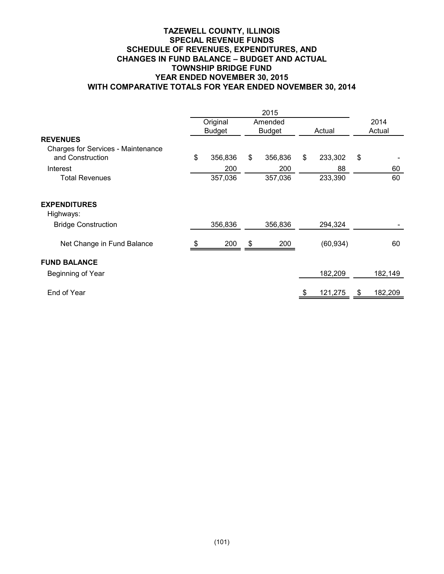#### **TAZEWELL COUNTY, ILLINOIS SPECIAL REVENUE FUNDS SCHEDULE OF REVENUES, EXPENDITURES, AND CHANGES IN FUND BALANCE – BUDGET AND ACTUAL TOWNSHIP BRIDGE FUND YEAR ENDED NOVEMBER 30, 2015 WITH COMPARATIVE TOTALS FOR YEAR ENDED NOVEMBER 30, 2014**

|                                                        |    | Original<br><b>Budget</b> | Amended<br><b>Budget</b> | Actual |           | 2014<br>Actual |         |
|--------------------------------------------------------|----|---------------------------|--------------------------|--------|-----------|----------------|---------|
| <b>REVENUES</b>                                        |    |                           |                          |        |           |                |         |
| Charges for Services - Maintenance<br>and Construction | \$ | 356,836                   | \$<br>356,836            | \$     | 233,302   | \$             |         |
|                                                        |    |                           |                          |        |           |                |         |
| Interest                                               |    | 200                       | 200                      |        | 88        |                | 60      |
| <b>Total Revenues</b>                                  |    | 357,036                   | 357,036                  |        | 233,390   |                | 60      |
| <b>EXPENDITURES</b><br>Highways:                       |    |                           |                          |        |           |                |         |
| <b>Bridge Construction</b>                             |    | 356,836                   | 356,836                  |        | 294,324   |                |         |
| Net Change in Fund Balance                             | -S | 200                       | \$<br>200                |        | (60, 934) |                | 60      |
| <b>FUND BALANCE</b>                                    |    |                           |                          |        |           |                |         |
| Beginning of Year                                      |    |                           |                          |        | 182,209   |                | 182,149 |
| End of Year                                            |    |                           |                          | S      | 121,275   | \$             | 182,209 |
|                                                        |    |                           |                          |        |           |                |         |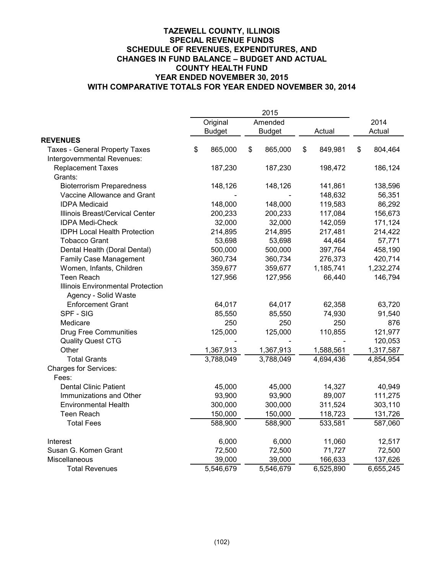|                                       |               | 2015          |    |           |               |
|---------------------------------------|---------------|---------------|----|-----------|---------------|
|                                       | Original      | Amended       |    |           | 2014          |
|                                       | <b>Budget</b> | <b>Budget</b> |    | Actual    | Actual        |
| <b>REVENUES</b>                       |               |               |    |           |               |
| <b>Taxes - General Property Taxes</b> | \$<br>865,000 | \$<br>865,000 | \$ | 849,981   | \$<br>804,464 |
| Intergovernmental Revenues:           |               |               |    |           |               |
| <b>Replacement Taxes</b>              | 187,230       | 187,230       |    | 198,472   | 186,124       |
| Grants:                               |               |               |    |           |               |
| <b>Bioterrorism Preparedness</b>      | 148,126       | 148,126       |    | 141,861   | 138,596       |
| Vaccine Allowance and Grant           |               |               |    | 148,632   | 56,351        |
| <b>IDPA Medicaid</b>                  | 148,000       | 148,000       |    | 119,583   | 86,292        |
| Illinois Breast/Cervical Center       | 200,233       | 200,233       |    | 117,084   | 156,673       |
| <b>IDPA Medi-Check</b>                | 32,000        | 32,000        |    | 142,059   | 171,124       |
| <b>IDPH Local Health Protection</b>   | 214,895       | 214,895       |    | 217,481   | 214,422       |
| <b>Tobacco Grant</b>                  | 53,698        | 53,698        |    | 44,464    | 57,771        |
| Dental Health (Doral Dental)          | 500,000       | 500,000       |    | 397,764   | 458,190       |
| <b>Family Case Management</b>         | 360,734       | 360,734       |    | 276,373   | 420,714       |
| Women, Infants, Children              | 359,677       | 359,677       |    | 1,185,741 | 1,232,274     |
| <b>Teen Reach</b>                     | 127,956       | 127,956       |    | 66,440    | 146,794       |
| Illinois Environmental Protection     |               |               |    |           |               |
| Agency - Solid Waste                  |               |               |    |           |               |
| <b>Enforcement Grant</b>              | 64,017        | 64,017        |    | 62,358    | 63,720        |
| SPF - SIG                             | 85,550        | 85,550        |    | 74,930    | 91,540        |
| Medicare                              | 250           | 250           |    | 250       | 876           |
| <b>Drug Free Communities</b>          | 125,000       | 125,000       |    | 110,855   | 121,977       |
| <b>Quality Quest CTG</b>              |               |               |    |           | 120,053       |
| Other                                 | 1,367,913     | 1,367,913     |    | 1,588,561 | 1,317,587     |
| <b>Total Grants</b>                   | 3,788,049     | 3,788,049     |    | 4,694,436 | 4,854,954     |
| <b>Charges for Services:</b>          |               |               |    |           |               |
| Fees:                                 |               |               |    |           |               |
| <b>Dental Clinic Patient</b>          | 45,000        | 45,000        |    | 14,327    | 40,949        |
| Immunizations and Other               | 93,900        | 93,900        |    | 89,007    | 111,275       |
| <b>Environmental Health</b>           | 300,000       | 300,000       |    | 311,524   | 303,110       |
| <b>Teen Reach</b>                     | 150,000       | 150,000       |    | 118,723   | 131,726       |
| <b>Total Fees</b>                     | 588,900       | 588,900       |    | 533,581   | 587,060       |
| Interest                              | 6,000         | 6,000         |    | 11,060    | 12,517        |
| Susan G. Komen Grant                  | 72,500        | 72,500        |    | 71,727    | 72,500        |
| Miscellaneous                         | 39,000        | 39,000        |    | 166,633   | 137,626       |
| <b>Total Revenues</b>                 | 5,546,679     | 5,546,679     |    | 6,525,890 | 6,655,245     |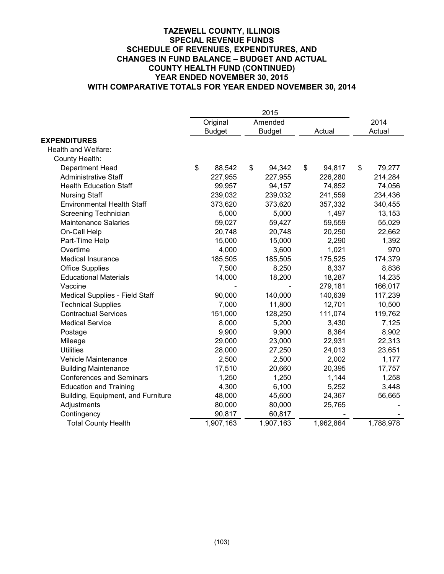|                                    |               | 2015          |    |           |              |
|------------------------------------|---------------|---------------|----|-----------|--------------|
|                                    | Original      | Amended       |    |           | 2014         |
|                                    | <b>Budget</b> | <b>Budget</b> |    | Actual    | Actual       |
| <b>EXPENDITURES</b>                |               |               |    |           |              |
| Health and Welfare:                |               |               |    |           |              |
| County Health:                     |               |               |    |           |              |
| <b>Department Head</b>             | \$<br>88,542  | \$<br>94,342  | \$ | 94,817    | \$<br>79,277 |
| <b>Administrative Staff</b>        | 227,955       | 227,955       |    | 226,280   | 214,284      |
| <b>Health Education Staff</b>      | 99,957        | 94,157        |    | 74,852    | 74,056       |
| <b>Nursing Staff</b>               | 239,032       | 239,032       |    | 241,559   | 234,436      |
| <b>Environmental Health Staff</b>  | 373,620       | 373,620       |    | 357,332   | 340,455      |
| Screening Technician               | 5,000         | 5,000         |    | 1,497     | 13,153       |
| <b>Maintenance Salaries</b>        | 59,027        | 59,427        |    | 59,559    | 55,029       |
| On-Call Help                       | 20,748        | 20,748        |    | 20,250    | 22,662       |
| Part-Time Help                     | 15,000        | 15,000        |    | 2,290     | 1,392        |
| Overtime                           | 4,000         | 3,600         |    | 1,021     | 970          |
| <b>Medical Insurance</b>           | 185,505       | 185,505       |    | 175,525   | 174,379      |
| <b>Office Supplies</b>             | 7,500         | 8,250         |    | 8,337     | 8,836        |
| <b>Educational Materials</b>       | 14,000        | 18,200        |    | 18,287    | 14,235       |
| Vaccine                            |               |               |    | 279,181   | 166,017      |
| Medical Supplies - Field Staff     | 90,000        | 140,000       |    | 140,639   | 117,239      |
| <b>Technical Supplies</b>          | 7,000         | 11,800        |    | 12,701    | 10,500       |
| <b>Contractual Services</b>        | 151,000       | 128,250       |    | 111,074   | 119,762      |
| <b>Medical Service</b>             | 8,000         | 5,200         |    | 3,430     | 7,125        |
| Postage                            | 9,900         | 9,900         |    | 8,364     | 8,902        |
| Mileage                            | 29,000        | 23,000        |    | 22,931    | 22,313       |
| <b>Utilities</b>                   | 28,000        | 27,250        |    | 24,013    | 23,651       |
| Vehicle Maintenance                | 2,500         | 2,500         |    | 2,002     | 1,177        |
| <b>Building Maintenance</b>        | 17,510        | 20,660        |    | 20,395    | 17,757       |
| <b>Conferences and Seminars</b>    | 1,250         | 1,250         |    | 1,144     | 1,258        |
| <b>Education and Training</b>      | 4,300         | 6,100         |    | 5,252     | 3,448        |
| Building, Equipment, and Furniture | 48,000        | 45,600        |    | 24,367    | 56,665       |
| Adjustments                        | 80,000        | 80,000        |    | 25,765    |              |
| Contingency                        | 90,817        | 60,817        |    |           |              |
| <b>Total County Health</b>         | 1,907,163     | 1,907,163     |    | 1,962,864 | 1,788,978    |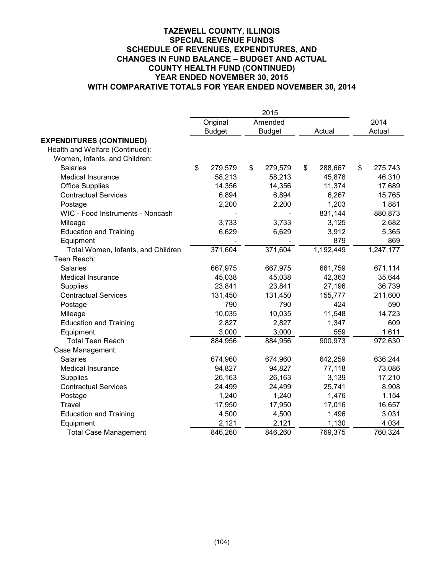|                                    |               | 2015          |        |           |               |
|------------------------------------|---------------|---------------|--------|-----------|---------------|
|                                    | Original      | Amended       | Actual |           | 2014          |
|                                    | <b>Budget</b> | <b>Budget</b> |        |           | Actual        |
| <b>EXPENDITURES (CONTINUED)</b>    |               |               |        |           |               |
| Health and Welfare (Continued):    |               |               |        |           |               |
| Women, Infants, and Children:      |               |               |        |           |               |
| <b>Salaries</b>                    | \$<br>279,579 | \$<br>279,579 | \$     | 288,667   | \$<br>275,743 |
| <b>Medical Insurance</b>           | 58,213        | 58,213        |        | 45,878    | 46,310        |
| <b>Office Supplies</b>             | 14,356        | 14,356        |        | 11,374    | 17,689        |
| <b>Contractual Services</b>        | 6,894         | 6,894         |        | 6,267     | 15,765        |
| Postage                            | 2,200         | 2,200         |        | 1,203     | 1,881         |
| WIC - Food Instruments - Noncash   |               |               |        | 831,144   | 880,873       |
| Mileage                            | 3,733         | 3,733         |        | 3,125     | 2,682         |
| <b>Education and Training</b>      | 6,629         | 6,629         |        | 3,912     | 5,365         |
| Equipment                          |               |               |        | 879       | 869           |
| Total Women, Infants, and Children | 371,604       | 371,604       |        | 1,192,449 | 1,247,177     |
| Teen Reach:                        |               |               |        |           |               |
| <b>Salaries</b>                    | 667,975       | 667,975       |        | 661,759   | 671,114       |
| <b>Medical Insurance</b>           | 45,038        | 45,038        |        | 42,363    | 35,644        |
| <b>Supplies</b>                    | 23,841        | 23,841        |        | 27,196    | 36,739        |
| <b>Contractual Services</b>        | 131,450       | 131,450       |        | 155,777   | 211,600       |
| Postage                            | 790           | 790           |        | 424       | 590           |
| Mileage                            | 10,035        | 10,035        |        | 11,548    | 14,723        |
| <b>Education and Training</b>      | 2,827         | 2,827         |        | 1,347     | 609           |
| Equipment                          | 3,000         | 3,000         |        | 559       | 1,611         |
| <b>Total Teen Reach</b>            | 884,956       | 884,956       |        | 900,973   | 972,630       |
| Case Management:                   |               |               |        |           |               |
| <b>Salaries</b>                    | 674,960       | 674,960       |        | 642,259   | 636,244       |
| <b>Medical Insurance</b>           | 94,827        | 94,827        |        | 77,118    | 73,086        |
| Supplies                           | 26,163        | 26,163        |        | 3,139     | 17,210        |
| <b>Contractual Services</b>        | 24,499        | 24,499        |        | 25,741    | 8,908         |
| Postage                            | 1,240         | 1,240         |        | 1,476     | 1,154         |
| Travel                             | 17,950        | 17,950        |        | 17,016    | 16,657        |
| <b>Education and Training</b>      | 4,500         | 4,500         |        | 1,496     | 3,031         |
| Equipment                          | 2,121         | 2,121         |        | 1,130     | 4,034         |
| <b>Total Case Management</b>       | 846,260       | 846,260       |        | 769,375   | 760,324       |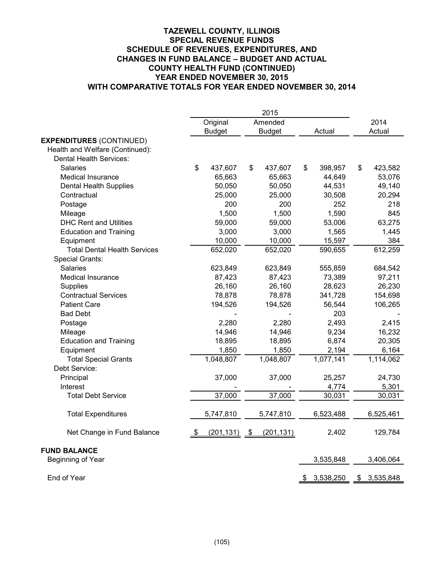## **TAZEWELL COUNTY, ILLINOIS SPECIAL REVENUE FUNDS SCHEDULE OF REVENUES, EXPENDITURES, AND CHANGES IN FUND BALANCE – BUDGET AND ACTUAL COUNTY HEALTH FUND (CONTINUED) YEAR ENDED NOVEMBER 30, 2015 WITH COMPARATIVE TOTALS FOR YEAR ENDED NOVEMBER 30, 2014**

|                                     | Original           | Amended          |                 | 2014            |
|-------------------------------------|--------------------|------------------|-----------------|-----------------|
|                                     | <b>Budget</b>      | <b>Budget</b>    | Actual          | Actual          |
| <b>EXPENDITURES (CONTINUED)</b>     |                    |                  |                 |                 |
| Health and Welfare (Continued):     |                    |                  |                 |                 |
| Dental Health Services:             |                    |                  |                 |                 |
| <b>Salaries</b>                     | \$<br>437,607      | \$<br>437,607    | \$<br>398,957   | \$<br>423,582   |
| <b>Medical Insurance</b>            | 65,663             | 65,663           | 44,649          | 53,076          |
| Dental Health Supplies              | 50,050             | 50,050           | 44,531          | 49,140          |
| Contractual                         | 25,000             | 25,000           | 30,508          | 20,294          |
| Postage                             | 200                | 200              | 252             | 218             |
| Mileage                             | 1,500              | 1,500            | 1,590           | 845             |
| <b>DHC Rent and Utilities</b>       | 59,000             | 59,000           | 53,006          | 63,275          |
| <b>Education and Training</b>       | 3,000              | 3,000            | 1,565           | 1,445           |
| Equipment                           | 10,000             | 10,000           | 15,597          | 384             |
| <b>Total Dental Health Services</b> | 652,020            | 652,020          | 590,655         | 612,259         |
| Special Grants:                     |                    |                  |                 |                 |
| Salaries                            | 623,849            | 623,849          | 555,859         | 684,542         |
| Medical Insurance                   | 87,423             | 87,423           | 73,389          | 97,211          |
| Supplies                            | 26,160             | 26,160           | 28,623          | 26,230          |
| <b>Contractual Services</b>         | 78,878             | 78,878           | 341,728         | 154,698         |
| <b>Patient Care</b>                 | 194,526            | 194,526          | 56,544          | 106,265         |
| <b>Bad Debt</b>                     |                    |                  | 203             |                 |
| Postage                             | 2,280              | 2,280            | 2,493           | 2,415           |
| Mileage                             | 14,946             | 14,946           | 9,234           | 16,232          |
| <b>Education and Training</b>       | 18,895             | 18,895           | 6,874           | 20,305          |
| Equipment                           | 1,850              | 1,850            | 2,194           | 6,164           |
| <b>Total Special Grants</b>         | 1,048,807          | 1,048,807        | 1,077,141       | 1,114,062       |
| Debt Service:                       |                    |                  |                 |                 |
| Principal                           | 37,000             | 37,000           | 25,257          | 24,730          |
| Interest                            |                    |                  | 4,774           | 5,301           |
| <b>Total Debt Service</b>           | 37,000             | 37,000           | 30,031          | 30,031          |
| <b>Total Expenditures</b>           | 5,747,810          | 5,747,810        | 6,523,488       | 6,525,461       |
| Net Change in Fund Balance          | (201, 131)<br>- \$ | (201, 131)<br>\$ | 2,402           | 129,784         |
| <b>FUND BALANCE</b>                 |                    |                  |                 |                 |
| Beginning of Year                   |                    |                  | 3,535,848       | 3,406,064       |
| End of Year                         |                    |                  | 3,538,250<br>\$ | 3,535,848<br>\$ |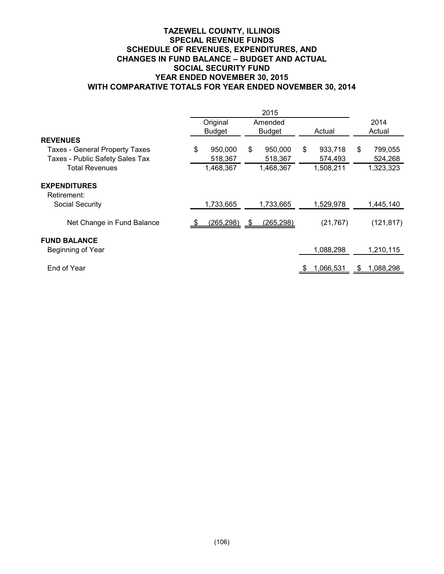## **TAZEWELL COUNTY, ILLINOIS SPECIAL REVENUE FUNDS SCHEDULE OF REVENUES, EXPENDITURES, AND CHANGES IN FUND BALANCE – BUDGET AND ACTUAL SOCIAL SECURITY FUND YEAR ENDED NOVEMBER 30, 2015 WITH COMPARATIVE TOTALS FOR YEAR ENDED NOVEMBER 30, 2014**

|                                          |               |    | 2015          |               |                 |
|------------------------------------------|---------------|----|---------------|---------------|-----------------|
|                                          | Original      |    | Amended       |               | 2014            |
|                                          | <b>Budget</b> |    | <b>Budget</b> | Actual        | Actual          |
| <b>REVENUES</b>                          |               |    |               |               |                 |
| <b>Taxes - General Property Taxes</b>    | \$<br>950,000 | \$ | 950,000       | \$<br>933,718 | \$<br>799,055   |
| Taxes - Public Safety Sales Tax          | 518,367       |    | 518,367       | 574,493       | 524,268         |
| Total Revenues                           | 1,468,367     |    | 1,468,367     | 1,508,211     | 1,323,323       |
| <b>EXPENDITURES</b><br>Retirement:       |               |    |               |               |                 |
| <b>Social Security</b>                   | 1,733,665     |    | 1,733,665     | 1,529,978     | 1,445,140       |
| Net Change in Fund Balance               | (265, 298)    | -S | (265, 298)    | (21, 767)     | (121, 817)      |
| <b>FUND BALANCE</b><br>Beginning of Year |               |    |               | 1,088,298     | 1,210,115       |
| End of Year                              |               |    |               | 1,066,531     | \$<br>1,088,298 |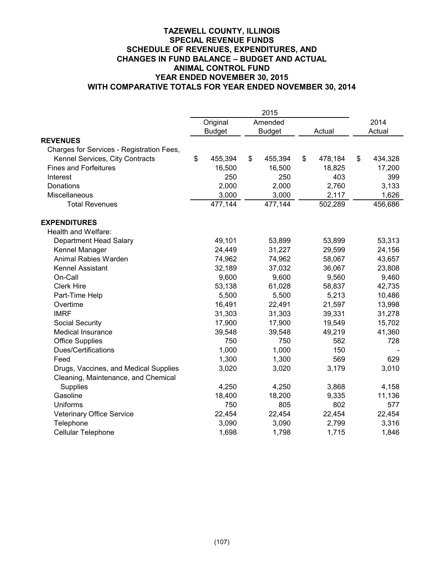## **TAZEWELL COUNTY, ILLINOIS SPECIAL REVENUE FUNDS SCHEDULE OF REVENUES, EXPENDITURES, AND CHANGES IN FUND BALANCE – BUDGET AND ACTUAL ANIMAL CONTROL FUND YEAR ENDED NOVEMBER 30, 2015 WITH COMPARATIVE TOTALS FOR YEAR ENDED NOVEMBER 30, 2014**

|                                           |               | 2015          |               |               |
|-------------------------------------------|---------------|---------------|---------------|---------------|
|                                           | Original      | Amended       |               | 2014          |
|                                           | <b>Budget</b> | <b>Budget</b> | Actual        | Actual        |
| <b>REVENUES</b>                           |               |               |               |               |
| Charges for Services - Registration Fees, |               |               |               |               |
| Kennel Services, City Contracts           | \$<br>455,394 | \$<br>455,394 | \$<br>478,184 | \$<br>434,328 |
| <b>Fines and Forfeitures</b>              | 16,500        | 16,500        | 18,825        | 17,200        |
| Interest                                  | 250           | 250           | 403           | 399           |
| Donations                                 | 2,000         | 2,000         | 2,760         | 3,133         |
| Miscellaneous                             | 3,000         | 3,000         | 2,117         | 1,626         |
| <b>Total Revenues</b>                     | 477,144       | 477,144       | 502,289       | 456,686       |
| <b>EXPENDITURES</b>                       |               |               |               |               |
| Health and Welfare:                       |               |               |               |               |
| Department Head Salary                    | 49,101        | 53,899        | 53,899        | 53,313        |
| Kennel Manager                            | 24,449        | 31,227        | 29,599        | 24,156        |
| Animal Rabies Warden                      | 74,962        | 74,962        | 58,067        | 43,657        |
| Kennel Assistant                          | 32,189        | 37,032        | 36,067        | 23,808        |
| On-Call                                   | 9,600         | 9,600         | 9,560         | 9,460         |
| <b>Clerk Hire</b>                         | 53,138        | 61,028        | 58,837        | 42,735        |
| Part-Time Help                            | 5,500         | 5,500         | 5,213         | 10,486        |
| Overtime                                  | 16,491        | 22,491        | 21,597        | 13,998        |
| <b>IMRF</b>                               | 31,303        | 31,303        | 39,331        | 31,278        |
| <b>Social Security</b>                    | 17,900        | 17,900        | 19,549        | 15,702        |
| <b>Medical Insurance</b>                  | 39,548        | 39,548        | 49,219        | 41,360        |
| <b>Office Supplies</b>                    | 750           | 750           | 582           | 728           |
| Dues/Certifications                       | 1,000         | 1,000         | 150           |               |
| Feed                                      | 1,300         | 1,300         | 569           | 629           |
| Drugs, Vaccines, and Medical Supplies     | 3,020         | 3,020         | 3,179         | 3,010         |
| Cleaning, Maintenance, and Chemical       |               |               |               |               |
| Supplies                                  | 4,250         | 4,250         | 3,868         | 4,158         |
| Gasoline                                  | 18,400        | 18,200        | 9,335         | 11,136        |
| Uniforms                                  | 750           | 805           | 802           | 577           |
| <b>Veterinary Office Service</b>          | 22,454        | 22,454        | 22,454        | 22,454        |
| Telephone                                 | 3,090         | 3,090         | 2,799         | 3,316         |
| <b>Cellular Telephone</b>                 | 1,698         | 1,798         | 1,715         | 1,846         |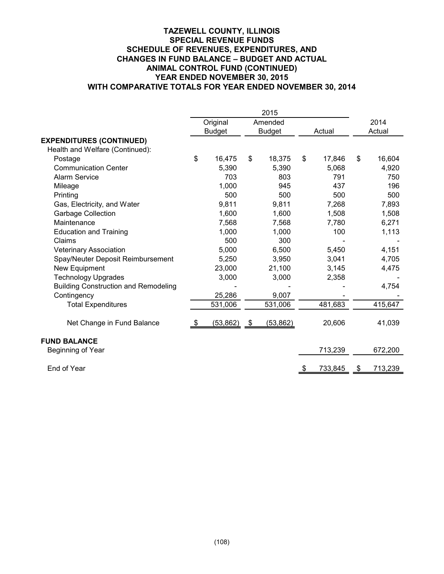## **TAZEWELL COUNTY, ILLINOIS SPECIAL REVENUE FUNDS SCHEDULE OF REVENUES, EXPENDITURES, AND CHANGES IN FUND BALANCE – BUDGET AND ACTUAL ANIMAL CONTROL FUND (CONTINUED) YEAR ENDED NOVEMBER 30, 2015 WITH COMPARATIVE TOTALS FOR YEAR ENDED NOVEMBER 30, 2014**

|                                             |      | Original      | Amended         |           |         | 2014          |
|---------------------------------------------|------|---------------|-----------------|-----------|---------|---------------|
|                                             |      | <b>Budget</b> | <b>Budget</b>   |           | Actual  | Actual        |
| <b>EXPENDITURES (CONTINUED)</b>             |      |               |                 |           |         |               |
| Health and Welfare (Continued):             |      |               |                 |           |         |               |
| Postage                                     | \$   | 16,475        | \$<br>18,375    | \$        | 17,846  | \$<br>16,604  |
| <b>Communication Center</b>                 |      | 5,390         | 5,390           |           | 5,068   | 4,920         |
| <b>Alarm Service</b>                        |      | 703           | 803             |           | 791     | 750           |
| Mileage                                     |      | 1,000         | 945             |           | 437     | 196           |
| Printing                                    |      | 500           | 500             |           | 500     | 500           |
| Gas, Electricity, and Water                 |      | 9,811         | 9,811           |           | 7,268   | 7,893         |
| <b>Garbage Collection</b>                   |      | 1,600         | 1,600           |           | 1,508   | 1,508         |
| Maintenance                                 |      | 7,568         | 7,568           |           | 7,780   | 6,271         |
| <b>Education and Training</b>               |      | 1,000         | 1,000           |           | 100     | 1,113         |
| Claims                                      |      | 500           | 300             |           |         |               |
| <b>Veterinary Association</b>               |      | 5,000         | 6,500           |           | 5,450   | 4,151         |
| Spay/Neuter Deposit Reimbursement           |      | 5,250         | 3,950           |           | 3,041   | 4,705         |
| New Equipment                               |      | 23,000        | 21,100          |           | 3,145   | 4,475         |
| <b>Technology Upgrades</b>                  |      | 3,000         | 3,000           |           | 2,358   |               |
| <b>Building Construction and Remodeling</b> |      |               |                 |           |         | 4,754         |
| Contingency                                 |      | 25,286        | 9,007           |           |         |               |
| <b>Total Expenditures</b>                   |      | 531,006       | 531,006         |           | 481,683 | 415,647       |
| Net Change in Fund Balance                  | - \$ | (53, 862)     | \$<br>(53, 862) |           | 20,606  | 41,039        |
| <b>FUND BALANCE</b>                         |      |               |                 |           |         |               |
| Beginning of Year                           |      |               |                 |           | 713,239 | 672,200       |
| End of Year                                 |      |               |                 | <u>\$</u> | 733,845 | \$<br>713,239 |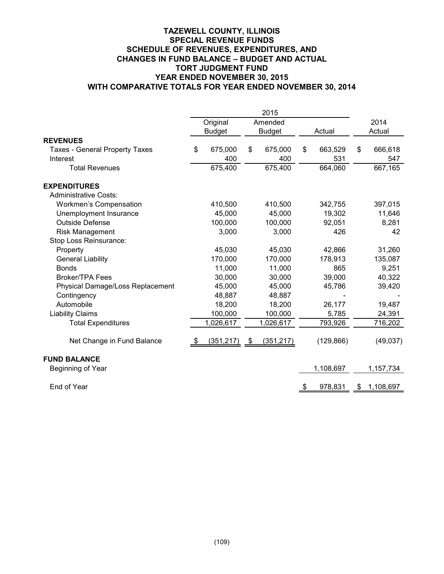## **TAZEWELL COUNTY, ILLINOIS SPECIAL REVENUE FUNDS SCHEDULE OF REVENUES, EXPENDITURES, AND CHANGES IN FUND BALANCE – BUDGET AND ACTUAL TORT JUDGMENT FUND YEAR ENDED NOVEMBER 30, 2015 WITH COMPARATIVE TOTALS FOR YEAR ENDED NOVEMBER 30, 2014**

|                                       |      | Original      |      | Amended       |               |            |    | 2014      |
|---------------------------------------|------|---------------|------|---------------|---------------|------------|----|-----------|
|                                       |      | <b>Budget</b> |      | <b>Budget</b> |               | Actual     |    | Actual    |
| <b>REVENUES</b>                       |      |               |      |               |               |            |    |           |
| <b>Taxes - General Property Taxes</b> | \$   | 675,000       | \$   | 675,000       | \$            | 663,529    | \$ | 666,618   |
| Interest                              |      | 400           |      | 400           |               | 531        |    | 547       |
| <b>Total Revenues</b>                 |      | 675,400       |      | 675,400       |               | 664,060    |    | 667,165   |
| <b>EXPENDITURES</b>                   |      |               |      |               |               |            |    |           |
| <b>Administrative Costs:</b>          |      |               |      |               |               |            |    |           |
| <b>Workmen's Compensation</b>         |      | 410,500       |      | 410,500       |               | 342,755    |    | 397,015   |
| Unemployment Insurance                |      | 45,000        |      | 45,000        |               | 19,302     |    | 11,646    |
| <b>Outside Defense</b>                |      | 100,000       |      | 100,000       |               | 92,051     |    | 8,281     |
| <b>Risk Management</b>                |      | 3,000         |      | 3,000         |               | 426        |    | 42        |
| Stop Loss Reinsurance:                |      |               |      |               |               |            |    |           |
| Property                              |      | 45,030        |      | 45,030        |               | 42,866     |    | 31,260    |
| <b>General Liability</b>              |      | 170,000       |      | 170,000       |               | 178,913    |    | 135,087   |
| <b>Bonds</b>                          |      | 11,000        |      | 11,000        |               | 865        |    | 9,251     |
| <b>Broker/TPA Fees</b>                |      | 30,000        |      | 30,000        |               | 39,000     |    | 40,322    |
| Physical Damage/Loss Replacement      |      | 45,000        |      | 45,000        |               | 45,786     |    | 39,420    |
| Contingency                           |      | 48,887        |      | 48,887        |               |            |    |           |
| Automobile                            |      | 18,200        |      | 18,200        |               | 26,177     |    | 19,487    |
| <b>Liability Claims</b>               |      | 100,000       |      | 100,000       |               | 5,785      |    | 24,391    |
| <b>Total Expenditures</b>             |      | 1,026,617     |      | 1,026,617     |               | 793,926    |    | 716,202   |
| Net Change in Fund Balance            | - \$ | (351, 217)    | - \$ | (351, 217)    |               | (129, 866) |    | (49, 037) |
| <b>FUND BALANCE</b>                   |      |               |      |               |               |            |    |           |
| Beginning of Year                     |      |               |      |               |               | 1,108,697  |    | 1,157,734 |
| End of Year                           |      |               |      |               | $\frac{1}{2}$ | 978,831    | S. | 1,108,697 |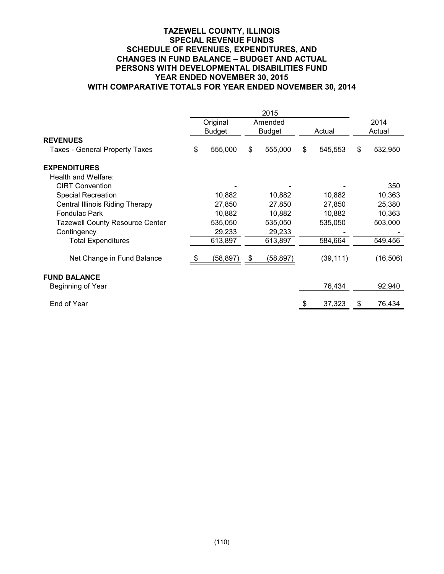## **TAZEWELL COUNTY, ILLINOIS SPECIAL REVENUE FUNDS SCHEDULE OF REVENUES, EXPENDITURES, AND CHANGES IN FUND BALANCE – BUDGET AND ACTUAL PERSONS WITH DEVELOPMENTAL DISABILITIES FUND YEAR ENDED NOVEMBER 30, 2015 WITH COMPARATIVE TOTALS FOR YEAR ENDED NOVEMBER 30, 2014**

|                                        | Original      |    | Amended       |    |           |    | 2014      |
|----------------------------------------|---------------|----|---------------|----|-----------|----|-----------|
|                                        | <b>Budget</b> |    | <b>Budget</b> |    | Actual    |    | Actual    |
| <b>REVENUES</b>                        |               |    |               |    |           |    |           |
| <b>Taxes - General Property Taxes</b>  | \$<br>555,000 | \$ | 555,000       | \$ | 545,553   | \$ | 532,950   |
| <b>EXPENDITURES</b>                    |               |    |               |    |           |    |           |
| Health and Welfare:                    |               |    |               |    |           |    |           |
| <b>CIRT Convention</b>                 |               |    |               |    |           |    | 350       |
| <b>Special Recreation</b>              | 10,882        |    | 10,882        |    | 10,882    |    | 10,363    |
| Central Illinois Riding Therapy        | 27,850        |    | 27,850        |    | 27,850    |    | 25,380    |
| Fondulac Park                          | 10,882        |    | 10,882        |    | 10,882    |    | 10,363    |
| <b>Tazewell County Resource Center</b> | 535,050       |    | 535,050       |    | 535,050   |    | 503,000   |
| Contingency                            | 29,233        |    | 29,233        |    |           |    |           |
| <b>Total Expenditures</b>              | 613,897       |    | 613,897       |    | 584,664   |    | 549,456   |
| Net Change in Fund Balance             | (58, 897)     | Ъ  | (58,897)      |    | (39, 111) |    | (16, 506) |
| <b>FUND BALANCE</b>                    |               |    |               |    |           |    |           |
| Beginning of Year                      |               |    |               |    | 76,434    |    | 92,940    |
| End of Year                            |               |    |               |    | 37,323    | æ. | 76,434    |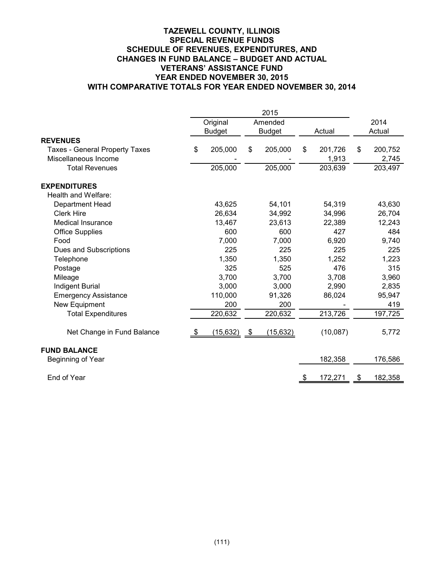## **TAZEWELL COUNTY, ILLINOIS SPECIAL REVENUE FUNDS SCHEDULE OF REVENUES, EXPENDITURES, AND CHANGES IN FUND BALANCE – BUDGET AND ACTUAL VETERANS' ASSISTANCE FUND YEAR ENDED NOVEMBER 30, 2015 WITH COMPARATIVE TOTALS FOR YEAR ENDED NOVEMBER 30, 2014**

|                                       | 2015 |               |    |               |    |          |    |         |
|---------------------------------------|------|---------------|----|---------------|----|----------|----|---------|
|                                       |      | Original      |    | Amended       |    |          |    | 2014    |
|                                       |      | <b>Budget</b> |    | <b>Budget</b> |    | Actual   |    | Actual  |
| <b>REVENUES</b>                       |      |               |    |               |    |          |    |         |
| <b>Taxes - General Property Taxes</b> | \$   | 205,000       | \$ | 205,000       | \$ | 201,726  | \$ | 200,752 |
| Miscellaneous Income                  |      |               |    |               |    | 1,913    |    | 2,745   |
| <b>Total Revenues</b>                 |      | 205,000       |    | 205,000       |    | 203,639  |    | 203,497 |
| <b>EXPENDITURES</b>                   |      |               |    |               |    |          |    |         |
| Health and Welfare:                   |      |               |    |               |    |          |    |         |
| Department Head                       |      | 43,625        |    | 54,101        |    | 54,319   |    | 43,630  |
| <b>Clerk Hire</b>                     |      | 26,634        |    | 34,992        |    | 34,996   |    | 26,704  |
| <b>Medical Insurance</b>              |      | 13,467        |    | 23,613        |    | 22,389   |    | 12,243  |
| <b>Office Supplies</b>                |      | 600           |    | 600           |    | 427      |    | 484     |
| Food                                  |      | 7,000         |    | 7,000         |    | 6,920    |    | 9,740   |
| Dues and Subscriptions                |      | 225           |    | 225           |    | 225      |    | 225     |
| Telephone                             |      | 1,350         |    | 1,350         |    | 1,252    |    | 1,223   |
| Postage                               |      | 325           |    | 525           |    | 476      |    | 315     |
| Mileage                               |      | 3,700         |    | 3,700         |    | 3,708    |    | 3,960   |
| <b>Indigent Burial</b>                |      | 3,000         |    | 3,000         |    | 2,990    |    | 2,835   |
| <b>Emergency Assistance</b>           |      | 110,000       |    | 91,326        |    | 86,024   |    | 95,947  |
| New Equipment                         |      | 200           |    | 200           |    |          |    | 419     |
| <b>Total Expenditures</b>             |      | 220,632       |    | 220,632       |    | 213,726  |    | 197,725 |
| Net Change in Fund Balance            | - \$ | (15, 632)     | \$ | (15, 632)     |    | (10,087) |    | 5,772   |
| <b>FUND BALANCE</b>                   |      |               |    |               |    |          |    |         |
| Beginning of Year                     |      |               |    |               |    | 182,358  |    | 176,586 |
| End of Year                           |      |               |    |               |    | 172,271  | \$ | 182,358 |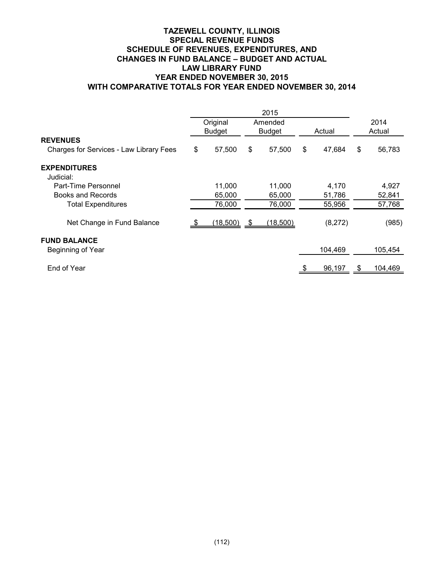## **TAZEWELL COUNTY, ILLINOIS SPECIAL REVENUE FUNDS SCHEDULE OF REVENUES, EXPENDITURES, AND CHANGES IN FUND BALANCE – BUDGET AND ACTUAL LAW LIBRARY FUND YEAR ENDED NOVEMBER 30, 2015 WITH COMPARATIVE TOTALS FOR YEAR ENDED NOVEMBER 30, 2014**

|                                         | Original      |      | Amended       |    |         | 2014         |
|-----------------------------------------|---------------|------|---------------|----|---------|--------------|
|                                         | <b>Budget</b> |      | <b>Budget</b> |    | Actual  | Actual       |
| <b>REVENUES</b>                         |               |      |               |    |         |              |
| Charges for Services - Law Library Fees | \$<br>57,500  | \$   | 57,500        | \$ | 47,684  | \$<br>56,783 |
| <b>EXPENDITURES</b>                     |               |      |               |    |         |              |
| Judicial:                               |               |      |               |    |         |              |
| Part-Time Personnel                     | 11,000        |      | 11,000        |    | 4,170   | 4,927        |
| Books and Records                       | 65,000        |      | 65,000        |    | 51,786  | 52,841       |
| Total Expenditures                      | 76,000        |      | 76,000        |    | 55,956  | 57,768       |
| Net Change in Fund Balance              | (18, 500)     | - \$ | (18,500)      |    | (8,272) | (985)        |
| <b>FUND BALANCE</b>                     |               |      |               |    |         |              |
| Beginning of Year                       |               |      |               |    | 104,469 | 105,454      |
| End of Year                             |               |      |               |    | 96,197  | 104,469      |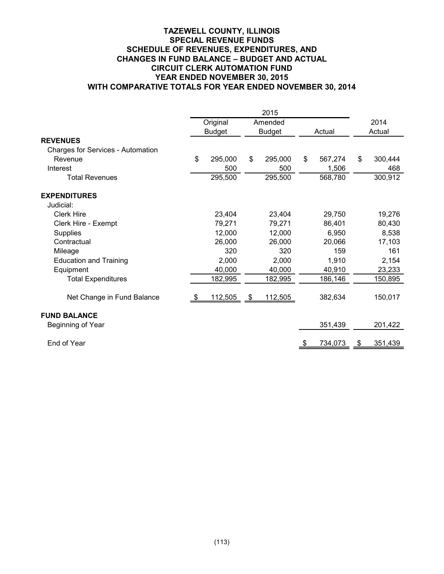## **TAZEWELL COUNTY, ILLINOIS SPECIAL REVENUE FUNDS SCHEDULE OF REVENUES, EXPENDITURES, AND CHANGES IN FUND BALANCE – BUDGET AND ACTUAL CIRCUIT CLERK AUTOMATION FUND YEAR ENDED NOVEMBER 30, 2015 WITH COMPARATIVE TOTALS FOR YEAR ENDED NOVEMBER 30, 2014**

|                                          |      | Original      | Amended       |    |         | 2014          |
|------------------------------------------|------|---------------|---------------|----|---------|---------------|
|                                          |      | <b>Budget</b> | <b>Budget</b> |    | Actual  | Actual        |
| <b>REVENUES</b>                          |      |               |               |    |         |               |
| <b>Charges for Services - Automation</b> |      |               |               |    |         |               |
| Revenue                                  | \$   | 295,000       | \$<br>295,000 | \$ | 567,274 | \$<br>300,444 |
| Interest                                 |      | 500           | 500           |    | 1,506   | 468           |
| <b>Total Revenues</b>                    |      | 295,500       | 295,500       |    | 568,780 | 300,912       |
| <b>EXPENDITURES</b>                      |      |               |               |    |         |               |
| Judicial:                                |      |               |               |    |         |               |
| <b>Clerk Hire</b>                        |      | 23,404        | 23,404        |    | 29,750  | 19,276        |
| Clerk Hire - Exempt                      |      | 79,271        | 79,271        |    | 86,401  | 80,430        |
| Supplies                                 |      | 12,000        | 12,000        |    | 6,950   | 8,538         |
| Contractual                              |      | 26,000        | 26,000        |    | 20,066  | 17,103        |
| Mileage                                  |      | 320           | 320           |    | 159     | 161           |
| <b>Education and Training</b>            |      | 2,000         | 2,000         |    | 1,910   | 2,154         |
| Equipment                                |      | 40,000        | 40,000        |    | 40,910  | 23,233        |
| <b>Total Expenditures</b>                |      | 182,995       | 182,995       |    | 186,146 | 150,895       |
| Net Change in Fund Balance               | - 56 | 112,505       | \$<br>112,505 |    | 382,634 | 150,017       |
| <b>FUND BALANCE</b>                      |      |               |               |    |         |               |
| Beginning of Year                        |      |               |               |    | 351,439 | 201,422       |
| End of Year                              |      |               |               | \$ | 734,073 | \$<br>351,439 |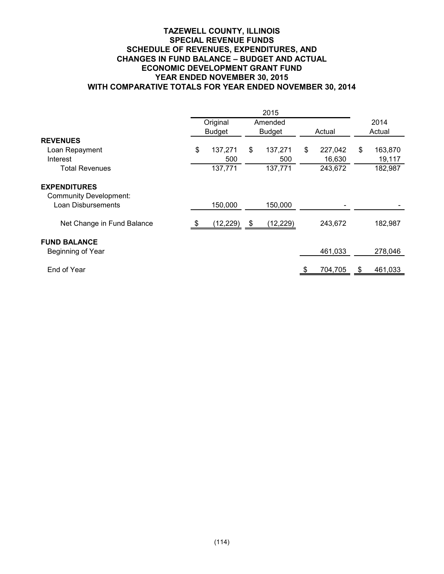## **TAZEWELL COUNTY, ILLINOIS SPECIAL REVENUE FUNDS SCHEDULE OF REVENUES, EXPENDITURES, AND CHANGES IN FUND BALANCE – BUDGET AND ACTUAL ECONOMIC DEVELOPMENT GRANT FUND YEAR ENDED NOVEMBER 30, 2015 WITH COMPARATIVE TOTALS FOR YEAR ENDED NOVEMBER 30, 2014**

|                               |               | 2015     |               |    |         |      |         |  |  |
|-------------------------------|---------------|----------|---------------|----|---------|------|---------|--|--|
|                               | Original      |          | Amended       |    |         |      | 2014    |  |  |
|                               | <b>Budget</b> |          | <b>Budget</b> |    | Actual  |      | Actual  |  |  |
| <b>REVENUES</b>               |               |          |               |    |         |      |         |  |  |
| Loan Repayment                | \$<br>137,271 | \$       | 137,271       | \$ | 227,042 | \$   | 163,870 |  |  |
| Interest                      | 500           |          | 500           |    | 16,630  |      | 19,117  |  |  |
| <b>Total Revenues</b>         | 137,771       |          | 137,771       |    | 243,672 |      | 182,987 |  |  |
| <b>EXPENDITURES</b>           |               |          |               |    |         |      |         |  |  |
| <b>Community Development:</b> |               |          |               |    |         |      |         |  |  |
| Loan Disbursements            | 150,000       |          | 150,000       |    |         |      |         |  |  |
| Net Change in Fund Balance    | (12, 229)     | <u>s</u> | (12, 229)     |    | 243,672 |      | 182,987 |  |  |
| <b>FUND BALANCE</b>           |               |          |               |    |         |      |         |  |  |
| Beginning of Year             |               |          |               |    | 461,033 |      | 278,046 |  |  |
| End of Year                   |               |          |               |    | 704,705 | - \$ | 461,033 |  |  |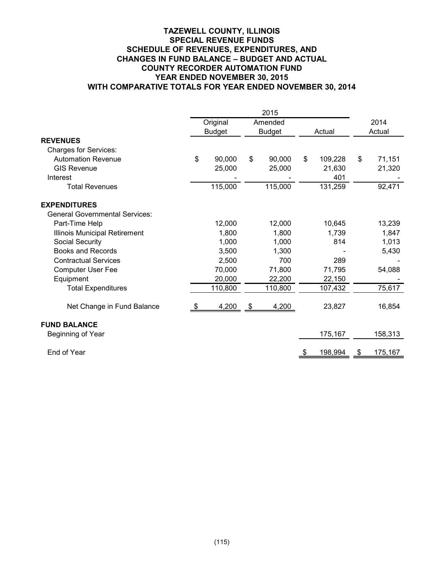## **TAZEWELL COUNTY, ILLINOIS SPECIAL REVENUE FUNDS SCHEDULE OF REVENUES, EXPENDITURES, AND CHANGES IN FUND BALANCE – BUDGET AND ACTUAL COUNTY RECORDER AUTOMATION FUND YEAR ENDED NOVEMBER 30, 2015 WITH COMPARATIVE TOTALS FOR YEAR ENDED NOVEMBER 30, 2014**

|                                       |      | Original      | Amended       |              |         | 2014          |
|---------------------------------------|------|---------------|---------------|--------------|---------|---------------|
|                                       |      | <b>Budget</b> | <b>Budget</b> |              | Actual  | Actual        |
| <b>REVENUES</b>                       |      |               |               |              |         |               |
| <b>Charges for Services:</b>          |      |               |               |              |         |               |
| <b>Automation Revenue</b>             | \$   | 90,000        | \$<br>90,000  | \$           | 109,228 | \$<br>71,151  |
| <b>GIS Revenue</b>                    |      | 25,000        | 25,000        |              | 21,630  | 21,320        |
| Interest                              |      |               |               |              | 401     |               |
| <b>Total Revenues</b>                 |      | 115,000       | 115,000       |              | 131,259 | 92,471        |
| <b>EXPENDITURES</b>                   |      |               |               |              |         |               |
| <b>General Governmental Services:</b> |      |               |               |              |         |               |
| Part-Time Help                        |      | 12,000        | 12,000        |              | 10,645  | 13,239        |
| Illinois Municipal Retirement         |      | 1,800         | 1,800         |              | 1,739   | 1,847         |
| Social Security                       |      | 1,000         | 1,000         |              | 814     | 1,013         |
| <b>Books and Records</b>              |      | 3,500         | 1,300         |              |         | 5,430         |
| <b>Contractual Services</b>           |      | 2,500         | 700           |              | 289     |               |
| <b>Computer User Fee</b>              |      | 70,000        | 71,800        |              | 71,795  | 54,088        |
| Equipment                             |      | 20,000        | 22,200        |              | 22,150  |               |
| <b>Total Expenditures</b>             |      | 110,800       | 110,800       |              | 107,432 | 75,617        |
| Net Change in Fund Balance            | - \$ | 4,200         | \$<br>4,200   |              | 23,827  | 16,854        |
| <b>FUND BALANCE</b>                   |      |               |               |              |         |               |
| Beginning of Year                     |      |               |               |              | 175,167 | 158,313       |
| End of Year                           |      |               |               | $\triangleq$ | 198,994 | \$<br>175,167 |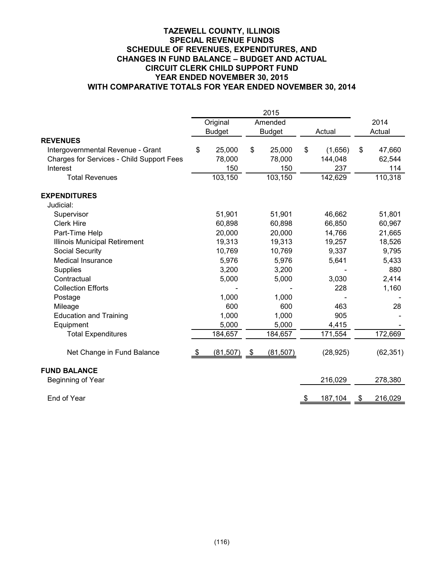## **TAZEWELL COUNTY, ILLINOIS SPECIAL REVENUE FUNDS SCHEDULE OF REVENUES, EXPENDITURES, AND CHANGES IN FUND BALANCE – BUDGET AND ACTUAL CIRCUIT CLERK CHILD SUPPORT FUND YEAR ENDED NOVEMBER 30, 2015 WITH COMPARATIVE TOTALS FOR YEAR ENDED NOVEMBER 30, 2014**

|                                           | 2015 |               |    |               |    |           |    |           |
|-------------------------------------------|------|---------------|----|---------------|----|-----------|----|-----------|
|                                           |      | Original      |    | Amended       |    |           |    | 2014      |
|                                           |      | <b>Budget</b> |    | <b>Budget</b> |    | Actual    |    | Actual    |
| <b>REVENUES</b>                           |      |               |    |               |    |           |    |           |
| Intergovernmental Revenue - Grant         | \$   | 25,000        | \$ | 25,000        | \$ | (1,656)   | \$ | 47,660    |
| Charges for Services - Child Support Fees |      | 78,000        |    | 78,000        |    | 144,048   |    | 62,544    |
| Interest                                  |      | 150           |    | 150           |    | 237       |    | 114       |
| <b>Total Revenues</b>                     |      | 103,150       |    | 103,150       |    | 142,629   |    | 110,318   |
| <b>EXPENDITURES</b>                       |      |               |    |               |    |           |    |           |
| Judicial:                                 |      |               |    |               |    |           |    |           |
| Supervisor                                |      | 51,901        |    | 51,901        |    | 46,662    |    | 51,801    |
| <b>Clerk Hire</b>                         |      | 60,898        |    | 60,898        |    | 66,850    |    | 60,967    |
| Part-Time Help                            |      | 20,000        |    | 20,000        |    | 14,766    |    | 21,665    |
| <b>Illinois Municipal Retirement</b>      |      | 19,313        |    | 19,313        |    | 19,257    |    | 18,526    |
| <b>Social Security</b>                    |      | 10,769        |    | 10,769        |    | 9,337     |    | 9,795     |
| <b>Medical Insurance</b>                  |      | 5,976         |    | 5,976         |    | 5,641     |    | 5,433     |
| <b>Supplies</b>                           |      | 3,200         |    | 3,200         |    |           |    | 880       |
| Contractual                               |      | 5,000         |    | 5,000         |    | 3,030     |    | 2,414     |
| <b>Collection Efforts</b>                 |      |               |    |               |    | 228       |    | 1,160     |
| Postage                                   |      | 1,000         |    | 1,000         |    |           |    |           |
| Mileage                                   |      | 600           |    | 600           |    | 463       |    | 28        |
| <b>Education and Training</b>             |      | 1,000         |    | 1,000         |    | 905       |    |           |
| Equipment                                 |      | 5,000         |    | 5,000         |    | 4,415     |    |           |
| <b>Total Expenditures</b>                 |      | 184,657       |    | 184,657       |    | 171,554   |    | 172,669   |
| Net Change in Fund Balance                | -\$  | (81, 507)     | \$ | (81, 507)     |    | (28, 925) |    | (62, 351) |
| <b>FUND BALANCE</b>                       |      |               |    |               |    |           |    |           |
| Beginning of Year                         |      |               |    |               |    | 216,029   |    | 278,380   |
| End of Year                               |      |               |    |               | \$ | 187,104   | \$ | 216,029   |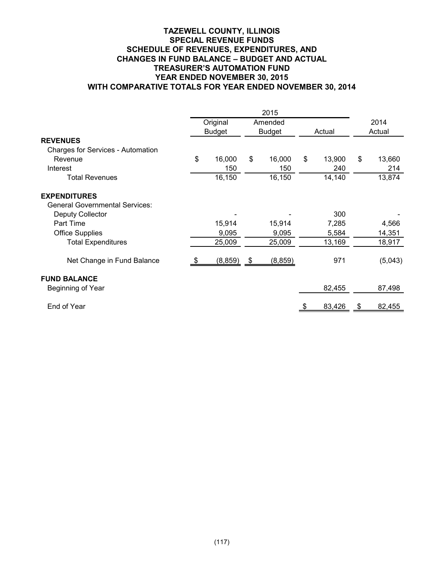## **TAZEWELL COUNTY, ILLINOIS SPECIAL REVENUE FUNDS SCHEDULE OF REVENUES, EXPENDITURES, AND CHANGES IN FUND BALANCE – BUDGET AND ACTUAL TREASURER'S AUTOMATION FUND YEAR ENDED NOVEMBER 30, 2015 WITH COMPARATIVE TOTALS FOR YEAR ENDED NOVEMBER 30, 2014**

|                                          | Original<br><b>Budget</b> | Amended<br><b>Budget</b> |    | Actual |    | 2014<br>Actual |
|------------------------------------------|---------------------------|--------------------------|----|--------|----|----------------|
| <b>REVENUES</b>                          |                           |                          |    |        |    |                |
| <b>Charges for Services - Automation</b> |                           |                          |    |        |    |                |
| Revenue                                  | \$<br>16,000              | \$<br>16,000             | \$ | 13,900 | \$ | 13,660         |
| Interest                                 | 150                       | 150                      |    | 240    |    | 214            |
| <b>Total Revenues</b>                    | 16,150                    | 16,150                   |    | 14,140 |    | 13,874         |
| <b>EXPENDITURES</b>                      |                           |                          |    |        |    |                |
| <b>General Governmental Services:</b>    |                           |                          |    |        |    |                |
| <b>Deputy Collector</b>                  |                           |                          |    | 300    |    |                |
| Part Time                                | 15,914                    | 15,914                   |    | 7,285  |    | 4,566          |
| <b>Office Supplies</b>                   | 9,095                     | 9,095                    |    | 5,584  |    | 14,351         |
| <b>Total Expenditures</b>                | 25,009                    | 25,009                   |    | 13,169 |    | 18,917         |
| Net Change in Fund Balance               | \$<br>$(8,859)$ \$        | (8, 859)                 |    | 971    |    | (5,043)        |
| <b>FUND BALANCE</b>                      |                           |                          |    |        |    |                |
| Beginning of Year                        |                           |                          |    | 82,455 |    | 87,498         |
| End of Year                              |                           |                          |    | 83,426 | S. | 82,455         |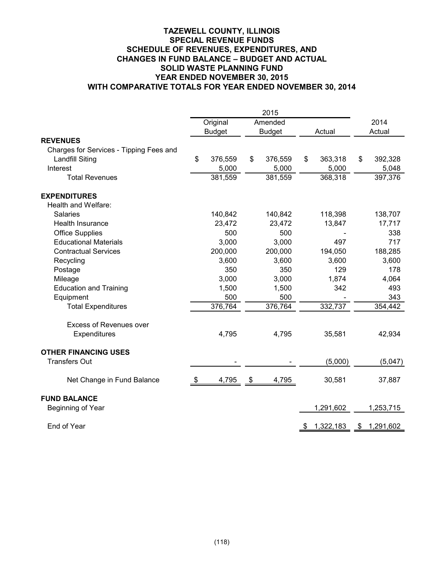## **TAZEWELL COUNTY, ILLINOIS SPECIAL REVENUE FUNDS SCHEDULE OF REVENUES, EXPENDITURES, AND CHANGES IN FUND BALANCE – BUDGET AND ACTUAL SOLID WASTE PLANNING FUND YEAR ENDED NOVEMBER 30, 2015 WITH COMPARATIVE TOTALS FOR YEAR ENDED NOVEMBER 30, 2014**

|                                         |      |               |               | 2015          |                 |                 |
|-----------------------------------------|------|---------------|---------------|---------------|-----------------|-----------------|
|                                         |      | Original      |               | Amended       |                 | 2014            |
|                                         |      | <b>Budget</b> |               | <b>Budget</b> | Actual          | Actual          |
| <b>REVENUES</b>                         |      |               |               |               |                 |                 |
| Charges for Services - Tipping Fees and |      |               |               |               |                 |                 |
| <b>Landfill Siting</b>                  | \$   | 376,559       | \$            | 376,559       | \$<br>363,318   | \$<br>392,328   |
| Interest                                |      | 5,000         |               | 5,000         | 5,000           | 5,048           |
| <b>Total Revenues</b>                   |      | 381,559       |               | 381,559       | 368,318         | 397,376         |
| <b>EXPENDITURES</b>                     |      |               |               |               |                 |                 |
| Health and Welfare:                     |      |               |               |               |                 |                 |
| <b>Salaries</b>                         |      | 140,842       |               | 140,842       | 118,398         | 138,707         |
| Health Insurance                        |      | 23,472        |               | 23,472        | 13,847          | 17,717          |
| <b>Office Supplies</b>                  |      | 500           |               | 500           |                 | 338             |
| <b>Educational Materials</b>            |      | 3,000         |               | 3,000         | 497             | 717             |
| <b>Contractual Services</b>             |      | 200,000       |               | 200,000       | 194,050         | 188,285         |
| Recycling                               |      | 3,600         |               | 3,600         | 3,600           | 3,600           |
| Postage                                 |      | 350           |               | 350           | 129             | 178             |
| Mileage                                 |      | 3,000         |               | 3,000         | 1,874           | 4,064           |
| <b>Education and Training</b>           |      | 1,500         |               | 1,500         | 342             | 493             |
| Equipment                               |      | 500           |               | 500           |                 | 343             |
| <b>Total Expenditures</b>               |      | 376,764       |               | 376,764       | 332,737         | 354,442         |
| <b>Excess of Revenues over</b>          |      |               |               |               |                 |                 |
| Expenditures                            |      | 4,795         |               | 4,795         | 35,581          | 42,934          |
| <b>OTHER FINANCING USES</b>             |      |               |               |               |                 |                 |
| <b>Transfers Out</b>                    |      |               |               |               | (5,000)         | (5,047)         |
| Net Change in Fund Balance              | - \$ | 4,795         | $\frac{1}{2}$ | 4,795         | 30,581          | 37,887          |
| <b>FUND BALANCE</b>                     |      |               |               |               |                 |                 |
| Beginning of Year                       |      |               |               |               | 1,291,602       | 1,253,715       |
| End of Year                             |      |               |               |               | \$<br>1,322,183 | \$<br>1,291,602 |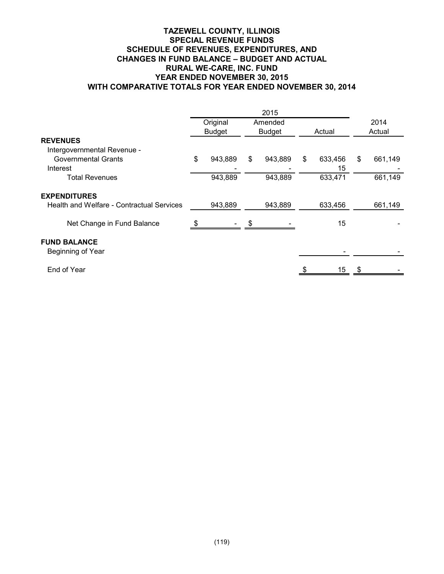## **TAZEWELL COUNTY, ILLINOIS SPECIAL REVENUE FUNDS SCHEDULE OF REVENUES, EXPENDITURES, AND CHANGES IN FUND BALANCE – BUDGET AND ACTUAL RURAL WE-CARE, INC. FUND YEAR ENDED NOVEMBER 30, 2015 WITH COMPARATIVE TOTALS FOR YEAR ENDED NOVEMBER 30, 2014**

|                                                                  |    | Original      | Amended       |    |         | 2014          |
|------------------------------------------------------------------|----|---------------|---------------|----|---------|---------------|
|                                                                  |    | <b>Budget</b> | <b>Budget</b> |    | Actual  | Actual        |
| <b>REVENUES</b>                                                  |    |               |               |    |         |               |
| Intergovernmental Revenue -                                      |    |               |               |    |         |               |
| <b>Governmental Grants</b>                                       | \$ | 943,889       | \$<br>943,889 | \$ | 633,456 | \$<br>661,149 |
| Interest                                                         |    |               |               |    | 15      |               |
| <b>Total Revenues</b>                                            |    | 943,889       | 943,889       |    | 633,471 | 661,149       |
| <b>EXPENDITURES</b><br>Health and Welfare - Contractual Services |    |               |               |    |         |               |
|                                                                  |    | 943,889       | 943,889       |    | 633,456 | 661,149       |
| Net Change in Fund Balance                                       |    |               |               |    | 15      |               |
| <b>FUND BALANCE</b><br>Beginning of Year                         |    |               |               |    |         |               |
| End of Year                                                      |    |               |               |    | 15.     |               |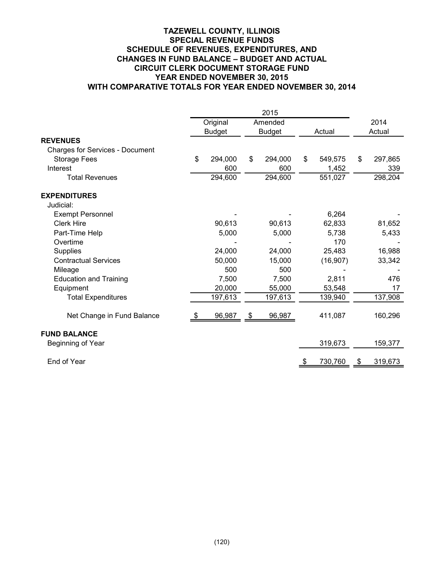## **TAZEWELL COUNTY, ILLINOIS SPECIAL REVENUE FUNDS SCHEDULE OF REVENUES, EXPENDITURES, AND CHANGES IN FUND BALANCE – BUDGET AND ACTUAL CIRCUIT CLERK DOCUMENT STORAGE FUND YEAR ENDED NOVEMBER 30, 2015 WITH COMPARATIVE TOTALS FOR YEAR ENDED NOVEMBER 30, 2014**

|                                        | Original      | Amended       |    |           | 2014          |
|----------------------------------------|---------------|---------------|----|-----------|---------------|
|                                        | <b>Budget</b> | <b>Budget</b> |    | Actual    | Actual        |
| <b>REVENUES</b>                        |               |               |    |           |               |
| <b>Charges for Services - Document</b> |               |               |    |           |               |
| <b>Storage Fees</b>                    | \$<br>294,000 | \$<br>294,000 | \$ | 549,575   | \$<br>297,865 |
| Interest                               | 600           | 600           |    | 1,452     | 339           |
| <b>Total Revenues</b>                  | 294,600       | 294,600       |    | 551,027   | 298,204       |
| <b>EXPENDITURES</b>                    |               |               |    |           |               |
| Judicial:                              |               |               |    |           |               |
| <b>Exempt Personnel</b>                |               |               |    | 6,264     |               |
| <b>Clerk Hire</b>                      | 90,613        | 90,613        |    | 62,833    | 81,652        |
| Part-Time Help                         | 5,000         | 5,000         |    | 5,738     | 5,433         |
| Overtime                               |               |               |    | 170       |               |
| <b>Supplies</b>                        | 24,000        | 24,000        |    | 25,483    | 16,988        |
| <b>Contractual Services</b>            | 50,000        | 15,000        |    | (16, 907) | 33,342        |
| Mileage                                | 500           | 500           |    |           |               |
| <b>Education and Training</b>          | 7,500         | 7,500         |    | 2,811     | 476           |
| Equipment                              | 20,000        | 55,000        |    | 53,548    | 17            |
| <b>Total Expenditures</b>              | 197,613       | 197,613       |    | 139,940   | 137,908       |
| Net Change in Fund Balance             | 96,987        | \$<br>96,987  |    | 411,087   | 160,296       |
| <b>FUND BALANCE</b>                    |               |               |    |           |               |
| Beginning of Year                      |               |               |    | 319,673   | 159,377       |
| End of Year                            |               |               | ≗  | 730,760   | \$<br>319,673 |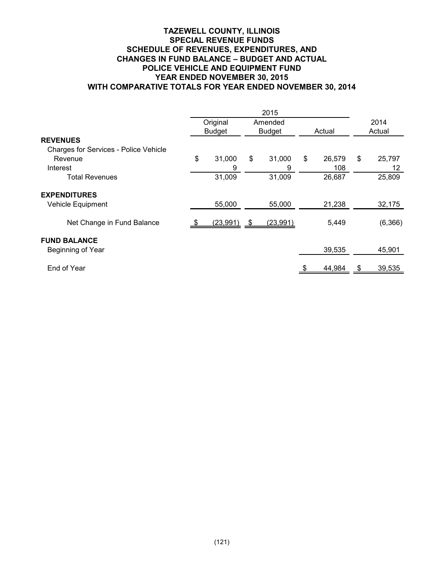## **TAZEWELL COUNTY, ILLINOIS SPECIAL REVENUE FUNDS SCHEDULE OF REVENUES, EXPENDITURES, AND CHANGES IN FUND BALANCE – BUDGET AND ACTUAL POLICE VEHICLE AND EQUIPMENT FUND YEAR ENDED NOVEMBER 30, 2015 WITH COMPARATIVE TOTALS FOR YEAR ENDED NOVEMBER 30, 2014**

|                                              | 2015 |               |    |               |    |        |      |          |  |
|----------------------------------------------|------|---------------|----|---------------|----|--------|------|----------|--|
|                                              |      | Original      |    | Amended       |    |        | 2014 |          |  |
|                                              |      | <b>Budget</b> |    | <b>Budget</b> |    | Actual |      | Actual   |  |
| <b>REVENUES</b>                              |      |               |    |               |    |        |      |          |  |
| <b>Charges for Services - Police Vehicle</b> |      |               |    |               |    |        |      |          |  |
| Revenue                                      | \$   | 31,000        | \$ | 31,000        | \$ | 26,579 | \$   | 25,797   |  |
| Interest                                     |      | 9             |    | 9             |    | 108    |      | 12       |  |
| <b>Total Revenues</b>                        |      | 31,009        |    | 31,009        |    | 26,687 |      | 25,809   |  |
| <b>EXPENDITURES</b>                          |      |               |    |               |    |        |      |          |  |
| Vehicle Equipment                            |      | 55,000        |    | 55,000        |    | 21,238 |      | 32,175   |  |
| Net Change in Fund Balance                   |      | $(23,991)$ \$ |    | (23, 991)     |    | 5,449  |      | (6, 366) |  |
| <b>FUND BALANCE</b>                          |      |               |    |               |    |        |      |          |  |
| Beginning of Year                            |      |               |    |               |    | 39,535 |      | 45,901   |  |
| End of Year                                  |      |               |    |               |    | 44,984 |      | 39,535   |  |
|                                              |      |               |    |               |    |        |      |          |  |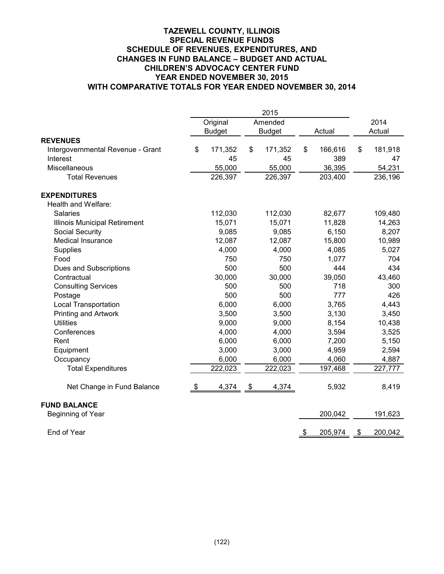## **TAZEWELL COUNTY, ILLINOIS SPECIAL REVENUE FUNDS SCHEDULE OF REVENUES, EXPENDITURES, AND CHANGES IN FUND BALANCE – BUDGET AND ACTUAL CHILDREN'S ADVOCACY CENTER FUND YEAR ENDED NOVEMBER 30, 2015 WITH COMPARATIVE TOTALS FOR YEAR ENDED NOVEMBER 30, 2014**

|                                   |                         | Original      |               | Amended       |    |         | 2014          |
|-----------------------------------|-------------------------|---------------|---------------|---------------|----|---------|---------------|
|                                   |                         | <b>Budget</b> |               | <b>Budget</b> |    | Actual  | Actual        |
| <b>REVENUES</b>                   |                         |               |               |               |    |         |               |
| Intergovernmental Revenue - Grant | \$                      | 171,352       | \$            | 171,352       | \$ | 166,616 | \$<br>181,918 |
| Interest                          |                         | 45            |               | 45            |    | 389     | 47            |
| Miscellaneous                     |                         | 55,000        |               | 55,000        |    | 36,395  | 54,231        |
| <b>Total Revenues</b>             |                         | 226,397       |               | 226,397       |    | 203,400 | 236,196       |
| <b>EXPENDITURES</b>               |                         |               |               |               |    |         |               |
| Health and Welfare:               |                         |               |               |               |    |         |               |
| <b>Salaries</b>                   |                         | 112,030       |               | 112,030       |    | 82,677  | 109,480       |
| Illinois Municipal Retirement     |                         | 15,071        |               | 15,071        |    | 11,828  | 14,263        |
| <b>Social Security</b>            |                         | 9,085         |               | 9,085         |    | 6,150   | 8,207         |
| <b>Medical Insurance</b>          |                         | 12,087        |               | 12,087        |    | 15,800  | 10,989        |
| Supplies                          |                         | 4,000         |               | 4,000         |    | 4,085   | 5,027         |
| Food                              |                         | 750           |               | 750           |    | 1,077   | 704           |
| Dues and Subscriptions            |                         | 500           |               | 500           |    | 444     | 434           |
| Contractual                       |                         | 30,000        |               | 30,000        |    | 39,050  | 43,460        |
| <b>Consulting Services</b>        |                         | 500           |               | 500           |    | 718     | 300           |
| Postage                           |                         | 500           |               | 500           |    | 777     | 426           |
| <b>Local Transportation</b>       |                         | 6,000         |               | 6,000         |    | 3,765   | 4,443         |
| <b>Printing and Artwork</b>       |                         | 3,500         |               | 3,500         |    | 3,130   | 3,450         |
| <b>Utilities</b>                  |                         | 9,000         |               | 9,000         |    | 8,154   | 10,438        |
| Conferences                       |                         | 4,000         |               | 4,000         |    | 3,594   | 3,525         |
| Rent                              |                         | 6,000         |               | 6,000         |    | 7,200   | 5,150         |
| Equipment                         |                         | 3,000         |               | 3,000         |    | 4,959   | 2,594         |
| Occupancy                         |                         | 6,000         |               | 6,000         |    | 4,060   | 4,887         |
| <b>Total Expenditures</b>         |                         | 222,023       |               | 222,023       |    | 197,468 | 227,777       |
| Net Change in Fund Balance        | $\sqrt[6]{\frac{1}{2}}$ | 4,374         | $\frac{1}{2}$ | 4,374         |    | 5,932   | 8,419         |
| <b>FUND BALANCE</b>               |                         |               |               |               |    |         |               |
| Beginning of Year                 |                         |               |               |               |    | 200,042 | 191,623       |
| End of Year                       |                         |               |               |               | \$ | 205,974 | \$<br>200,042 |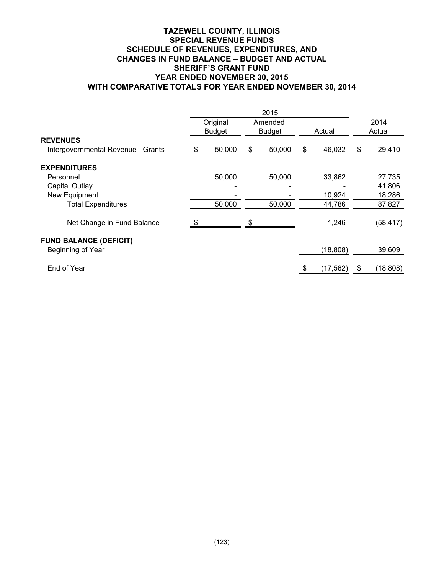## **TAZEWELL COUNTY, ILLINOIS SPECIAL REVENUE FUNDS SCHEDULE OF REVENUES, EXPENDITURES, AND CHANGES IN FUND BALANCE – BUDGET AND ACTUAL SHERIFF'S GRANT FUND YEAR ENDED NOVEMBER 30, 2015 WITH COMPARATIVE TOTALS FOR YEAR ENDED NOVEMBER 30, 2014**

|                                    |    | Original      | Amended       |              | 2014 |           |  |
|------------------------------------|----|---------------|---------------|--------------|------|-----------|--|
|                                    |    | <b>Budget</b> | <b>Budget</b> | Actual       |      | Actual    |  |
| <b>REVENUES</b>                    |    |               |               |              |      |           |  |
| Intergovernmental Revenue - Grants | \$ | 50,000        | \$<br>50,000  | \$<br>46,032 | \$   | 29,410    |  |
| <b>EXPENDITURES</b>                |    |               |               |              |      |           |  |
| Personnel                          |    | 50,000        | 50,000        | 33,862       |      | 27,735    |  |
| Capital Outlay                     |    |               |               |              |      | 41,806    |  |
| New Equipment                      |    |               |               | 10,924       |      | 18,286    |  |
| <b>Total Expenditures</b>          |    | 50,000        | 50,000        | 44,786       |      | 87,827    |  |
| Net Change in Fund Balance         |    |               |               | 1,246        |      | (58, 417) |  |
| <b>FUND BALANCE (DEFICIT)</b>      |    |               |               |              |      |           |  |
| Beginning of Year                  |    |               |               | (18, 808)    |      | 39,609    |  |
| End of Year                        |    |               |               | (17, 562)    |      | (18, 808) |  |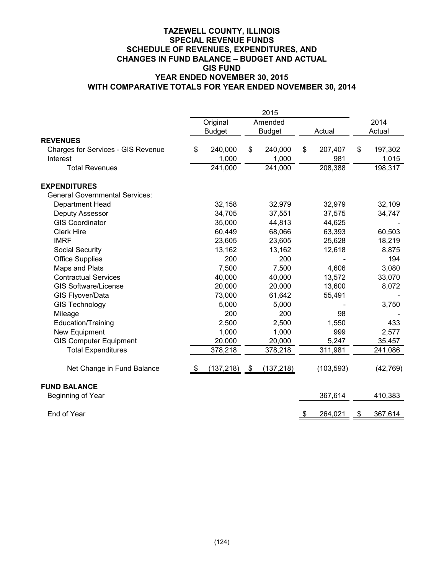## **TAZEWELL COUNTY, ILLINOIS SPECIAL REVENUE FUNDS SCHEDULE OF REVENUES, EXPENDITURES, AND CHANGES IN FUND BALANCE – BUDGET AND ACTUAL GIS FUND YEAR ENDED NOVEMBER 30, 2015 WITH COMPARATIVE TOTALS FOR YEAR ENDED NOVEMBER 30, 2014**

|                                           | Original         | Amended          |    |            | 2014          |
|-------------------------------------------|------------------|------------------|----|------------|---------------|
|                                           | <b>Budget</b>    | <b>Budget</b>    |    | Actual     | Actual        |
| <b>REVENUES</b>                           |                  |                  |    |            |               |
| <b>Charges for Services - GIS Revenue</b> | \$<br>240,000    | \$<br>240,000    | \$ | 207,407    | \$<br>197,302 |
| Interest                                  | 1,000            | 1,000            |    | 981        | 1,015         |
| <b>Total Revenues</b>                     | 241,000          | 241,000          |    | 208,388    | 198,317       |
| <b>EXPENDITURES</b>                       |                  |                  |    |            |               |
| <b>General Governmental Services:</b>     |                  |                  |    |            |               |
| <b>Department Head</b>                    | 32,158           | 32,979           |    | 32,979     | 32,109        |
| Deputy Assessor                           | 34,705           | 37,551           |    | 37,575     | 34,747        |
| <b>GIS Coordinator</b>                    | 35,000           | 44,813           |    | 44,625     |               |
| <b>Clerk Hire</b>                         | 60,449           | 68,066           |    | 63,393     | 60,503        |
| <b>IMRF</b>                               | 23,605           | 23,605           |    | 25,628     | 18,219        |
| <b>Social Security</b>                    | 13,162           | 13,162           |    | 12,618     | 8,875         |
| <b>Office Supplies</b>                    | 200              | 200              |    |            | 194           |
| Maps and Plats                            | 7,500            | 7,500            |    | 4,606      | 3,080         |
| <b>Contractual Services</b>               | 40,000           | 40,000           |    | 13,572     | 33,070        |
| <b>GIS Software/License</b>               | 20,000           | 20,000           |    | 13,600     | 8,072         |
| GIS Flyover/Data                          | 73,000           | 61,642           |    | 55,491     |               |
| <b>GIS Technology</b>                     | 5,000            | 5,000            |    |            | 3,750         |
| Mileage                                   | 200              | 200              |    | 98         |               |
| Education/Training                        | 2,500            | 2,500            |    | 1,550      | 433           |
| New Equipment                             | 1,000            | 1,000            |    | 999        | 2,577         |
| <b>GIS Computer Equipment</b>             | 20,000           | 20,000           |    | 5,247      | 35,457        |
| <b>Total Expenditures</b>                 | 378,218          | 378,218          |    | 311,981    | 241,086       |
| Net Change in Fund Balance                | \$<br>(137, 218) | \$<br>(137, 218) |    | (103, 593) | (42, 769)     |
| <b>FUND BALANCE</b>                       |                  |                  |    |            |               |
| Beginning of Year                         |                  |                  |    | 367,614    | 410,383       |
| End of Year                               |                  |                  | \$ | 264,021    | \$<br>367,614 |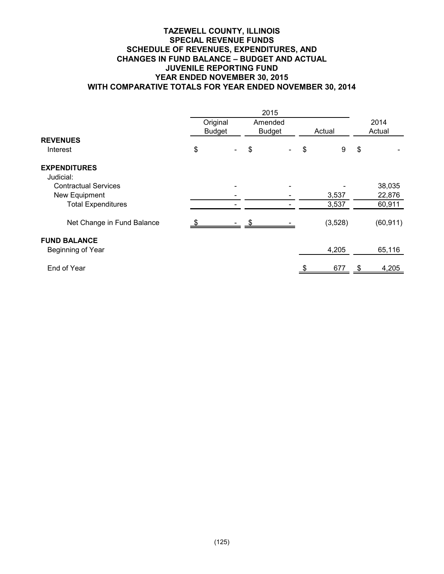## **TAZEWELL COUNTY, ILLINOIS SPECIAL REVENUE FUNDS SCHEDULE OF REVENUES, EXPENDITURES, AND CHANGES IN FUND BALANCE – BUDGET AND ACTUAL JUVENILE REPORTING FUND YEAR ENDED NOVEMBER 30, 2015 WITH COMPARATIVE TOTALS FOR YEAR ENDED NOVEMBER 30, 2014**

| 2015                                     |    |               |     |               |    |         |                           |           |  |
|------------------------------------------|----|---------------|-----|---------------|----|---------|---------------------------|-----------|--|
|                                          |    | Original      |     | Amended       |    |         |                           | 2014      |  |
|                                          |    | <b>Budget</b> |     | <b>Budget</b> |    | Actual  |                           | Actual    |  |
| <b>REVENUES</b>                          |    |               |     |               |    |         |                           |           |  |
| Interest                                 | \$ |               | \$  |               | \$ | 9       | $\boldsymbol{\mathsf{S}}$ |           |  |
| <b>EXPENDITURES</b>                      |    |               |     |               |    |         |                           |           |  |
| Judicial:                                |    |               |     |               |    |         |                           |           |  |
| <b>Contractual Services</b>              |    |               |     |               |    |         |                           | 38,035    |  |
| New Equipment                            |    |               |     |               |    | 3,537   |                           | 22,876    |  |
| <b>Total Expenditures</b>                |    |               |     |               |    | 3,537   |                           | 60,911    |  |
| Net Change in Fund Balance               |    |               | -\$ |               |    | (3,528) |                           | (60, 911) |  |
| <b>FUND BALANCE</b><br>Beginning of Year |    |               |     |               |    | 4,205   |                           | 65,116    |  |
|                                          |    |               |     |               |    |         |                           |           |  |
| End of Year                              |    |               |     |               |    | 677     |                           | 4,205     |  |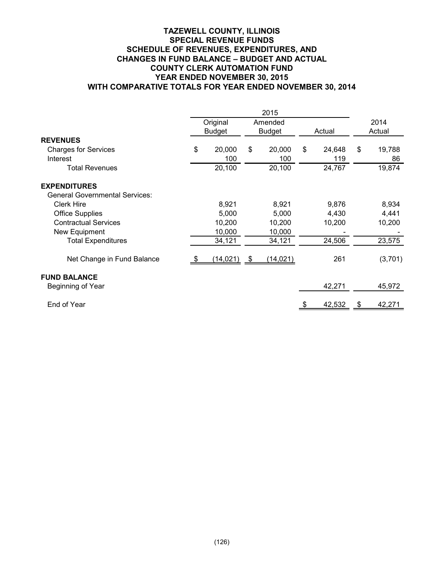## **TAZEWELL COUNTY, ILLINOIS SPECIAL REVENUE FUNDS SCHEDULE OF REVENUES, EXPENDITURES, AND CHANGES IN FUND BALANCE – BUDGET AND ACTUAL COUNTY CLERK AUTOMATION FUND YEAR ENDED NOVEMBER 30, 2015 WITH COMPARATIVE TOTALS FOR YEAR ENDED NOVEMBER 30, 2014**

|                                                              |      | Original<br><b>Budget</b> | Amended<br><b>Budget</b> |    | Actual        |    | 2014<br>Actual |
|--------------------------------------------------------------|------|---------------------------|--------------------------|----|---------------|----|----------------|
| <b>REVENUES</b>                                              |      |                           |                          |    |               |    |                |
| <b>Charges for Services</b><br>Interest                      | \$   | 20,000<br>100             | \$<br>20,000<br>100      | \$ | 24,648<br>119 | \$ | 19,788<br>86   |
| <b>Total Revenues</b>                                        |      | 20,100                    | 20,100                   |    | 24,767        |    | 19,874         |
| <b>EXPENDITURES</b><br><b>General Governmental Services:</b> |      |                           |                          |    |               |    |                |
| <b>Clerk Hire</b>                                            |      | 8,921                     | 8,921                    |    | 9,876         |    | 8,934          |
| <b>Office Supplies</b>                                       |      | 5,000                     | 5,000                    |    | 4,430         |    | 4,441          |
| <b>Contractual Services</b>                                  |      | 10,200                    | 10,200                   |    | 10,200        |    | 10,200         |
| New Equipment                                                |      | 10,000                    | 10,000                   |    |               |    |                |
| <b>Total Expenditures</b>                                    |      | 34,121                    | 34,121                   |    | 24,506        |    | 23,575         |
| Net Change in Fund Balance                                   | - 56 | (14, 021)                 | \$<br>(14, 021)          |    | 261           |    | (3,701)        |
| <b>FUND BALANCE</b>                                          |      |                           |                          |    |               |    |                |
| Beginning of Year                                            |      |                           |                          |    | 42,271        |    | 45,972         |
| End of Year                                                  |      |                           |                          |    | 42,532        |    | 42,271         |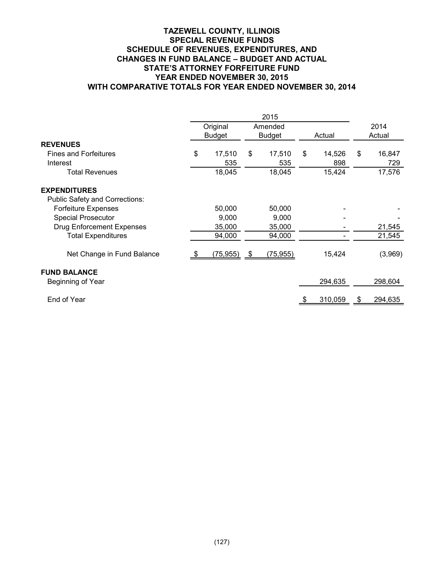## **TAZEWELL COUNTY, ILLINOIS SPECIAL REVENUE FUNDS SCHEDULE OF REVENUES, EXPENDITURES, AND CHANGES IN FUND BALANCE – BUDGET AND ACTUAL STATE'S ATTORNEY FORFEITURE FUND YEAR ENDED NOVEMBER 30, 2015 WITH COMPARATIVE TOTALS FOR YEAR ENDED NOVEMBER 30, 2014**

|                                       | Original      |      | Amended       |    |         | 2014         |  |
|---------------------------------------|---------------|------|---------------|----|---------|--------------|--|
|                                       | <b>Budget</b> |      | <b>Budget</b> |    | Actual  | Actual       |  |
| <b>REVENUES</b>                       |               |      |               |    |         |              |  |
| <b>Fines and Forfeitures</b>          | \$<br>17,510  | \$   | 17,510        | \$ | 14,526  | \$<br>16,847 |  |
| Interest                              | 535           |      | 535           |    | 898     | 729          |  |
| <b>Total Revenues</b>                 | 18,045        |      | 18,045        |    | 15,424  | 17,576       |  |
| <b>EXPENDITURES</b>                   |               |      |               |    |         |              |  |
| <b>Public Safety and Corrections:</b> |               |      |               |    |         |              |  |
| <b>Forfeiture Expenses</b>            | 50,000        |      | 50,000        |    |         |              |  |
| <b>Special Prosecutor</b>             | 9,000         |      | 9,000         |    |         |              |  |
| <b>Drug Enforcement Expenses</b>      | 35,000        |      | 35,000        |    |         | 21,545       |  |
| <b>Total Expenditures</b>             | 94,000        |      | 94,000        |    |         | 21,545       |  |
| Net Change in Fund Balance            | (75, 955)     | - \$ | (75, 955)     |    | 15,424  | (3,969)      |  |
| <b>FUND BALANCE</b>                   |               |      |               |    |         |              |  |
| Beginning of Year                     |               |      |               |    | 294,635 | 298,604      |  |
| End of Year                           |               |      |               |    | 310,059 | 294,635      |  |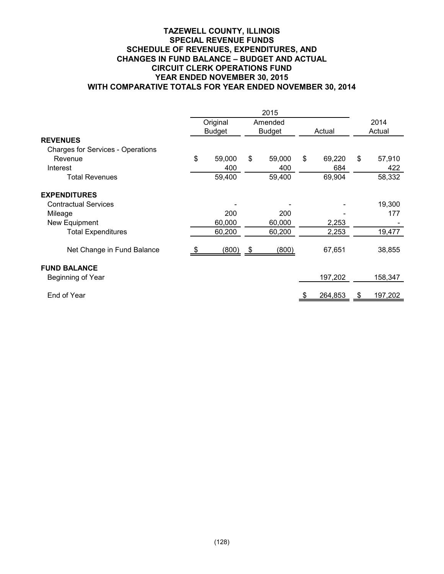## **TAZEWELL COUNTY, ILLINOIS SPECIAL REVENUE FUNDS SCHEDULE OF REVENUES, EXPENDITURES, AND CHANGES IN FUND BALANCE – BUDGET AND ACTUAL CIRCUIT CLERK OPERATIONS FUND YEAR ENDED NOVEMBER 30, 2015 WITH COMPARATIVE TOTALS FOR YEAR ENDED NOVEMBER 30, 2014**

|                                          |               | Original |                | Amended       |    |         | 2014 |         |
|------------------------------------------|---------------|----------|----------------|---------------|----|---------|------|---------|
|                                          | <b>Budget</b> |          |                | <b>Budget</b> |    | Actual  |      | Actual  |
| <b>REVENUES</b>                          |               |          |                |               |    |         |      |         |
| <b>Charges for Services - Operations</b> |               |          |                |               |    |         |      |         |
| Revenue                                  | \$            | 59,000   | \$             | 59,000        | \$ | 69,220  | \$   | 57,910  |
| Interest                                 |               | 400      |                | 400           |    | 684     |      | 422     |
| <b>Total Revenues</b>                    |               | 59,400   |                | 59,400        |    | 69,904  |      | 58,332  |
| <b>EXPENDITURES</b>                      |               |          |                |               |    |         |      |         |
| <b>Contractual Services</b>              |               |          |                |               |    |         |      | 19,300  |
| Mileage                                  |               | 200      |                | 200           |    |         |      | 177     |
| New Equipment                            |               | 60,000   |                | 60,000        |    | 2,253   |      |         |
| <b>Total Expenditures</b>                |               | 60,200   |                | 60,200        |    | 2,253   |      | 19,477  |
| Net Change in Fund Balance               | - \$          | (800)    | $\mathfrak{S}$ | (800)         |    | 67,651  |      | 38,855  |
| <b>FUND BALANCE</b>                      |               |          |                |               |    |         |      |         |
| Beginning of Year                        |               |          |                |               |    | 197,202 |      | 158,347 |
| End of Year                              |               |          |                |               |    | 264,853 | 5    | 197,202 |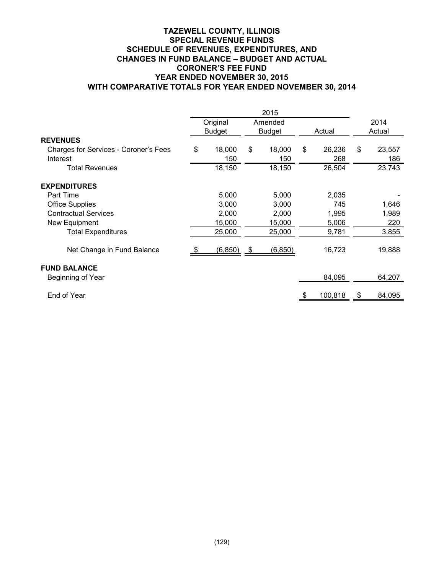## **TAZEWELL COUNTY, ILLINOIS SPECIAL REVENUE FUNDS SCHEDULE OF REVENUES, EXPENDITURES, AND CHANGES IN FUND BALANCE – BUDGET AND ACTUAL CORONER'S FEE FUND YEAR ENDED NOVEMBER 30, 2015 WITH COMPARATIVE TOTALS FOR YEAR ENDED NOVEMBER 30, 2014**

|                                       | 2015 |                |      |               |        |         |        |        |  |
|---------------------------------------|------|----------------|------|---------------|--------|---------|--------|--------|--|
|                                       |      | Original       |      | Amended       |        |         |        | 2014   |  |
|                                       |      | <b>Budget</b>  |      | <b>Budget</b> | Actual |         | Actual |        |  |
| <b>REVENUES</b>                       |      |                |      |               |        |         |        |        |  |
| Charges for Services - Coroner's Fees | \$   | 18,000         | \$   | 18,000        | \$     | 26,236  | \$     | 23,557 |  |
| Interest                              |      | 150            |      | 150           |        | 268     |        | 186    |  |
| <b>Total Revenues</b>                 |      | 18,150         |      | 18,150        |        | 26,504  |        | 23,743 |  |
| <b>EXPENDITURES</b>                   |      |                |      |               |        |         |        |        |  |
| Part Time                             |      | 5,000          |      | 5,000         |        | 2,035   |        |        |  |
| <b>Office Supplies</b>                |      | 3,000          |      | 3,000         |        | 745     |        | 1,646  |  |
| <b>Contractual Services</b>           |      | 2,000          |      | 2,000         |        | 1,995   |        | 1,989  |  |
| New Equipment                         |      | 15,000         |      | 15,000        |        | 5,006   |        | 220    |  |
| <b>Total Expenditures</b>             |      | 25,000         |      | 25,000        |        | 9,781   |        | 3,855  |  |
| Net Change in Fund Balance            |      | <u>(6,850)</u> | - \$ | (6, 850)      |        | 16,723  |        | 19,888 |  |
| <b>FUND BALANCE</b>                   |      |                |      |               |        |         |        |        |  |
| Beginning of Year                     |      |                |      |               |        | 84,095  |        | 64,207 |  |
| End of Year                           |      |                |      |               | S      | 100,818 | \$     | 84,095 |  |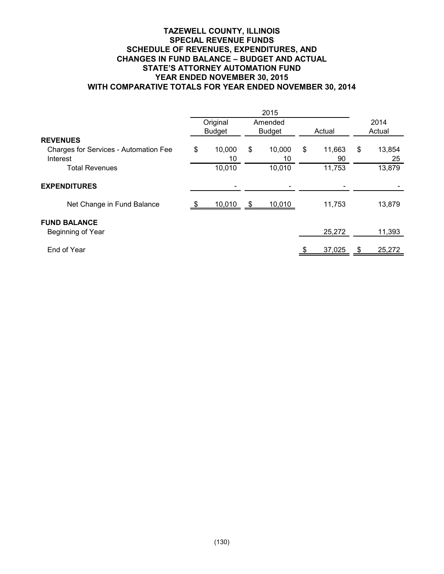## **TAZEWELL COUNTY, ILLINOIS SPECIAL REVENUE FUNDS SCHEDULE OF REVENUES, EXPENDITURES, AND CHANGES IN FUND BALANCE – BUDGET AND ACTUAL STATE'S ATTORNEY AUTOMATION FUND YEAR ENDED NOVEMBER 30, 2015 WITH COMPARATIVE TOTALS FOR YEAR ENDED NOVEMBER 30, 2014**

|                                       | 2015 |               |      |               |        |        |        |        |
|---------------------------------------|------|---------------|------|---------------|--------|--------|--------|--------|
|                                       |      | Original      |      | Amended       |        |        |        | 2014   |
|                                       |      | <b>Budget</b> |      | <b>Budget</b> | Actual |        | Actual |        |
| <b>REVENUES</b>                       |      |               |      |               |        |        |        |        |
| Charges for Services - Automation Fee | \$   | 10,000        | \$   | 10,000        | \$     | 11,663 | \$     | 13,854 |
| Interest                              |      | 10            |      | 10            |        | 90     |        | 25     |
| <b>Total Revenues</b>                 |      | 10,010        |      | 10,010        |        | 11,753 |        | 13,879 |
|                                       |      |               |      |               |        |        |        |        |
| <b>EXPENDITURES</b>                   |      |               |      |               |        |        |        |        |
|                                       |      |               |      |               |        |        |        |        |
| Net Change in Fund Balance            |      | 10,010        | - \$ | 10,010        |        | 11,753 |        | 13,879 |
|                                       |      |               |      |               |        |        |        |        |
| <b>FUND BALANCE</b>                   |      |               |      |               |        |        |        |        |
| Beginning of Year                     |      |               |      |               |        | 25,272 |        | 11,393 |
|                                       |      |               |      |               |        |        |        |        |
| End of Year                           |      |               |      |               |        | 37,025 | -S     | 25,272 |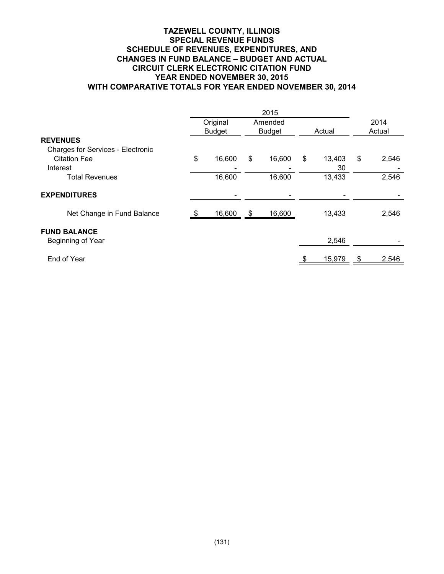## **TAZEWELL COUNTY, ILLINOIS SPECIAL REVENUE FUNDS SCHEDULE OF REVENUES, EXPENDITURES, AND CHANGES IN FUND BALANCE – BUDGET AND ACTUAL CIRCUIT CLERK ELECTRONIC CITATION FUND YEAR ENDED NOVEMBER 30, 2015 WITH COMPARATIVE TOTALS FOR YEAR ENDED NOVEMBER 30, 2014**

|                                          | 2015          |          |               |         |        |        |        |       |  |
|------------------------------------------|---------------|----------|---------------|---------|--------|--------|--------|-------|--|
|                                          |               | Original |               | Amended |        |        |        | 2014  |  |
|                                          | <b>Budget</b> |          | <b>Budget</b> |         | Actual |        | Actual |       |  |
| <b>REVENUES</b>                          |               |          |               |         |        |        |        |       |  |
| <b>Charges for Services - Electronic</b> |               |          |               |         |        |        |        |       |  |
| <b>Citation Fee</b>                      | \$            | 16,600   | \$            | 16,600  | \$     | 13,403 | \$     | 2,546 |  |
| Interest                                 |               |          |               |         |        | 30     |        |       |  |
| <b>Total Revenues</b>                    |               | 16,600   |               | 16,600  |        | 13,433 |        | 2,546 |  |
|                                          |               |          |               |         |        |        |        |       |  |
| <b>EXPENDITURES</b>                      |               |          |               |         |        |        |        |       |  |
| Net Change in Fund Balance               |               | 16,600   | -\$           | 16,600  |        | 13,433 |        | 2,546 |  |
|                                          |               |          |               |         |        |        |        |       |  |
| <b>FUND BALANCE</b><br>Beginning of Year |               |          |               |         |        | 2,546  |        |       |  |
|                                          |               |          |               |         |        |        |        |       |  |
| End of Year                              |               |          |               |         |        | 15,979 | \$     | 2,546 |  |
|                                          |               |          |               |         |        |        |        |       |  |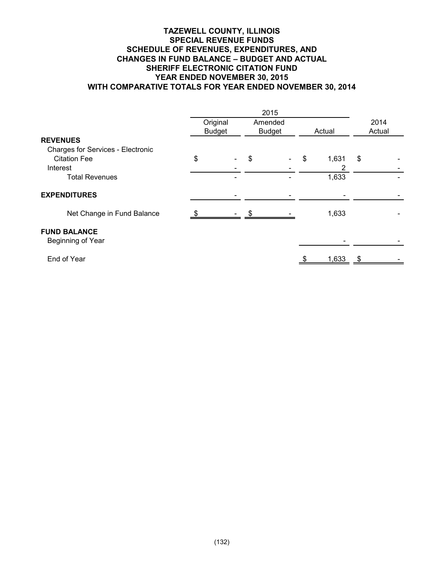## **TAZEWELL COUNTY, ILLINOIS SPECIAL REVENUE FUNDS SCHEDULE OF REVENUES, EXPENDITURES, AND CHANGES IN FUND BALANCE – BUDGET AND ACTUAL SHERIFF ELECTRONIC CITATION FUND YEAR ENDED NOVEMBER 30, 2015 WITH COMPARATIVE TOTALS FOR YEAR ENDED NOVEMBER 30, 2014**

|                                          | 2015 |               |    |               |    |        |    |        |
|------------------------------------------|------|---------------|----|---------------|----|--------|----|--------|
|                                          |      | Original      |    | Amended       |    |        |    | 2014   |
|                                          |      | <b>Budget</b> |    | <b>Budget</b> |    | Actual |    | Actual |
| <b>REVENUES</b>                          |      |               |    |               |    |        |    |        |
| Charges for Services - Electronic        |      |               |    |               |    |        |    |        |
| <b>Citation Fee</b>                      | \$   |               | \$ |               | \$ | 1,631  | \$ |        |
| Interest                                 |      |               |    |               |    | 2      |    |        |
| <b>Total Revenues</b>                    |      |               |    |               |    | 1,633  |    |        |
| <b>EXPENDITURES</b>                      |      |               |    |               |    |        |    |        |
| Net Change in Fund Balance               |      |               |    |               |    | 1,633  |    |        |
| <b>FUND BALANCE</b><br>Beginning of Year |      |               |    |               |    |        |    |        |
| End of Year                              |      |               |    |               |    | 1,633  |    |        |
|                                          |      |               |    |               |    |        |    |        |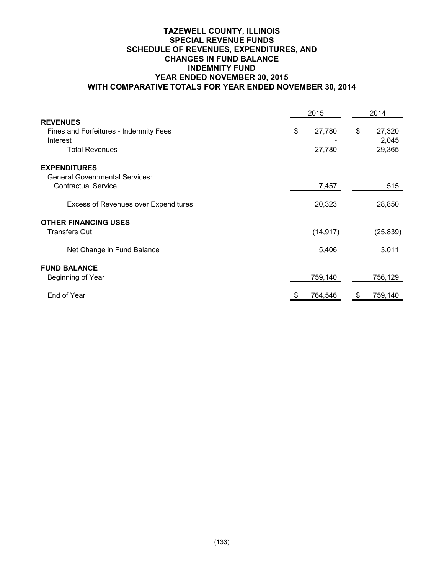## **TAZEWELL COUNTY, ILLINOIS SPECIAL REVENUE FUNDS SCHEDULE OF REVENUES, EXPENDITURES, AND CHANGES IN FUND BALANCE INDEMNITY FUND YEAR ENDED NOVEMBER 30, 2015 WITH COMPARATIVE TOTALS FOR YEAR ENDED NOVEMBER 30, 2014**

|                                        |    | 2014      |              |
|----------------------------------------|----|-----------|--------------|
| <b>REVENUES</b>                        |    |           |              |
| Fines and Forfeitures - Indemnity Fees | \$ | 27,780    | \$<br>27,320 |
| Interest                               |    |           | 2,045        |
| <b>Total Revenues</b>                  |    | 27,780    | 29,365       |
| <b>EXPENDITURES</b>                    |    |           |              |
| <b>General Governmental Services:</b>  |    |           |              |
| <b>Contractual Service</b>             |    | 7,457     | 515          |
| Excess of Revenues over Expenditures   |    | 20,323    | 28,850       |
| <b>OTHER FINANCING USES</b>            |    |           |              |
| <b>Transfers Out</b>                   |    | (14, 917) | (25, 839)    |
| Net Change in Fund Balance             |    | 5,406     | 3,011        |
| <b>FUND BALANCE</b>                    |    |           |              |
| Beginning of Year                      |    | 759,140   | 756,129      |
| End of Year                            |    | 764,546   | 759,140      |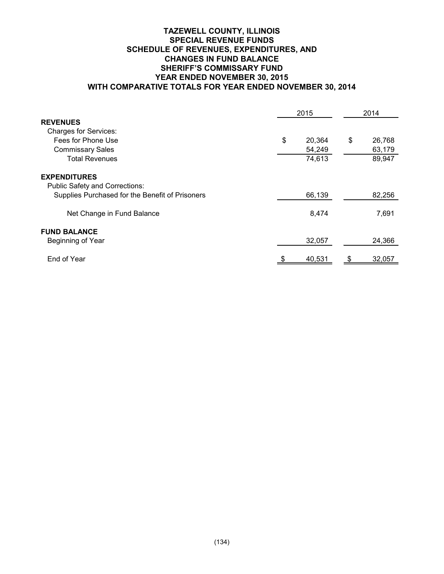## **TAZEWELL COUNTY, ILLINOIS SPECIAL REVENUE FUNDS SCHEDULE OF REVENUES, EXPENDITURES, AND CHANGES IN FUND BALANCE SHERIFF'S COMMISSARY FUND YEAR ENDED NOVEMBER 30, 2015 WITH COMPARATIVE TOTALS FOR YEAR ENDED NOVEMBER 30, 2014**

|                                                 | 2015         | 2014         |  |  |
|-------------------------------------------------|--------------|--------------|--|--|
| <b>REVENUES</b>                                 |              |              |  |  |
| <b>Charges for Services:</b>                    |              |              |  |  |
| Fees for Phone Use                              | \$<br>20,364 | \$<br>26,768 |  |  |
| <b>Commissary Sales</b>                         | 54,249       | 63,179       |  |  |
| <b>Total Revenues</b>                           | 74,613       | 89,947       |  |  |
| <b>EXPENDITURES</b>                             |              |              |  |  |
| <b>Public Safety and Corrections:</b>           |              |              |  |  |
| Supplies Purchased for the Benefit of Prisoners | 66,139       | 82,256       |  |  |
| Net Change in Fund Balance                      | 8,474        | 7,691        |  |  |
| <b>FUND BALANCE</b>                             |              |              |  |  |
| Beginning of Year                               | 32,057       | 24,366       |  |  |
| End of Year                                     | 40,531<br>\$ | 32,057<br>\$ |  |  |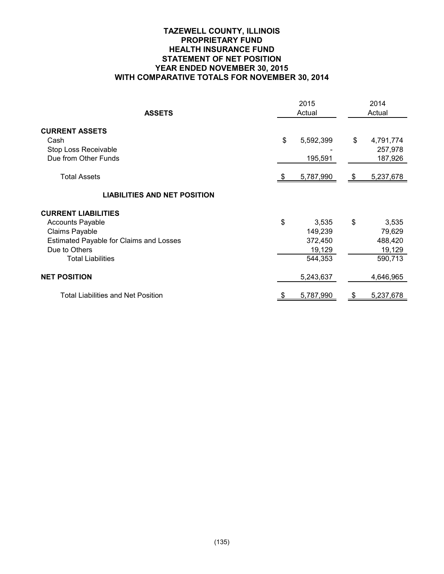## **TAZEWELL COUNTY, ILLINOIS PROPRIETARY FUND HEALTH INSURANCE FUND STATEMENT OF NET POSITION YEAR ENDED NOVEMBER 30, 2015 WITH COMPARATIVE TOTALS FOR NOVEMBER 30, 2014**

| <b>ASSETS</b>                                         | 2015<br>Actual  |               | 2014<br>Actual       |  |  |
|-------------------------------------------------------|-----------------|---------------|----------------------|--|--|
| <b>CURRENT ASSETS</b><br>Cash<br>Stop Loss Receivable | \$<br>5,592,399 | \$            | 4,791,774<br>257,978 |  |  |
| Due from Other Funds                                  | 195,591         |               | 187,926              |  |  |
| <b>Total Assets</b>                                   | 5,787,990       | \$            | 5,237,678            |  |  |
| <b>LIABILITIES AND NET POSITION</b>                   |                 |               |                      |  |  |
| <b>CURRENT LIABILITIES</b>                            |                 |               |                      |  |  |
| <b>Accounts Payable</b>                               | \$<br>3,535     | \$            | 3,535                |  |  |
| Claims Payable                                        | 149,239         |               | 79,629               |  |  |
| <b>Estimated Payable for Claims and Losses</b>        | 372,450         |               | 488,420              |  |  |
| Due to Others                                         | 19,129          |               | 19,129               |  |  |
| <b>Total Liabilities</b>                              | 544,353         |               | 590,713              |  |  |
| <b>NET POSITION</b>                                   | 5,243,637       |               | 4,646,965            |  |  |
| <b>Total Liabilities and Net Position</b>             | \$<br>5,787,990 | $\frac{1}{2}$ | 5,237,678            |  |  |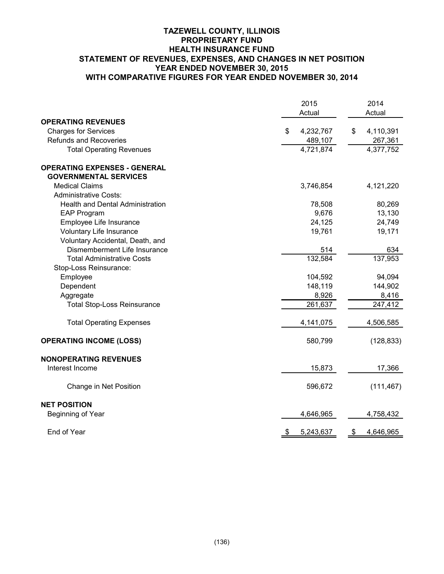## **TAZEWELL COUNTY, ILLINOIS PROPRIETARY FUND HEALTH INSURANCE FUND STATEMENT OF REVENUES, EXPENSES, AND CHANGES IN NET POSITION YEAR ENDED NOVEMBER 30, 2015 WITH COMPARATIVE FIGURES FOR YEAR ENDED NOVEMBER 30, 2014**

|                                         | 2015            | 2014            |
|-----------------------------------------|-----------------|-----------------|
|                                         | Actual          | Actual          |
| <b>OPERATING REVENUES</b>               |                 |                 |
| <b>Charges for Services</b>             | \$<br>4,232,767 | \$<br>4,110,391 |
| <b>Refunds and Recoveries</b>           | 489,107         | 267,361         |
| <b>Total Operating Revenues</b>         | 4,721,874       | 4,377,752       |
| <b>OPERATING EXPENSES - GENERAL</b>     |                 |                 |
| <b>GOVERNMENTAL SERVICES</b>            |                 |                 |
| <b>Medical Claims</b>                   | 3,746,854       | 4,121,220       |
| <b>Administrative Costs:</b>            |                 |                 |
| <b>Health and Dental Administration</b> | 78,508          | 80,269          |
| <b>EAP Program</b>                      | 9,676           | 13,130          |
| Employee Life Insurance                 | 24,125          | 24,749          |
| Voluntary Life Insurance                | 19,761          | 19,171          |
| Voluntary Accidental, Death, and        |                 |                 |
| Dismemberment Life Insurance            | 514             | 634             |
| <b>Total Administrative Costs</b>       | 132,584         | 137,953         |
| Stop-Loss Reinsurance:                  |                 |                 |
| Employee                                | 104,592         | 94,094          |
| Dependent                               | 148,119         | 144,902         |
| Aggregate                               | 8,926           | 8,416           |
| <b>Total Stop-Loss Reinsurance</b>      | 261,637         | 247,412         |
| <b>Total Operating Expenses</b>         | 4,141,075       | 4,506,585       |
| <b>OPERATING INCOME (LOSS)</b>          | 580,799         | (128, 833)      |
| <b>NONOPERATING REVENUES</b>            |                 |                 |
| Interest Income                         | 15,873          | 17,366          |
| Change in Net Position                  | 596,672         | (111, 467)      |
| <b>NET POSITION</b>                     |                 |                 |
| Beginning of Year                       | 4,646,965       | 4,758,432       |
| End of Year                             | \$<br>5,243,637 | \$<br>4,646,965 |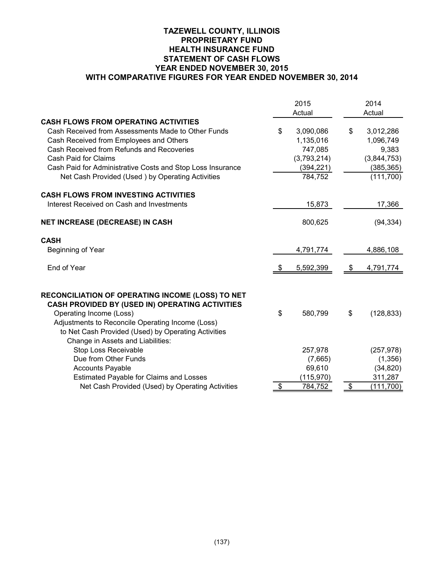## **TAZEWELL COUNTY, ILLINOIS PROPRIETARY FUND HEALTH INSURANCE FUND STATEMENT OF CASH FLOWS YEAR ENDED NOVEMBER 30, 2015 WITH COMPARATIVE FIGURES FOR YEAR ENDED NOVEMBER 30, 2014**

|                                                            | 2015            | 2014 |             |  |
|------------------------------------------------------------|-----------------|------|-------------|--|
|                                                            | Actual          |      | Actual      |  |
| <b>CASH FLOWS FROM OPERATING ACTIVITIES</b>                |                 |      |             |  |
| Cash Received from Assessments Made to Other Funds         | \$<br>3,090,086 | \$   | 3,012,286   |  |
| Cash Received from Employees and Others                    | 1,135,016       |      | 1,096,749   |  |
| Cash Received from Refunds and Recoveries                  | 747,085         |      | 9,383       |  |
| Cash Paid for Claims                                       | (3,793,214)     |      | (3,844,753) |  |
| Cash Paid for Administrative Costs and Stop Loss Insurance | (394, 221)      |      | (385, 365)  |  |
| Net Cash Provided (Used) by Operating Activities           | 784,752         |      | (111, 700)  |  |
| <b>CASH FLOWS FROM INVESTING ACTIVITIES</b>                |                 |      |             |  |
| Interest Received on Cash and Investments                  | 15,873          |      | 17,366      |  |
| NET INCREASE (DECREASE) IN CASH                            | 800,625         |      | (94, 334)   |  |
| <b>CASH</b>                                                |                 |      |             |  |
| Beginning of Year                                          | 4,791,774       |      | 4,886,108   |  |
| End of Year                                                | 5,592,399       | P    | 4,791,774   |  |
| RECONCILIATION OF OPERATING INCOME (LOSS) TO NET           |                 |      |             |  |
| CASH PROVIDED BY (USED IN) OPERATING ACTIVITIES            |                 |      |             |  |
| Operating Income (Loss)                                    | \$<br>580,799   | \$   | (128, 833)  |  |
| Adjustments to Reconcile Operating Income (Loss)           |                 |      |             |  |
| to Net Cash Provided (Used) by Operating Activities        |                 |      |             |  |
| Change in Assets and Liabilities:                          |                 |      |             |  |
| <b>Stop Loss Receivable</b>                                | 257,978         |      | (257, 978)  |  |
| Due from Other Funds                                       | (7,665)         |      | (1,356)     |  |
| <b>Accounts Payable</b>                                    | 69,610          |      | (34, 820)   |  |
| <b>Estimated Payable for Claims and Losses</b>             | (115, 970)      |      | 311,287     |  |
| Net Cash Provided (Used) by Operating Activities           | \$<br>784,752   | \$   | (111, 700)  |  |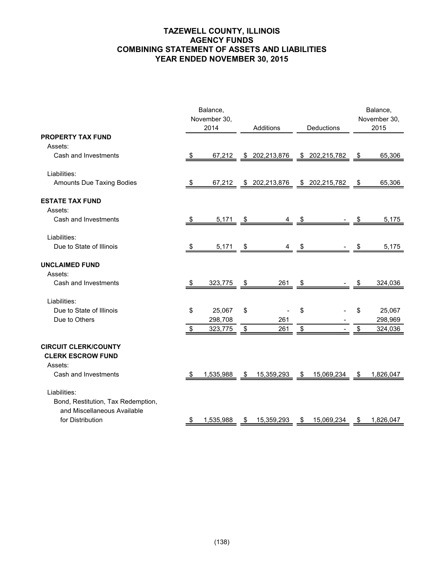# **TAZEWELL COUNTY, ILLINOIS AGENCY FUNDS COMBINING STATEMENT OF ASSETS AND LIABILITIES YEAR ENDED NOVEMBER 30, 2015**

| Balance,<br>November 30,<br>2014<br>Additions |      |           |      | Deductions     | Balance,<br>November 30,<br>2015 |                |    |           |
|-----------------------------------------------|------|-----------|------|----------------|----------------------------------|----------------|----|-----------|
| <b>PROPERTY TAX FUND</b>                      |      |           |      |                |                                  |                |    |           |
| Assets:                                       |      |           |      |                |                                  |                |    |           |
| Cash and Investments                          | \$   | 67,212    |      | \$ 202,213,876 |                                  | \$ 202,215,782 | \$ | 65,306    |
| Liabilities:                                  |      |           |      |                |                                  |                |    |           |
| Amounts Due Taxing Bodies                     | \$   | 67,212    |      | \$ 202,213,876 |                                  | \$ 202,215,782 | \$ | 65,306    |
| <b>ESTATE TAX FUND</b>                        |      |           |      |                |                                  |                |    |           |
| Assets:                                       |      |           |      |                |                                  |                |    |           |
| Cash and Investments                          | \$   | 5,171     | \$   |                | \$                               |                | S  | 5,175     |
| Liabilities:                                  |      |           |      |                |                                  |                |    |           |
| Due to State of Illinois                      | - \$ | 5,171     | - \$ | 4              | - \$                             |                | S  | 5,175     |
| <b>UNCLAIMED FUND</b>                         |      |           |      |                |                                  |                |    |           |
| Assets:                                       |      |           |      |                |                                  |                |    |           |
| Cash and Investments                          | -95  | 323,775   | -\$  | 261            | - \$                             |                | Ψ  | 324,036   |
| Liabilities:                                  |      |           |      |                |                                  |                |    |           |
| Due to State of Illinois                      | \$   | 25,067    | \$   |                | \$                               |                | \$ | 25,067    |
| Due to Others                                 |      | 298,708   |      | 261            |                                  |                |    | 298,969   |
|                                               | \$   | 323,775   | \$   | 261            | $\pmb{\$}$                       |                | \$ | 324,036   |
| <b>CIRCUIT CLERK/COUNTY</b>                   |      |           |      |                |                                  |                |    |           |
| <b>CLERK ESCROW FUND</b>                      |      |           |      |                |                                  |                |    |           |
| Assets:                                       |      |           |      |                |                                  |                |    |           |
| Cash and Investments                          | -\$  | 1,535,988 | \$   | 15,359,293     | -\$                              | 15,069,234     | S  | 1,826,047 |
| Liabilities:                                  |      |           |      |                |                                  |                |    |           |
| Bond, Restitution, Tax Redemption,            |      |           |      |                |                                  |                |    |           |
| and Miscellaneous Available                   |      |           |      |                |                                  |                |    |           |
| for Distribution                              | - \$ | 1,535,988 | - \$ | 15,359,293     | \$                               | 15,069,234     | \$ | 1,826,047 |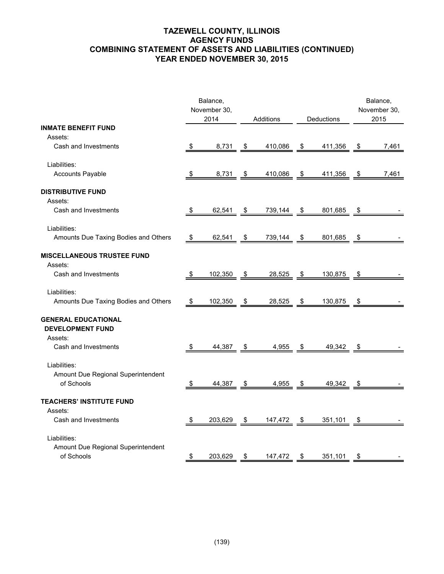# **TAZEWELL COUNTY, ILLINOIS AGENCY FUNDS COMBINING STATEMENT OF ASSETS AND LIABILITIES (CONTINUED) YEAR ENDED NOVEMBER 30, 2015**

|                                                                  |    | Balance,<br>November 30,<br>2014 |                                 |              |            | Balance,<br>November 30,<br>2015 |            |       |
|------------------------------------------------------------------|----|----------------------------------|---------------------------------|--------------|------------|----------------------------------|------------|-------|
| <b>INMATE BENEFIT FUND</b>                                       |    |                                  |                                 | Additions    |            | Deductions                       |            |       |
| Assets:                                                          |    |                                  |                                 |              |            |                                  |            |       |
| Cash and Investments                                             | S  | 8,731                            | \$                              | 410,086      | \$         | 411,356                          | \$         | 7,461 |
| Liabilities:                                                     |    |                                  |                                 |              |            |                                  |            |       |
| <b>Accounts Payable</b>                                          | \$ | 8,731                            | \$                              | 410,086      | \$         | 411,356                          | \$         | 7,461 |
| <b>DISTRIBUTIVE FUND</b>                                         |    |                                  |                                 |              |            |                                  |            |       |
| Assets:                                                          |    |                                  |                                 |              |            |                                  |            |       |
| Cash and Investments                                             | \$ | 62,541                           | - \$                            | 739,144      | \$         | 801,685                          | - \$       |       |
| Liabilities:                                                     |    |                                  |                                 |              |            |                                  |            |       |
| Amounts Due Taxing Bodies and Others                             | \$ | 62,541                           | \$                              | 739,144      | \$         | 801,685                          | -\$        |       |
| <b>MISCELLANEOUS TRUSTEE FUND</b><br>Assets:                     |    |                                  |                                 |              |            |                                  |            |       |
| Cash and Investments                                             | \$ | 102,350                          | $\sqrt{3}$                      | 28,525       | $\sqrt{3}$ | 130,875                          | $\sqrt{3}$ |       |
| Liabilities:                                                     |    |                                  |                                 |              |            |                                  |            |       |
| Amounts Due Taxing Bodies and Others                             | \$ | 102,350                          | \$                              | 28,525       | \$         | 130,875                          | \$         |       |
| <b>GENERAL EDUCATIONAL</b><br><b>DEVELOPMENT FUND</b><br>Assets: |    |                                  |                                 |              |            |                                  |            |       |
| Cash and Investments                                             | \$ | 44,387                           | \$                              | 4,955        | \$         | 49,342                           | -\$        |       |
| Liabilities:<br>Amount Due Regional Superintendent               |    |                                  |                                 |              |            |                                  |            |       |
| of Schools                                                       | \$ | 44,387                           | $\mathcal{S}$                   | 4,955        | - \$       | $49,342$ \$                      |            |       |
| <b>TEACHERS' INSTITUTE FUND</b><br>Assets:                       |    |                                  |                                 |              |            |                                  |            |       |
| Cash and Investments                                             | \$ | 203,629                          | $\frac{\mathsf{s}}{\mathsf{s}}$ | $147,472$ \$ |            | $351,101$ \$                     |            |       |
| Liabilities:<br>Amount Due Regional Superintendent               |    |                                  |                                 |              |            |                                  |            |       |
| of Schools                                                       | \$ | 203,629                          | \$                              | 147,472      | \$         | 351,101                          | \$         |       |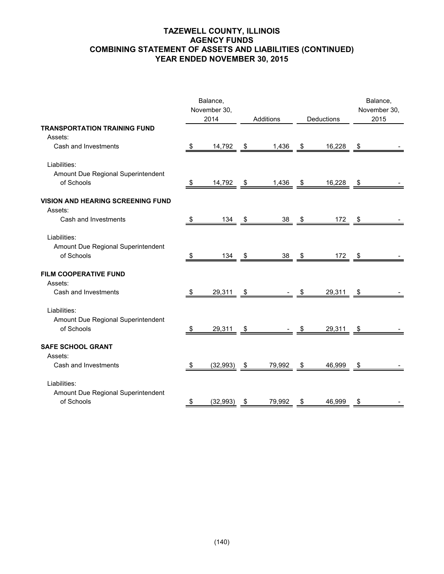# **TAZEWELL COUNTY, ILLINOIS AGENCY FUNDS COMBINING STATEMENT OF ASSETS AND LIABILITIES (CONTINUED) YEAR ENDED NOVEMBER 30, 2015**

|                                          | Balance,<br>November 30,<br>2014 |             |            | Additions         |               |                    | Balance,<br>November 30,<br>2015 |  |
|------------------------------------------|----------------------------------|-------------|------------|-------------------|---------------|--------------------|----------------------------------|--|
| <b>TRANSPORTATION TRAINING FUND</b>      |                                  |             |            |                   |               | Deductions         |                                  |  |
| Assets:                                  |                                  |             |            |                   |               |                    |                                  |  |
| Cash and Investments                     |                                  | $14,792$ \$ |            | 1,436             | $\mathcal{S}$ | $16,228$ \$        |                                  |  |
| Liabilities:                             |                                  |             |            |                   |               |                    |                                  |  |
| Amount Due Regional Superintendent       |                                  |             |            |                   |               |                    |                                  |  |
| of Schools                               | \$                               | 14,792      | $\sqrt{3}$ | 1,436             | \$            | 16,228             | - \$                             |  |
| <b>VISION AND HEARING SCREENING FUND</b> |                                  |             |            |                   |               |                    |                                  |  |
| Assets:                                  |                                  |             |            |                   |               |                    |                                  |  |
| Cash and Investments                     |                                  | $134$ \$    |            | $\frac{38}{5}$ \$ |               | $\frac{172}{9}$ \$ |                                  |  |
| Liabilities:                             |                                  |             |            |                   |               |                    |                                  |  |
| Amount Due Regional Superintendent       |                                  |             |            |                   |               |                    |                                  |  |
| of Schools                               | - \$                             | $134 - $$   |            | 38                | $\mathsf{S}$  | $\frac{172}{9}$    |                                  |  |
| <b>FILM COOPERATIVE FUND</b>             |                                  |             |            |                   |               |                    |                                  |  |
| Assets:                                  |                                  |             |            |                   |               |                    |                                  |  |
| Cash and Investments                     | \$                               | $29,311$ \$ |            |                   | $-$ \$        | $29,311$ \$        |                                  |  |
| Liabilities:                             |                                  |             |            |                   |               |                    |                                  |  |
| Amount Due Regional Superintendent       |                                  |             |            |                   |               |                    |                                  |  |
| of Schools                               |                                  | $29,311$ \$ |            |                   |               | $29,311$ \$        |                                  |  |
| <b>SAFE SCHOOL GRANT</b>                 |                                  |             |            |                   |               |                    |                                  |  |
| Assets:                                  |                                  |             |            |                   |               |                    |                                  |  |
| Cash and Investments                     | \$                               | (32, 993)   | $\sqrt{3}$ | 79,992            | \$            | 46,999             | \$                               |  |
| Liabilities:                             |                                  |             |            |                   |               |                    |                                  |  |
| Amount Due Regional Superintendent       |                                  |             |            |                   |               |                    |                                  |  |
| of Schools                               | \$                               | (32,993)    | \$         | 79,992            | \$            | 46,999             | \$                               |  |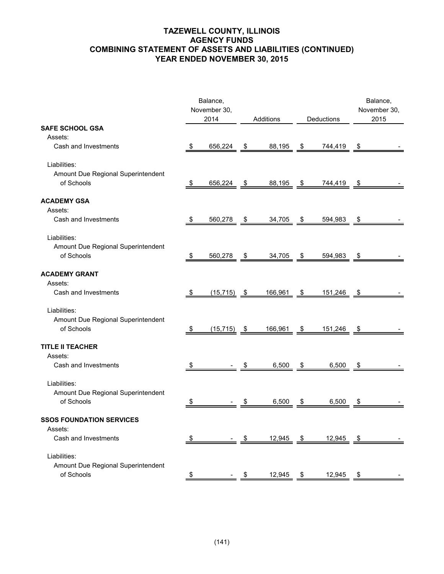# **TAZEWELL COUNTY, ILLINOIS AGENCY FUNDS COMBINING STATEMENT OF ASSETS AND LIABILITIES (CONTINUED) YEAR ENDED NOVEMBER 30, 2015**

|                                    | Balance,<br>November 30, |                |            |         |            |         | Balance,<br>November 30, |  |
|------------------------------------|--------------------------|----------------|------------|---------|------------|---------|--------------------------|--|
|                                    | 2014                     |                | Additions  |         | Deductions |         | 2015                     |  |
| <b>SAFE SCHOOL GSA</b>             |                          |                |            |         |            |         |                          |  |
| Assets:                            |                          |                |            |         |            |         |                          |  |
| Cash and Investments               | -\$                      | 656,224        | - \$       | 88,195  | - \$       | 744,419 | - \$                     |  |
| Liabilities:                       |                          |                |            |         |            |         |                          |  |
| Amount Due Regional Superintendent |                          |                |            |         |            |         |                          |  |
| of Schools                         | -\$                      | 656,224        | - \$       | 88,195  | - \$       | 744,419 | \$                       |  |
| <b>ACADEMY GSA</b>                 |                          |                |            |         |            |         |                          |  |
| Assets:                            |                          |                |            |         |            |         |                          |  |
| Cash and Investments               | \$                       | 560,278        | $\sqrt{S}$ | 34,705  | $\sqrt{S}$ | 594,983 | $\sqrt{S}$               |  |
| Liabilities:                       |                          |                |            |         |            |         |                          |  |
| Amount Due Regional Superintendent |                          |                |            |         |            |         |                          |  |
| of Schools                         | \$                       | 560,278        | \$         | 34,705  | \$         | 594,983 | \$                       |  |
| <b>ACADEMY GRANT</b>               |                          |                |            |         |            |         |                          |  |
| Assets:                            |                          |                |            |         |            |         |                          |  |
| Cash and Investments               | \$                       | $(15, 715)$ \$ |            | 166,961 | \$         | 151,246 | $\mathsf{S}$             |  |
| Liabilities:                       |                          |                |            |         |            |         |                          |  |
| Amount Due Regional Superintendent |                          |                |            |         |            |         |                          |  |
| of Schools                         | P.                       | (15, 715)      | - \$       | 166,961 | \$         | 151,246 | - \$                     |  |
| <b>TITLE II TEACHER</b>            |                          |                |            |         |            |         |                          |  |
| Assets:                            |                          |                |            |         |            |         |                          |  |
| Cash and Investments               | \$                       |                | \$         | 6,500   | \$         | 6,500   | \$                       |  |
| Liabilities:                       |                          |                |            |         |            |         |                          |  |
| Amount Due Regional Superintendent |                          |                |            |         |            |         |                          |  |
| of Schools                         | \$                       |                | - \$       | 6,500   | \$         | 6,500   | -\$                      |  |
| <b>SSOS FOUNDATION SERVICES</b>    |                          |                |            |         |            |         |                          |  |
| Assets:                            |                          |                |            |         |            |         |                          |  |
| Cash and Investments               |                          |                | \$         | 12,945  | \$         | 12,945  | \$                       |  |
| Liabilities:                       |                          |                |            |         |            |         |                          |  |
| Amount Due Regional Superintendent |                          |                |            |         |            |         |                          |  |
| of Schools                         | \$                       |                |            | 12,945  | \$         | 12,945  | \$                       |  |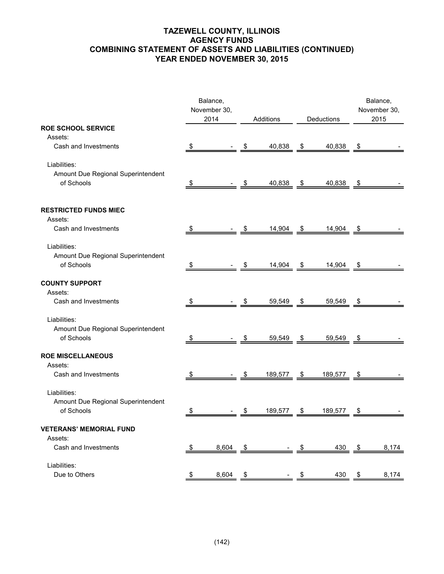# **TAZEWELL COUNTY, ILLINOIS AGENCY FUNDS COMBINING STATEMENT OF ASSETS AND LIABILITIES (CONTINUED) YEAR ENDED NOVEMBER 30, 2015**

|                                    |    | Balance,             |            |           |                         |            |            | Balance,             |
|------------------------------------|----|----------------------|------------|-----------|-------------------------|------------|------------|----------------------|
|                                    |    | November 30,<br>2014 |            | Additions |                         | Deductions |            | November 30,<br>2015 |
| <b>ROE SCHOOL SERVICE</b>          |    |                      |            |           |                         |            |            |                      |
| Assets:                            |    |                      |            |           |                         |            |            |                      |
| Cash and Investments               |    |                      | \$.        | 40,838    | - \$                    | 40,838     | - \$       |                      |
| Liabilities:                       |    |                      |            |           |                         |            |            |                      |
| Amount Due Regional Superintendent |    |                      |            |           |                         |            |            |                      |
| of Schools                         | \$ |                      | \$         | 40,838    | $\sqrt{3}$              | 40,838     | $\sqrt{3}$ |                      |
| <b>RESTRICTED FUNDS MIEC</b>       |    |                      |            |           |                         |            |            |                      |
| Assets:                            |    |                      |            |           |                         |            |            |                      |
| Cash and Investments               |    |                      |            | 14,904    | \$                      | 14,904     | - \$       |                      |
| Liabilities:                       |    |                      |            |           |                         |            |            |                      |
| Amount Due Regional Superintendent |    |                      |            |           |                         |            |            |                      |
| of Schools                         | \$ |                      | \$         | 14,904    | $\sqrt[6]{\frac{1}{2}}$ | 14,904     | \$         |                      |
| <b>COUNTY SUPPORT</b>              |    |                      |            |           |                         |            |            |                      |
| Assets:                            |    |                      |            |           |                         |            |            |                      |
| Cash and Investments               | \$ |                      | \$         | 59,549    | \$                      | 59,549     | - \$       |                      |
| Liabilities:                       |    |                      |            |           |                         |            |            |                      |
| Amount Due Regional Superintendent |    |                      |            |           |                         |            |            |                      |
| of Schools                         | S. |                      | S.         | 59,549    | -\$                     | 59,549     | - \$       |                      |
| <b>ROE MISCELLANEOUS</b>           |    |                      |            |           |                         |            |            |                      |
| Assets:                            |    |                      |            |           |                         |            |            |                      |
| Cash and Investments               |    |                      |            | 189,577   | $\frac{1}{2}$           | 189,577    | - \$       |                      |
| Liabilities:                       |    |                      |            |           |                         |            |            |                      |
| Amount Due Regional Superintendent |    |                      |            |           |                         |            |            |                      |
| of Schools                         | \$ |                      | $\sqrt{2}$ | 189,577   | \$                      | 189,577    | - \$       |                      |
| <b>VETERANS' MEMORIAL FUND</b>     |    |                      |            |           |                         |            |            |                      |
| Assets:                            |    |                      |            |           |                         |            |            |                      |
| Cash and Investments               | \$ | 8,604                | \$         |           | \$                      | 430        | \$         | 8,174                |
| Liabilities:                       |    |                      |            |           |                         |            |            |                      |
| Due to Others                      | \$ | 8,604                | \$         |           | \$                      | 430        | \$         | 8,174                |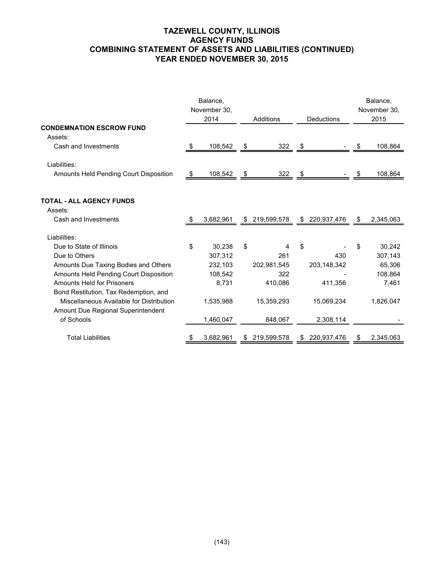# **TAZEWELL COUNTY, ILLINOIS AGENCY FUNDS COMBINING STATEMENT OF ASSETS AND LIABILITIES (CONTINUED) YEAR ENDED NOVEMBER 30, 2015**

|                                          | Balance,<br>November 30,<br>2014 |           |      | Additions     |    | Deductions     |    | Balance,<br>November 30,<br>2015 |
|------------------------------------------|----------------------------------|-----------|------|---------------|----|----------------|----|----------------------------------|
| <b>CONDEMNATION ESCROW FUND</b>          |                                  |           |      |               |    |                |    |                                  |
| Assets:                                  |                                  |           |      |               |    |                |    |                                  |
| Cash and Investments                     |                                  | 108,542   | - \$ | $322$ \$      |    |                |    | 108,864                          |
| Liabilities:                             |                                  |           |      |               |    |                |    |                                  |
| Amounts Held Pending Court Disposition   | - \$                             | 108,542   | - \$ | $322$ \$      |    |                | S. | 108,864                          |
|                                          |                                  |           |      |               |    |                |    |                                  |
| <b>TOTAL - ALL AGENCY FUNDS</b>          |                                  |           |      |               |    |                |    |                                  |
| Assets:                                  |                                  |           |      |               |    |                |    |                                  |
| Cash and Investments                     |                                  | 3,682,961 |      | \$219,599,578 |    | \$ 220,937,476 | Ψ  | 2,345,063                        |
| Liabilities:                             |                                  |           |      |               |    |                |    |                                  |
| Due to State of Illinois                 | \$                               | 30,238    | \$   | 4             | \$ |                | \$ | 30,242                           |
| Due to Others                            |                                  | 307,312   |      | 261           |    | 430            |    | 307,143                          |
| Amounts Due Taxing Bodies and Others     |                                  | 232,103   |      | 202,981,545   |    | 203,148,342    |    | 65,306                           |
| Amounts Held Pending Court Disposition   |                                  | 108,542   |      | 322           |    |                |    | 108,864                          |
| <b>Amounts Held for Prisoners</b>        |                                  | 8,731     |      | 410,086       |    | 411,356        |    | 7,461                            |
| Bond Restitution, Tax Redemption, and    |                                  |           |      |               |    |                |    |                                  |
| Miscellaneous Available for Distribution |                                  | 1,535,988 |      | 15,359,293    |    | 15,069,234     |    | 1,826,047                        |
| Amount Due Regional Superintendent       |                                  |           |      |               |    |                |    |                                  |
| of Schools                               |                                  | 1,460,047 |      | 848,067       |    | 2,308,114      |    |                                  |
|                                          |                                  |           |      |               |    |                |    |                                  |
| <b>Total Liabilities</b>                 |                                  | 3,682,961 |      | 219,599,578   |    | 220,937,476    |    | 2,345,063                        |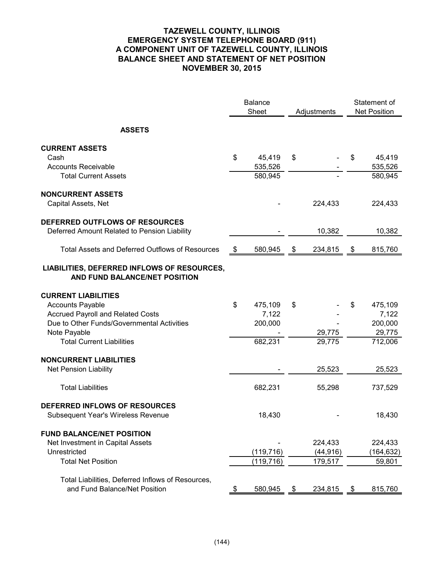# **TAZEWELL COUNTY, ILLINOIS EMERGENCY SYSTEM TELEPHONE BOARD (911) A COMPONENT UNIT OF TAZEWELL COUNTY, ILLINOIS BALANCE SHEET AND STATEMENT OF NET POSITION NOVEMBER 30, 2015**

|                                                                              |            | <b>Balance</b><br>Sheet |            | Adjustments |               | Statement of<br><b>Net Position</b> |
|------------------------------------------------------------------------------|------------|-------------------------|------------|-------------|---------------|-------------------------------------|
| <b>ASSETS</b>                                                                |            |                         |            |             |               |                                     |
| <b>CURRENT ASSETS</b>                                                        |            |                         |            |             |               |                                     |
| Cash                                                                         | \$         | 45,419                  | \$         |             | \$            | 45,419                              |
| <b>Accounts Receivable</b>                                                   |            | 535,526                 |            |             |               | 535,526                             |
| <b>Total Current Assets</b>                                                  |            | 580,945                 |            |             |               | 580,945                             |
| <b>NONCURRENT ASSETS</b>                                                     |            |                         |            |             |               |                                     |
| Capital Assets, Net                                                          |            |                         |            | 224,433     |               | 224,433                             |
| DEFERRED OUTFLOWS OF RESOURCES                                               |            |                         |            |             |               |                                     |
| Deferred Amount Related to Pension Liability                                 |            |                         |            | 10,382      |               | 10,382                              |
| <b>Total Assets and Deferred Outflows of Resources</b>                       | $\sqrt{3}$ | 580,945                 | <u>_\$</u> | 234,815     | $\frac{3}{2}$ | 815,760                             |
| LIABILITIES, DEFERRED INFLOWS OF RESOURCES,<br>AND FUND BALANCE/NET POSITION |            |                         |            |             |               |                                     |
| <b>CURRENT LIABILITIES</b>                                                   |            |                         |            |             |               |                                     |
| <b>Accounts Payable</b>                                                      | \$         | 475,109                 | \$         |             | \$            | 475,109                             |
| <b>Accrued Payroll and Related Costs</b>                                     |            | 7,122                   |            |             |               | 7,122                               |
| Due to Other Funds/Governmental Activities                                   |            | 200,000                 |            |             |               | 200,000                             |
| Note Payable                                                                 |            |                         |            | 29,775      |               | 29,775                              |
| <b>Total Current Liabilities</b>                                             |            | 682,231                 |            | 29,775      |               | 712,006                             |
| <b>NONCURRENT LIABILITIES</b>                                                |            |                         |            |             |               |                                     |
| <b>Net Pension Liability</b>                                                 |            |                         |            | 25,523      |               | 25,523                              |
| <b>Total Liabilities</b>                                                     |            | 682,231                 |            | 55,298      |               | 737,529                             |
| DEFERRED INFLOWS OF RESOURCES                                                |            |                         |            |             |               |                                     |
| <b>Subsequent Year's Wireless Revenue</b>                                    |            | 18,430                  |            |             |               | 18,430                              |
| <b>FUND BALANCE/NET POSITION</b>                                             |            |                         |            |             |               |                                     |
| Net Investment in Capital Assets                                             |            |                         |            | 224,433     |               | 224,433                             |
| Unrestricted                                                                 |            | (119, 716)              |            | (44, 916)   |               | (164, 632)                          |
| <b>Total Net Position</b>                                                    |            | (119, 716)              |            | 179,517     |               | 59,801                              |
| Total Liabilities, Deferred Inflows of Resources,                            |            |                         |            |             |               |                                     |
| and Fund Balance/Net Position                                                | \$         | 580,945                 | \$         | 234,815     | \$            | 815,760                             |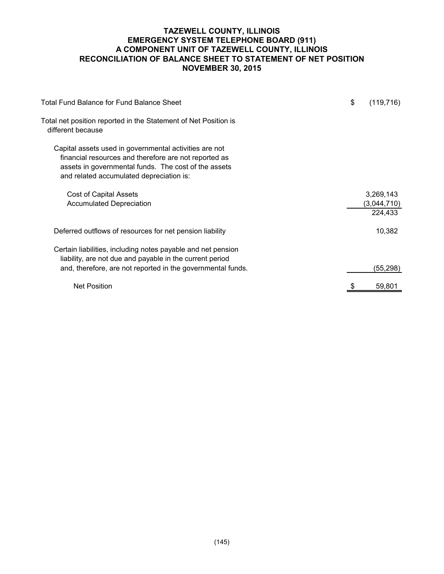# **TAZEWELL COUNTY, ILLINOIS EMERGENCY SYSTEM TELEPHONE BOARD (911) A COMPONENT UNIT OF TAZEWELL COUNTY, ILLINOIS RECONCILIATION OF BALANCE SHEET TO STATEMENT OF NET POSITION NOVEMBER 30, 2015**

| Total Fund Balance for Fund Balance Sheet                                                                                                                                                                           | \$<br>(119,716)                     |
|---------------------------------------------------------------------------------------------------------------------------------------------------------------------------------------------------------------------|-------------------------------------|
| Total net position reported in the Statement of Net Position is<br>different because                                                                                                                                |                                     |
| Capital assets used in governmental activities are not<br>financial resources and therefore are not reported as<br>assets in governmental funds. The cost of the assets<br>and related accumulated depreciation is: |                                     |
| <b>Cost of Capital Assets</b><br><b>Accumulated Depreciation</b>                                                                                                                                                    | 3,269,143<br>(3,044,710)<br>224,433 |
| Deferred outflows of resources for net pension liability                                                                                                                                                            | 10,382                              |
| Certain liabilities, including notes payable and net pension<br>liability, are not due and payable in the current period<br>and, therefore, are not reported in the governmental funds.                             | (55, 298)                           |
| <b>Net Position</b>                                                                                                                                                                                                 | 59,801                              |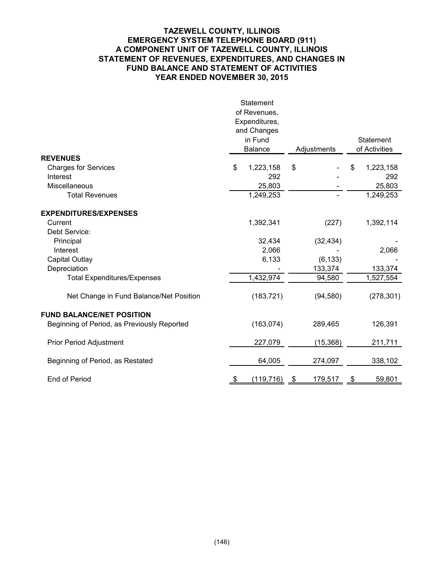# **TAZEWELL COUNTY, ILLINOIS EMERGENCY SYSTEM TELEPHONE BOARD (911) A COMPONENT UNIT OF TAZEWELL COUNTY, ILLINOIS STATEMENT OF REVENUES, EXPENDITURES, AND CHANGES IN FUND BALANCE AND STATEMENT OF ACTIVITIES YEAR ENDED NOVEMBER 30, 2015**

|                                             | Statement<br>of Revenues,<br>Expenditures,<br>and Changes |               |                 |
|---------------------------------------------|-----------------------------------------------------------|---------------|-----------------|
|                                             | in Fund                                                   |               | Statement       |
|                                             | <b>Balance</b>                                            | Adjustments   | of Activities   |
| <b>REVENUES</b>                             |                                                           |               |                 |
| <b>Charges for Services</b>                 | \$<br>1,223,158                                           | \$            | 1,223,158<br>\$ |
| Interest                                    | 292                                                       |               | 292             |
| Miscellaneous                               | 25,803                                                    |               | 25,803          |
| <b>Total Revenues</b>                       | 1,249,253                                                 |               | 1,249,253       |
| <b>EXPENDITURES/EXPENSES</b>                |                                                           |               |                 |
| Current                                     | 1,392,341                                                 | (227)         | 1,392,114       |
| Debt Service:                               |                                                           |               |                 |
| Principal                                   | 32,434                                                    | (32, 434)     |                 |
| Interest                                    | 2,066                                                     |               | 2,066           |
| Capital Outlay                              | 6,133                                                     | (6, 133)      |                 |
| Depreciation                                |                                                           | 133,374       | 133,374         |
| <b>Total Expenditures/Expenses</b>          | 1,432,974                                                 | 94,580        | 1,527,554       |
| Net Change in Fund Balance/Net Position     | (183, 721)                                                | (94, 580)     | (278, 301)      |
| <b>FUND BALANCE/NET POSITION</b>            |                                                           |               |                 |
| Beginning of Period, as Previously Reported | (163, 074)                                                | 289,465       | 126,391         |
| <b>Prior Period Adjustment</b>              | 227,079                                                   | (15, 368)     | 211,711         |
| Beginning of Period, as Restated            | 64,005                                                    | 274,097       | 338,102         |
| End of Period                               | \$<br>(119, 716)                                          | 179,517<br>\$ | 59,801<br>\$    |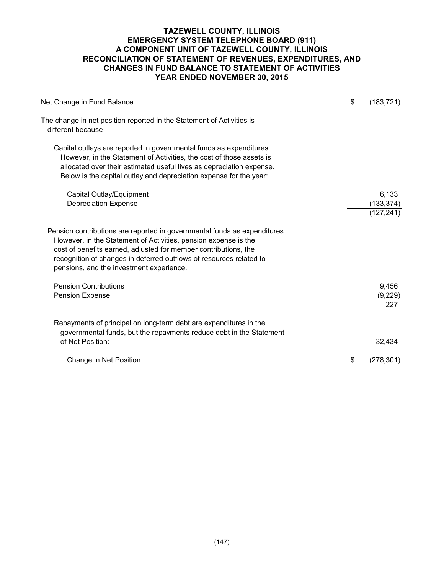### **TAZEWELL COUNTY, ILLINOIS EMERGENCY SYSTEM TELEPHONE BOARD (911) A COMPONENT UNIT OF TAZEWELL COUNTY, ILLINOIS RECONCILIATION OF STATEMENT OF REVENUES, EXPENDITURES, AND CHANGES IN FUND BALANCE TO STATEMENT OF ACTIVITIES YEAR ENDED NOVEMBER 30, 2015**

| Net Change in Fund Balance                                                                                                                                                                                                                                                                                                         | \$<br>(183, 721)         |
|------------------------------------------------------------------------------------------------------------------------------------------------------------------------------------------------------------------------------------------------------------------------------------------------------------------------------------|--------------------------|
| The change in net position reported in the Statement of Activities is<br>different because                                                                                                                                                                                                                                         |                          |
| Capital outlays are reported in governmental funds as expenditures.<br>However, in the Statement of Activities, the cost of those assets is<br>allocated over their estimated useful lives as depreciation expense.<br>Below is the capital outlay and depreciation expense for the year:                                          |                          |
| Capital Outlay/Equipment                                                                                                                                                                                                                                                                                                           | 6,133                    |
| <b>Depreciation Expense</b>                                                                                                                                                                                                                                                                                                        | (133, 374)<br>(127, 241) |
| Pension contributions are reported in governmental funds as expenditures.<br>However, in the Statement of Activities, pension expense is the<br>cost of benefits earned, adjusted for member contributions, the<br>recognition of changes in deferred outflows of resources related to<br>pensions, and the investment experience. |                          |
| <b>Pension Contributions</b>                                                                                                                                                                                                                                                                                                       | 9,456                    |
| <b>Pension Expense</b>                                                                                                                                                                                                                                                                                                             | (9, 229)<br>227          |
| Repayments of principal on long-term debt are expenditures in the<br>governmental funds, but the repayments reduce debt in the Statement<br>of Net Position:                                                                                                                                                                       | 32,434                   |
| Change in Net Position                                                                                                                                                                                                                                                                                                             | (278, 301)               |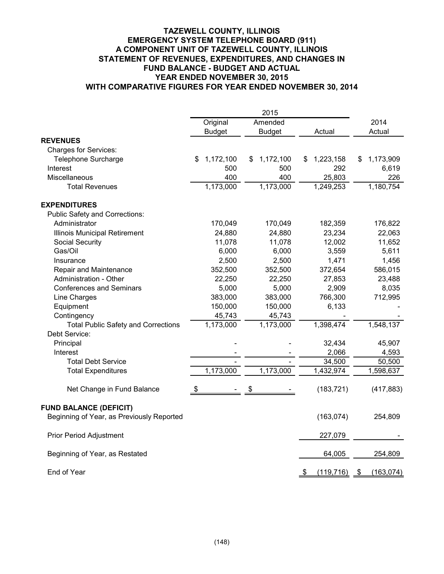#### **TAZEWELL COUNTY, ILLINOIS EMERGENCY SYSTEM TELEPHONE BOARD (911) A COMPONENT UNIT OF TAZEWELL COUNTY, ILLINOIS STATEMENT OF REVENUES, EXPENDITURES, AND CHANGES IN FUND BALANCE - BUDGET AND ACTUAL YEAR ENDED NOVEMBER 30, 2015 WITH COMPARATIVE FIGURES FOR YEAR ENDED NOVEMBER 30, 2014**

|                                            |                 | 2015           |                  |                  |
|--------------------------------------------|-----------------|----------------|------------------|------------------|
|                                            | Original        | Amended        |                  | 2014             |
|                                            | <b>Budget</b>   | <b>Budget</b>  | Actual           | Actual           |
| <b>REVENUES</b>                            |                 |                |                  |                  |
| <b>Charges for Services:</b>               |                 |                |                  |                  |
| <b>Telephone Surcharge</b>                 | 1,172,100<br>\$ | 1,172,100<br>S | 1,223,158<br>\$  | 1,173,909<br>S   |
| Interest                                   | 500             | 500            | 292              | 6,619            |
| Miscellaneous                              | 400             | 400            | 25,803           | 226              |
| <b>Total Revenues</b>                      | 1,173,000       | 1,173,000      | 1,249,253        | 1,180,754        |
| <b>EXPENDITURES</b>                        |                 |                |                  |                  |
| <b>Public Safety and Corrections:</b>      |                 |                |                  |                  |
| Administrator                              | 170,049         | 170,049        | 182,359          | 176,822          |
| <b>Illinois Municipal Retirement</b>       | 24,880          | 24,880         | 23,234           | 22,063           |
| Social Security                            | 11,078          | 11,078         | 12,002           | 11,652           |
| Gas/Oil                                    | 6,000           | 6,000          | 3,559            | 5,611            |
| Insurance                                  | 2,500           | 2,500          | 1,471            | 1,456            |
| Repair and Maintenance                     | 352,500         | 352,500        | 372,654          | 586,015          |
| Administration - Other                     | 22,250          | 22,250         | 27,853           | 23,488           |
| <b>Conferences and Seminars</b>            | 5,000           | 5,000          | 2,909            | 8,035            |
| Line Charges                               | 383,000         | 383,000        | 766,300          | 712,995          |
| Equipment                                  | 150,000         | 150,000        | 6,133            |                  |
| Contingency                                | 45,743          | 45,743         |                  |                  |
| <b>Total Public Safety and Corrections</b> | 1,173,000       | 1,173,000      | 1,398,474        | 1,548,137        |
| Debt Service:                              |                 |                |                  |                  |
| Principal                                  |                 |                | 32,434           | 45,907           |
| Interest                                   |                 |                | 2,066            | 4,593            |
| <b>Total Debt Service</b>                  |                 |                | 34,500           | 50,500           |
| <b>Total Expenditures</b>                  | 1,173,000       | 1,173,000      | 1,432,974        | 1,598,637        |
| Net Change in Fund Balance                 | \$              | \$             | (183, 721)       | (417, 883)       |
| <b>FUND BALANCE (DEFICIT)</b>              |                 |                |                  |                  |
| Beginning of Year, as Previously Reported  |                 |                | (163, 074)       | 254,809          |
| <b>Prior Period Adjustment</b>             |                 |                | 227,079          |                  |
| Beginning of Year, as Restated             |                 |                | 64,005           | 254,809          |
| End of Year                                |                 |                | \$<br>(119, 716) | (163, 074)<br>\$ |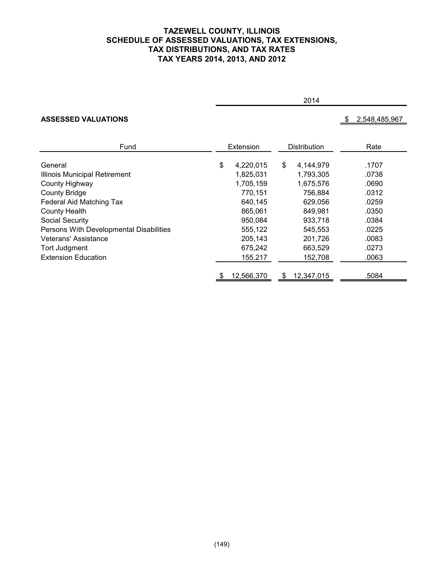# **TAZEWELL COUNTY, ILLINOIS SCHEDULE OF ASSESSED VALUATIONS, TAX EXTENSIONS, TAX DISTRIBUTIONS, AND TAX RATES TAX YEARS 2014, 2013, AND 2012**

|                                         |                 | 2014                |               |  |  |  |  |  |  |  |
|-----------------------------------------|-----------------|---------------------|---------------|--|--|--|--|--|--|--|
| <b>ASSESSED VALUATIONS</b>              |                 |                     | 2,548,485,967 |  |  |  |  |  |  |  |
| Fund                                    | Extension       | <b>Distribution</b> | Rate          |  |  |  |  |  |  |  |
| General                                 | \$<br>4,220,015 | \$<br>4,144,979     | .1707         |  |  |  |  |  |  |  |
| Illinois Municipal Retirement           | 1,825,031       | 1,793,305           | .0738         |  |  |  |  |  |  |  |
| County Highway                          | 1,705,159       | 1,675,576           | .0690         |  |  |  |  |  |  |  |
| <b>County Bridge</b>                    | 770,151         | 756,884             | .0312         |  |  |  |  |  |  |  |
| Federal Aid Matching Tax                | 640,145         | 629,056             | .0259         |  |  |  |  |  |  |  |
| County Health                           | 865,061         | 849,981             | .0350         |  |  |  |  |  |  |  |
| Social Security                         | 950,084         | 933,718             | .0384         |  |  |  |  |  |  |  |
| Persons With Developmental Disabilities | 555,122         | 545,553             | .0225         |  |  |  |  |  |  |  |
| Veterans' Assistance                    | 205,143         | 201,726             | .0083         |  |  |  |  |  |  |  |
| <b>Tort Judgment</b>                    | 675,242         | 663,529             | .0273         |  |  |  |  |  |  |  |
| <b>Extension Education</b>              | 155,217         | 152,708             | .0063         |  |  |  |  |  |  |  |
|                                         | 12,566,370      | 12,347,015<br>-SS   | .5084         |  |  |  |  |  |  |  |